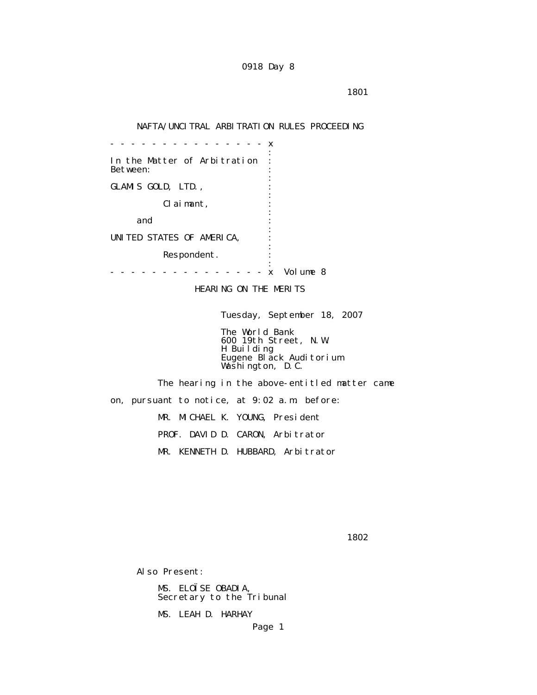## NAFTA/UNCITRAL ARBITRATION RULES PROCEEDING

 - - - - - - - - - - - - - - - x the contract of the contract of the contract of the contract of the contract of the contract of the contract of In the Matter of Arbitration : Between: the contract of the contract of the contract of the contract of the contract of the contract of the contract of GLAMIS GOLD, LTD., the contract of the contract of the contract of the contract of the contract of the contract of the contract of Claimant, : the contract of the contract of the contract of the contract of the contract of the contract of the contract of and  $\cdots$  : the contract of the contract of the contract of the contract of the contract of the contract of the contract of UNITED STATES OF AMERICA, : the contract of the contract of the contract of the contract of the contract of the contract of the contract of Respondent. the contract of the contract of the contract of the contract of the contract of the contract of the contract of - - - - - - - - - - - - - - - x Volume 8

HEARING ON THE MERITS

Tuesday, September 18, 2007

 The World Bank 600 19th Street, N.W. H Building Eugene Black Auditorium Washington, D.C.

> The hearing in the above-entitled matter came on, pursuant to notice, at 9:02 a.m. before: MR. MICHAEL K. YOUNG, President PROF. DAVID D. CARON, Arbitrator MR. KENNETH D. HUBBARD, Arbitrator

 $1802$ 

Also Present:

 MS. ELOÏSE OBADIA, Secretary to the Tribunal

MS. LEAH D. HARHAY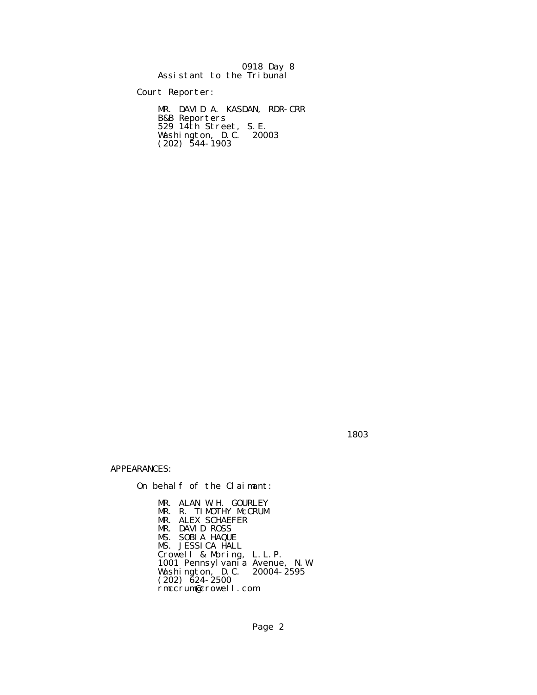|                           |  | 0918 Day 8 |
|---------------------------|--|------------|
| Assistant to the Tribunal |  |            |

Court Reporter:

 MR. DAVID A. KASDAN, RDR-CRR B&B Reporters 529 14th Street, S.E. Washington, D.C. 20003  $(202)$  544-1903

1803 - Paul Barbara, president e a constante de la provincia de la provincia de la provincia de la provincia d<br>1803 - Paul Barbara, política de la provincia de la provincia de la provincia de la provincia de la provincia

APPEARANCES:

On behalf of the Claimant:

 MR. ALAN W.H. GOURLEY MR. R. TIMOTHY McCRUM MR. ALEX SCHAEFER MR. DAVID ROSS MS. SOBIA HAQUE MS. JESSICA HALL Crowell & Moring, L.L.P. 1001 Pennsylvania Avenue, N.W. Washington, D.C. 20004-2595  $(202)$   $\bar{6}24 - 2500$ rmccrum@crowell.com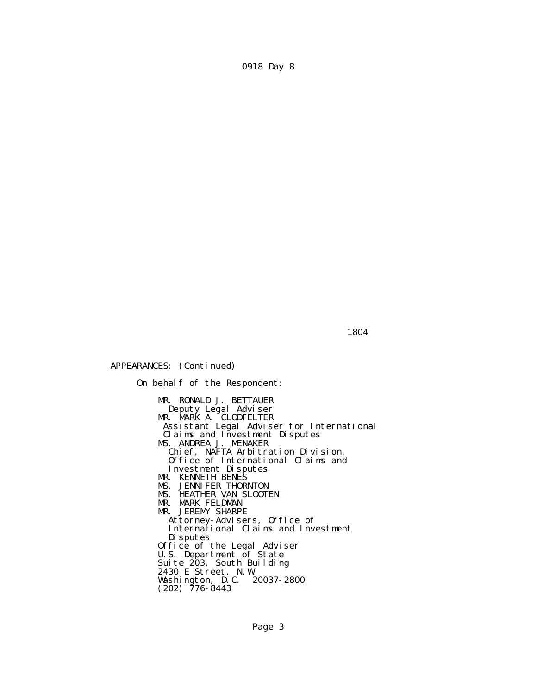1804 **1804** 

APPEARANCES: (Continued)

 On behalf of the Respondent: MR. RONALD J. BETTAUER Deputy Legal Adviser **MR. MARK A. CLODFELTER**  Assistant Legal Adviser for International Claims and Investment Disputes MS. ANDREA J. MENAKER Chief, NAFTA Arbitration Division, Office of International Claims and Investment Disputes MR. KENNETH BENES MS. JENNIFER THORNTON MS. HEATHER VAN SLOOTEN MR. MARK FELDMAN MR. JEREMY SHARPE Attorney-Advisers, Office of International Claims and Investment Disputes Office of the Legal Adviser U.S. Department of State Suite 203, South Building 2430 E Street, N.W. Washington, D.C. 20037-2800  $(202)$  776-8443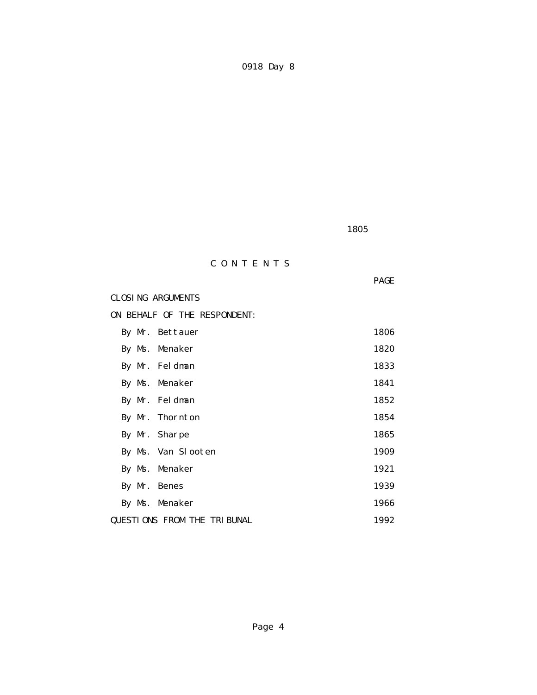$1805$ 

# C O N T E N T S

**PAGE** 

# CLOSING ARGUMENTS

ON BEHALF OF THE RESPONDENT:

|               | By Mr. Bettauer                    | 1806 |
|---------------|------------------------------------|------|
|               | By Ms. Menaker                     | 1820 |
|               | By Mr. Feldman                     | 1833 |
|               | By Ms. Menaker                     | 1841 |
|               | By Mr. Feldman                     | 1852 |
|               | By Mr. Thornton                    | 1854 |
| By Mr. Sharpe |                                    | 1865 |
|               | By Ms. Van Slooten                 | 1909 |
|               | By Ms. Menaker                     | 1921 |
| By Mr. Benes  |                                    | 1939 |
|               | By Ms. Menaker                     | 1966 |
|               | <b>QUESTIONS FROM THE TRIBUNAL</b> | 1992 |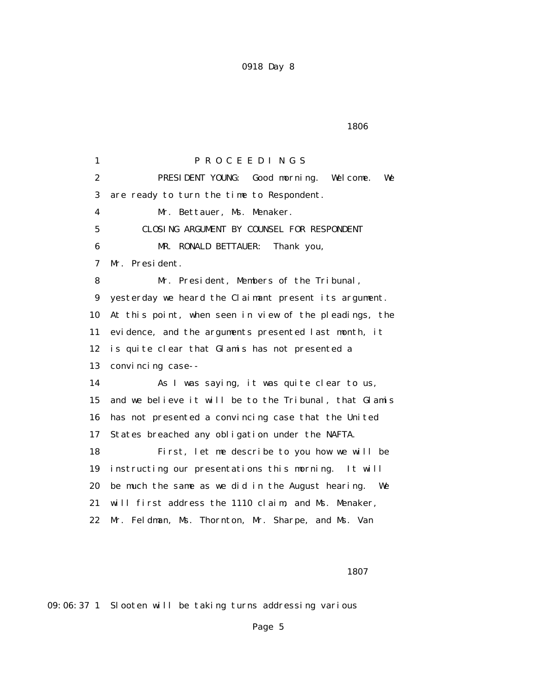$1806$ 

 1 P R O C E E D I N G S 2 PRESIDENT YOUNG: Good morning. Welcome. We 3 are ready to turn the time to Respondent. 4 Mr. Bettauer, Ms. Menaker. 5 CLOSING ARGUMENT BY COUNSEL FOR RESPONDENT 6 MR. RONALD BETTAUER: Thank you, 7 Mr. President. 8 Mr. President, Members of the Tribunal, 9 yesterday we heard the Claimant present its argument. 10 At this point, when seen in view of the pleadings, the 11 evidence, and the arguments presented last month, it 12 is quite clear that Glamis has not presented a 13 convincing case-- 14 As I was saying, it was quite clear to us, 15 and we believe it will be to the Tribunal, that Glamis 16 has not presented a convincing case that the United 17 States breached any obligation under the NAFTA. 18 First, let me describe to you how we will be 19 instructing our presentations this morning. It will 20 be much the same as we did in the August hearing. We 21 will first address the 1110 claim, and Ms. Menaker, 22 Mr. Feldman, Ms. Thornton, Mr. Sharpe, and Ms. Van

1807 - 1807 - 1807 - 1807 - 1807 - 1807 - 1807 - 1807 - 1807 - 1807 - 1807 - 1807 - 1807 - 1807 - 1807 - 1807

09:06:37 1 Slooten will be taking turns addressing various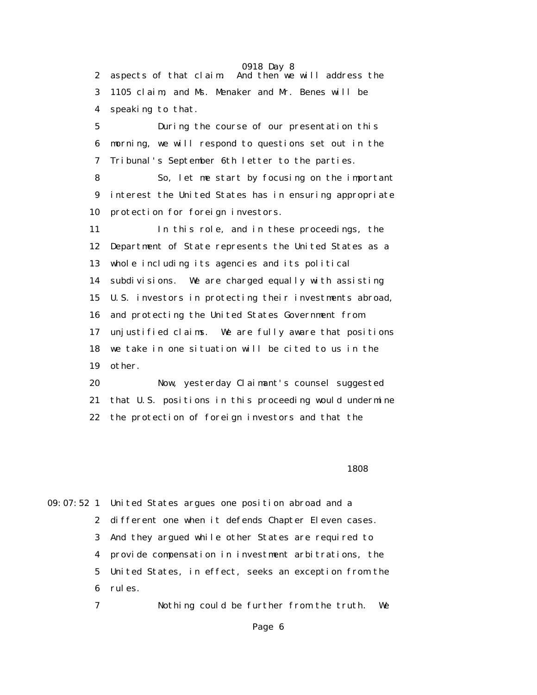0918 Day 8 2 aspects of that claim. And then we will address the 3 1105 claim, and Ms. Menaker and Mr. Benes will be 4 speaking to that. 5 During the course of our presentation this 6 morning, we will respond to questions set out in the 7 Tribunal's September 6th letter to the parties. 8 So, let me start by focusing on the important 9 interest the United States has in ensuring appropriate 10 protection for foreign investors. 11 In this role, and in these proceedings, the 12 Department of State represents the United States as a 13 whole including its agencies and its political 14 subdivisions. We are charged equally with assisting 15 U.S. investors in protecting their investments abroad, 16 and protecting the United States Government from 17 unjustified claims. We are fully aware that positions 18 we take in one situation will be cited to us in the 19 other. 20 Now, yesterday Claimant's counsel suggested 21 that U.S. positions in this proceeding would undermine

22 the protection of foreign investors and that the

 $1808$ 

09:07:52 1 United States argues one position abroad and a 2 different one when it defends Chapter Eleven cases. 3 And they argued while other States are required to 4 provide compensation in investment arbitrations, the 5 United States, in effect, seeks an exception from the 6 rules.

7 Nothing could be further from the truth. We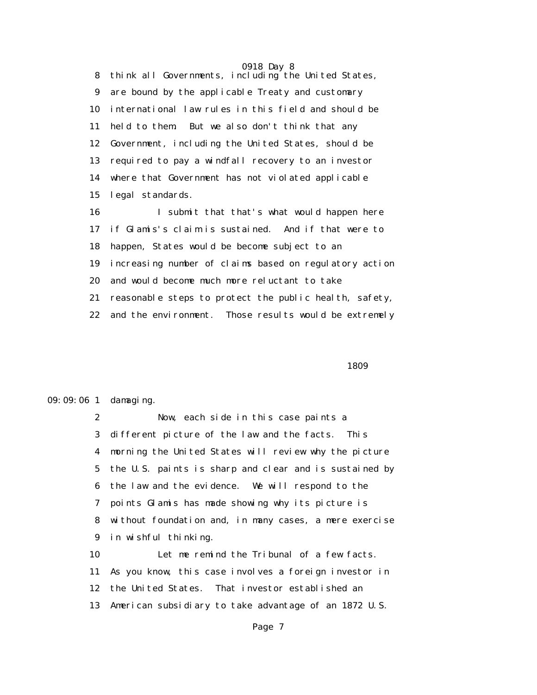0918 Day 8 8 think all Governments, including the United States, 9 are bound by the applicable Treaty and customary 10 international law rules in this field and should be 11 held to them. But we also don't think that any 12 Government, including the United States, should be 13 required to pay a windfall recovery to an investor 14 where that Government has not violated applicable 15 legal standards. 16 I submit that that's what would happen here 17 if Glamis's claim is sustained. And if that were to

 18 happen, States would be become subject to an 19 increasing number of claims based on regulatory action 20 and would become much more reluctant to take 21 reasonable steps to protect the public health, safety,

22 and the environment. Those results would be extremely

 $1809$ 

### 09:09:06 1 damaging.

 2 Now, each side in this case paints a 3 different picture of the law and the facts. This 4 morning the United States will review why the picture 5 the U.S. paints is sharp and clear and is sustained by 6 the law and the evidence. We will respond to the 7 points Glamis has made showing why its picture is 8 without foundation and, in many cases, a mere exercise 9 in wishful thinking.

 10 Let me remind the Tribunal of a few facts. 11 As you know, this case involves a foreign investor in 12 the United States. That investor established an 13 American subsidiary to take advantage of an 1872 U.S.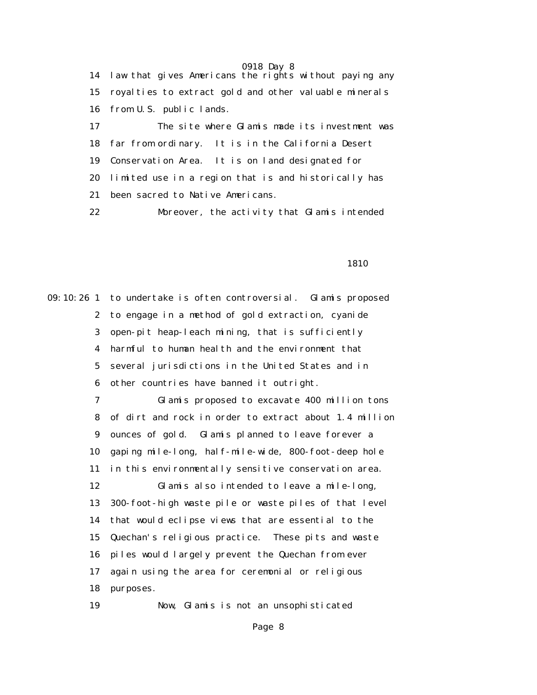0918 Day 8 14 law that gives Americans the rights without paying any 15 royalties to extract gold and other valuable minerals 16 from U.S. public lands. 17 The site where Glamis made its investment was 18 far from ordinary. It is in the California Desert 19 Conservation Area. It is on land designated for 20 limited use in a region that is and historically has 21 been sacred to Native Americans. 22 Moreover, the activity that Glamis intended

1810

09:10:26 1 to undertake is often controversial. Glamis proposed 2 to engage in a method of gold extraction, cyanide 3 open-pit heap-leach mining, that is sufficiently 4 harmful to human health and the environment that 5 several jurisdictions in the United States and in 6 other countries have banned it outright. 7 Glamis proposed to excavate 400 million tons 8 of dirt and rock in order to extract about 1.4 million 9 ounces of gold. Glamis planned to leave forever a 10 gaping mile-long, half-mile-wide, 800-foot-deep hole 11 in this environmentally sensitive conservation area. 12 Glamis also intended to leave a mile-long, 13 300-foot-high waste pile or waste piles of that level 14 that would eclipse views that are essential to the 15 Quechan's religious practice. These pits and waste 16 piles would largely prevent the Quechan from ever 17 again using the area for ceremonial or religious 18 purposes. 19 Now, Glamis is not an unsophisticated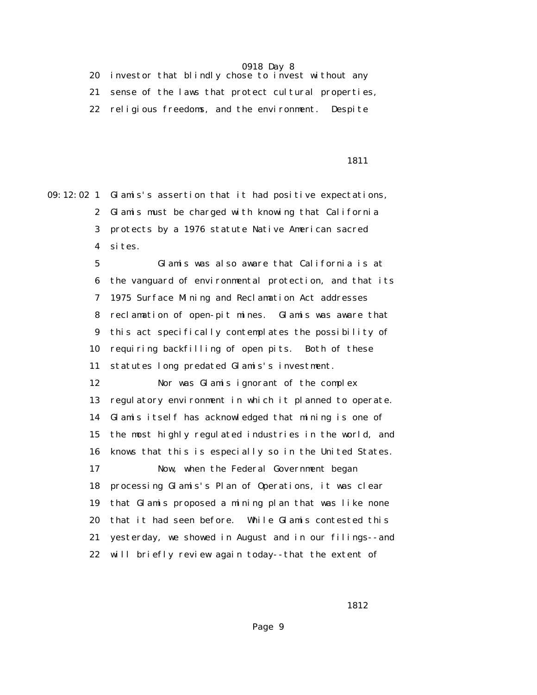20 investor that blindly chose to invest without any 21 sense of the laws that protect cultural properties, 22 religious freedoms, and the environment. Despite

### 1811

09:12:02 1 Glamis's assertion that it had positive expectations, 2 Glamis must be charged with knowing that California 3 protects by a 1976 statute Native American sacred 4 sites.

> 5 Glamis was also aware that California is at 6 the vanguard of environmental protection, and that its 7 1975 Surface Mining and Reclamation Act addresses 8 reclamation of open-pit mines. Glamis was aware that 9 this act specifically contemplates the possibility of 10 requiring backfilling of open pits. Both of these 11 statutes long predated Glamis's investment.

> 12 Nor was Glamis ignorant of the complex 13 regulatory environment in which it planned to operate. 14 Glamis itself has acknowledged that mining is one of 15 the most highly regulated industries in the world, and 16 knows that this is especially so in the United States. 17 Now, when the Federal Government began 18 processing Glamis's Plan of Operations, it was clear 19 that Glamis proposed a mining plan that was like none 20 that it had seen before. While Glamis contested this 21 yesterday, we showed in August and in our filings--and 22 will briefly review again today--that the extent of

<u>1812</u>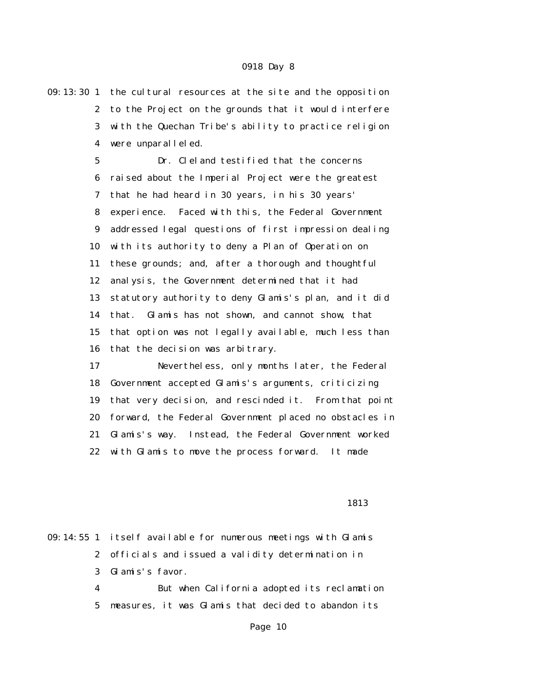09:13:30 1 the cultural resources at the site and the opposition 2 to the Project on the grounds that it would interfere 3 with the Quechan Tribe's ability to practice religion 4 were unparalleled.

> 5 Dr. Cleland testified that the concerns 6 raised about the Imperial Project were the greatest 7 that he had heard in 30 years, in his 30 years' 8 experience. Faced with this, the Federal Government 9 addressed legal questions of first impression dealing 10 with its authority to deny a Plan of Operation on 11 these grounds; and, after a thorough and thoughtful 12 analysis, the Government determined that it had 13 statutory authority to deny Glamis's plan, and it did 14 that. Glamis has not shown, and cannot show, that 15 that option was not legally available, much less than 16 that the decision was arbitrary.

 17 Nevertheless, only months later, the Federal 18 Government accepted Glamis's arguments, criticizing 19 that very decision, and rescinded it. From that point 20 forward, the Federal Government placed no obstacles in 21 Glamis's way. Instead, the Federal Government worked 22 with Glamis to move the process forward. It made

<u>1813</u>

09:14:55 1 itself available for numerous meetings with Glamis 2 officials and issued a validity determination in 3 Glamis's favor. 4 But when California adopted its reclamation

5 measures, it was Glamis that decided to abandon its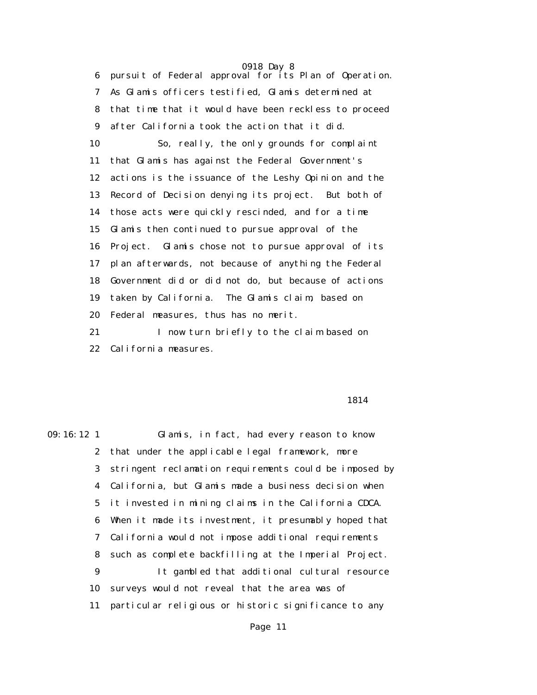6 pursuit of Federal approval for its Plan of Operation. 7 As Glamis officers testified, Glamis determined at 8 that time that it would have been reckless to proceed 9 after California took the action that it did. 10 So, really, the only grounds for complaint 11 that Glamis has against the Federal Government's 12 actions is the issuance of the Leshy Opinion and the 13 Record of Decision denying its project. But both of 14 those acts were quickly rescinded, and for a time 15 Glamis then continued to pursue approval of the 16 Project. Glamis chose not to pursue approval of its 17 plan afterwards, not because of anything the Federal 18 Government did or did not do, but because of actions 19 taken by California. The Glamis claim, based on 20 Federal measures, thus has no merit.

 21 I now turn briefly to the claim based on 22 California measures.

### 1814

09:16:12 1 Glamis, in fact, had every reason to know 2 that under the applicable legal framework, more 3 stringent reclamation requirements could be imposed by 4 California, but Glamis made a business decision when 5 it invested in mining claims in the California CDCA. 6 When it made its investment, it presumably hoped that 7 California would not impose additional requirements 8 such as complete backfilling at the Imperial Project. 9 It gambled that additional cultural resource 10 surveys would not reveal that the area was of 11 particular religious or historic significance to any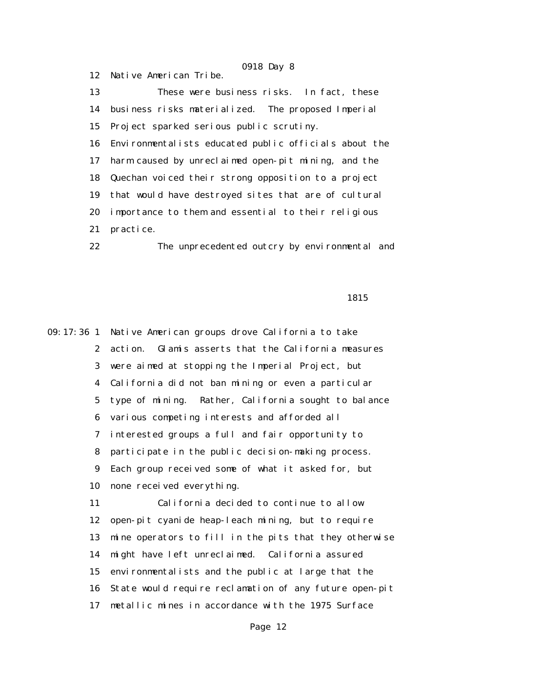13 These were business risks. In fact, these 14 business risks materialized. The proposed Imperial 15 Project sparked serious public scrutiny. 16 Environmentalists educated public officials about the 17 harm caused by unreclaimed open-pit mining, and the 18 Quechan voiced their strong opposition to a project 19 that would have destroyed sites that are of cultural 20 importance to them and essential to their religious 21 practice.

12 Native American Tribe.

22 The unprecedented outcry by environmental and

1815

09:17:36 1 Native American groups drove California to take 2 action. Glamis asserts that the California measures 3 were aimed at stopping the Imperial Project, but 4 California did not ban mining or even a particular 5 type of mining. Rather, California sought to balance 6 various competing interests and afforded all 7 interested groups a full and fair opportunity to 8 participate in the public decision-making process. 9 Each group received some of what it asked for, but 10 none received everything. 11 California decided to continue to allow 12 open-pit cyanide heap-leach mining, but to require 13 mine operators to fill in the pits that they otherwise 14 might have left unreclaimed. California assured 15 environmentalists and the public at large that the 16 State would require reclamation of any future open-pit 17 metallic mines in accordance with the 1975 Surface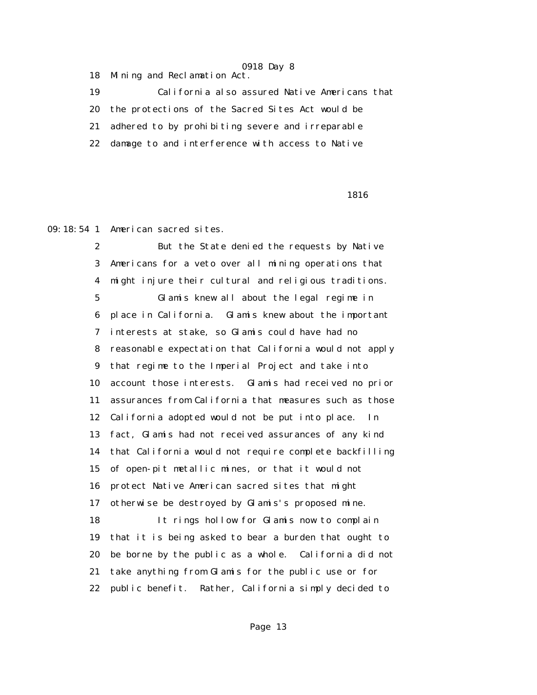18 Mining and Reclamation Act.

 19 California also assured Native Americans that 20 the protections of the Sacred Sites Act would be 21 adhered to by prohibiting severe and irreparable 22 damage to and interference with access to Native

 $\sim$  1816

09:18:54 1 American sacred sites.

 2 But the State denied the requests by Native 3 Americans for a veto over all mining operations that 4 might injure their cultural and religious traditions. 5 Glamis knew all about the legal regime in 6 place in California. Glamis knew about the important 7 interests at stake, so Glamis could have had no 8 reasonable expectation that California would not apply 9 that regime to the Imperial Project and take into 10 account those interests. Glamis had received no prior 11 assurances from California that measures such as those 12 California adopted would not be put into place. In 13 fact, Glamis had not received assurances of any kind 14 that California would not require complete backfilling 15 of open-pit metallic mines, or that it would not 16 protect Native American sacred sites that might 17 otherwise be destroyed by Glamis's proposed mine. 18 It rings hollow for Glamis now to complain 19 that it is being asked to bear a burden that ought to 20 be borne by the public as a whole. California did not 21 take anything from Glamis for the public use or for 22 public benefit. Rather, California simply decided to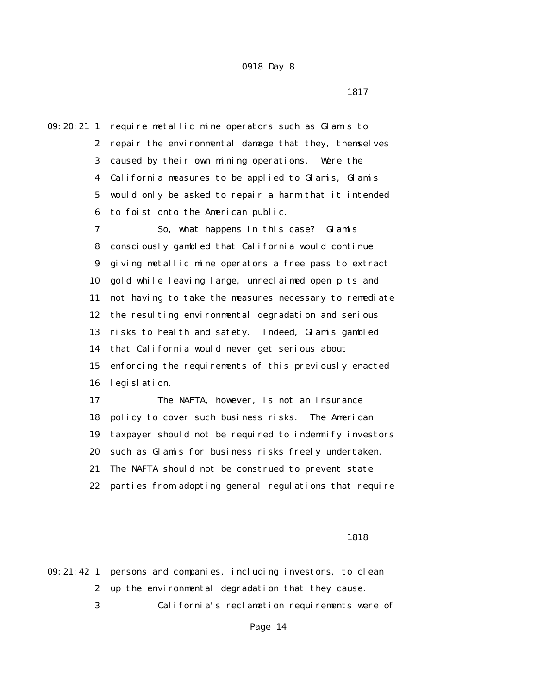<u>1817</u>

09:20:21 1 require metallic mine operators such as Glamis to 2 repair the environmental damage that they, themselves 3 caused by their own mining operations. Were the 4 California measures to be applied to Glamis, Glamis 5 would only be asked to repair a harm that it intended 6 to foist onto the American public.

> 7 So, what happens in this case? Glamis 8 consciously gambled that California would continue 9 giving metallic mine operators a free pass to extract 10 gold while leaving large, unreclaimed open pits and 11 not having to take the measures necessary to remediate 12 the resulting environmental degradation and serious 13 risks to health and safety. Indeed, Glamis gambled 14 that California would never get serious about 15 enforcing the requirements of this previously enacted 16 legislation.

> 17 The NAFTA, however, is not an insurance 18 policy to cover such business risks. The American 19 taxpayer should not be required to indemnify investors 20 such as Glamis for business risks freely undertaken. 21 The NAFTA should not be construed to prevent state 22 parties from adopting general regulations that require

### 1818

|  | 09:21:42 1 persons and companies, including investors, to clean |
|--|-----------------------------------------------------------------|
|  | 2 up the environmental degradation that they cause.             |
|  | California's reclamation requirements were of                   |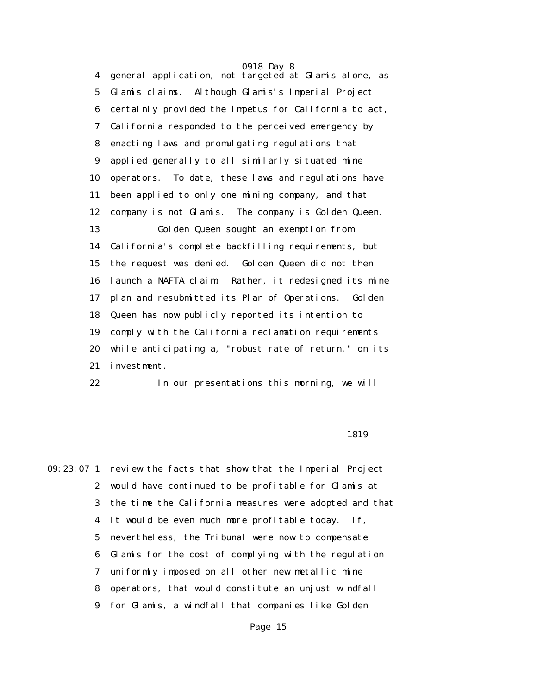4 general application, not targeted at Glamis alone, as 5 Glamis claims. Although Glamis's Imperial Project 6 certainly provided the impetus for California to act, 7 California responded to the perceived emergency by 8 enacting laws and promulgating regulations that 9 applied generally to all similarly situated mine 10 operators. To date, these laws and regulations have 11 been applied to only one mining company, and that 12 company is not Glamis. The company is Golden Queen. 13 Golden Queen sought an exemption from 14 California's complete backfilling requirements, but 15 the request was denied. Golden Queen did not then 16 launch a NAFTA claim. Rather, it redesigned its mine 17 plan and resubmitted its Plan of Operations. Golden 18 Queen has now publicly reported its intention to 19 comply with the California reclamation requirements 20 while anticipating a, "robust rate of return," on its 21 investment.

22 In our presentations this morning, we will

### 1819

09:23:07 1 review the facts that show that the Imperial Project 2 would have continued to be profitable for Glamis at 3 the time the California measures were adopted and that 4 it would be even much more profitable today. If, 5 nevertheless, the Tribunal were now to compensate 6 Glamis for the cost of complying with the regulation 7 uniformly imposed on all other new metallic mine 8 operators, that would constitute an unjust windfall 9 for Glamis, a windfall that companies like Golden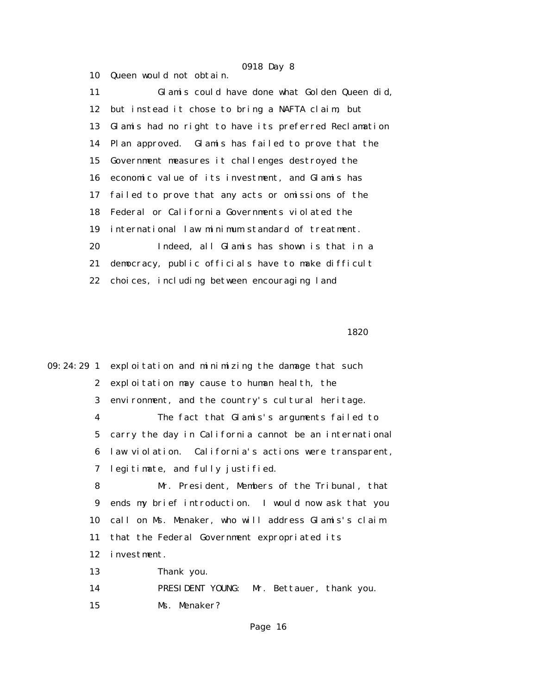11 Glamis could have done what Golden Queen did, 12 but instead it chose to bring a NAFTA claim, but 13 Glamis had no right to have its preferred Reclamation 14 Plan approved. Glamis has failed to prove that the 15 Government measures it challenges destroyed the 16 economic value of its investment, and Glamis has 17 failed to prove that any acts or omissions of the 18 Federal or California Governments violated the 19 international law minimum standard of treatment. 20 Indeed, all Glamis has shown is that in a 21 democracy, public officials have to make difficult 22 choices, including between encouraging land

10 Queen would not obtain.

1820

09:24:29 1 exploitation and minimizing the damage that such 2 exploitation may cause to human health, the 3 environment, and the country's cultural heritage. 4 The fact that Glamis's arguments failed to 5 carry the day in California cannot be an international 6 law violation. California's actions were transparent, 7 legitimate, and fully justified. 8 Mr. President, Members of the Tribunal, that 9 ends my brief introduction. I would now ask that you 10 call on Ms. Menaker, who will address Glamis's claim 11 that the Federal Government expropriated its 12 investment. 13 Thank you. 14 PRESIDENT YOUNG: Mr. Bettauer, thank you. 15 Ms. Menaker?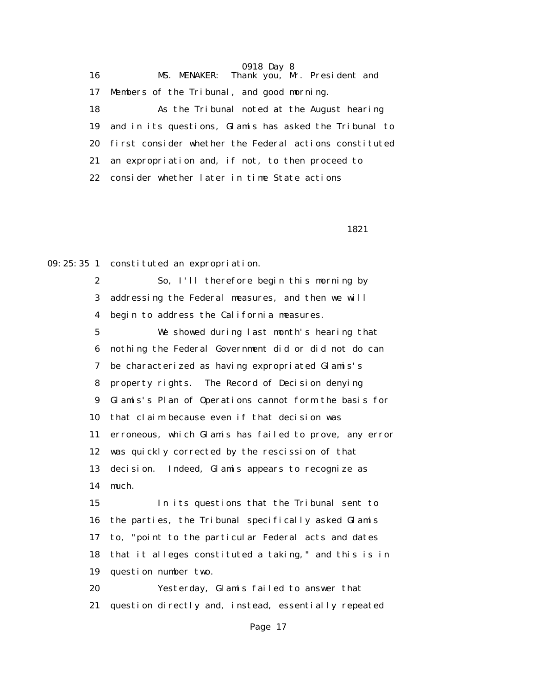| 16 | MS. MENAKER: Thank you, Mr. President and              |
|----|--------------------------------------------------------|
| 17 | Members of the Tribunal, and good morning.             |
| 18 | As the Tribunal noted at the August hearing            |
| 19 | and in its questions, Glamis has asked the Tribunal to |
| 20 | first consider whether the Federal actions constituted |
| 21 | an expropriation and, if not, to then proceed to       |
| 22 | consider whether later in time State actions           |
|    |                                                        |

1821

09:25:35 1 constituted an expropriation.

 2 So, I'll therefore begin this morning by 3 addressing the Federal measures, and then we will 4 begin to address the California measures. 5 We showed during last month's hearing that 6 nothing the Federal Government did or did not do can 7 be characterized as having expropriated Glamis's 8 property rights. The Record of Decision denying 9 Glamis's Plan of Operations cannot form the basis for 10 that claim because even if that decision was 11 erroneous, which Glamis has failed to prove, any error 12 was quickly corrected by the rescission of that 13 decision. Indeed, Glamis appears to recognize as 14 much. 15 In its questions that the Tribunal sent to 16 the parties, the Tribunal specifically asked Glamis 17 to, "point to the particular Federal acts and dates 18 that it alleges constituted a taking," and this is in 19 question number two.

 20 Yesterday, Glamis failed to answer that 21 question directly and, instead, essentially repeated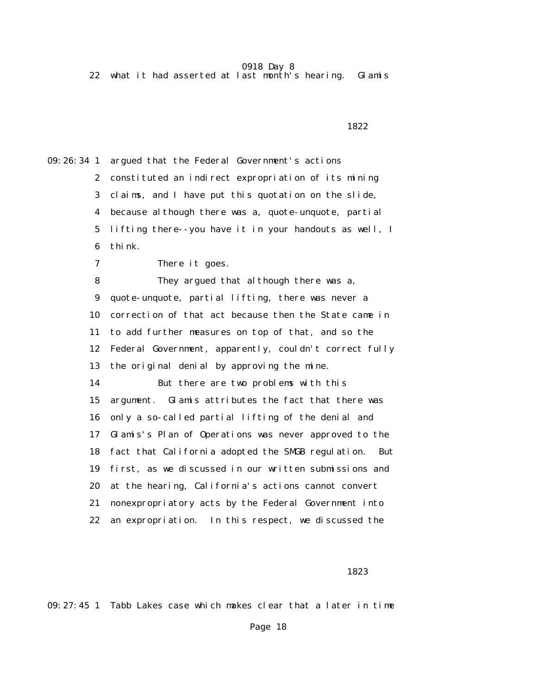22 what it had asserted at last month's hearing. Glamis

 1822 09:26:34 1 argued that the Federal Government's actions 2 constituted an indirect expropriation of its mining 3 claims, and I have put this quotation on the slide, 4 because although there was a, quote-unquote, partial 5 lifting there--you have it in your handouts as well, I 6 think. 7 There it goes. 8 They argued that although there was a, 9 quote-unquote, partial lifting, there was never a 10 correction of that act because then the State came in 11 to add further measures on top of that, and so the 12 Federal Government, apparently, couldn't correct fully 13 the original denial by approving the mine. 14 But there are two problems with this 15 argument. Glamis attributes the fact that there was 16 only a so-called partial lifting of the denial and 17 Glamis's Plan of Operations was never approved to the 18 fact that California adopted the SMGB regulation. But 19 first, as we discussed in our written submissions and 20 at the hearing, California's actions cannot convert 21 nonexpropriatory acts by the Federal Government into 22 an expropriation. In this respect, we discussed the

1823

09:27:45 1 Tabb Lakes case which makes clear that a later in time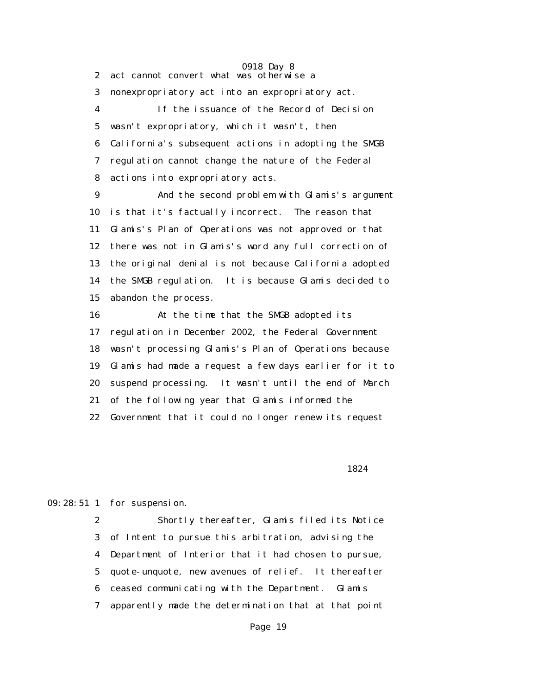0918 Day 8 2 act cannot convert what was otherwise a 3 nonexpropriatory act into an expropriatory act. 4 If the issuance of the Record of Decision 5 wasn't expropriatory, which it wasn't, then 6 California's subsequent actions in adopting the SMGB 7 regulation cannot change the nature of the Federal 8 actions into expropriatory acts.

 9 And the second problem with Glamis's argument 10 is that it's factually incorrect. The reason that 11 Glamis's Plan of Operations was not approved or that 12 there was not in Glamis's word any full correction of 13 the original denial is not because California adopted 14 the SMGB regulation. It is because Glamis decided to 15 abandon the process.

 16 At the time that the SMGB adopted its 17 regulation in December 2002, the Federal Government 18 wasn't processing Glamis's Plan of Operations because 19 Glamis had made a request a few days earlier for it to 20 suspend processing. It wasn't until the end of March 21 of the following year that Glamis informed the 22 Government that it could no longer renew its request

1824

09:28:51 1 for suspension.

 2 Shortly thereafter, Glamis filed its Notice 3 of Intent to pursue this arbitration, advising the 4 Department of Interior that it had chosen to pursue, 5 quote-unquote, new avenues of relief. It thereafter 6 ceased communicating with the Department. Glamis 7 apparently made the determination that at that point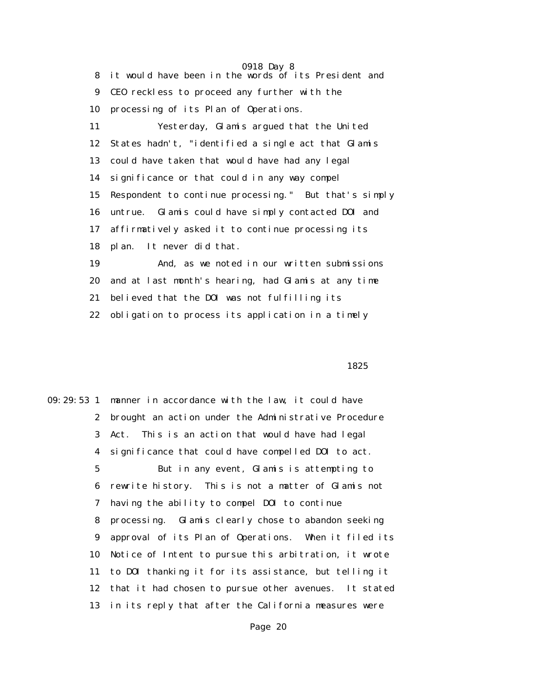0918 Day 8 8 it would have been in the words of its President and 9 CEO reckless to proceed any further with the 10 processing of its Plan of Operations. 11 Yesterday, Glamis argued that the United 12 States hadn't, "identified a single act that Glamis 13 could have taken that would have had any legal 14 significance or that could in any way compel 15 Respondent to continue processing." But that's simply 16 untrue. Glamis could have simply contacted DOI and 17 affirmatively asked it to continue processing its 18 plan. It never did that. 19 And, as we noted in our written submissions 20 and at last month's hearing, had Glamis at any time

21 believed that the DOI was not fulfilling its

22 obligation to process its application in a timely

 $1825$ 

09:29:53 1 manner in accordance with the law, it could have 2 brought an action under the Administrative Procedure 3 Act. This is an action that would have had legal 4 significance that could have compelled DOI to act. 5 But in any event, Glamis is attempting to 6 rewrite history. This is not a matter of Glamis not 7 having the ability to compel DOI to continue 8 processing. Glamis clearly chose to abandon seeking 9 approval of its Plan of Operations. When it filed its 10 Notice of Intent to pursue this arbitration, it wrote 11 to DOI thanking it for its assistance, but telling it 12 that it had chosen to pursue other avenues. It stated 13 in its reply that after the California measures were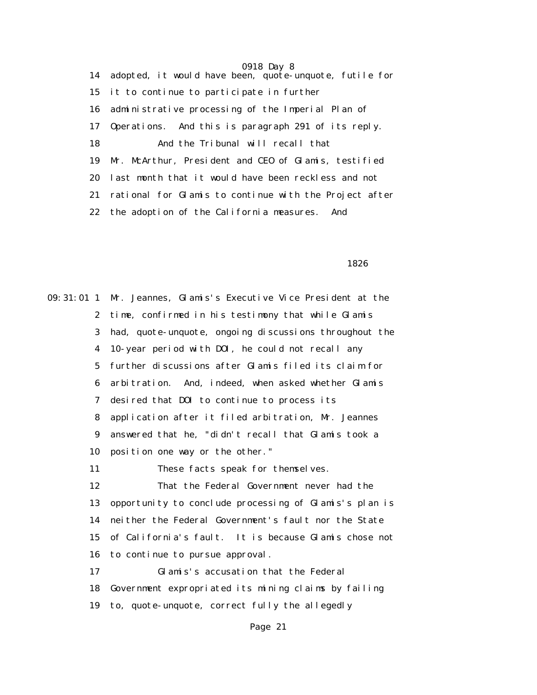0918 Day 8 14 adopted, it would have been, quote-unquote, futile for 15 it to continue to participate in further 16 administrative processing of the Imperial Plan of 17 Operations. And this is paragraph 291 of its reply. 18 And the Tribunal will recall that 19 Mr. McArthur, President and CEO of Glamis, testified 20 last month that it would have been reckless and not 21 rational for Glamis to continue with the Project after 22 the adoption of the California measures. And

 $1826$ 

09:31:01 1 Mr. Jeannes, Glamis's Executive Vice President at the 2 time, confirmed in his testimony that while Glamis 3 had, quote-unquote, ongoing discussions throughout the 4 10-year period with DOI, he could not recall any 5 further discussions after Glamis filed its claim for 6 arbitration. And, indeed, when asked whether Glamis 7 desired that DOI to continue to process its 8 application after it filed arbitration, Mr. Jeannes 9 answered that he, "didn't recall that Glamis took a 10 position one way or the other." 11 These facts speak for themselves. 12 That the Federal Government never had the 13 opportunity to conclude processing of Glamis's plan is 14 neither the Federal Government's fault nor the State 15 of California's fault. It is because Glamis chose not 16 to continue to pursue approval. 17 Glamis's accusation that the Federal 18 Government expropriated its mining claims by failing 19 to, quote-unquote, correct fully the allegedly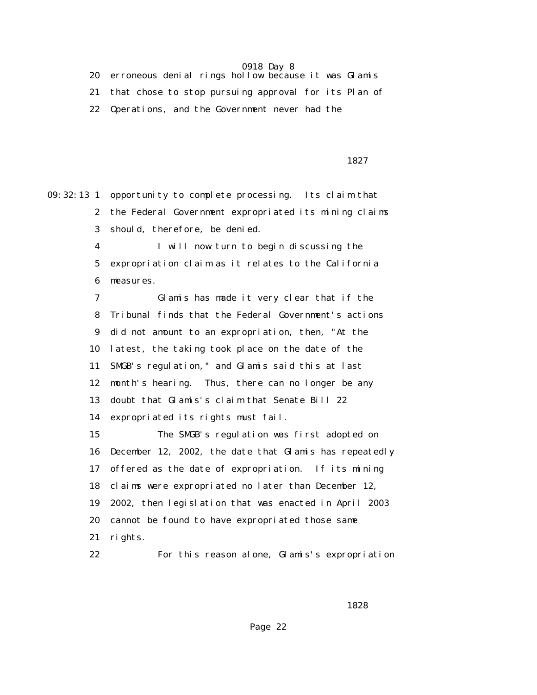20 erroneous denial rings hollow because it was Glamis 21 that chose to stop pursuing approval for its Plan of 22 Operations, and the Government never had the

<u>1827</u>

09:32:13 1 opportunity to complete processing. Its claim that 2 the Federal Government expropriated its mining claims 3 should, therefore, be denied.

> 4 I will now turn to begin discussing the 5 expropriation claim as it relates to the California 6 measures.

 7 Glamis has made it very clear that if the 8 Tribunal finds that the Federal Government's actions 9 did not amount to an expropriation, then, "At the 10 latest, the taking took place on the date of the 11 SMGB's regulation," and Glamis said this at last 12 month's hearing. Thus, there can no longer be any 13 doubt that Glamis's claim that Senate Bill 22 14 expropriated its rights must fail.

 15 The SMGB's regulation was first adopted on 16 December 12, 2002, the date that Glamis has repeatedly 17 offered as the date of expropriation. If its mining 18 claims were expropriated no later than December 12, 19 2002, then legislation that was enacted in April 2003 20 cannot be found to have expropriated those same 21 rights.

22 For this reason alone, Glamis's expropriation

 $1828$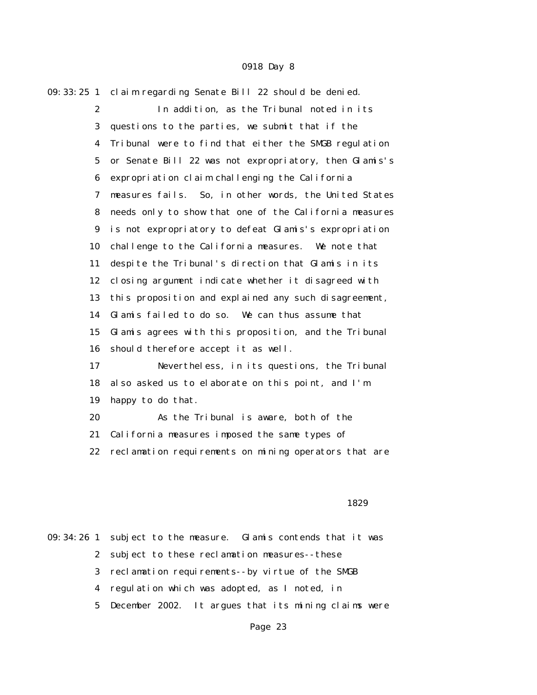| $09:33:25$ 1     | claim regarding Senate Bill 22 should be denied.       |
|------------------|--------------------------------------------------------|
| $\boldsymbol{2}$ | In addition, as the Tribunal noted in its              |
| 3                | questions to the parties, we submit that if the        |
| 4                | Tribunal were to find that either the SMGB regulation  |
| $\mathbf 5$      | or Senate Bill 22 was not expropriatory, then Glamis's |
| 6                | expropriation claim challenging the California         |
| 7                | measures fails. So, in other words, the United States  |
| 8                | needs only to show that one of the California measures |
| 9                | is not expropriatory to defeat Glamis's expropriation  |
| 10               | challenge to the California measures. We note that     |
| 11               | despite the Tribunal's direction that Glamis in its    |
| 12               | closing argument indicate whether it disagreed with    |
| 13               | this proposition and explained any such disagreement,  |
| 14               | Glamis failed to do so. We can thus assume that        |
| 15               | Glamis agrees with this proposition, and the Tribunal  |
| 16               | should therefore accept it as well.                    |
| 17               | Nevertheless, in its questions, the Tribunal           |
| 18               | also asked us to elaborate on this point, and I'm      |
| 19               | happy to do that.                                      |
| 20               | As the Tribunal is aware, both of the                  |
| 21               | California measures imposed the same types of          |
| 22               | reclamation requirements on mining operators that are  |

### 1829

09:34:26 1 subject to the measure. Glamis contends that it was 2 subject to these reclamation measures--these 3 reclamation requirements--by virtue of the SMGB 4 regulation which was adopted, as I noted, in 5 December 2002. It argues that its mining claims were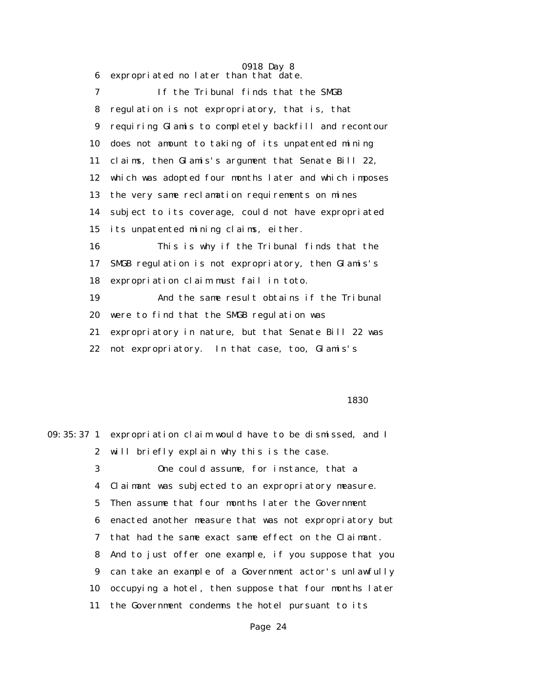6 expropriated no later than that date.

 7 If the Tribunal finds that the SMGB 8 regulation is not expropriatory, that is, that 9 requiring Glamis to completely backfill and recontour 10 does not amount to taking of its unpatented mining 11 claims, then Glamis's argument that Senate Bill 22, 12 which was adopted four months later and which imposes 13 the very same reclamation requirements on mines 14 subject to its coverage, could not have expropriated 15 its unpatented mining claims, either. 16 This is why if the Tribunal finds that the 17 SMGB regulation is not expropriatory, then Glamis's 18 expropriation claim must fail in toto. 19 And the same result obtains if the Tribunal 20 were to find that the SMGB regulation was 21 expropriatory in nature, but that Senate Bill 22 was 22 not expropriatory. In that case, too, Glamis's

 $1830$ 

|    | 09:35:37 1 expropriation claim would have to be dismissed, and I |
|----|------------------------------------------------------------------|
|    | 2 will briefly explain why this is the case.                     |
| 3  | One could assume, for instance, that a                           |
|    | 4 Claimant was subjected to an expropriatory measure.            |
|    | 5 Then assume that four months later the Government              |
|    | 6 enacted another measure that was not expropriatory but         |
|    | 7 that had the same exact same effect on the Claimant.           |
|    | 8 And to just offer one example, if you suppose that you         |
|    | 9 can take an example of a Government actor's unlawfully         |
| 10 | occupying a hotel, then suppose that four months later           |
|    | 11 the Government condemns the hotel pursuant to its             |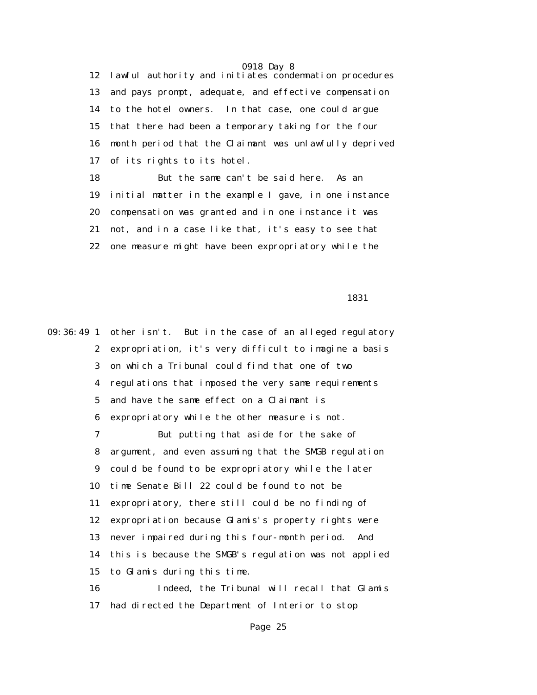12 lawful authority and initiates condemnation procedures 13 and pays prompt, adequate, and effective compensation 14 to the hotel owners. In that case, one could argue 15 that there had been a temporary taking for the four 16 month period that the Claimant was unlawfully deprived 17 of its rights to its hotel.

 18 But the same can't be said here. As an 19 initial matter in the example I gave, in one instance 20 compensation was granted and in one instance it was 21 not, and in a case like that, it's easy to see that 22 one measure might have been expropriatory while the

1831

09:36:49 1 other isn't. But in the case of an alleged regulatory 2 expropriation, it's very difficult to imagine a basis 3 on which a Tribunal could find that one of two 4 regulations that imposed the very same requirements 5 and have the same effect on a Claimant is 6 expropriatory while the other measure is not. 7 But putting that aside for the sake of 8 argument, and even assuming that the SMGB regulation 9 could be found to be expropriatory while the later 10 time Senate Bill 22 could be found to not be 11 expropriatory, there still could be no finding of 12 expropriation because Glamis's property rights were 13 never impaired during this four-month period. And 14 this is because the SMGB's regulation was not applied 15 to Glamis during this time. 16 Indeed, the Tribunal will recall that Glamis 17 had directed the Department of Interior to stop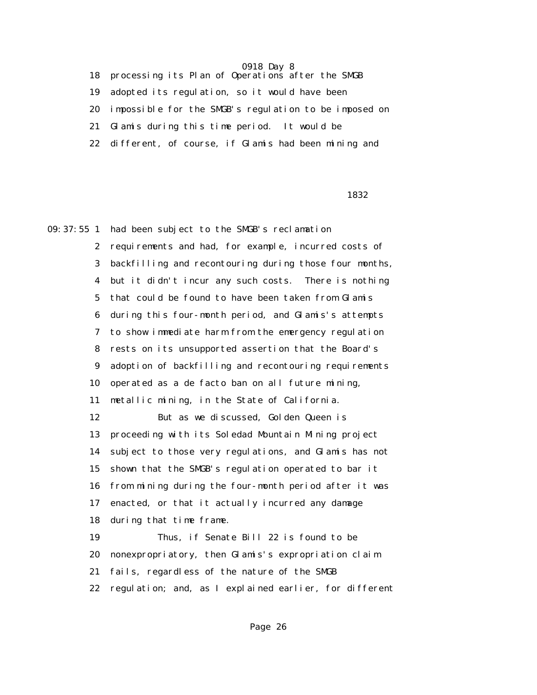18 processing its Plan of Operations after the SMGB

19 adopted its regulation, so it would have been

20 impossible for the SMGB's regulation to be imposed on

21 Glamis during this time period. It would be

22 different, of course, if Glamis had been mining and

 $1832$ 

09:37:55 1 had been subject to the SMGB's reclamation 2 requirements and had, for example, incurred costs of 3 backfilling and recontouring during those four months, 4 but it didn't incur any such costs. There is nothing 5 that could be found to have been taken from Glamis 6 during this four-month period, and Glamis's attempts 7 to show immediate harm from the emergency regulation 8 rests on its unsupported assertion that the Board's 9 adoption of backfilling and recontouring requirements 10 operated as a de facto ban on all future mining, 11 metallic mining, in the State of California. 12 But as we discussed, Golden Queen is 13 proceeding with its Soledad Mountain Mining project 14 subject to those very regulations, and Glamis has not 15 shown that the SMGB's regulation operated to bar it 16 from mining during the four-month period after it was 17 enacted, or that it actually incurred any damage 18 during that time frame. 19 Thus, if Senate Bill 22 is found to be 20 nonexpropriatory, then Glamis's expropriation claim 21 fails, regardless of the nature of the SMGB 22 regulation; and, as I explained earlier, for different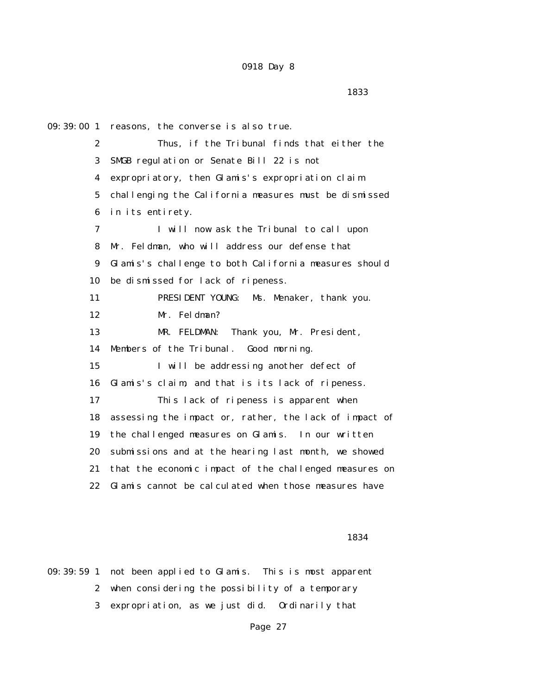09:39:00 1 reasons, the converse is also true. 2 Thus, if the Tribunal finds that either the 3 SMGB regulation or Senate Bill 22 is not 4 expropriatory, then Glamis's expropriation claim 5 challenging the California measures must be dismissed 6 in its entirety. 7 I will now ask the Tribunal to call upon 8 Mr. Feldman, who will address our defense that 9 Glamis's challenge to both California measures should 10 be dismissed for lack of ripeness. 11 PRESIDENT YOUNG: Ms. Menaker, thank you. 12 Mr. Feldman? 13 MR. FELDMAN: Thank you, Mr. President, 14 Members of the Tribunal. Good morning. 15 I will be addressing another defect of 16 Glamis's claim, and that is its lack of ripeness. 17 This lack of ripeness is apparent when 18 assessing the impact or, rather, the lack of impact of 19 the challenged measures on Glamis. In our written 20 submissions and at the hearing last month, we showed 21 that the economic impact of the challenged measures on 22 Glamis cannot be calculated when those measures have

### 1834

09:39:59 1 not been applied to Glamis. This is most apparent 2 when considering the possibility of a temporary 3 expropriation, as we just did. Ordinarily that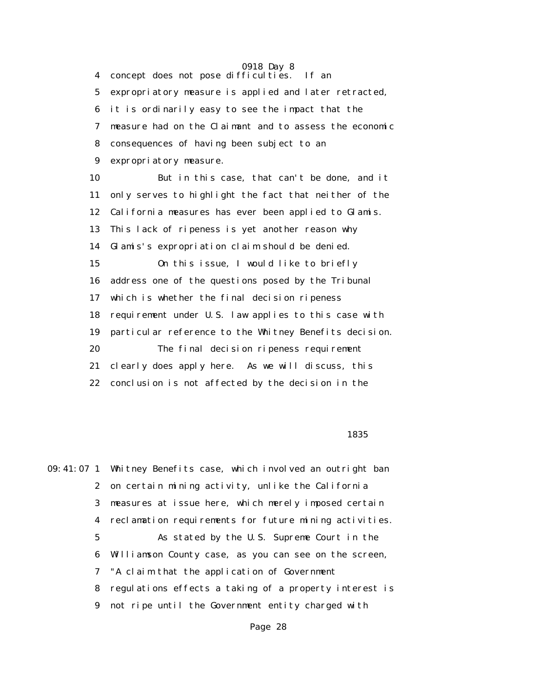0918 Day 8 4 concept does not pose difficulties. If an 5 expropriatory measure is applied and later retracted, 6 it is ordinarily easy to see the impact that the 7 measure had on the Claimant and to assess the economic 8 consequences of having been subject to an 9 expropriatory measure. 10 But in this case, that can't be done, and it 11 only serves to highlight the fact that neither of the 12 California measures has ever been applied to Glamis. 13 This lack of ripeness is yet another reason why 14 Glamis's expropriation claim should be denied. 15 On this issue, I would like to briefly 16 address one of the questions posed by the Tribunal 17 which is whether the final decision ripeness 18 requirement under U.S. law applies to this case with 19 particular reference to the Whitney Benefits decision. 20 The final decision ripeness requirement 21 clearly does apply here. As we will discuss, this 22 conclusion is not affected by the decision in the

### $1835$

09:41:07 1 Whitney Benefits case, which involved an outright ban 2 on certain mining activity, unlike the California 3 measures at issue here, which merely imposed certain 4 reclamation requirements for future mining activities. 5 As stated by the U.S. Supreme Court in the 6 Williamson County case, as you can see on the screen, 7 "A claim that the application of Government 8 regulations effects a taking of a property interest is 9 not ripe until the Government entity charged with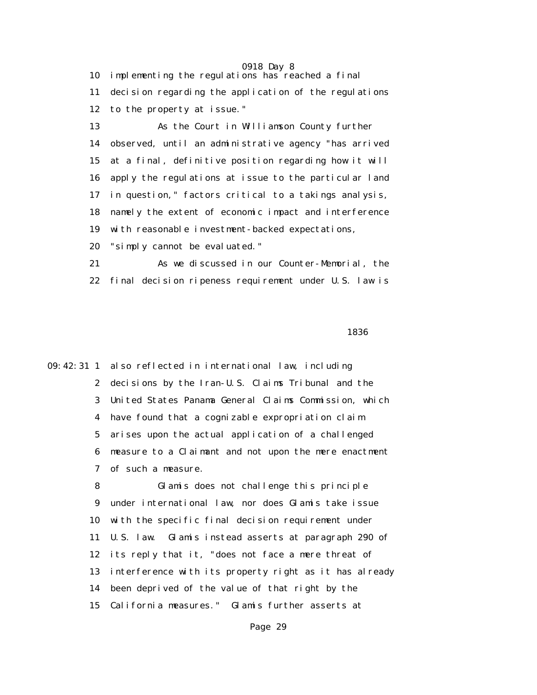0918 Day 8 10 implementing the regulations has reached a final 11 decision regarding the application of the regulations 12 to the property at issue."

 13 As the Court in Williamson County further 14 observed, until an administrative agency "has arrived 15 at a final, definitive position regarding how it will 16 apply the regulations at issue to the particular land 17 in question," factors critical to a takings analysis, 18 namely the extent of economic impact and interference 19 with reasonable investment-backed expectations,

20 "simply cannot be evaluated."

 21 As we discussed in our Counter-Memorial, the 22 final decision ripeness requirement under U.S. law is

### $1836$

09:42:31 1 also reflected in international law, including 2 decisions by the Iran-U.S. Claims Tribunal and the 3 United States Panama General Claims Commission, which 4 have found that a cognizable expropriation claim 5 arises upon the actual application of a challenged 6 measure to a Claimant and not upon the mere enactment 7 of such a measure.

> 8 Glamis does not challenge this principle 9 under international law, nor does Glamis take issue 10 with the specific final decision requirement under 11 U.S. law. Glamis instead asserts at paragraph 290 of 12 its reply that it, "does not face a mere threat of 13 interference with its property right as it has already 14 been deprived of the value of that right by the 15 California measures." Glamis further asserts at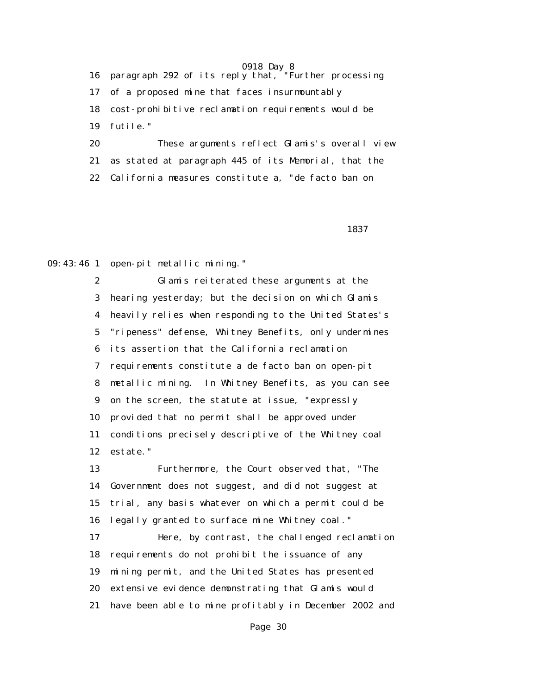16 paragraph 292 of its reply that, "Further processing 17 of a proposed mine that faces insurmountably 18 cost-prohibitive reclamation requirements would be 19 futile." 20 These arguments reflect Glamis's overall view

 21 as stated at paragraph 445 of its Memorial, that the 22 California measures constitute a, "de facto ban on

 $1837$ 

09:43:46 1 open-pit metallic mining."

 2 Glamis reiterated these arguments at the 3 hearing yesterday; but the decision on which Glamis 4 heavily relies when responding to the United States's 5 "ripeness" defense, Whitney Benefits, only undermines 6 its assertion that the California reclamation 7 requirements constitute a de facto ban on open-pit 8 metallic mining. In Whitney Benefits, as you can see 9 on the screen, the statute at issue, "expressly 10 provided that no permit shall be approved under 11 conditions precisely descriptive of the Whitney coal 12 estate."

 13 Furthermore, the Court observed that, "The 14 Government does not suggest, and did not suggest at 15 trial, any basis whatever on which a permit could be 16 legally granted to surface mine Whitney coal."

 17 Here, by contrast, the challenged reclamation 18 requirements do not prohibit the issuance of any 19 mining permit, and the United States has presented 20 extensive evidence demonstrating that Glamis would 21 have been able to mine profitably in December 2002 and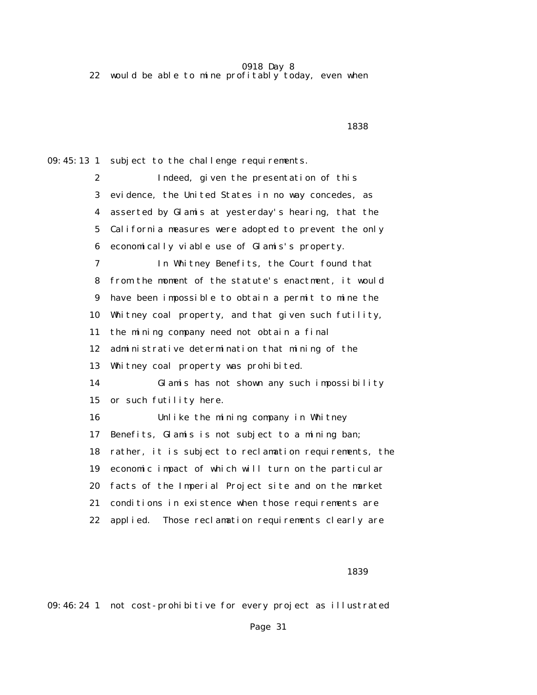22 would be able to mine profitably today, even when

 $1838$ 

09:45:13 1 subject to the challenge requirements.

 2 Indeed, given the presentation of this 3 evidence, the United States in no way concedes, as 4 asserted by Glamis at yesterday's hearing, that the 5 California measures were adopted to prevent the only 6 economically viable use of Glamis's property. 7 In Whitney Benefits, the Court found that 8 from the moment of the statute's enactment, it would 9 have been impossible to obtain a permit to mine the 10 Whitney coal property, and that given such futility, 11 the mining company need not obtain a final 12 administrative determination that mining of the 13 Whitney coal property was prohibited. 14 Glamis has not shown any such impossibility 15 or such futility here. 16 Unlike the mining company in Whitney 17 Benefits, Glamis is not subject to a mining ban; 18 rather, it is subject to reclamation requirements, the 19 economic impact of which will turn on the particular 20 facts of the Imperial Project site and on the market

- 21 conditions in existence when those requirements are
- 22 applied. Those reclamation requirements clearly are

 $1839$ 

09:46:24 1 not cost-prohibitive for every project as illustrated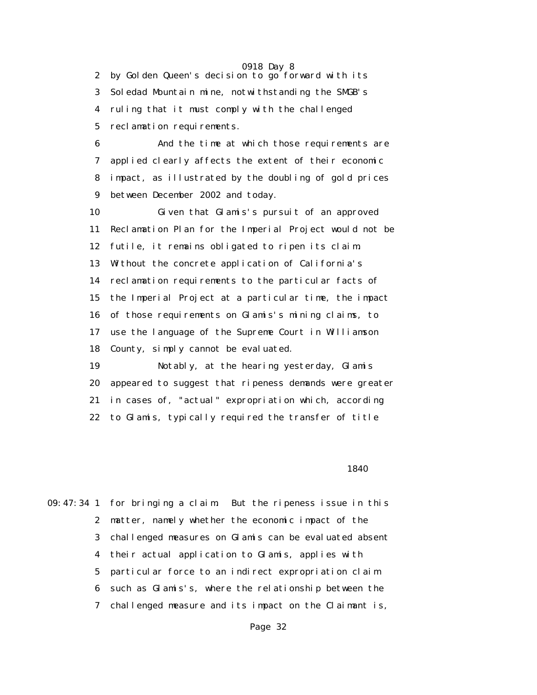2 by Golden Queen's decision to go forward with its 3 Soledad Mountain mine, notwithstanding the SMGB's 4 ruling that it must comply with the challenged 5 reclamation requirements.

 6 And the time at which those requirements are 7 applied clearly affects the extent of their economic 8 impact, as illustrated by the doubling of gold prices 9 between December 2002 and today.

 10 Given that Glamis's pursuit of an approved 11 Reclamation Plan for the Imperial Project would not be 12 futile, it remains obligated to ripen its claim. 13 Without the concrete application of California's 14 reclamation requirements to the particular facts of 15 the Imperial Project at a particular time, the impact 16 of those requirements on Glamis's mining claims, to 17 use the language of the Supreme Court in Williamson 18 County, simply cannot be evaluated.

 19 Notably, at the hearing yesterday, Glamis 20 appeared to suggest that ripeness demands were greater 21 in cases of, "actual" expropriation which, according 22 to Glamis, typically required the transfer of title

 $1840$ 

09:47:34 1 for bringing a claim. But the ripeness issue in this 2 matter, namely whether the economic impact of the 3 challenged measures on Glamis can be evaluated absent 4 their actual application to Glamis, applies with 5 particular force to an indirect expropriation claim 6 such as Glamis's, where the relationship between the 7 challenged measure and its impact on the Claimant is,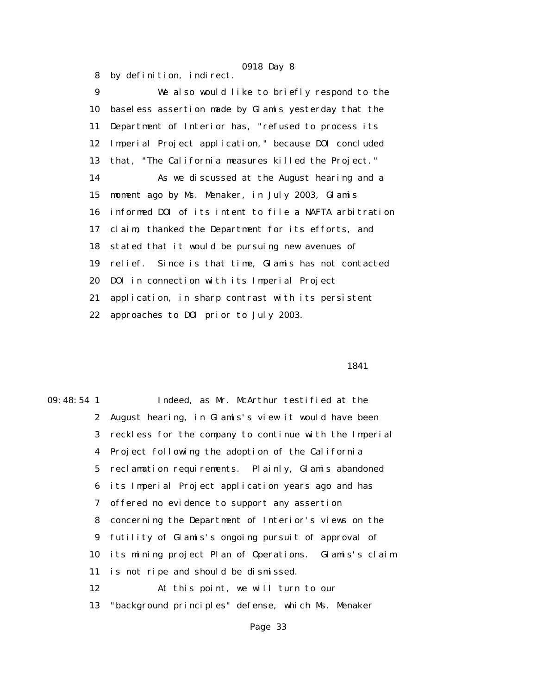8 by definition, indirect. 9 We also would like to briefly respond to the

 10 baseless assertion made by Glamis yesterday that the 11 Department of Interior has, "refused to process its 12 Imperial Project application," because DOI concluded 13 that, "The California measures killed the Project." 14 As we discussed at the August hearing and a 15 moment ago by Ms. Menaker, in July 2003, Glamis 16 informed DOI of its intent to file a NAFTA arbitration 17 claim, thanked the Department for its efforts, and 18 stated that it would be pursuing new avenues of 19 relief. Since is that time, Glamis has not contacted 20 DOI in connection with its Imperial Project 21 application, in sharp contrast with its persistent 22 approaches to DOI prior to July 2003.

1841

09:48:54 1 Indeed, as Mr. McArthur testified at the 2 August hearing, in Glamis's view it would have been 3 reckless for the company to continue with the Imperial 4 Project following the adoption of the California 5 reclamation requirements. Plainly, Glamis abandoned 6 its Imperial Project application years ago and has 7 offered no evidence to support any assertion 8 concerning the Department of Interior's views on the 9 futility of Glamis's ongoing pursuit of approval of 10 its mining project Plan of Operations. Glamis's claim 11 is not ripe and should be dismissed. 12 At this point, we will turn to our 13 "background principles" defense, which Ms. Menaker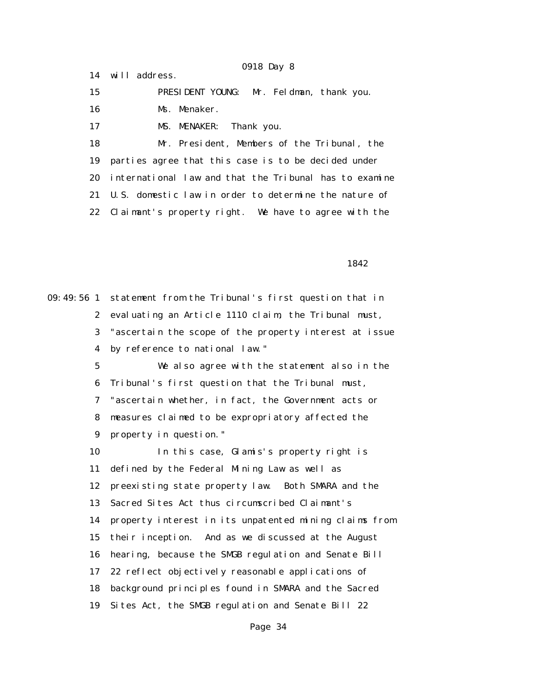15 PRESIDENT YOUNG: Mr. Feldman, thank you. 16 Ms. Menaker.

17 MS. MENAKER: Thank you.

14 will address.

 18 Mr. President, Members of the Tribunal, the 19 parties agree that this case is to be decided under 20 international law and that the Tribunal has to examine 21 U.S. domestic law in order to determine the nature of 22 Claimant's property right. We have to agree with the

<u>1842</u>

09:49:56 1 statement from the Tribunal's first question that in 2 evaluating an Article 1110 claim, the Tribunal must, 3 "ascertain the scope of the property interest at issue 4 by reference to national law." 5 We also agree with the statement also in the 6 Tribunal's first question that the Tribunal must, 7 "ascertain whether, in fact, the Government acts or 8 measures claimed to be expropriatory affected the 9 property in question." 10 In this case, Glamis's property right is 11 defined by the Federal Mining Law as well as 12 preexisting state property law. Both SMARA and the 13 Sacred Sites Act thus circumscribed Claimant's 14 property interest in its unpatented mining claims from 15 their inception. And as we discussed at the August 16 hearing, because the SMGB regulation and Senate Bill 17 22 reflect objectively reasonable applications of 18 background principles found in SMARA and the Sacred 19 Sites Act, the SMGB regulation and Senate Bill 22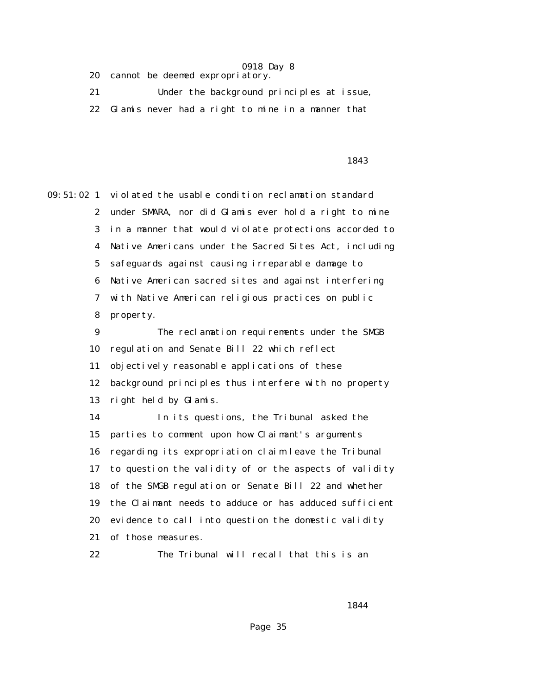20 cannot be deemed expropriatory.

 21 Under the background principles at issue, 22 Glamis never had a right to mine in a manner that

### 1843

09:51:02 1 violated the usable condition reclamation standard 2 under SMARA, nor did Glamis ever hold a right to mine 3 in a manner that would violate protections accorded to 4 Native Americans under the Sacred Sites Act, including 5 safeguards against causing irreparable damage to 6 Native American sacred sites and against interfering 7 with Native American religious practices on public 8 property. 9 The reclamation requirements under the SMGB

 10 regulation and Senate Bill 22 which reflect 11 objectively reasonable applications of these 12 background principles thus interfere with no property 13 right held by Glamis.

 14 In its questions, the Tribunal asked the 15 parties to comment upon how Claimant's arguments 16 regarding its expropriation claim leave the Tribunal 17 to question the validity of or the aspects of validity 18 of the SMGB regulation or Senate Bill 22 and whether 19 the Claimant needs to adduce or has adduced sufficient 20 evidence to call into question the domestic validity 21 of those measures.

22 The Tribunal will recall that this is an

1844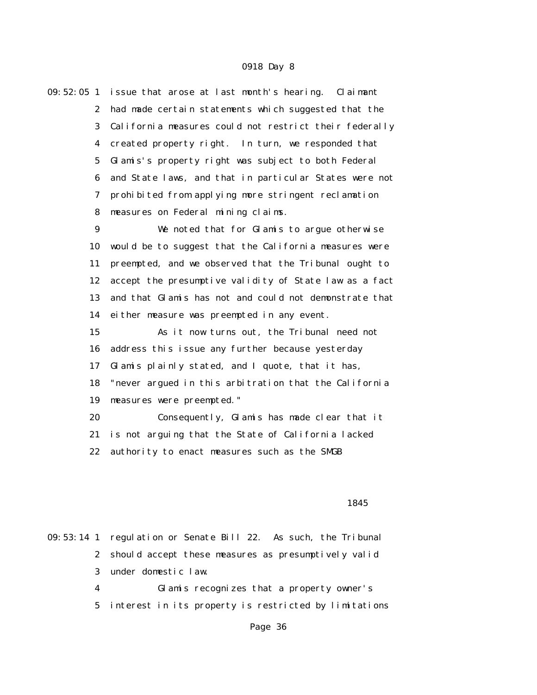| $09:52:05$ 1 |                  | issue that arose at last month's hearing. Claimant     |
|--------------|------------------|--------------------------------------------------------|
|              | $\boldsymbol{2}$ | had made certain statements which suggested that the   |
|              | 3                | California measures could not restrict their federally |
|              | $\boldsymbol{4}$ | created property right. In turn, we responded that     |
|              | $\mathbf 5$      | Glamis's property right was subject to both Federal    |
|              | 6                | and State laws, and that in particular States were not |
|              | 7                | prohibited from applying more stringent reclamation    |
|              | 8                | measures on Federal mining claims.                     |
|              | $\boldsymbol{9}$ | We noted that for Glamis to argue otherwise            |
| 10           |                  | would be to suggest that the California measures were  |
| 11           |                  | preempted, and we observed that the Tribunal ought to  |
| 12           |                  | accept the presumptive validity of State law as a fact |
| 13           |                  | and that Glamis has not and could not demonstrate that |
| 14           |                  | either measure was preempted in any event.             |
| 15           |                  | As it now turns out, the Tribunal need not             |
| 16           |                  | address this issue any further because yesterday       |
| 17           |                  | Glamis plainly stated, and I quote, that it has,       |
| 18           |                  | "never argued in this arbitration that the California  |
| 19           |                  | measures were preempted."                              |
| 20           |                  | Consequently, Glamis has made clear that it            |
| 21           |                  | is not arguing that the State of California lacked     |
| 22           |                  | authority to enact measures such as the SMGB           |
|              |                  |                                                        |

### $1845$

09:53:14 1 regulation or Senate Bill 22. As such, the Tribunal 2 should accept these measures as presumptively valid 3 under domestic law.

 4 Glamis recognizes that a property owner's 5 interest in its property is restricted by limitations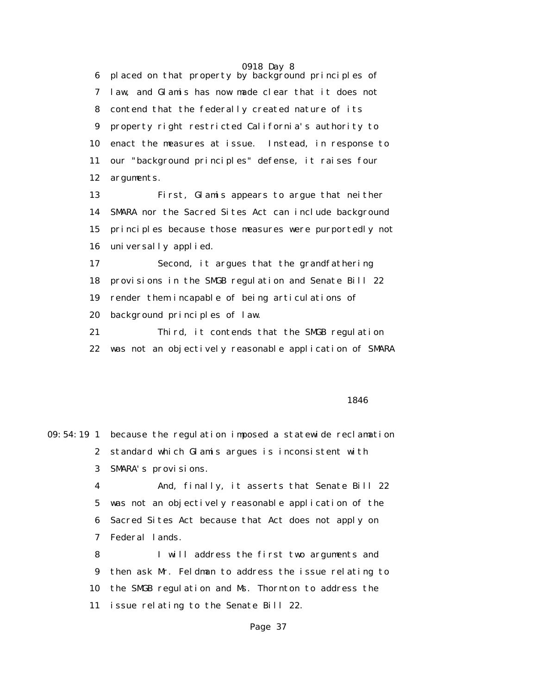0918 Day 8 6 placed on that property by background principles of 7 law, and Glamis has now made clear that it does not 8 contend that the federally created nature of its 9 property right restricted California's authority to 10 enact the measures at issue. Instead, in response to 11 our "background principles" defense, it raises four 12 arguments.

 13 First, Glamis appears to argue that neither 14 SMARA nor the Sacred Sites Act can include background 15 principles because those measures were purportedly not 16 universally applied.

 17 Second, it argues that the grandfathering 18 provisions in the SMGB regulation and Senate Bill 22 19 render them incapable of being articulations of 20 background principles of law.

 21 Third, it contends that the SMGB regulation 22 was not an objectively reasonable application of SMARA

### $1846$

|                | 09:54:19 1 because the regulation imposed a statewide reclamation |
|----------------|-------------------------------------------------------------------|
|                | 2 standard which Glamis argues is inconsistent with               |
| 3              | SMARA's provisions.                                               |
| 4              | And, finally, it asserts that Senate Bill 22                      |
| 5 <sup>5</sup> | was not an objectively reasonable application of the              |
|                | 6 Sacred Sites Act because that Act does not apply on             |
|                | 7 Federal lands.                                                  |
| 8              | I will address the first two arguments and                        |
| 9              | then ask Mr. Feldman to address the issue relating to             |
|                | 10 the SMGB regulation and Ms. Thornton to address the            |
| 11             | issue relating to the Senate Bill 22.                             |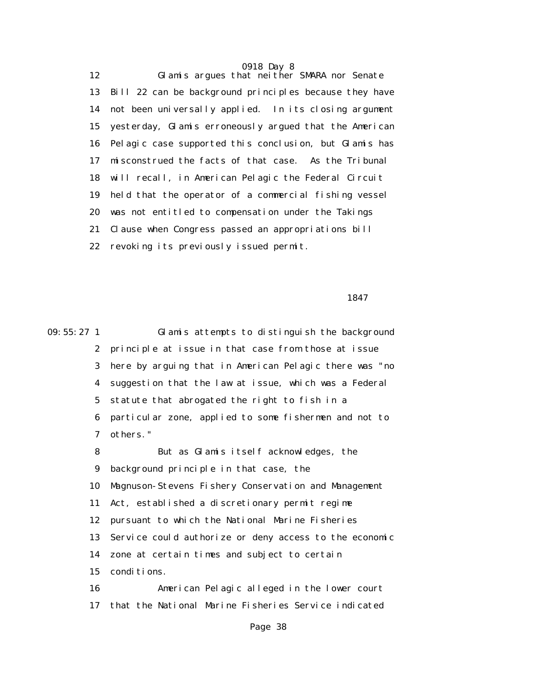0918 Day 8 12 Glamis argues that neither SMARA nor Senate 13 Bill 22 can be background principles because they have 14 not been universally applied. In its closing argument 15 yesterday, Glamis erroneously argued that the American 16 Pelagic case supported this conclusion, but Glamis has 17 misconstrued the facts of that case. As the Tribunal 18 will recall, in American Pelagic the Federal Circuit 19 held that the operator of a commercial fishing vessel 20 was not entitled to compensation under the Takings 21 Clause when Congress passed an appropriations bill 22 revoking its previously issued permit.

<u>1847</u>

09:55:27 1 Glamis attempts to distinguish the background 2 principle at issue in that case from those at issue 3 here by arguing that in American Pelagic there was "no 4 suggestion that the law at issue, which was a Federal 5 statute that abrogated the right to fish in a 6 particular zone, applied to some fishermen and not to 7 others." 8 But as Glamis itself acknowledges, the 9 background principle in that case, the 10 Magnuson-Stevens Fishery Conservation and Management 11 Act, established a discretionary permit regime 12 pursuant to which the National Marine Fisheries 13 Service could authorize or deny access to the economic 14 zone at certain times and subject to certain 15 conditions. 16 American Pelagic alleged in the lower court 17 that the National Marine Fisheries Service indicated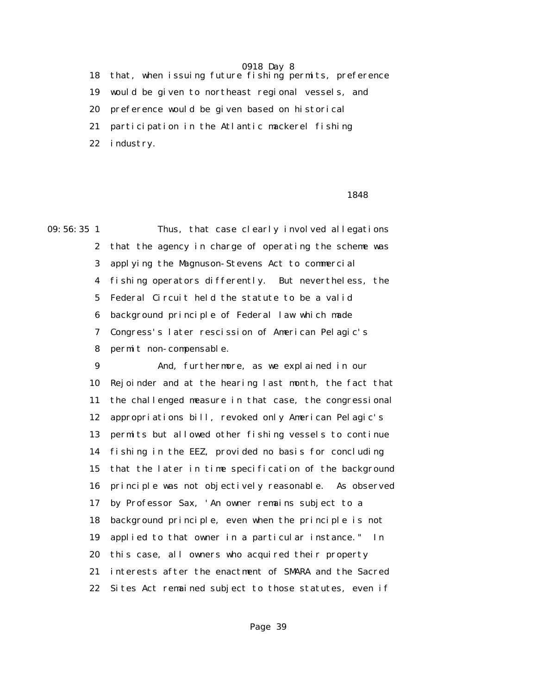18 that, when issuing future fishing permits, preference 19 would be given to northeast regional vessels, and 20 preference would be given based on historical 21 participation in the Atlantic mackerel fishing 22 industry.

### $1848$

09:56:35 1 Thus, that case clearly involved allegations 2 that the agency in charge of operating the scheme was 3 applying the Magnuson-Stevens Act to commercial 4 fishing operators differently. But nevertheless, the 5 Federal Circuit held the statute to be a valid 6 background principle of Federal law which made 7 Congress's later rescission of American Pelagic's 8 permit non-compensable.

> 9 And, furthermore, as we explained in our 10 Rejoinder and at the hearing last month, the fact that 11 the challenged measure in that case, the congressional 12 appropriations bill, revoked only American Pelagic's 13 permits but allowed other fishing vessels to continue 14 fishing in the EEZ, provided no basis for concluding 15 that the later in time specification of the background 16 principle was not objectively reasonable. As observed 17 by Professor Sax, 'An owner remains subject to a 18 background principle, even when the principle is not 19 applied to that owner in a particular instance." In 20 this case, all owners who acquired their property 21 interests after the enactment of SMARA and the Sacred 22 Sites Act remained subject to those statutes, even if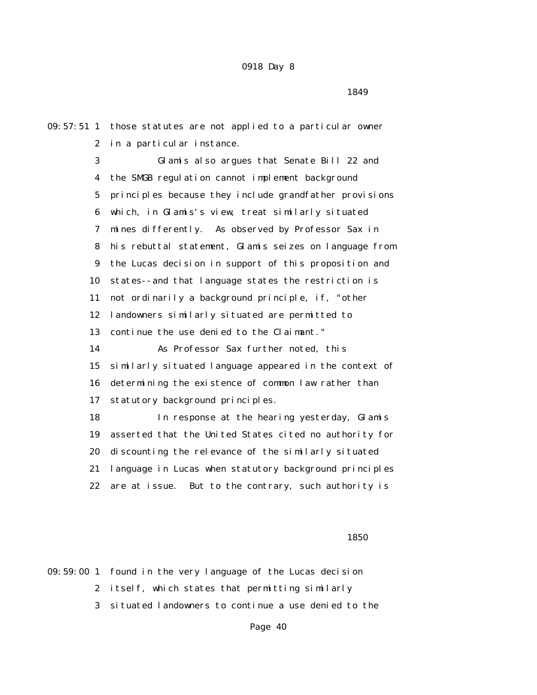09:57:51 1 those statutes are not applied to a particular owner 2 in a particular instance. 3 Glamis also argues that Senate Bill 22 and 4 the SMGB regulation cannot implement background 5 principles because they include grandfather provisions 6 which, in Glamis's view, treat similarly situated 7 mines differently. As observed by Professor Sax in 8 his rebuttal statement, Glamis seizes on language from 9 the Lucas decision in support of this proposition and 10 states--and that language states the restriction is 11 not ordinarily a background principle, if, "other 12 landowners similarly situated are permitted to 13 continue the use denied to the Claimant." 14 As Professor Sax further noted, this 15 similarly situated language appeared in the context of 16 determining the existence of common law rather than 17 statutory background principles. 18 In response at the hearing yesterday, Glamis 19 asserted that the United States cited no authority for 20 discounting the relevance of the similarly situated 21 language in Lucas when statutory background principles 22 are at issue. But to the contrary, such authority is

 $1850$ 

09:59:00 1 found in the very language of the Lucas decision 2 itself, which states that permitting similarly 3 situated landowners to continue a use denied to the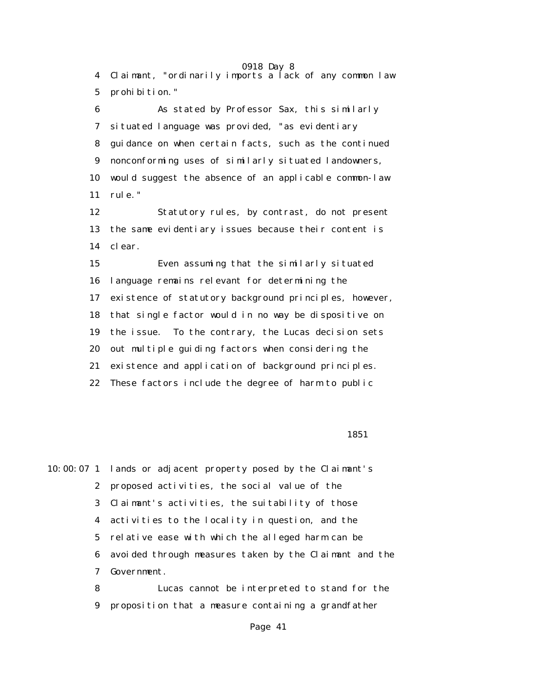0918 Day 8 4 Claimant, "ordinarily imports a lack of any common law 5 prohibition."

 6 As stated by Professor Sax, this similarly 7 situated language was provided, "as evidentiary 8 guidance on when certain facts, such as the continued 9 nonconforming uses of similarly situated landowners, 10 would suggest the absence of an applicable common-law 11 rule."

 12 Statutory rules, by contrast, do not present 13 the same evidentiary issues because their content is 14 clear.

 15 Even assuming that the similarly situated 16 language remains relevant for determining the 17 existence of statutory background principles, however, 18 that single factor would in no way be dispositive on 19 the issue. To the contrary, the Lucas decision sets 20 out multiple guiding factors when considering the 21 existence and application of background principles. 22 These factors include the degree of harm to public

 $\sim$  1851

10:00:07 1 lands or adjacent property posed by the Claimant's 2 proposed activities, the social value of the 3 Claimant's activities, the suitability of those 4 activities to the locality in question, and the 5 relative ease with which the alleged harm can be 6 avoided through measures taken by the Claimant and the 7 Government.

 8 Lucas cannot be interpreted to stand for the 9 proposition that a measure containing a grandfather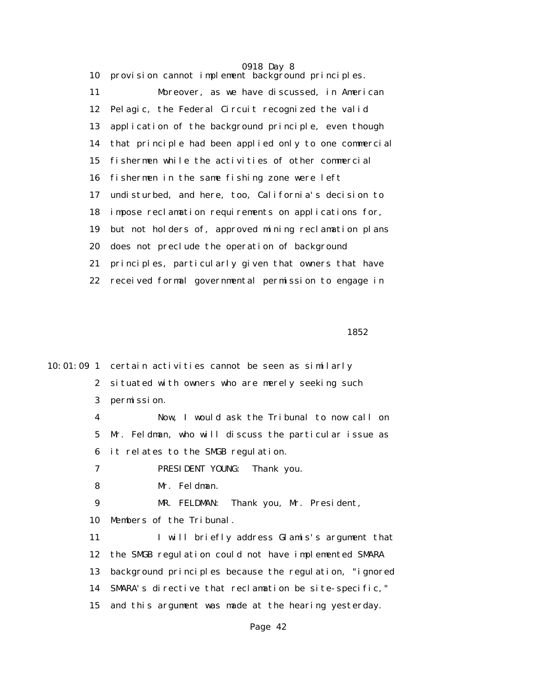0918 Day 8 10 provision cannot implement background principles. 11 Moreover, as we have discussed, in American 12 Pelagic, the Federal Circuit recognized the valid 13 application of the background principle, even though 14 that principle had been applied only to one commercial 15 fishermen while the activities of other commercial 16 fishermen in the same fishing zone were left 17 undisturbed, and here, too, California's decision to 18 impose reclamation requirements on applications for, 19 but not holders of, approved mining reclamation plans 20 does not preclude the operation of background 21 principles, particularly given that owners that have 22 received formal governmental permission to engage in

 $1852$ 

10:01:09 1 certain activities cannot be seen as similarly 2 situated with owners who are merely seeking such 3 permission. 4 Now, I would ask the Tribunal to now call on 5 Mr. Feldman, who will discuss the particular issue as 6 it relates to the SMGB regulation. 7 PRESIDENT YOUNG: Thank you. 8 Mr. Feldman. 9 MR. FELDMAN: Thank you, Mr. President, 10 Members of the Tribunal. 11 I will briefly address Glamis's argument that 12 the SMGB regulation could not have implemented SMARA 13 background principles because the regulation, "ignored 14 SMARA's directive that reclamation be site-specific," 15 and this argument was made at the hearing yesterday. Page 42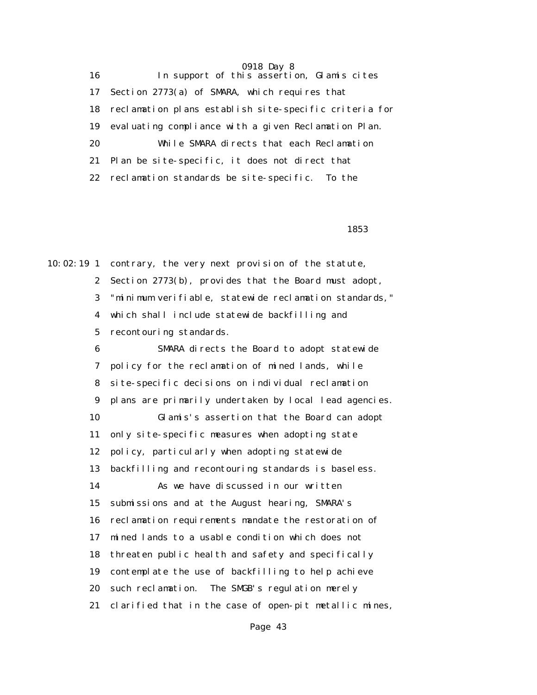16 In support of this assertion, Glamis cites 17 Section 2773(a) of SMARA, which requires that 18 reclamation plans establish site-specific criteria for 19 evaluating compliance with a given Reclamation Plan. 20 While SMARA directs that each Reclamation 21 Plan be site-specific, it does not direct that 22 reclamation standards be site-specific. To the

 $1853$ 

10:02:19 1 contrary, the very next provision of the statute, 2 Section 2773(b), provides that the Board must adopt, 3 "minimum verifiable, statewide reclamation standards," 4 which shall include statewide backfilling and 5 recontouring standards.

> 6 SMARA directs the Board to adopt statewide 7 policy for the reclamation of mined lands, while 8 site-specific decisions on individual reclamation 9 plans are primarily undertaken by local lead agencies. 10 Glamis's assertion that the Board can adopt 11 only site-specific measures when adopting state 12 policy, particularly when adopting statewide 13 backfilling and recontouring standards is baseless. 14 As we have discussed in our written 15 submissions and at the August hearing, SMARA's 16 reclamation requirements mandate the restoration of 17 mined lands to a usable condition which does not 18 threaten public health and safety and specifically 19 contemplate the use of backfilling to help achieve 20 such reclamation. The SMGB's regulation merely 21 clarified that in the case of open-pit metallic mines,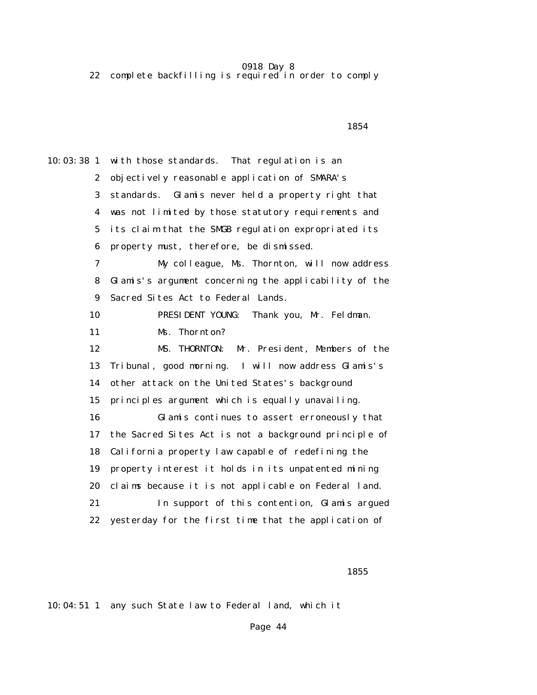22 complete backfilling is required in order to comply

 $1854$ 10:03:38 1 with those standards. That regulation is an 2 objectively reasonable application of SMARA's 3 standards. Glamis never held a property right that 4 was not limited by those statutory requirements and 5 its claim that the SMGB regulation expropriated its 6 property must, therefore, be dismissed. 7 My colleague, Ms. Thornton, will now address 8 Glamis's argument concerning the applicability of the 9 Sacred Sites Act to Federal Lands. 10 PRESIDENT YOUNG: Thank you, Mr. Feldman. 11 Ms. Thornton? 12 MS. THORNTON: Mr. President, Members of the 13 Tribunal, good morning. I will now address Glamis's 14 other attack on the United States's background 15 principles argument which is equally unavailing. 16 Glamis continues to assert erroneously that 17 the Sacred Sites Act is not a background principle of 18 California property law capable of redefining the 19 property interest it holds in its unpatented mining 20 claims because it is not applicable on Federal land. 21 In support of this contention, Glamis argued 22 yesterday for the first time that the application of

 $1855$ 

10:04:51 1 any such State law to Federal land, which it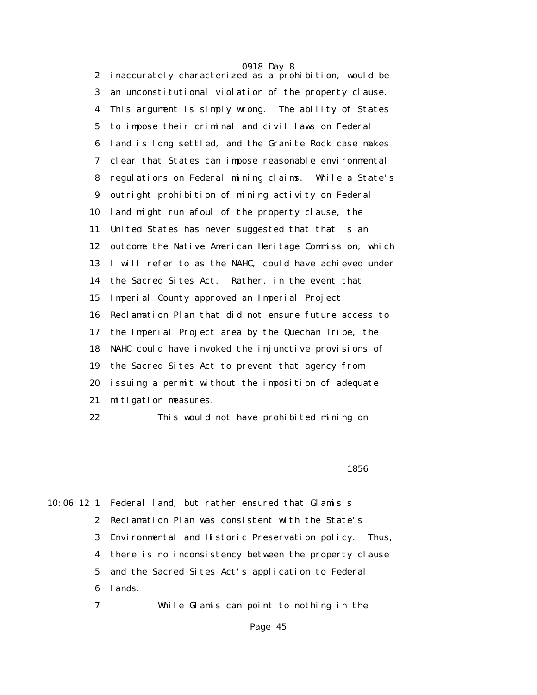0918 Day 8 2 inaccurately characterized as a prohibition, would be 3 an unconstitutional violation of the property clause. 4 This argument is simply wrong. The ability of States 5 to impose their criminal and civil laws on Federal 6 land is long settled, and the Granite Rock case makes 7 clear that States can impose reasonable environmental 8 regulations on Federal mining claims. While a State's 9 outright prohibition of mining activity on Federal 10 land might run afoul of the property clause, the 11 United States has never suggested that that is an 12 outcome the Native American Heritage Commission, which 13 I will refer to as the NAHC, could have achieved under 14 the Sacred Sites Act. Rather, in the event that 15 Imperial County approved an Imperial Project 16 Reclamation Plan that did not ensure future access to 17 the Imperial Project area by the Quechan Tribe, the 18 NAHC could have invoked the injunctive provisions of 19 the Sacred Sites Act to prevent that agency from 20 issuing a permit without the imposition of adequate 21 mitigation measures.

22 This would not have prohibited mining on

 $1856$ 

10:06:12 1 Federal land, but rather ensured that Glamis's 2 Reclamation Plan was consistent with the State's 3 Environmental and Historic Preservation policy. Thus, 4 there is no inconsistency between the property clause 5 and the Sacred Sites Act's application to Federal 6 lands.

7 While Glamis can point to nothing in the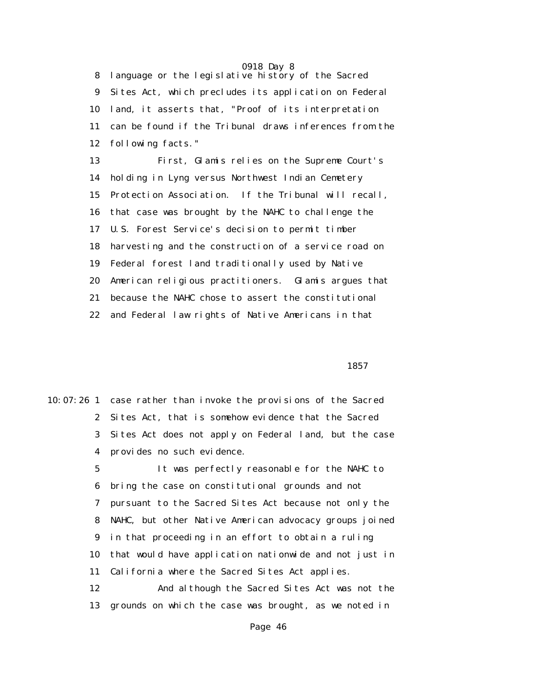8 language or the legislative history of the Sacred 9 Sites Act, which precludes its application on Federal 10 land, it asserts that, "Proof of its interpretation 11 can be found if the Tribunal draws inferences from the 12 following facts."

 13 First, Glamis relies on the Supreme Court's 14 holding in Lyng versus Northwest Indian Cemetery 15 Protection Association. If the Tribunal will recall, 16 that case was brought by the NAHC to challenge the 17 U.S. Forest Service's decision to permit timber 18 harvesting and the construction of a service road on 19 Federal forest land traditionally used by Native 20 American religious practitioners. Glamis argues that 21 because the NAHC chose to assert the constitutional 22 and Federal law rights of Native Americans in that

 $1857$ 

|              | 10:07:26 1 case rather than invoke the provisions of the Sacred |
|--------------|-----------------------------------------------------------------|
| $\mathbf{2}$ | Sites Act, that is somehow evidence that the Sacred             |
| 3            | Sites Act does not apply on Federal land, but the case          |
| 4            | provides no such evidence.                                      |
| 5            | It was perfectly reasonable for the NAHC to                     |
| 6            | bring the case on constitutional grounds and not                |
| 7            | pursuant to the Sacred Sites Act because not only the           |
| 8            | NAHC, but other Native American advocacy groups joined          |
| 9            | in that proceeding in an effort to obtain a ruling              |
| 10           | that would have application nationwide and not just in          |
| 11           | California where the Sacred Sites Act applies.                  |
| 12           | And although the Sacred Sites Act was not the                   |
| 13           | grounds on which the case was brought, as we noted in           |
|              |                                                                 |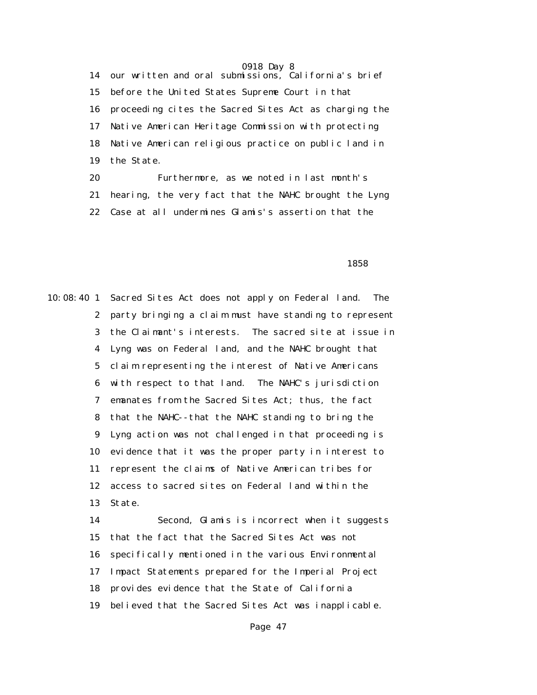14 our written and oral submissions, California's brief 15 before the United States Supreme Court in that 16 proceeding cites the Sacred Sites Act as charging the 17 Native American Heritage Commission with protecting 18 Native American religious practice on public land in 19 the State.

> 20 Furthermore, as we noted in last month's 21 hearing, the very fact that the NAHC brought the Lyng 22 Case at all undermines Glamis's assertion that the

 $1858$ 

10:08:40 1 Sacred Sites Act does not apply on Federal land. The 2 party bringing a claim must have standing to represent 3 the Claimant's interests. The sacred site at issue in 4 Lyng was on Federal land, and the NAHC brought that 5 claim representing the interest of Native Americans 6 with respect to that land. The NAHC's jurisdiction 7 emanates from the Sacred Sites Act; thus, the fact 8 that the NAHC--that the NAHC standing to bring the 9 Lyng action was not challenged in that proceeding is 10 evidence that it was the proper party in interest to 11 represent the claims of Native American tribes for 12 access to sacred sites on Federal land within the 13 State.

> 14 Second, Glamis is incorrect when it suggests 15 that the fact that the Sacred Sites Act was not 16 specifically mentioned in the various Environmental 17 Impact Statements prepared for the Imperial Project 18 provides evidence that the State of California 19 believed that the Sacred Sites Act was inapplicable.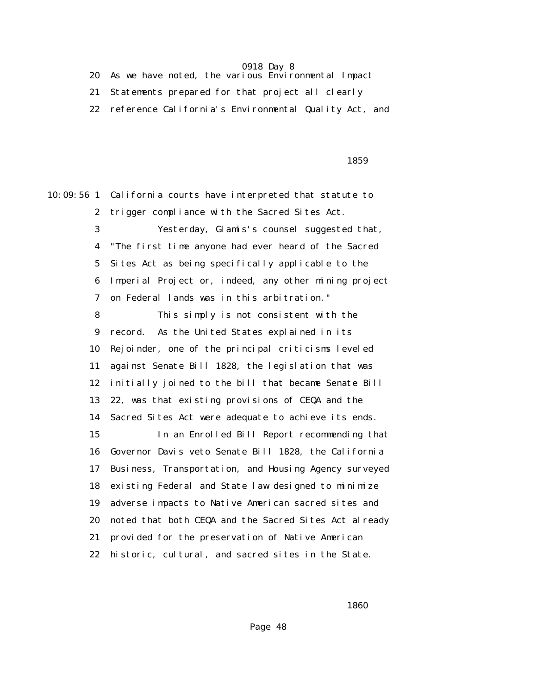20 As we have noted, the various Environmental Impact

21 Statements prepared for that project all clearly

22 reference California's Environmental Quality Act, and

## $1859$

10:09:56 1 California courts have interpreted that statute to 2 trigger compliance with the Sacred Sites Act. 3 Yesterday, Glamis's counsel suggested that, 4 "The first time anyone had ever heard of the Sacred 5 Sites Act as being specifically applicable to the 6 Imperial Project or, indeed, any other mining project 7 on Federal lands was in this arbitration." 8 This simply is not consistent with the 9 record. As the United States explained in its 10 Rejoinder, one of the principal criticisms leveled 11 against Senate Bill 1828, the legislation that was 12 initially joined to the bill that became Senate Bill

> 14 Sacred Sites Act were adequate to achieve its ends. 15 In an Enrolled Bill Report recommending that 16 Governor Davis veto Senate Bill 1828, the California 17 Business, Transportation, and Housing Agency surveyed 18 existing Federal and State law designed to minimize 19 adverse impacts to Native American sacred sites and 20 noted that both CEQA and the Sacred Sites Act already 21 provided for the preservation of Native American 22 historic, cultural, and sacred sites in the State.

13 22, was that existing provisions of CEQA and the

 $1860$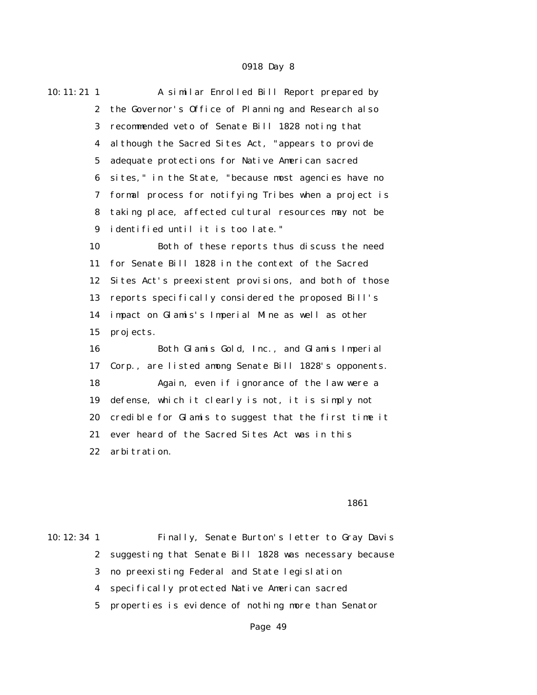| $10:11:21$ 1     | A similar Enrolled Bill Report prepared by            |
|------------------|-------------------------------------------------------|
| $\mathbf{2}$     | the Governor's Office of Planning and Research also   |
| 3                | recommended veto of Senate Bill 1828 noting that      |
| 4                | al though the Sacred Sites Act, "appears to provide   |
| 5                | adequate protections for Native American sacred       |
| 6                | sites," in the State, "because most agencies have no  |
| 7                | formal process for notifying Tribes when a project is |
| 8                | taking place, affected cultural resources may not be  |
| $\boldsymbol{9}$ | identified until it is too late."                     |
| 10               | Both of these reports thus discuss the need           |
| 11               | for Senate Bill 1828 in the context of the Sacred     |
| 12               | Sites Act's preexistent provisions, and both of those |
| 13               | reports specifically considered the proposed Bill's   |
| 14               | impact on Glamis's Imperial Mine as well as other     |
| 15               | projects.                                             |
| 16               | Both Glamis Gold, Inc., and Glamis Imperial           |
| 17               | Corp., are listed among Senate Bill 1828's opponents. |
| 18               | Again, even if ignorance of the law were a            |
| 19               | defense, which it clearly is not, it is simply not    |
| 20               | credible for Glamis to suggest that the first time it |
| 21               | ever heard of the Sacred Sites Act was in this        |
| 22               | arbitration.                                          |
|                  |                                                       |

### $1861$

10:12:34 1 Finally, Senate Burton's letter to Gray Davis 2 suggesting that Senate Bill 1828 was necessary because 3 no preexisting Federal and State legislation 4 specifically protected Native American sacred 5 properties is evidence of nothing more than Senator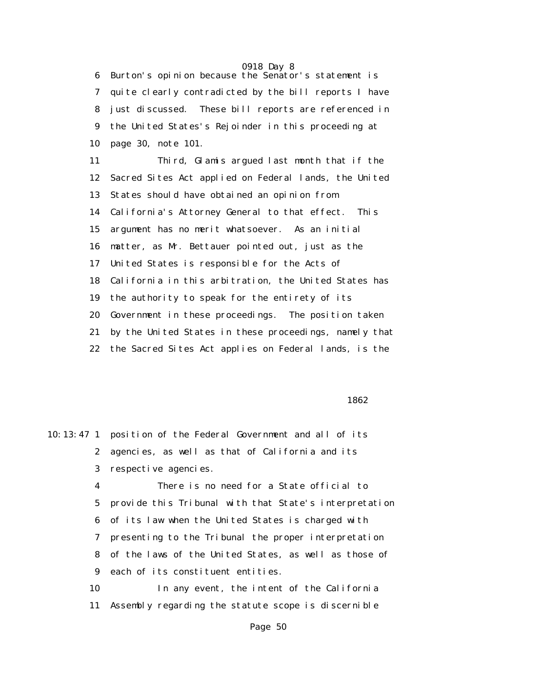6 Burton's opinion because the Senator's statement is 7 quite clearly contradicted by the bill reports I have 8 just discussed. These bill reports are referenced in 9 the United States's Rejoinder in this proceeding at 10 page 30, note 101.

 11 Third, Glamis argued last month that if the 12 Sacred Sites Act applied on Federal lands, the United 13 States should have obtained an opinion from 14 California's Attorney General to that effect. This 15 argument has no merit whatsoever. As an initial 16 matter, as Mr. Bettauer pointed out, just as the 17 United States is responsible for the Acts of 18 California in this arbitration, the United States has 19 the authority to speak for the entirety of its 20 Government in these proceedings. The position taken 21 by the United States in these proceedings, namely that 22 the Sacred Sites Act applies on Federal lands, is the

 $1862$ 

|              | 10:13:47 1 position of the Federal Government and all of its |
|--------------|--------------------------------------------------------------|
| $\mathbf{2}$ | agencies, as well as that of California and its              |
| 3            | respective agencies.                                         |
| 4            | There is no need for a State official to                     |
| $5 -$        | provide this Tribunal with that State's interpretation       |
|              | 6 of its law when the United States is charged with          |
| 7            | presenting to the Tribunal the proper interpretation         |
|              | 8 of the laws of the United States, as well as those of      |
|              | 9 each of its constituent entities.                          |
| 10           | In any event, the intent of the California                   |
| 11           | Assembly regarding the statute scope is discernible          |
|              |                                                              |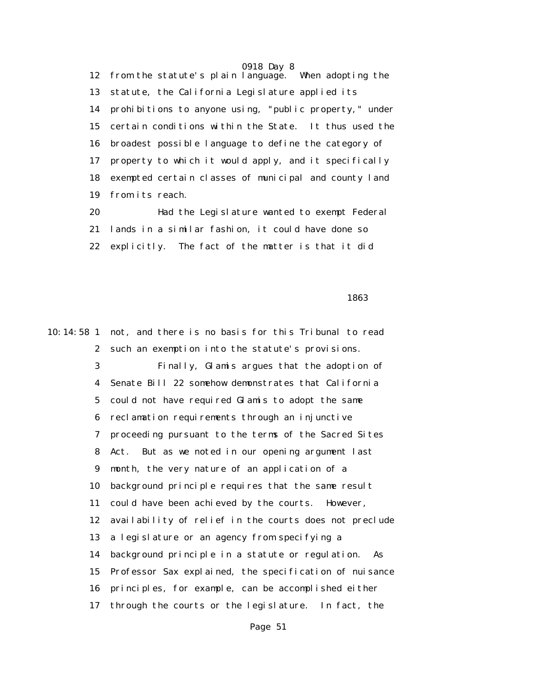0918 Day 8 12 from the statute's plain language. When adopting the 13 statute, the California Legislature applied its 14 prohibitions to anyone using, "public property," under 15 certain conditions within the State. It thus used the 16 broadest possible language to define the category of 17 property to which it would apply, and it specifically 18 exempted certain classes of municipal and county land 19 from its reach.

 20 Had the Legislature wanted to exempt Federal 21 lands in a similar fashion, it could have done so 22 explicitly. The fact of the matter is that it did

 $1863$ 

10:14:58 1 not, and there is no basis for this Tribunal to read 2 such an exemption into the statute's provisions. 3 Finally, Glamis argues that the adoption of 4 Senate Bill 22 somehow demonstrates that California 5 could not have required Glamis to adopt the same 6 reclamation requirements through an injunctive 7 proceeding pursuant to the terms of the Sacred Sites 8 Act. But as we noted in our opening argument last 9 month, the very nature of an application of a 10 background principle requires that the same result 11 could have been achieved by the courts. However, 12 availability of relief in the courts does not preclude 13 a legislature or an agency from specifying a 14 background principle in a statute or regulation. As 15 Professor Sax explained, the specification of nuisance 16 principles, for example, can be accomplished either 17 through the courts or the legislature. In fact, the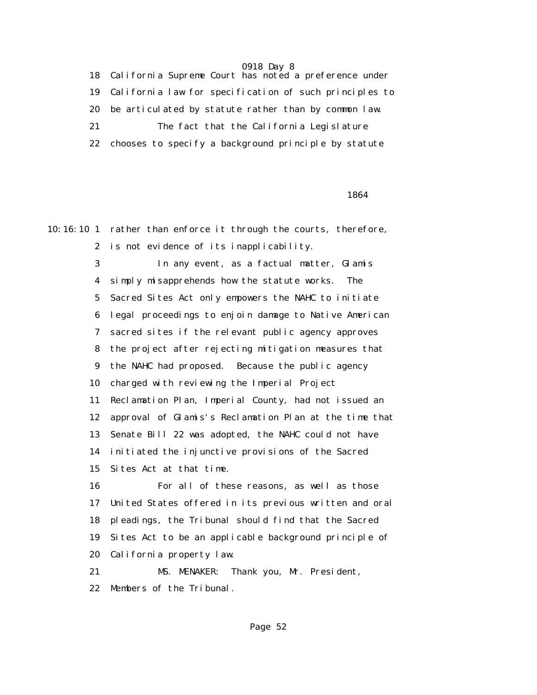18 California Supreme Court has noted a preference under 19 California law for specification of such principles to 20 be articulated by statute rather than by common law. 21 The fact that the California Legislature 22 chooses to specify a background principle by statute

 $1864$ 

10:16:10 1 rather than enforce it through the courts, therefore, 2 is not evidence of its inapplicability. 3 In any event, as a factual matter, Glamis 4 simply misapprehends how the statute works. The 5 Sacred Sites Act only empowers the NAHC to initiate 6 legal proceedings to enjoin damage to Native American 7 sacred sites if the relevant public agency approves 8 the project after rejecting mitigation measures that 9 the NAHC had proposed. Because the public agency 10 charged with reviewing the Imperial Project 11 Reclamation Plan, Imperial County, had not issued an 12 approval of Glamis's Reclamation Plan at the time that 13 Senate Bill 22 was adopted, the NAHC could not have 14 initiated the injunctive provisions of the Sacred 15 Sites Act at that time. 16 For all of these reasons, as well as those 17 United States offered in its previous written and oral 18 pleadings, the Tribunal should find that the Sacred 19 Sites Act to be an applicable background principle of 20 California property law.

 21 MS. MENAKER: Thank you, Mr. President, 22 Members of the Tribunal.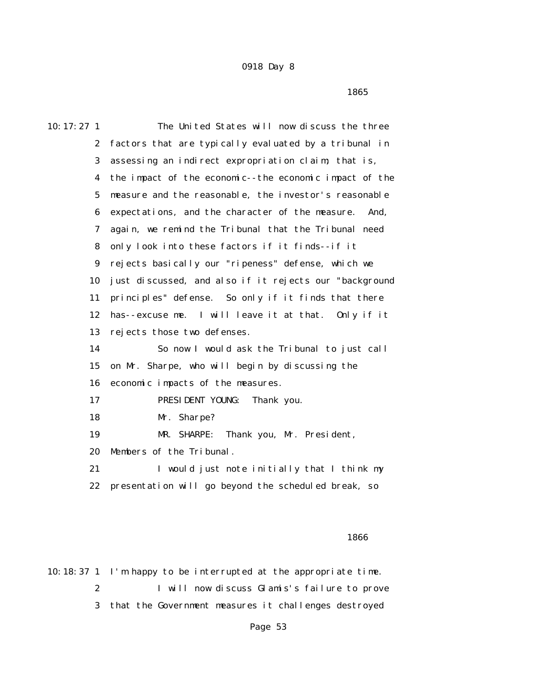$1865$ 

| 10:17:27 <sub>1</sub> | The United States will now discuss the three            |
|-----------------------|---------------------------------------------------------|
| $\boldsymbol{2}$      | factors that are typically evaluated by a tribunal in   |
| 3                     | assessing an indirect expropriation claim; that is,     |
| 4                     | the impact of the economic--the economic impact of the  |
| $\mathbf{5}$          | measure and the reasonable, the investor's reasonable   |
| 6                     | expectations, and the character of the measure.<br>And, |
| 7                     | again, we remind the Tribunal that the Tribunal need    |
| 8                     | only look into these factors if it finds--if it         |
| $\boldsymbol{9}$      | rejects basically our "ripeness" defense, which we      |
| 10                    | just discussed, and also if it rejects our "background  |
| 11                    | principles" defense. So only if it finds that there     |
| 12                    | has--excuse me. I will leave it at that. Only if it     |
| 13                    | rejects those two defenses.                             |
| 14                    | So now I would ask the Tribunal to just call            |
| 15                    | on Mr. Sharpe, who will begin by discussing the         |
| 16                    | economic impacts of the measures.                       |
| 17                    | PRESIDENT YOUNG:<br>Thank you.                          |
| 18                    | Mr. Sharpe?                                             |
| 19                    | Thank you, Mr. President,<br>MR. SHARPE:                |
| 20                    | Members of the Tribunal.                                |
| 21                    | I would just note initially that I think my             |
| 22                    | presentation will go beyond the scheduled break, so     |
|                       |                                                         |

### $1866$

10:18:37 1 I'm happy to be interrupted at the appropriate time. 2 I will now discuss Glamis's failure to prove 3 that the Government measures it challenges destroyed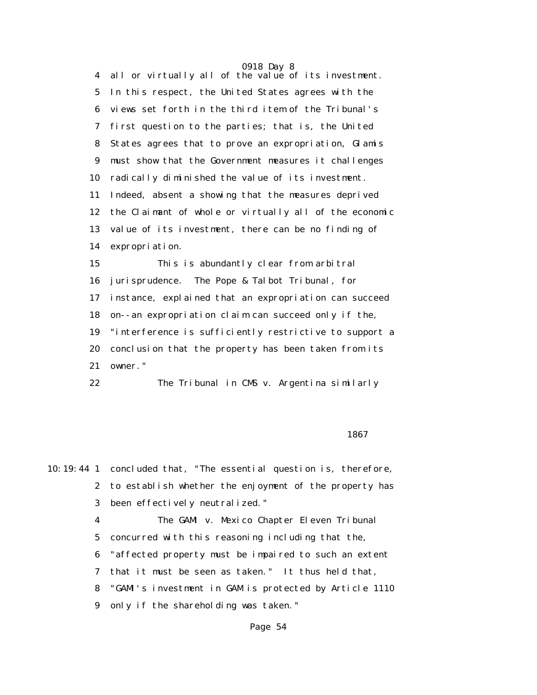0918 Day 8 4 all or virtually all of the value of its investment. 5 In this respect, the United States agrees with the 6 views set forth in the third item of the Tribunal's 7 first question to the parties; that is, the United 8 States agrees that to prove an expropriation, Glamis 9 must show that the Government measures it challenges 10 radically diminished the value of its investment. 11 Indeed, absent a showing that the measures deprived 12 the Claimant of whole or virtually all of the economic 13 value of its investment, there can be no finding of 14 expropriation.

 15 This is abundantly clear from arbitral 16 jurisprudence. The Pope & Talbot Tribunal, for 17 instance, explained that an expropriation can succeed 18 on--an expropriation claim can succeed only if the, 19 "interference is sufficiently restrictive to support a 20 conclusion that the property has been taken from its 21 owner."

22 The Tribunal in CMS v. Argentina similarly

### $1867$

10:19:44 1 concluded that, "The essential question is, therefore, 2 to establish whether the enjoyment of the property has 3 been effectively neutralized."

> 4 The GAMI v. Mexico Chapter Eleven Tribunal 5 concurred with this reasoning including that the, 6 "affected property must be impaired to such an extent 7 that it must be seen as taken." It thus held that, 8 "GAMI's investment in GAM is protected by Article 1110 9 only if the shareholding was taken."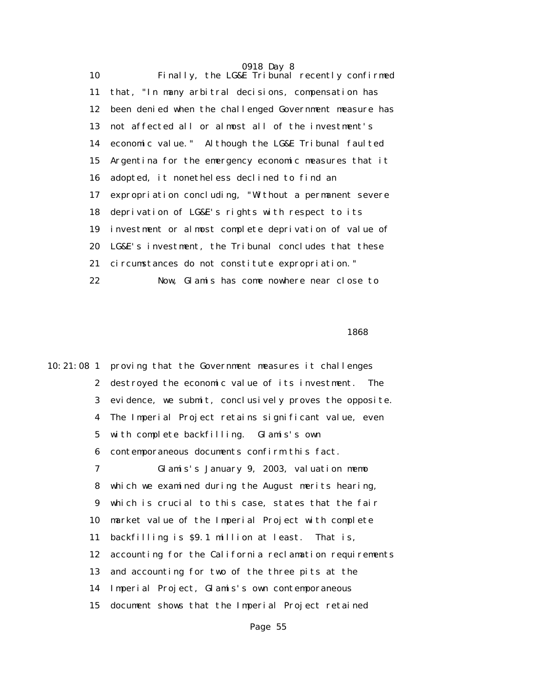0918 Day 8 10 Finally, the LG&E Tribunal recently confirmed 11 that, "In many arbitral decisions, compensation has 12 been denied when the challenged Government measure has 13 not affected all or almost all of the investment's 14 economic value." Although the LG&E Tribunal faulted 15 Argentina for the emergency economic measures that it 16 adopted, it nonetheless declined to find an 17 expropriation concluding, "Without a permanent severe 18 deprivation of LG&E's rights with respect to its 19 investment or almost complete deprivation of value of 20 LG&E's investment, the Tribunal concludes that these 21 circumstances do not constitute expropriation." 22 Now, Glamis has come nowhere near close to

 $1868$ 

10:21:08 1 proving that the Government measures it challenges 2 destroyed the economic value of its investment. The 3 evidence, we submit, conclusively proves the opposite. 4 The Imperial Project retains significant value, even 5 with complete backfilling. Glamis's own 6 contemporaneous documents confirm this fact. 7 Glamis's January 9, 2003, valuation memo 8 which we examined during the August merits hearing, 9 which is crucial to this case, states that the fair 10 market value of the Imperial Project with complete 11 backfilling is \$9.1 million at least. That is, 12 accounting for the California reclamation requirements 13 and accounting for two of the three pits at the 14 Imperial Project, Glamis's own contemporaneous 15 document shows that the Imperial Project retained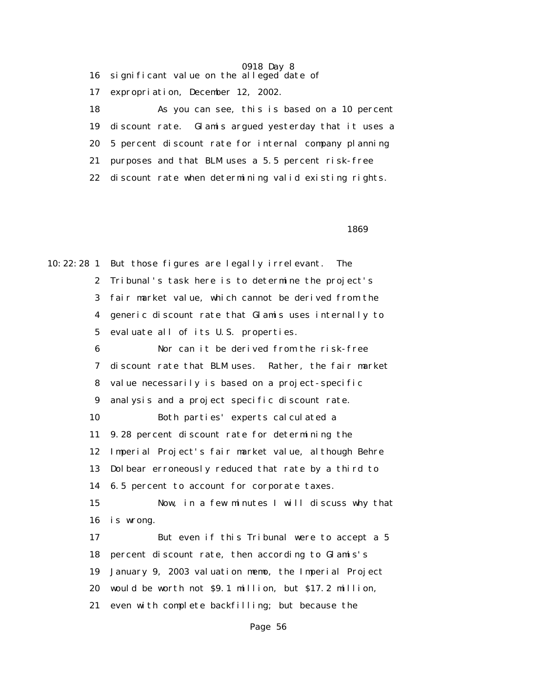0918 Day 8 16 significant value on the alleged date of 17 expropriation, December 12, 2002. 18 As you can see, this is based on a 10 percent 19 discount rate. Glamis argued yesterday that it uses a 20 5 percent discount rate for internal company planning 21 purposes and that BLM uses a 5.5 percent risk-free 22 discount rate when determining valid existing rights.

 $1869$ 

10:22:28 1 But those figures are legally irrelevant. The 2 Tribunal's task here is to determine the project's 3 fair market value, which cannot be derived from the 4 generic discount rate that Glamis uses internally to 5 evaluate all of its U.S. properties. 6 Nor can it be derived from the risk-free 7 discount rate that BLM uses. Rather, the fair market 8 value necessarily is based on a project-specific 9 analysis and a project specific discount rate. 10 Both parties' experts calculated a 11 9.28 percent discount rate for determining the 12 Imperial Project's fair market value, although Behre 13 Dolbear erroneously reduced that rate by a third to 14 6.5 percent to account for corporate taxes. 15 Now, in a few minutes I will discuss why that 16 is wrong. 17 But even if this Tribunal were to accept a 5 18 percent discount rate, then according to Glamis's 19 January 9, 2003 valuation memo, the Imperial Project 20 would be worth not \$9.1 million, but \$17.2 million, 21 even with complete backfilling; but because the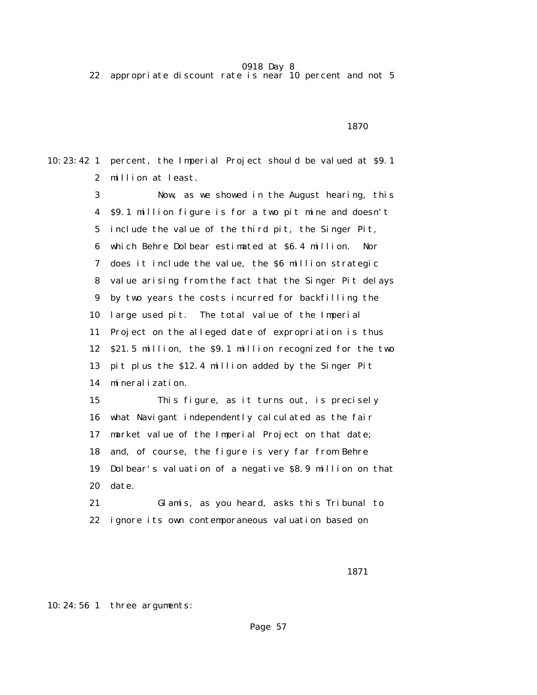22 appropriate discount rate is near 10 percent and not 5

1870

10:23:42 1 percent, the Imperial Project should be valued at \$9.1 2 million at least.

> 3 Now, as we showed in the August hearing, this 4 \$9.1 million figure is for a two pit mine and doesn't 5 include the value of the third pit, the Singer Pit, 6 which Behre Dolbear estimated at \$6.4 million. Nor 7 does it include the value, the \$6 million strategic 8 value arising from the fact that the Singer Pit delays 9 by two years the costs incurred for backfilling the 10 large used pit. The total value of the Imperial 11 Project on the alleged date of expropriation is thus 12 \$21.5 million, the \$9.1 million recognized for the two 13 pit plus the \$12.4 million added by the Singer Pit 14 mineralization.

> 15 This figure, as it turns out, is precisely 16 what Navigant independently calculated as the fair 17 market value of the Imperial Project on that date; 18 and, of course, the figure is very far from Behre 19 Dolbear's valuation of a negative \$8.9 million on that 20 date.

 21 Glamis, as you heard, asks this Tribunal to 22 ignore its own contemporaneous valuation based on

1871

10:24:56 1 three arguments: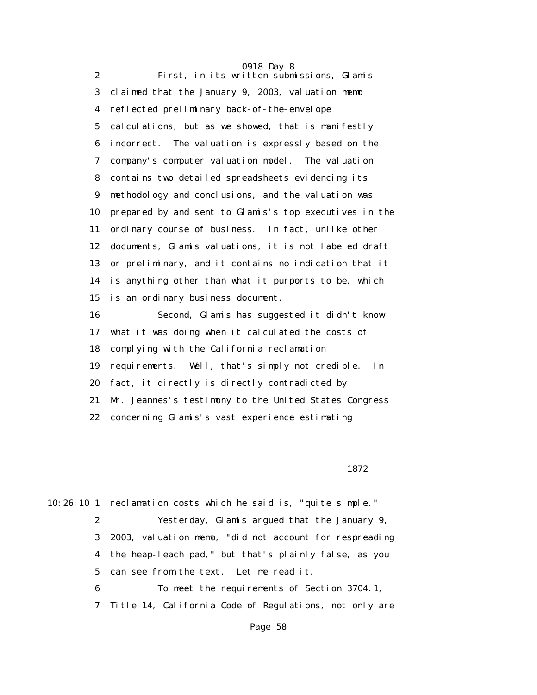0918 Day 8 2 First, in its written submissions, Glamis 3 claimed that the January 9, 2003, valuation memo 4 reflected preliminary back-of-the-envelope 5 calculations, but as we showed, that is manifestly 6 incorrect. The valuation is expressly based on the 7 company's computer valuation model. The valuation 8 contains two detailed spreadsheets evidencing its 9 methodology and conclusions, and the valuation was 10 prepared by and sent to Glamis's top executives in the 11 ordinary course of business. In fact, unlike other 12 documents, Glamis valuations, it is not labeled draft 13 or preliminary, and it contains no indication that it 14 is anything other than what it purports to be, which 15 is an ordinary business document. 16 Second, Glamis has suggested it didn't know 17 what it was doing when it calculated the costs of 18 complying with the California reclamation 19 requirements. Well, that's simply not credible. In 20 fact, it directly is directly contradicted by 21 Mr. Jeannes's testimony to the United States Congress 22 concerning Glamis's vast experience estimating

1872

10:26:10 1 reclamation costs which he said is, "quite simple."

 2 Yesterday, Glamis argued that the January 9, 3 2003, valuation memo, "did not account for respreading 4 the heap-leach pad," but that's plainly false, as you 5 can see from the text. Let me read it.

6 To meet the requirements of Section 3704.1,

7 Title 14, California Code of Regulations, not only are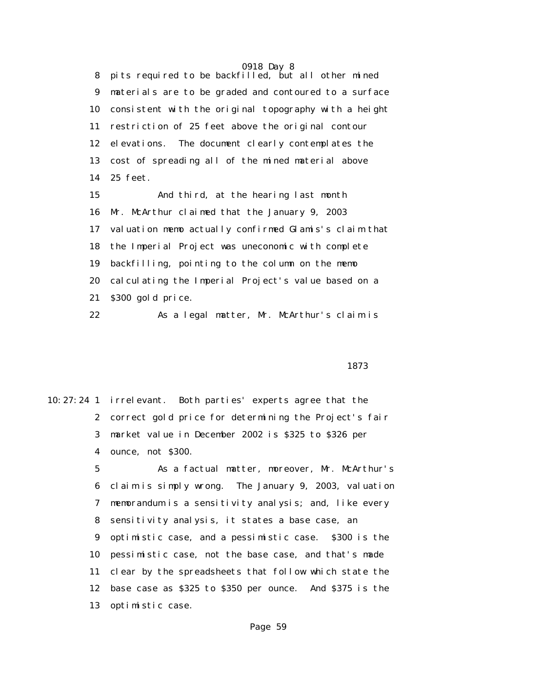0918 Day 8 8 pits required to be backfilled, but all other mined 9 materials are to be graded and contoured to a surface 10 consistent with the original topography with a height 11 restriction of 25 feet above the original contour 12 elevations. The document clearly contemplates the 13 cost of spreading all of the mined material above 14 25 feet.

 15 And third, at the hearing last month 16 Mr. McArthur claimed that the January 9, 2003 17 valuation memo actually confirmed Glamis's claim that 18 the Imperial Project was uneconomic with complete 19 backfilling, pointing to the column on the memo 20 calculating the Imperial Project's value based on a 21 \$300 gold price.

22 As a legal matter, Mr. McArthur's claim is

1873

10:27:24 1 irrelevant. Both parties' experts agree that the 2 correct gold price for determining the Project's fair 3 market value in December 2002 is \$325 to \$326 per 4 ounce, not \$300.

> 5 As a factual matter, moreover, Mr. McArthur's 6 claim is simply wrong. The January 9, 2003, valuation 7 memorandum is a sensitivity analysis; and, like every 8 sensitivity analysis, it states a base case, an 9 optimistic case, and a pessimistic case. \$300 is the 10 pessimistic case, not the base case, and that's made 11 clear by the spreadsheets that follow which state the 12 base case as \$325 to \$350 per ounce. And \$375 is the 13 optimistic case.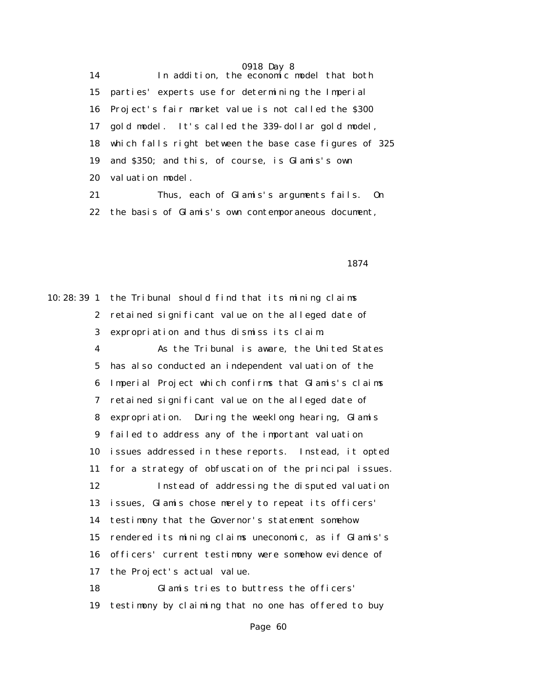14 In addition, the economic model that both 15 parties' experts use for determining the Imperial 16 Project's fair market value is not called the \$300 17 gold model. It's called the 339-dollar gold model, 18 which falls right between the base case figures of 325 19 and \$350; and this, of course, is Glamis's own 20 valuation model.

 21 Thus, each of Glamis's arguments fails. On 22 the basis of Glamis's own contemporaneous document,

1874

10:28:39 1 the Tribunal should find that its mining claims 2 retained significant value on the alleged date of 3 expropriation and thus dismiss its claim. 4 As the Tribunal is aware, the United States 5 has also conducted an independent valuation of the 6 Imperial Project which confirms that Glamis's claims 7 retained significant value on the alleged date of 8 expropriation. During the weeklong hearing, Glamis 9 failed to address any of the important valuation 10 issues addressed in these reports. Instead, it opted 11 for a strategy of obfuscation of the principal issues. 12 Instead of addressing the disputed valuation 13 issues, Glamis chose merely to repeat its officers' 14 testimony that the Governor's statement somehow 15 rendered its mining claims uneconomic, as if Glamis's 16 officers' current testimony were somehow evidence of 17 the Project's actual value. 18 Glamis tries to buttress the officers' 19 testimony by claiming that no one has offered to buy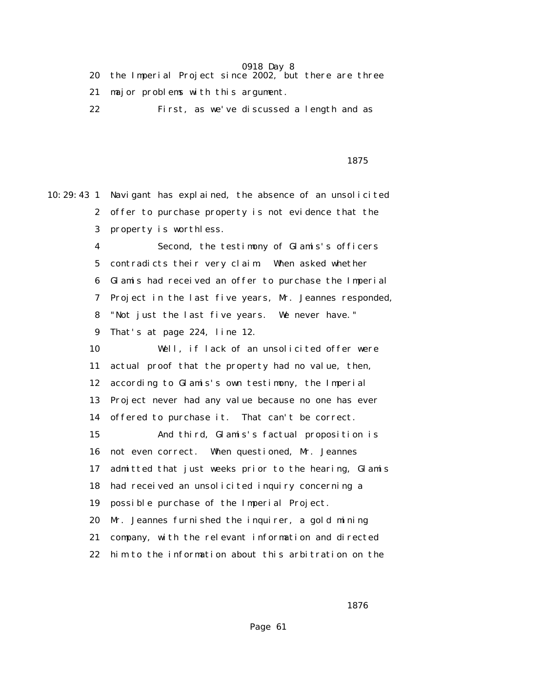- 20 the Imperial Project since 2002, but there are three 21 major problems with this argument.
- 22 First, as we've discussed a length and as

1875

10:29:43 1 Navigant has explained, the absence of an unsolicited 2 offer to purchase property is not evidence that the 3 property is worthless. 4 Second, the testimony of Glamis's officers 5 contradicts their very claim. When asked whether 6 Glamis had received an offer to purchase the Imperial 7 Project in the last five years, Mr. Jeannes responded, 8 "Not just the last five years. We never have." 9 That's at page 224, line 12. 10 Well, if lack of an unsolicited offer were 11 actual proof that the property had no value, then, 12 according to Glamis's own testimony, the Imperial 13 Project never had any value because no one has ever 14 offered to purchase it. That can't be correct. 15 And third, Glamis's factual proposition is 16 not even correct. When questioned, Mr. Jeannes 17 admitted that just weeks prior to the hearing, Glamis 18 had received an unsolicited inquiry concerning a 19 possible purchase of the Imperial Project. 20 Mr. Jeannes furnished the inquirer, a gold mining 21 company, with the relevant information and directed 22 him to the information about this arbitration on the

 $1876$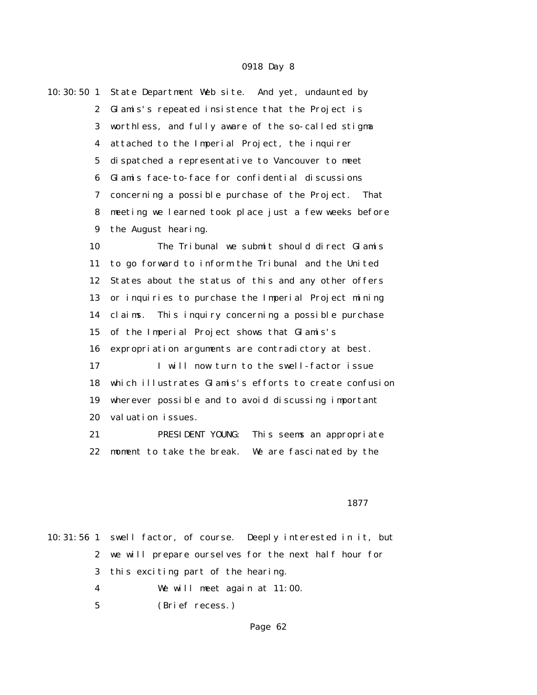|  | 10:30:50 1 State Department Web site. And yet, undaunted by |
|--|-------------------------------------------------------------|
|  | 2 Glamis's repeated insistence that the Project is          |
|  | 3 worthless, and fully aware of the so-called stigma        |
|  | 4 attached to the Imperial Project, the inquirer            |
|  | 5 dispatched a representative to Vancouver to meet          |
|  | 6 Glamis face-to-face for confidential discussions          |
|  | 7 concerning a possible purchase of the Project.<br>That    |
|  | 8 meeting we learned took place just a few weeks before     |
|  | 9 the August hearing.                                       |
|  |                                                             |

 10 The Tribunal we submit should direct Glamis 11 to go forward to inform the Tribunal and the United 12 States about the status of this and any other offers 13 or inquiries to purchase the Imperial Project mining 14 claims. This inquiry concerning a possible purchase 15 of the Imperial Project shows that Glamis's 16 expropriation arguments are contradictory at best. 17 I will now turn to the swell-factor issue

 18 which illustrates Glamis's efforts to create confusion 19 wherever possible and to avoid discussing important 20 valuation issues.

 21 PRESIDENT YOUNG: This seems an appropriate 22 moment to take the break. We are fascinated by the

### проставляются в подводите в 1877 г. в 1877 г. представительно при в 1877 г. при при при при при при при при пр<br>В 1877 г.

10:31:56 1 swell factor, of course. Deeply interested in it, but 2 we will prepare ourselves for the next half hour for 3 this exciting part of the hearing. 4 We will meet again at 11:00. 5 (Brief recess.)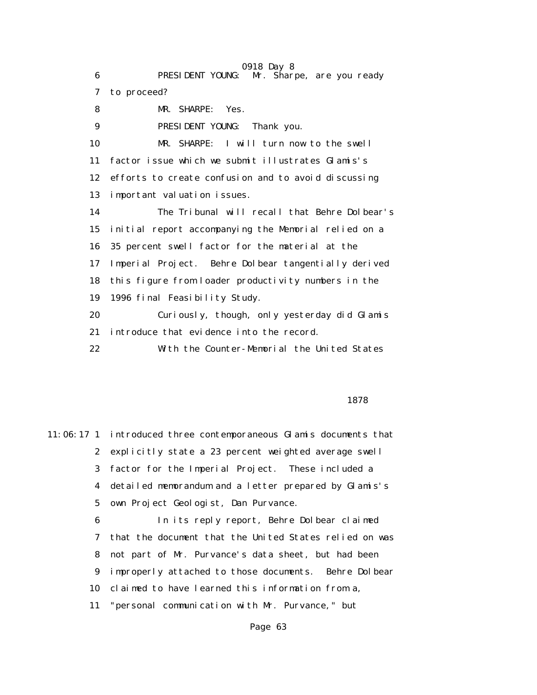0918 Day 8 6 PRESIDENT YOUNG: Mr. Sharpe, are you ready 7 to proceed? 8 MR. SHARPE: Yes. 9 PRESIDENT YOUNG: Thank you. 10 MR. SHARPE: I will turn now to the swell 11 factor issue which we submit illustrates Glamis's 12 efforts to create confusion and to avoid discussing 13 important valuation issues. 14 The Tribunal will recall that Behre Dolbear's 15 initial report accompanying the Memorial relied on a 16 35 percent swell factor for the material at the 17 Imperial Project. Behre Dolbear tangentially derived 18 this figure from loader productivity numbers in the 19 1996 final Feasibility Study. 20 Curiously, though, only yesterday did Glamis 21 introduce that evidence into the record. 22 With the Counter-Memorial the United States

1878

11:06:17 1 introduced three contemporaneous Glamis documents that 2 explicitly state a 23 percent weighted average swell 3 factor for the Imperial Project. These included a 4 detailed memorandum and a letter prepared by Glamis's 5 own Project Geologist, Dan Purvance. 6 In its reply report, Behre Dolbear claimed 7 that the document that the United States relied on was 8 not part of Mr. Purvance's data sheet, but had been 9 improperly attached to those documents. Behre Dolbear 10 claimed to have learned this information from a,

11 "personal communication with Mr. Purvance," but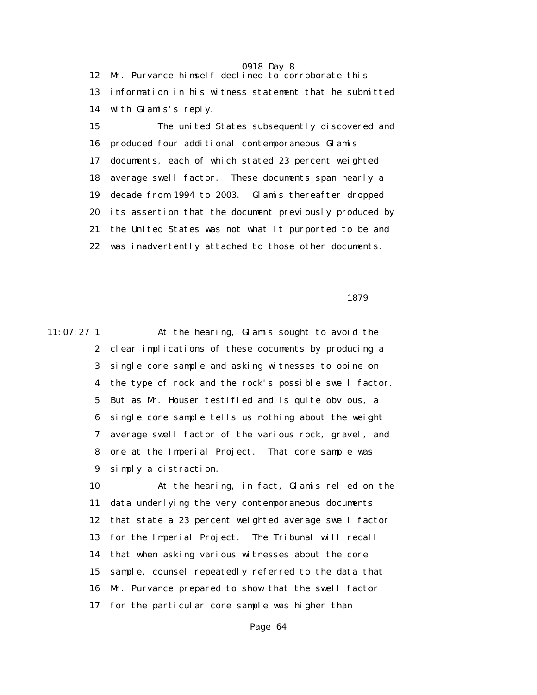0918 Day 8 12 Mr. Purvance himself declined to corroborate this 13 information in his witness statement that he submitted 14 with Glamis's reply.

 15 The united States subsequently discovered and 16 produced four additional contemporaneous Glamis 17 documents, each of which stated 23 percent weighted 18 average swell factor. These documents span nearly a 19 decade from 1994 to 2003. Glamis thereafter dropped 20 its assertion that the document previously produced by 21 the United States was not what it purported to be and 22 was inadvertently attached to those other documents.

1879

11:07:27 1 At the hearing, Glamis sought to avoid the 2 clear implications of these documents by producing a 3 single core sample and asking witnesses to opine on 4 the type of rock and the rock's possible swell factor. 5 But as Mr. Houser testified and is quite obvious, a 6 single core sample tells us nothing about the weight 7 average swell factor of the various rock, gravel, and 8 ore at the Imperial Project. That core sample was 9 simply a distraction.

> 10 At the hearing, in fact, Glamis relied on the 11 data underlying the very contemporaneous documents 12 that state a 23 percent weighted average swell factor 13 for the Imperial Project. The Tribunal will recall 14 that when asking various witnesses about the core 15 sample, counsel repeatedly referred to the data that 16 Mr. Purvance prepared to show that the swell factor 17 for the particular core sample was higher than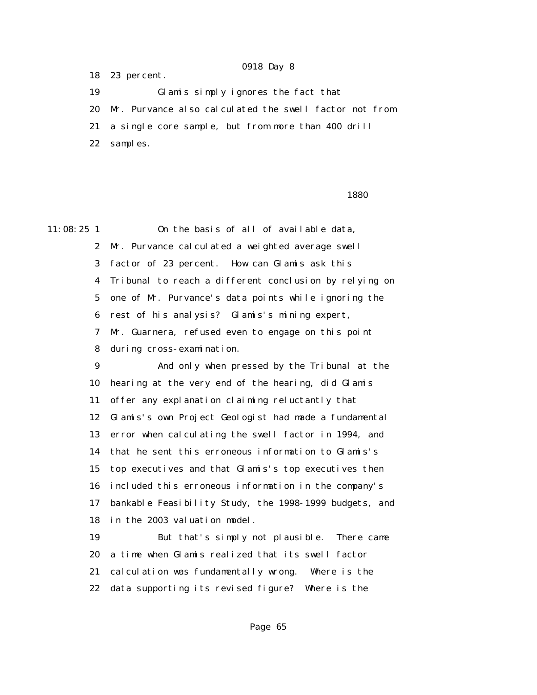18 23 percent.

 19 Glamis simply ignores the fact that 20 Mr. Purvance also calculated the swell factor not from 21 a single core sample, but from more than 400 drill 22 samples.

 $1880$ 

11:08:25 1 On the basis of all of available data, 2 Mr. Purvance calculated a weighted average swell 3 factor of 23 percent. How can Glamis ask this 4 Tribunal to reach a different conclusion by relying on 5 one of Mr. Purvance's data points while ignoring the 6 rest of his analysis? Glamis's mining expert, 7 Mr. Guarnera, refused even to engage on this point 8 during cross-examination. 9 And only when pressed by the Tribunal at the

 10 hearing at the very end of the hearing, did Glamis 11 offer any explanation claiming reluctantly that 12 Glamis's own Project Geologist had made a fundamental 13 error when calculating the swell factor in 1994, and 14 that he sent this erroneous information to Glamis's 15 top executives and that Glamis's top executives then 16 included this erroneous information in the company's 17 bankable Feasibility Study, the 1998-1999 budgets, and 18 in the 2003 valuation model.

 19 But that's simply not plausible. There came 20 a time when Glamis realized that its swell factor 21 calculation was fundamentally wrong. Where is the 22 data supporting its revised figure? Where is the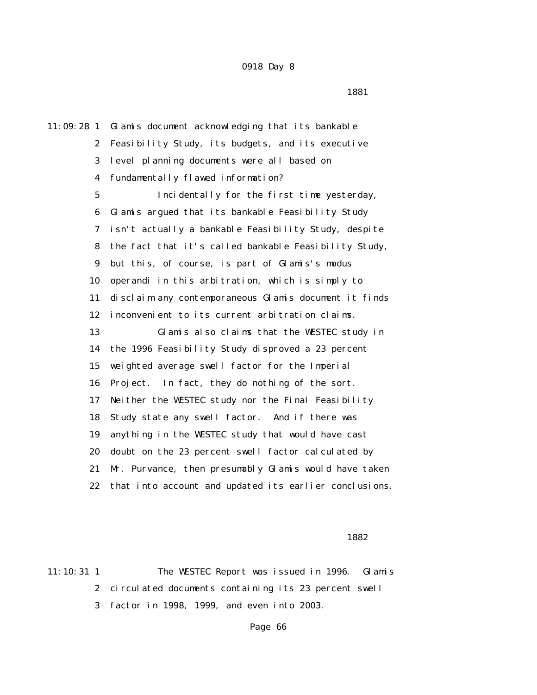1881

11:09:28 1 Glamis document acknowledging that its bankable 2 Feasibility Study, its budgets, and its executive 3 level planning documents were all based on 4 fundamentally flawed information? 5 Incidentally for the first time yesterday, 6 Glamis argued that its bankable Feasibility Study 7 isn't actually a bankable Feasibility Study, despite 8 the fact that it's called bankable Feasibility Study, 9 but this, of course, is part of Glamis's modus 10 operandi in this arbitration, which is simply to 11 disclaim any contemporaneous Glamis document it finds 12 inconvenient to its current arbitration claims. 13 Glamis also claims that the WESTEC study in 14 the 1996 Feasibility Study disproved a 23 percent 15 weighted average swell factor for the Imperial 16 Project. In fact, they do nothing of the sort. 17 Neither the WESTEC study nor the Final Feasibility 18 Study state any swell factor. And if there was 19 anything in the WESTEC study that would have cast 20 doubt on the 23 percent swell factor calculated by 21 Mr. Purvance, then presumably Glamis would have taken 22 that into account and updated its earlier conclusions.

## $1882$

11:10:31 1 The WESTEC Report was issued in 1996. Glamis 2 circulated documents containing its 23 percent swell 3 factor in 1998, 1999, and even into 2003.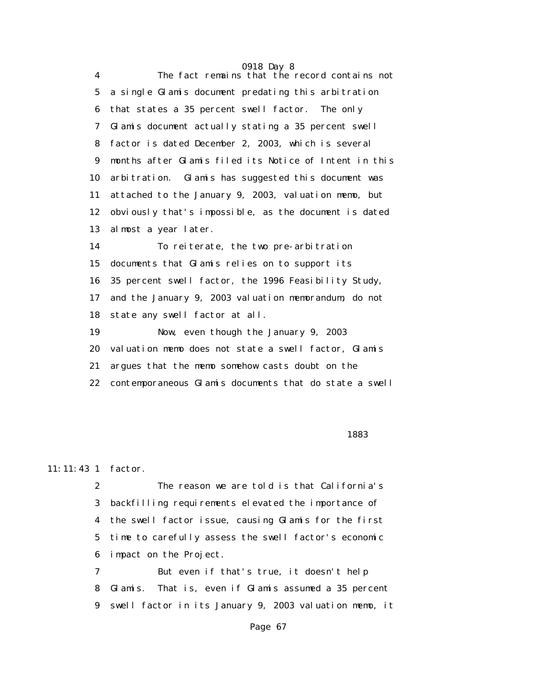|                 | 0918 Day 8                                             |
|-----------------|--------------------------------------------------------|
| 4               | The fact remains that the record contains not          |
| $5\overline{ }$ | a single Glamis document predating this arbitration    |
| 6               | that states a 35 percent swell factor. The only        |
| 7               | Glamis document actually stating a 35 percent swell    |
| 8               | factor is dated December 2, 2003, which is several     |
| 9               | months after Glamis filed its Notice of Intent in this |
| 10              | arbitration. Glamis has suggested this document was    |
| 11              | attached to the January 9, 2003, valuation memo, but   |
| 12              | obviously that's impossible, as the document is dated  |
| 13              | almost a year later.                                   |
| 14              | To reiterate, the two pre-arbitration                  |
| 15              | documents that Glamis relies on to support its         |
| 16              | 35 percent swell factor, the 1996 Feasibility Study,   |
| 17              | and the January 9, 2003 valuation memorandum, do not   |
| 18              | state any swell factor at all.                         |
| 19              | Now, even though the January 9, 2003                   |
| 20              | valuation memo does not state a swell factor, Glamis   |
| 21              | argues that the memo somehow casts doubt on the        |
| 22              | contemporaneous Glamis documents that do state a swell |
|                 |                                                        |

### процент в общественность в собстановки и в собстановки и в 1883 году в собстановки и в 1883 году в собстановки<br>В 1883 году

## 11:11:43 1 factor.

 2 The reason we are told is that California's 3 backfilling requirements elevated the importance of 4 the swell factor issue, causing Glamis for the first 5 time to carefully assess the swell factor's economic 6 impact on the Project.

 7 But even if that's true, it doesn't help 8 Glamis. That is, even if Glamis assumed a 35 percent 9 swell factor in its January 9, 2003 valuation memo, it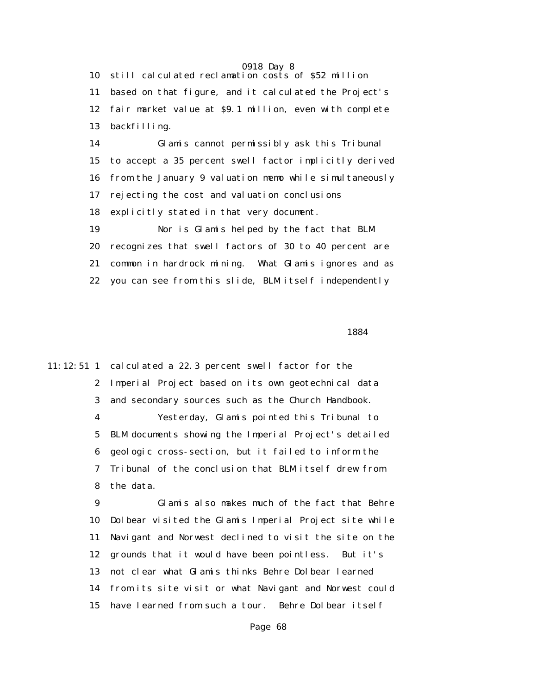10 still calculated reclamation costs of \$52 million 11 based on that figure, and it calculated the Project's 12 fair market value at \$9.1 million, even with complete 13 backfilling.

 14 Glamis cannot permissibly ask this Tribunal 15 to accept a 35 percent swell factor implicitly derived 16 from the January 9 valuation memo while simultaneously 17 rejecting the cost and valuation conclusions 18 explicitly stated in that very document.

 19 Nor is Glamis helped by the fact that BLM 20 recognizes that swell factors of 30 to 40 percent are 21 common in hardrock mining. What Glamis ignores and as 22 you can see from this slide, BLM itself independently

1884

11:12:51 1 calculated a 22.3 percent swell factor for the 2 Imperial Project based on its own geotechnical data 3 and secondary sources such as the Church Handbook. 4 Yesterday, Glamis pointed this Tribunal to 5 BLM documents showing the Imperial Project's detailed 6 geologic cross-section, but it failed to inform the 7 Tribunal of the conclusion that BLM itself drew from 8 the data.

> 9 Glamis also makes much of the fact that Behre 10 Dolbear visited the Glamis Imperial Project site while 11 Navigant and Norwest declined to visit the site on the 12 grounds that it would have been pointless. But it's 13 not clear what Glamis thinks Behre Dolbear learned 14 from its site visit or what Navigant and Norwest could 15 have learned from such a tour. Behre Dolbear itself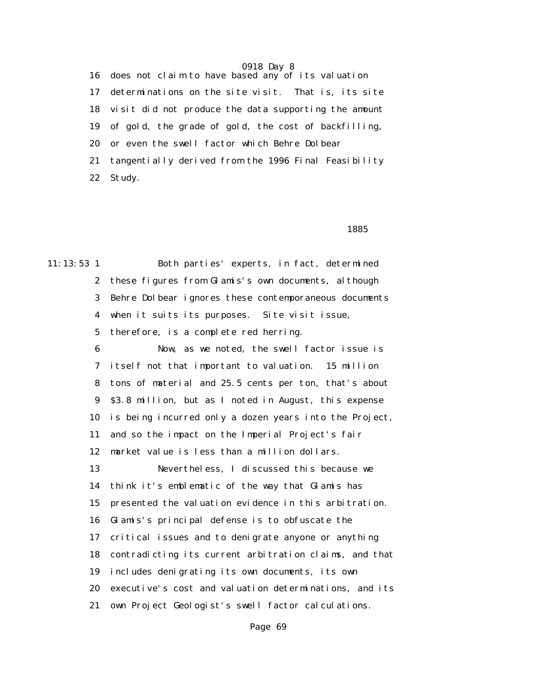16 does not claim to have based any of its valuation 17 determinations on the site visit. That is, its site 18 visit did not produce the data supporting the amount 19 of gold, the grade of gold, the cost of backfilling, 20 or even the swell factor which Behre Dolbear 21 tangentially derived from the 1996 Final Feasibility 22 Study.

## $1885$

11:13:53 1 Both parties' experts, in fact, determined 2 these figures from Glamis's own documents, although 3 Behre Dolbear ignores these contemporaneous documents 4 when it suits its purposes. Site visit issue, 5 therefore, is a complete red herring. 6 Now, as we noted, the swell factor issue is 7 itself not that important to valuation. 15 million 8 tons of material and 25.5 cents per ton, that's about 9 \$3.8 million, but as I noted in August, this expense 10 is being incurred only a dozen years into the Project, 11 and so the impact on the Imperial Project's fair 12 market value is less than a million dollars. 13 Nevertheless, I discussed this because we 14 think it's emblematic of the way that Glamis has 15 presented the valuation evidence in this arbitration. 16 Glamis's principal defense is to obfuscate the 17 critical issues and to denigrate anyone or anything 18 contradicting its current arbitration claims, and that 19 includes denigrating its own documents, its own 20 executive's cost and valuation determinations, and its 21 own Project Geologist's swell factor calculations.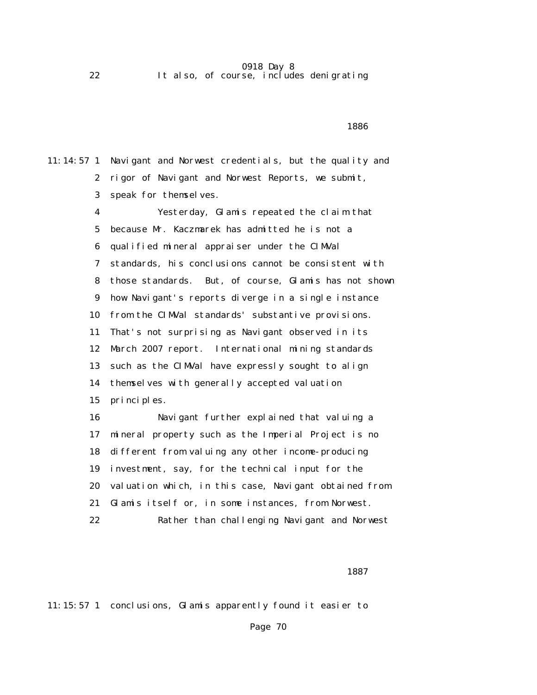22 It also, of course, includes denigrating

## $1886$

11:14:57 1 Navigant and Norwest credentials, but the quality and 2 rigor of Navigant and Norwest Reports, we submit, 3 speak for themselves. 4 Yesterday, Glamis repeated the claim that

 5 because Mr. Kaczmarek has admitted he is not a 6 qualified mineral appraiser under the CIMVal 7 standards, his conclusions cannot be consistent with 8 those standards. But, of course, Glamis has not shown 9 how Navigant's reports diverge in a single instance 10 from the CIMVal standards' substantive provisions. 11 That's not surprising as Navigant observed in its 12 March 2007 report. International mining standards 13 such as the CIMVal have expressly sought to align 14 themselves with generally accepted valuation 15 principles. 16 Navigant further explained that valuing a

 17 mineral property such as the Imperial Project is no 18 different from valuing any other income-producing 19 investment, say, for the technical input for the 20 valuation which, in this case, Navigant obtained from 21 Glamis itself or, in some instances, from Norwest. 22 Rather than challenging Navigant and Norwest

### процент в политической политической политической политической политической составляет в 1887 году в 1887 году

11:15:57 1 conclusions, Glamis apparently found it easier to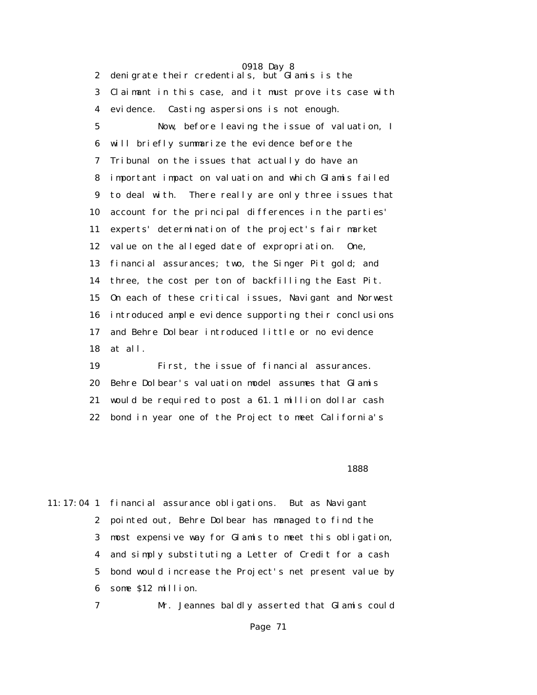0918 Day 8 2 denigrate their credentials, but Glamis is the 3 Claimant in this case, and it must prove its case with 4 evidence. Casting aspersions is not enough. 5 Now, before leaving the issue of valuation, I 6 will briefly summarize the evidence before the 7 Tribunal on the issues that actually do have an 8 important impact on valuation and which Glamis failed 9 to deal with. There really are only three issues that 10 account for the principal differences in the parties' 11 experts' determination of the project's fair market 12 value on the alleged date of expropriation. One, 13 financial assurances; two, the Singer Pit gold; and 14 three, the cost per ton of backfilling the East Pit. 15 On each of these critical issues, Navigant and Norwest 16 introduced ample evidence supporting their conclusions 17 and Behre Dolbear introduced little or no evidence 18 at all.

 19 First, the issue of financial assurances. 20 Behre Dolbear's valuation model assumes that Glamis 21 would be required to post a 61.1 million dollar cash 22 bond in year one of the Project to meet California's

 $1888$ 

11:17:04 1 financial assurance obligations. But as Navigant 2 pointed out, Behre Dolbear has managed to find the 3 most expensive way for Glamis to meet this obligation, 4 and simply substituting a Letter of Credit for a cash 5 bond would increase the Project's net present value by 6 some \$12 million.

7 Mr. Jeannes baldly asserted that Glamis could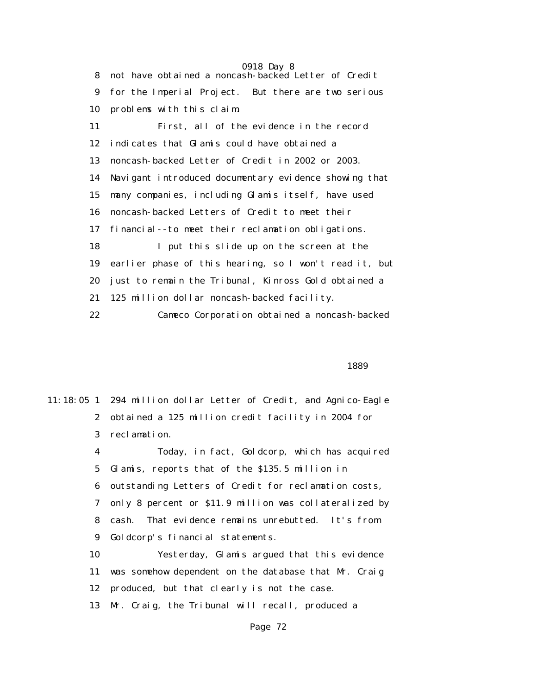0918 Day 8 8 not have obtained a noncash-backed Letter of Credit 9 for the Imperial Project. But there are two serious 10 problems with this claim. 11 First, all of the evidence in the record 12 indicates that Glamis could have obtained a 13 noncash-backed Letter of Credit in 2002 or 2003. 14 Navigant introduced documentary evidence showing that 15 many companies, including Glamis itself, have used 16 noncash-backed Letters of Credit to meet their 17 financial--to meet their reclamation obligations. 18 I put this slide up on the screen at the 19 earlier phase of this hearing, so I won't read it, but 20 just to remain the Tribunal, Kinross Gold obtained a 21 125 million dollar noncash-backed facility. 22 Cameco Corporation obtained a noncash-backed

 $1889$ 

|             | 11:18:05 1 294 million dollar Letter of Credit, and Agnico-Eagle |
|-------------|------------------------------------------------------------------|
|             | 2 obtained a 125 million credit facility in 2004 for             |
|             | 3 reclamation.                                                   |
| 4           | Today, in fact, Goldcorp, which has acquired                     |
| $5^{\circ}$ | Glamis, reports that of the \$135.5 million in                   |
| 6           | outstanding Letters of Credit for reclamation costs,             |
| 7           | only 8 percent or \$11.9 million was collateralized by           |
| 8           | That evidence remains unrebutted. It's from<br>cash.             |
| 9           | Goldcorp's financial statements.                                 |
| 10          | Yesterday, Glamis argued that this evidence                      |
| 11          | was somehow dependent on the database that Mr. Craig             |
| 12          | produced, but that clearly is not the case.                      |
| 13          | Mr. Craig, the Tribunal will recall, produced a                  |
|             |                                                                  |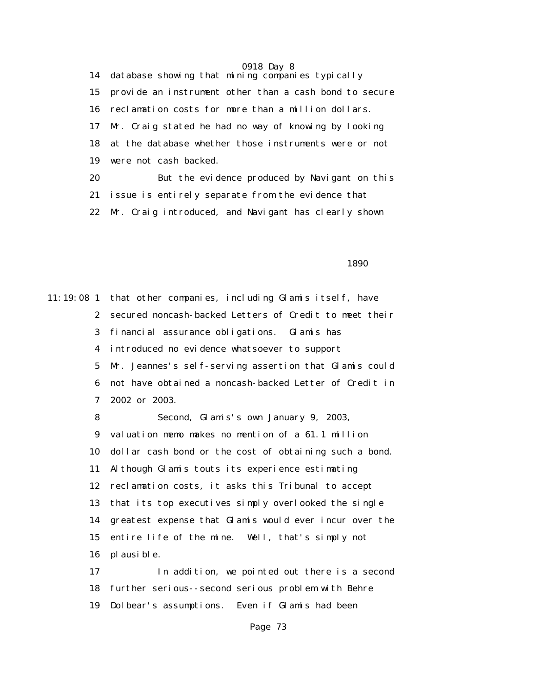14 database showing that mining companies typically 15 provide an instrument other than a cash bond to secure 16 reclamation costs for more than a million dollars. 17 Mr. Craig stated he had no way of knowing by looking 18 at the database whether those instruments were or not 19 were not cash backed. 20 But the evidence produced by Navigant on this 21 issue is entirely separate from the evidence that 22 Mr. Craig introduced, and Navigant has clearly shown

 $1890$ 

11:19:08 1 that other companies, including Glamis itself, have 2 secured noncash-backed Letters of Credit to meet their 3 financial assurance obligations. Glamis has 4 introduced no evidence whatsoever to support 5 Mr. Jeannes's self-serving assertion that Glamis could 6 not have obtained a noncash-backed Letter of Credit in 7 2002 or 2003. 8 Second, Glamis's own January 9, 2003, 9 valuation memo makes no mention of a 61.1 million 10 dollar cash bond or the cost of obtaining such a bond. 11 Although Glamis touts its experience estimating 12 reclamation costs, it asks this Tribunal to accept 13 that its top executives simply overlooked the single 14 greatest expense that Glamis would ever incur over the 15 entire life of the mine. Well, that's simply not

16 plausible.

 17 In addition, we pointed out there is a second 18 further serious--second serious problem with Behre 19 Dolbear's assumptions. Even if Glamis had been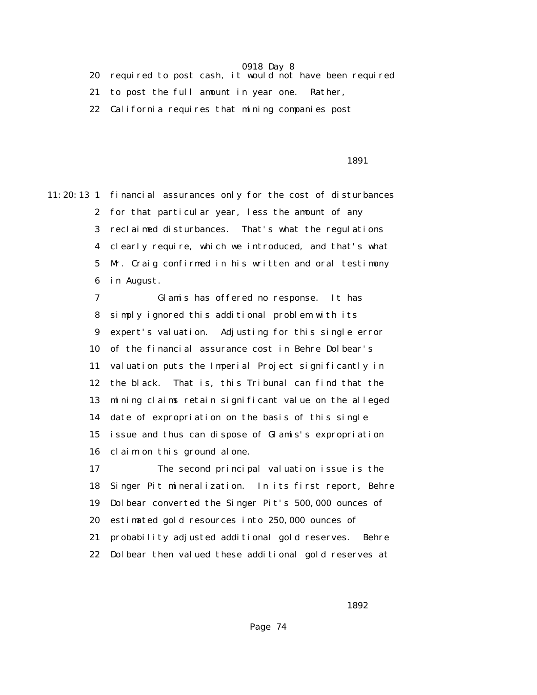20 required to post cash, it would not have been required

21 to post the full amount in year one. Rather,

22 California requires that mining companies post

1891

11:20:13 1 financial assurances only for the cost of disturbances 2 for that particular year, less the amount of any 3 reclaimed disturbances. That's what the regulations 4 clearly require, which we introduced, and that's what 5 Mr. Craig confirmed in his written and oral testimony 6 in August.

> 7 Glamis has offered no response. It has 8 simply ignored this additional problem with its 9 expert's valuation. Adjusting for this single error 10 of the financial assurance cost in Behre Dolbear's 11 valuation puts the Imperial Project significantly in 12 the black. That is, this Tribunal can find that the 13 mining claims retain significant value on the alleged 14 date of expropriation on the basis of this single 15 issue and thus can dispose of Glamis's expropriation 16 claim on this ground alone.

 17 The second principal valuation issue is the 18 Singer Pit mineralization. In its first report, Behre 19 Dolbear converted the Singer Pit's 500,000 ounces of 20 estimated gold resources into 250,000 ounces of 21 probability adjusted additional gold reserves. Behre 22 Dolbear then valued these additional gold reserves at

 $1892$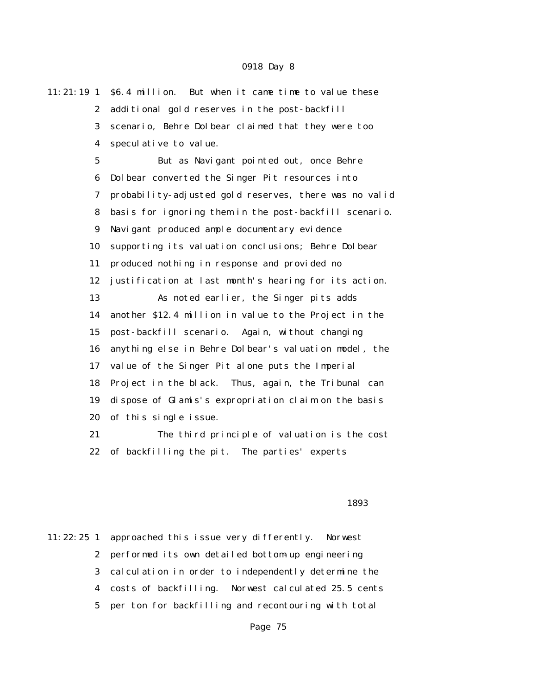11:21:19 1 \$6.4 million. But when it came time to value these 2 additional gold reserves in the post-backfill 3 scenario, Behre Dolbear claimed that they were too 4 speculative to value. 5 But as Navigant pointed out, once Behre 6 Dolbear converted the Singer Pit resources into 7 probability-adjusted gold reserves, there was no valid 8 basis for ignoring them in the post-backfill scenario. 9 Navigant produced ample documentary evidence 10 supporting its valuation conclusions; Behre Dolbear 11 produced nothing in response and provided no 12 justification at last month's hearing for its action. 13 As noted earlier, the Singer pits adds 14 another \$12.4 million in value to the Project in the 15 post-backfill scenario. Again, without changing 16 anything else in Behre Dolbear's valuation model, the 17 value of the Singer Pit alone puts the Imperial 18 Project in the black. Thus, again, the Tribunal can 19 dispose of Glamis's expropriation claim on the basis 20 of this single issue. 21 The third principle of valuation is the cost 22 of backfilling the pit. The parties' experts

#### $1893$

11:22:25 1 approached this issue very differently. Norwest 2 performed its own detailed bottom-up engineering 3 calculation in order to independently determine the 4 costs of backfilling. Norwest calculated 25.5 cents 5 per ton for backfilling and recontouring with total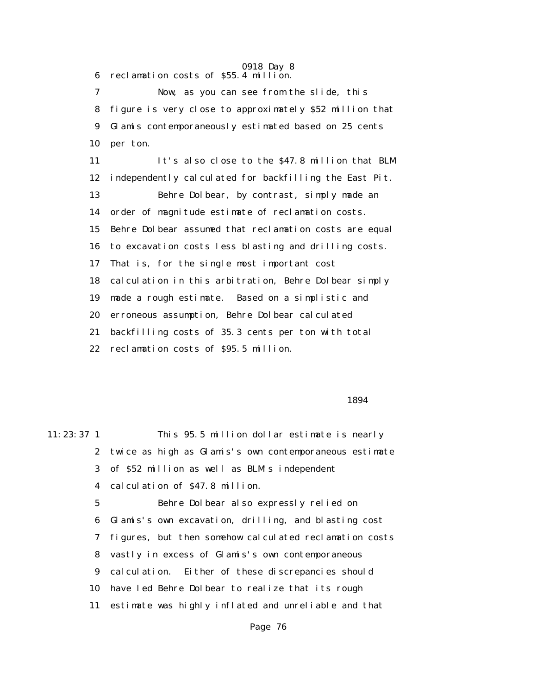6 reclamation costs of \$55.4 million.

 7 Now, as you can see from the slide, this 8 figure is very close to approximately \$52 million that 9 Glamis contemporaneously estimated based on 25 cents 10 per ton.

 11 It's also close to the \$47.8 million that BLM 12 independently calculated for backfilling the East Pit. 13 Behre Dolbear, by contrast, simply made an 14 order of magnitude estimate of reclamation costs. 15 Behre Dolbear assumed that reclamation costs are equal 16 to excavation costs less blasting and drilling costs. 17 That is, for the single most important cost 18 calculation in this arbitration, Behre Dolbear simply 19 made a rough estimate. Based on a simplistic and 20 erroneous assumption, Behre Dolbear calculated 21 backfilling costs of 35.3 cents per ton with total 22 reclamation costs of \$95.5 million.

#### 1894

11:23:37 1 This 95.5 million dollar estimate is nearly 2 twice as high as Glamis's own contemporaneous estimate 3 of \$52 million as well as BLM's independent 4 calculation of \$47.8 million. 5 Behre Dolbear also expressly relied on

> 6 Glamis's own excavation, drilling, and blasting cost 7 figures, but then somehow calculated reclamation costs 8 vastly in excess of Glamis's own contemporaneous 9 calculation. Either of these discrepancies should 10 have led Behre Dolbear to realize that its rough 11 estimate was highly inflated and unreliable and that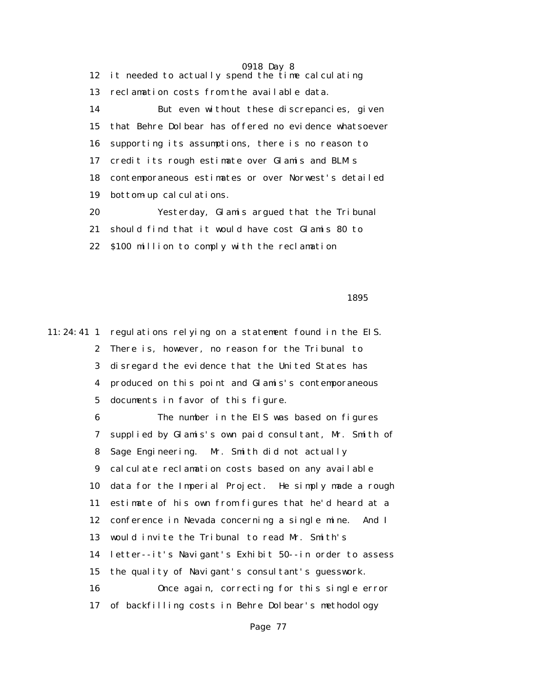0918 Day 8 12 it needed to actually spend the time calculating 13 reclamation costs from the available data. 14 But even without these discrepancies, given 15 that Behre Dolbear has offered no evidence whatsoever 16 supporting its assumptions, there is no reason to 17 credit its rough estimate over Glamis and BLM's 18 contemporaneous estimates or over Norwest's detailed 19 bottom-up calculations. 20 Yesterday, Glamis argued that the Tribunal 21 should find that it would have cost Glamis 80 to

 $1895$ 

11:24:41 1 regulations relying on a statement found in the EIS. 2 There is, however, no reason for the Tribunal to 3 disregard the evidence that the United States has 4 produced on this point and Glamis's contemporaneous 5 documents in favor of this figure.

22 \$100 million to comply with the reclamation

 6 The number in the EIS was based on figures 7 supplied by Glamis's own paid consultant, Mr. Smith of 8 Sage Engineering. Mr. Smith did not actually 9 calculate reclamation costs based on any available 10 data for the Imperial Project. He simply made a rough 11 estimate of his own from figures that he'd heard at a 12 conference in Nevada concerning a single mine. And I 13 would invite the Tribunal to read Mr. Smith's 14 letter--it's Navigant's Exhibit 50--in order to assess 15 the quality of Navigant's consultant's guesswork. 16 Once again, correcting for this single error 17 of backfilling costs in Behre Dolbear's methodology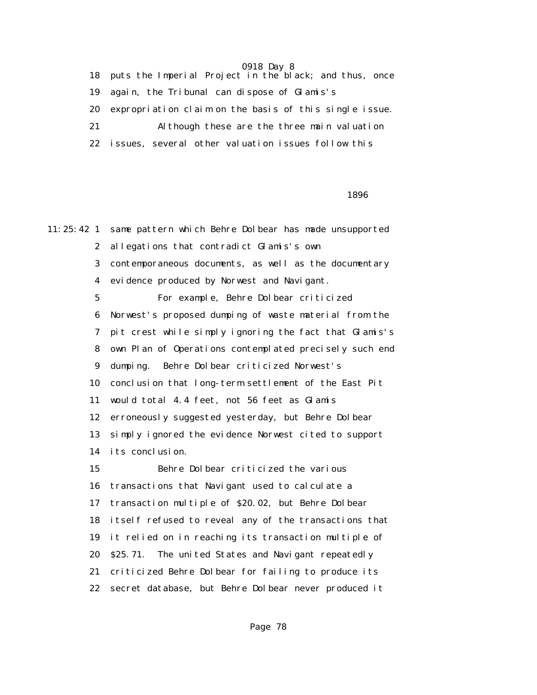18 puts the Imperial Project in the black; and thus, once 19 again, the Tribunal can dispose of Glamis's 20 expropriation claim on the basis of this single issue. 21 Although these are the three main valuation 22 issues, several other valuation issues follow this

 $1896$ 

11:25:42 1 same pattern which Behre Dolbear has made unsupported 2 allegations that contradict Glamis's own 3 contemporaneous documents, as well as the documentary 4 evidence produced by Norwest and Navigant. 5 For example, Behre Dolbear criticized 6 Norwest's proposed dumping of waste material from the 7 pit crest while simply ignoring the fact that Glamis's 8 own Plan of Operations contemplated precisely such end 9 dumping. Behre Dolbear criticized Norwest's 10 conclusion that long-term settlement of the East Pit 11 would total 4.4 feet, not 56 feet as Glamis 12 erroneously suggested yesterday, but Behre Dolbear 13 simply ignored the evidence Norwest cited to support 14 its conclusion. 15 Behre Dolbear criticized the various 16 transactions that Navigant used to calculate a 17 transaction multiple of \$20.02, but Behre Dolbear 18 itself refused to reveal any of the transactions that 19 it relied on in reaching its transaction multiple of 20 \$25.71. The united States and Navigant repeatedly 21 criticized Behre Dolbear for failing to produce its 22 secret database, but Behre Dolbear never produced it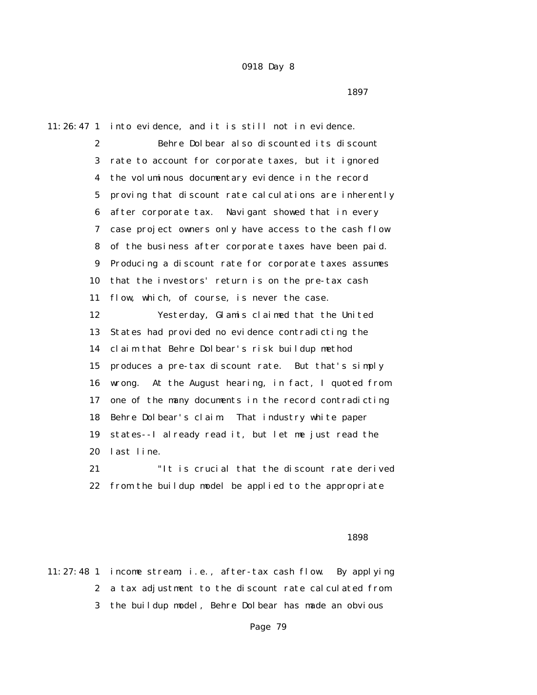$1897$ 

11:26:47 1 into evidence, and it is still not in evidence.

 2 Behre Dolbear also discounted its discount 3 rate to account for corporate taxes, but it ignored 4 the voluminous documentary evidence in the record 5 proving that discount rate calculations are inherently 6 after corporate tax. Navigant showed that in every 7 case project owners only have access to the cash flow 8 of the business after corporate taxes have been paid. 9 Producing a discount rate for corporate taxes assumes 10 that the investors' return is on the pre-tax cash 11 flow, which, of course, is never the case. 12 Yesterday, Glamis claimed that the United 13 States had provided no evidence contradicting the 14 claim that Behre Dolbear's risk buildup method 15 produces a pre-tax discount rate. But that's simply 16 wrong. At the August hearing, in fact, I quoted from 17 one of the many documents in the record contradicting 18 Behre Dolbear's claim. That industry white paper 19 states--I already read it, but let me just read the 20 last line.

 21 "It is crucial that the discount rate derived 22 from the buildup model be applied to the appropriate

 $1898$ 

11:27:48 1 income stream; i.e., after-tax cash flow. By applying 2 a tax adjustment to the discount rate calculated from 3 the buildup model, Behre Dolbear has made an obvious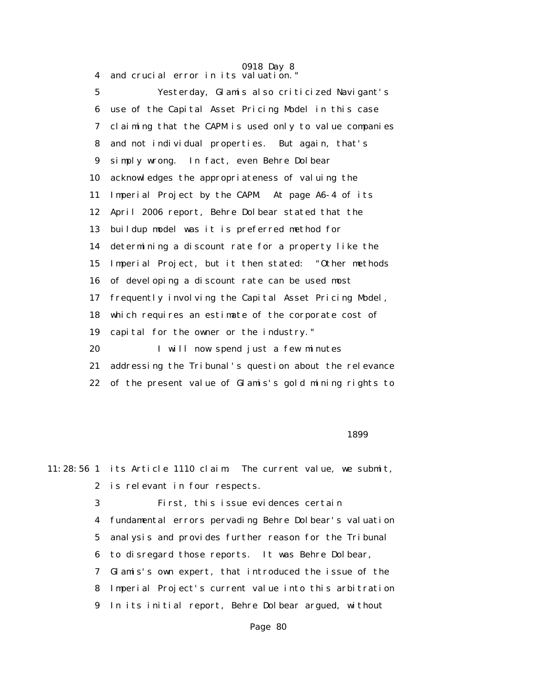4 and crucial error in its valuation."

 5 Yesterday, Glamis also criticized Navigant's 6 use of the Capital Asset Pricing Model in this case 7 claiming that the CAPM is used only to value companies 8 and not individual properties. But again, that's 9 simply wrong. In fact, even Behre Dolbear 10 acknowledges the appropriateness of valuing the 11 Imperial Project by the CAPM. At page A6-4 of its 12 April 2006 report, Behre Dolbear stated that the 13 buildup model was it is preferred method for 14 determining a discount rate for a property like the 15 Imperial Project, but it then stated: "Other methods 16 of developing a discount rate can be used most 17 frequently involving the Capital Asset Pricing Model, 18 which requires an estimate of the corporate cost of 19 capital for the owner or the industry." 20 I will now spend just a few minutes 21 addressing the Tribunal's question about the relevance 22 of the present value of Glamis's gold mining rights to

 $1899$ 

11:28:56 1 its Article 1110 claim. The current value, we submit, 2 is relevant in four respects. 3 First, this issue evidences certain 4 fundamental errors pervading Behre Dolbear's valuation 5 analysis and provides further reason for the Tribunal 6 to disregard those reports. It was Behre Dolbear, 7 Glamis's own expert, that introduced the issue of the

8 Imperial Project's current value into this arbitration

9 In its initial report, Behre Dolbear argued, without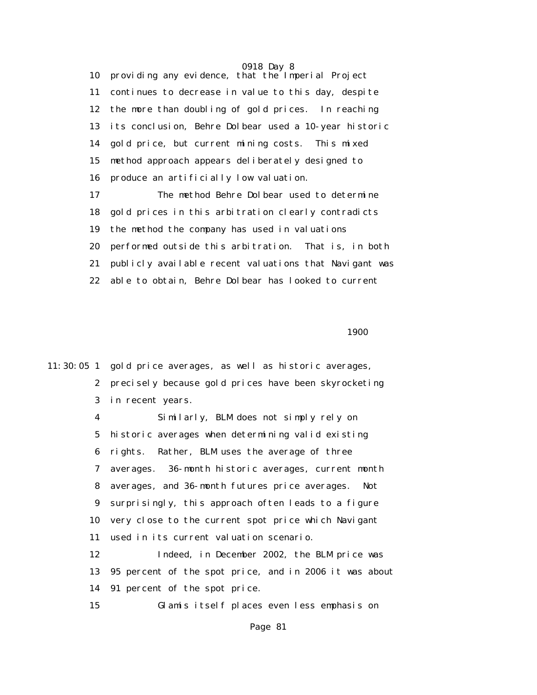0918 Day 8 10 providing any evidence, that the Imperial Project 11 continues to decrease in value to this day, despite 12 the more than doubling of gold prices. In reaching 13 its conclusion, Behre Dolbear used a 10-year historic 14 gold price, but current mining costs. This mixed 15 method approach appears deliberately designed to 16 produce an artificially low valuation.

 17 The method Behre Dolbear used to determine 18 gold prices in this arbitration clearly contradicts 19 the method the company has used in valuations 20 performed outside this arbitration. That is, in both 21 publicly available recent valuations that Navigant was 22 able to obtain, Behre Dolbear has looked to current

1900 **1900** 

11:30:05 1 gold price averages, as well as historic averages, 2 precisely because gold prices have been skyrocketing 3 in recent years.

 4 Similarly, BLM does not simply rely on 5 historic averages when determining valid existing 6 rights. Rather, BLM uses the average of three 7 averages. 36-month historic averages, current month 8 averages, and 36-month futures price averages. Not 9 surprisingly, this approach often leads to a figure 10 very close to the current spot price which Navigant 11 used in its current valuation scenario.

 12 Indeed, in December 2002, the BLM price was 13 95 percent of the spot price, and in 2006 it was about 14 91 percent of the spot price.

15 Glamis itself places even less emphasis on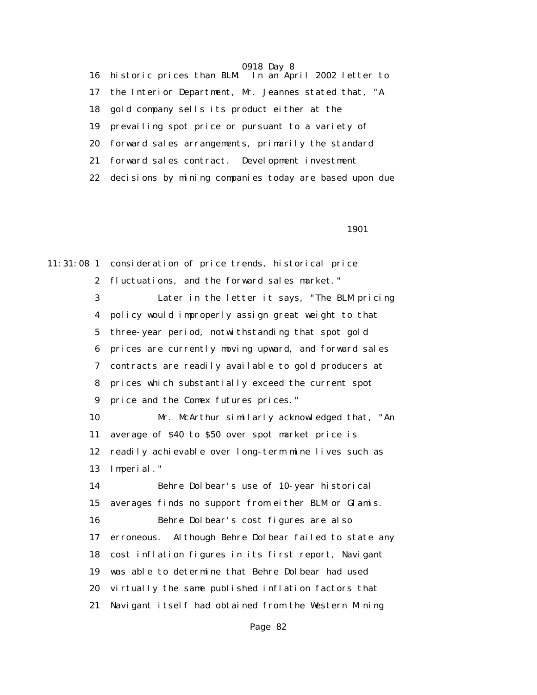16 historic prices than BLM. In an April 2002 letter to 17 the Interior Department, Mr. Jeannes stated that, "A 18 gold company sells its product either at the 19 prevailing spot price or pursuant to a variety of 20 forward sales arrangements, primarily the standard 21 forward sales contract. Development investment 22 decisions by mining companies today are based upon due

1901

11:31:08 1 consideration of price trends, historical price 2 fluctuations, and the forward sales market." 3 Later in the letter it says, "The BLM pricing 4 policy would improperly assign great weight to that 5 three-year period, notwithstanding that spot gold 6 prices are currently moving upward, and forward sales 7 contracts are readily available to gold producers at 8 prices which substantially exceed the current spot 9 price and the Comex futures prices." 10 Mr. McArthur similarly acknowledged that, "An 11 average of \$40 to \$50 over spot market price is 12 readily achievable over long-term mine lives such as 13 Imperial." 14 Behre Dolbear's use of 10-year historical 15 averages finds no support from either BLM or Glamis. 16 Behre Dolbear's cost figures are also 17 erroneous. Although Behre Dolbear failed to state any 18 cost inflation figures in its first report, Navigant 19 was able to determine that Behre Dolbear had used 20 virtually the same published inflation factors that 21 Navigant itself had obtained from the Western Mining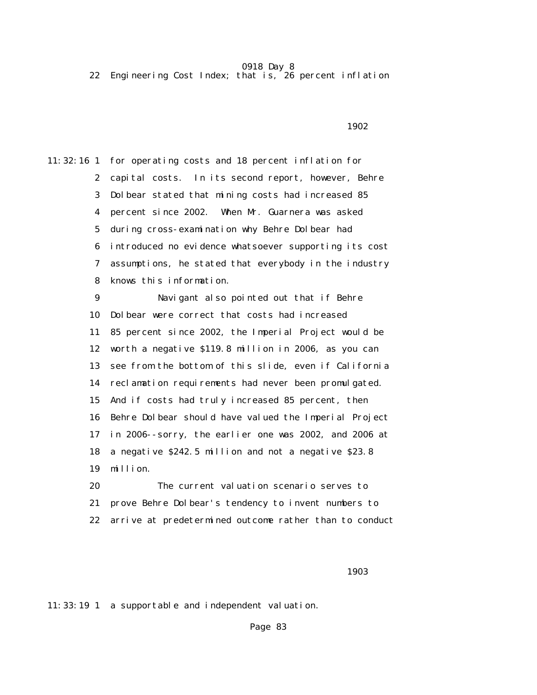22 Engineering Cost Index; that is, 26 percent inflation

 $1902$ 

11:32:16 1 for operating costs and 18 percent inflation for 2 capital costs. In its second report, however, Behre 3 Dolbear stated that mining costs had increased 85 4 percent since 2002. When Mr. Guarnera was asked 5 during cross-examination why Behre Dolbear had 6 introduced no evidence whatsoever supporting its cost 7 assumptions, he stated that everybody in the industry 8 knows this information. 9 Navigant also pointed out that if Behre 10 Dolbear were correct that costs had increased 11 85 percent since 2002, the Imperial Project would be 12 worth a negative \$119.8 million in 2006, as you can 13 see from the bottom of this slide, even if California 14 reclamation requirements had never been promulgated. 15 And if costs had truly increased 85 percent, then 16 Behre Dolbear should have valued the Imperial Project 17 in 2006--sorry, the earlier one was 2002, and 2006 at 18 a negative \$242.5 million and not a negative \$23.8 19 million. 20 The current valuation scenario serves to

21 prove Behre Dolbear's tendency to invent numbers to

22 arrive at predetermined outcome rather than to conduct

1903 - Paul Barbara, president al II-lea (n. 1903).<br>1903 - Paul Barbara, política estadounidense a filhología (n. 1903).

11:33:19 1 a supportable and independent valuation.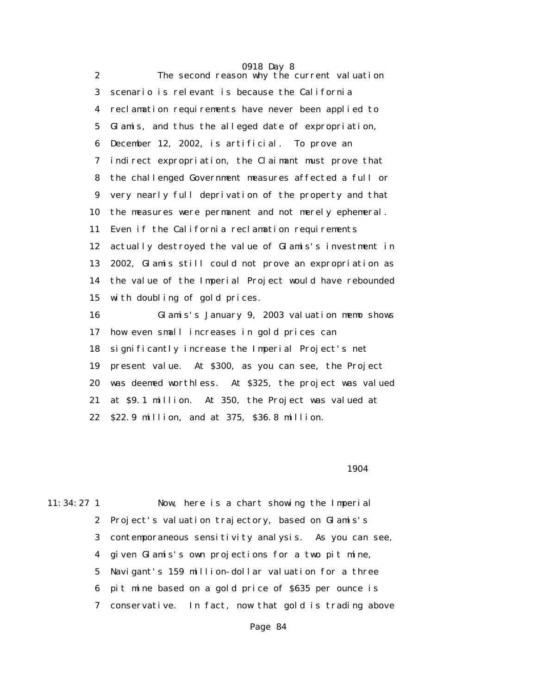| $\boldsymbol{2}$        | 0918 Day 8<br>The second reason why the current valuation |
|-------------------------|-----------------------------------------------------------|
| 3                       | scenario is relevant is because the California            |
|                         |                                                           |
| $\overline{\mathbf{4}}$ | reclamation requirements have never been applied to       |
| $\mathbf{5}$            | Glamis, and thus the alleged date of expropriation,       |
| 6                       | December 12, 2002, is artificial. To prove an             |
| 7                       | indirect expropriation, the Claimant must prove that      |
| 8                       | the challenged Government measures affected a full or     |
| 9                       | very nearly full deprivation of the property and that     |
| 10                      | the measures were permanent and not merely ephemeral.     |
| 11                      | Even if the California reclamation requirements           |
| 12                      | actually destroyed the value of Glamis's investment in    |
| 13                      | 2002, Glamis still could not prove an expropriation as    |
| 14                      | the value of the Imperial Project would have rebounded    |
| 15                      | with doubling of gold prices.                             |
| 16                      | Glamis's January 9, 2003 valuation memo shows             |
| 17                      | how even small increases in gold prices can               |
| 18                      | significantly increase the Imperial Project's net         |
| 19                      | present value. At \$300, as you can see, the Project      |
| 20                      | was deemed worthless. At \$325, the project was valued    |
| 21                      | at \$9.1 million. At 350, the Project was valued at       |
| 22                      | \$22.9 million, and at 375, \$36.8 million.               |
|                         |                                                           |

1904 **1904** 

| $11:34:27$ 1 | Now, here is a chart showing the Imperial               |
|--------------|---------------------------------------------------------|
|              | 2 Project's valuation trajectory, based on Glamis's     |
|              | 3 contemporaneous sensitivity analysis. As you can see, |
|              | 4 given Glamis's own projections for a two pit mine,    |
|              | 5 Navigant's 159 million-dollar valuation for a three   |
|              | 6 pit mine based on a gold price of \$635 per ounce is  |
|              | 7 conservative. In fact, now that gold is trading above |
|              |                                                         |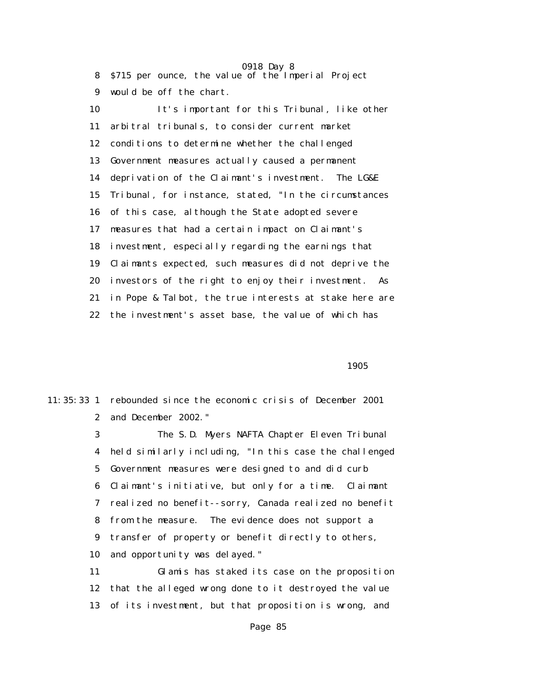0918 Day 8 8 \$715 per ounce, the value of the Imperial Project 9 would be off the chart. 10 It's important for this Tribunal, like other 11 arbitral tribunals, to consider current market 12 conditions to determine whether the challenged 13 Government measures actually caused a permanent 14 deprivation of the Claimant's investment. The LG&E 15 Tribunal, for instance, stated, "In the circumstances 16 of this case, although the State adopted severe 17 measures that had a certain impact on Claimant's 18 investment, especially regarding the earnings that 19 Claimants expected, such measures did not deprive the 20 investors of the right to enjoy their investment. As 21 in Pope & Talbot, the true interests at stake here are 22 the investment's asset base, the value of which has

 $1905$ 

11:35:33 1 rebounded since the economic crisis of December 2001 2 and December 2002."

> 3 The S.D. Myers NAFTA Chapter Eleven Tribunal 4 held similarly including, "In this case the challenged 5 Government measures were designed to and did curb 6 Claimant's initiative, but only for a time. Claimant 7 realized no benefit--sorry, Canada realized no benefit 8 from the measure. The evidence does not support a 9 transfer of property or benefit directly to others, 10 and opportunity was delayed."

> 11 Glamis has staked its case on the proposition 12 that the alleged wrong done to it destroyed the value 13 of its investment, but that proposition is wrong, and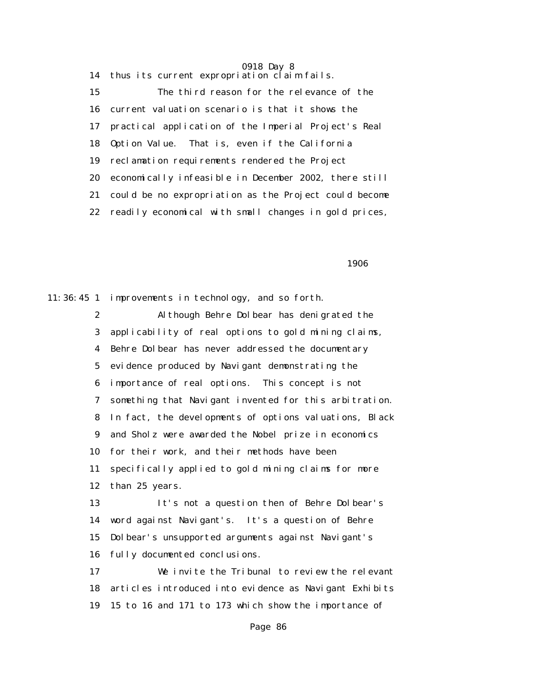14 thus its current expropriation claim fails. 15 The third reason for the relevance of the 16 current valuation scenario is that it shows the 17 practical application of the Imperial Project's Real 18 Option Value. That is, even if the California 19 reclamation requirements rendered the Project 20 economically infeasible in December 2002, there still 21 could be no expropriation as the Project could become 22 readily economical with small changes in gold prices,

 $1906$ 

11:36:45 1 improvements in technology, and so forth. 2 Although Behre Dolbear has denigrated the 3 applicability of real options to gold mining claims, 4 Behre Dolbear has never addressed the documentary 5 evidence produced by Navigant demonstrating the 6 importance of real options. This concept is not 7 something that Navigant invented for this arbitration. 8 In fact, the developments of options valuations, Black 9 and Sholz were awarded the Nobel prize in economics 10 for their work, and their methods have been 11 specifically applied to gold mining claims for more 12 than 25 years. 13 It's not a question then of Behre Dolbear's 14 word against Navigant's. It's a question of Behre 15 Dolbear's unsupported arguments against Navigant's

16 fully documented conclusions.

 17 We invite the Tribunal to review the relevant 18 articles introduced into evidence as Navigant Exhibits 19 15 to 16 and 171 to 173 which show the importance of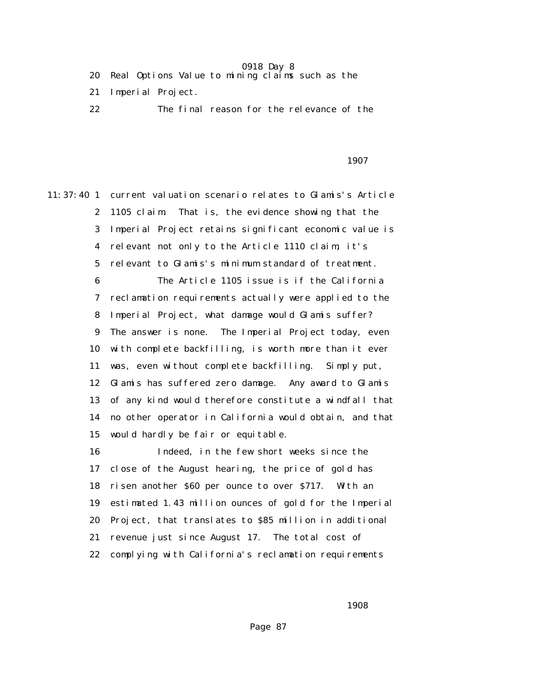- 20 Real Options Value to mining claims such as the
- 21 Imperial Project.
- 22 The final reason for the relevance of the

#### проставляются в последний проставляют в 1907 году в 1907 году в 1907 году в 1907 году в 1907 году в 1907 году <br>В 1907 году в 1907 году в 1907 году в 1907 году в 1907 году в 1907 году в 1907 году в 1907 году в 1907 году в

11:37:40 1 current valuation scenario relates to Glamis's Article 2 1105 claim. That is, the evidence showing that the 3 Imperial Project retains significant economic value is 4 relevant not only to the Article 1110 claim, it's 5 relevant to Glamis's minimum standard of treatment. 6 The Article 1105 issue is if the California 7 reclamation requirements actually were applied to the 8 Imperial Project, what damage would Glamis suffer? 9 The answer is none. The Imperial Project today, even 10 with complete backfilling, is worth more than it ever 11 was, even without complete backfilling. Simply put, 12 Glamis has suffered zero damage. Any award to Glamis 13 of any kind would therefore constitute a windfall that 14 no other operator in California would obtain, and that 15 would hardly be fair or equitable. 16 Indeed, in the few short weeks since the 17 close of the August hearing, the price of gold has 18 risen another \$60 per ounce to over \$717. With an 19 estimated 1.43 million ounces of gold for the Imperial

> 20 Project, that translates to \$85 million in additional 21 revenue just since August 17. The total cost of

22 complying with California's reclamation requirements

 $1908$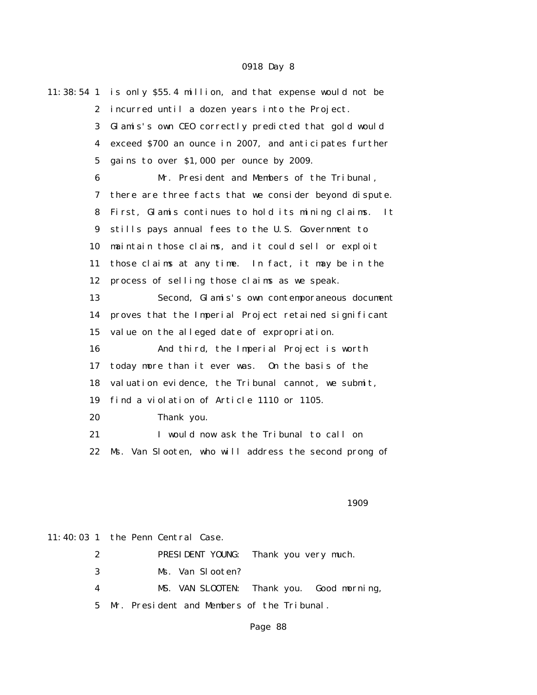|                         | 11:38:54 1 is only \$55.4 million, and that expense would not be |
|-------------------------|------------------------------------------------------------------|
| $\boldsymbol{2}$        | incurred until a dozen years into the Project.                   |
| 3                       | Glamis's own CEO correctly predicted that gold would             |
| $\overline{\mathbf{4}}$ | exceed \$700 an ounce in 2007, and anticipates further           |
| 5                       | gains to over \$1,000 per ounce by 2009.                         |
| 6                       | Mr. President and Members of the Tribunal,                       |
| 7                       | there are three facts that we consider beyond dispute.           |
| 8                       | First, Glamis continues to hold its mining claims.<br>It         |
| 9                       | stills pays annual fees to the U.S. Government to                |
| 10                      | maintain those claims, and it could sell or exploit              |
| 11                      | those claims at any time. In fact, it may be in the              |
| 12                      | process of selling those claims as we speak.                     |
| 13                      | Second, Glamis's own contemporaneous document                    |
| 14                      | proves that the Imperial Project retained significant            |
| 15                      | value on the alleged date of expropriation.                      |
| 16                      | And third, the Imperial Project is worth                         |
| 17                      | today more than it ever was. On the basis of the                 |
| 18                      | valuation evidence, the Tribunal cannot, we submit,              |
| 19                      | find a violation of Article 1110 or 1105.                        |
| 20                      | Thank you.                                                       |
| 21                      | I would now ask the Tribunal to call on                          |
| 22                      | Ms. Van Slooten, who will address the second prong of            |
|                         |                                                                  |

#### 1909 - 1909 - 1909 - 1909 - 1909 - 1909 - 1909 - 1909 - 1909 - 1909 - 1909 - 1909 - 1909 - 1909 - 1

## 11:40:03 1 the Penn Central Case.

 2 PRESIDENT YOUNG: Thank you very much. 3 Ms. Van Slooten? 4 MS. VAN SLOOTEN: Thank you. Good morning, 5 Mr. President and Members of the Tribunal.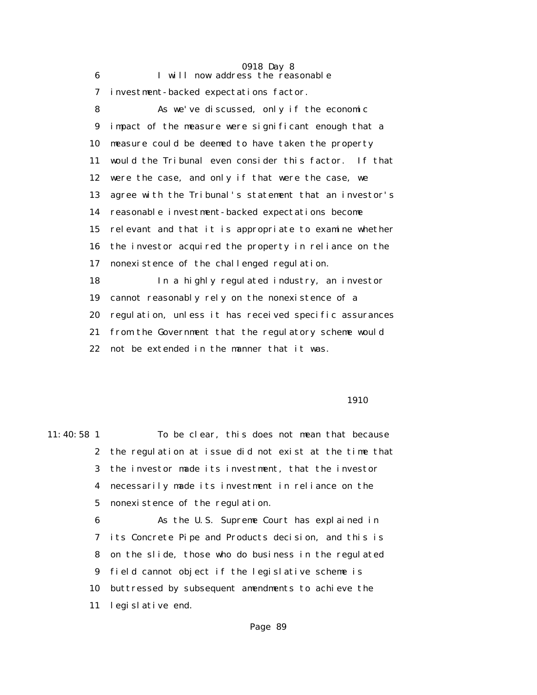|    | 0918 Day 8                                             |
|----|--------------------------------------------------------|
| 6  | I will now address the reasonable                      |
| 7  | investment-backed expectations factor.                 |
| 8  | As we've discussed, only if the economic               |
| 9  | impact of the measure were significant enough that a   |
| 10 | measure could be deemed to have taken the property     |
| 11 | would the Tribunal even consider this factor. If that  |
| 12 | were the case, and only if that were the case, we      |
| 13 | agree with the Tribunal's statement that an investor's |
| 14 | reasonable investment-backed expectations become       |
| 15 | relevant and that it is appropriate to examine whether |
| 16 | the investor acquired the property in reliance on the  |
| 17 | nonexistence of the challenged regulation.             |
| 18 | In a highly regulated industry, an investor            |
| 19 | cannot reasonably rely on the nonexistence of a        |
| 20 | regulation, unless it has received specific assurances |
| 21 | from the Government that the regulatory scheme would   |
| 22 | not be extended in the manner that it was.             |
|    |                                                        |

1910

11:40:58 1 To be clear, this does not mean that because 2 the regulation at issue did not exist at the time that 3 the investor made its investment, that the investor 4 necessarily made its investment in reliance on the 5 nonexistence of the regulation. 6 As the U.S. Supreme Court has explained in

 7 its Concrete Pipe and Products decision, and this is 8 on the slide, those who do business in the regulated 9 field cannot object if the legislative scheme is 10 buttressed by subsequent amendments to achieve the 11 legislative end.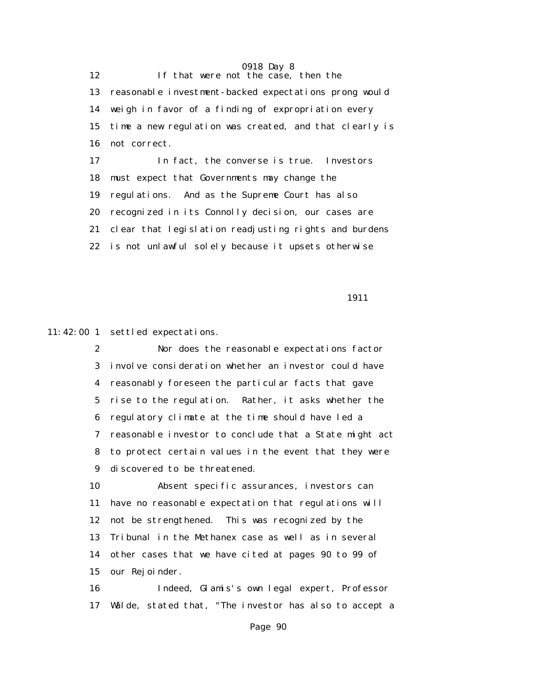0918 Day 8 12 If that were not the case, then the 13 reasonable investment-backed expectations prong would 14 weigh in favor of a finding of expropriation every 15 time a new regulation was created, and that clearly is 16 not correct. 17 In fact, the converse is true. Investors 18 must expect that Governments may change the 19 regulations. And as the Supreme Court has also 20 recognized in its Connolly decision, our cases are 21 clear that legislation readjusting rights and burdens 22 is not unlawful solely because it upsets otherwise

1911

11:42:00 1 settled expectations.

 2 Nor does the reasonable expectations factor 3 involve consideration whether an investor could have 4 reasonably foreseen the particular facts that gave 5 rise to the regulation. Rather, it asks whether the 6 regulatory climate at the time should have led a 7 reasonable investor to conclude that a State might act 8 to protect certain values in the event that they were 9 discovered to be threatened.

 10 Absent specific assurances, investors can 11 have no reasonable expectation that regulations will 12 not be strengthened. This was recognized by the 13 Tribunal in the Methanex case as well as in several 14 other cases that we have cited at pages 90 to 99 of 15 our Rejoinder.

 16 Indeed, Glamis's own legal expert, Professor 17 Wälde, stated that, "The investor has also to accept a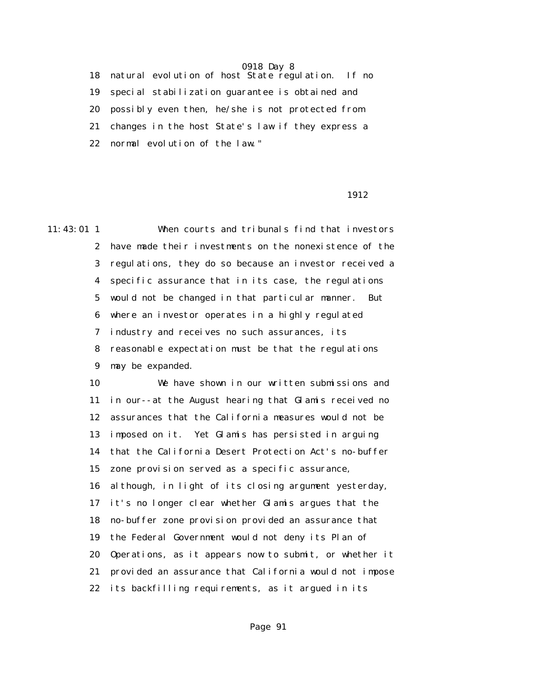18 natural evolution of host State regulation. If no 19 special stabilization guarantee is obtained and 20 possibly even then, he/she is not protected from 21 changes in the host State's law if they express a 22 normal evolution of the law."

#### 1912

11:43:01 1 When courts and tribunals find that investors 2 have made their investments on the nonexistence of the 3 regulations, they do so because an investor received a 4 specific assurance that in its case, the regulations 5 would not be changed in that particular manner. But 6 where an investor operates in a highly regulated 7 industry and receives no such assurances, its 8 reasonable expectation must be that the regulations 9 may be expanded.

> 10 We have shown in our written submissions and 11 in our--at the August hearing that Glamis received no 12 assurances that the California measures would not be 13 imposed on it. Yet Glamis has persisted in arguing 14 that the California Desert Protection Act's no-buffer 15 zone provision served as a specific assurance, 16 although, in light of its closing argument yesterday, 17 it's no longer clear whether Glamis argues that the 18 no-buffer zone provision provided an assurance that 19 the Federal Government would not deny its Plan of 20 Operations, as it appears now to submit, or whether it 21 provided an assurance that California would not impose 22 its backfilling requirements, as it argued in its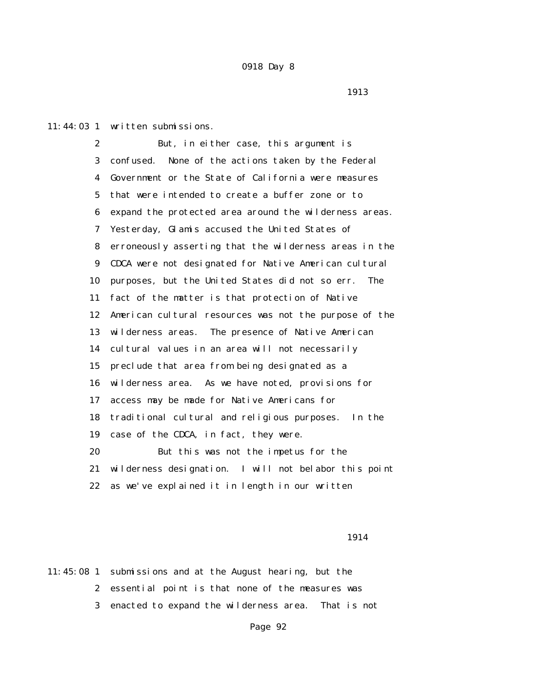11:44:03 1 written submissions.

 2 But, in either case, this argument is 3 confused. None of the actions taken by the Federal 4 Government or the State of California were measures 5 that were intended to create a buffer zone or to 6 expand the protected area around the wilderness areas. 7 Yesterday, Glamis accused the United States of 8 erroneously asserting that the wilderness areas in the 9 CDCA were not designated for Native American cultural 10 purposes, but the United States did not so err. The 11 fact of the matter is that protection of Native 12 American cultural resources was not the purpose of the 13 wilderness areas. The presence of Native American 14 cultural values in an area will not necessarily 15 preclude that area from being designated as a 16 wilderness area. As we have noted, provisions for 17 access may be made for Native Americans for 18 traditional cultural and religious purposes. In the 19 case of the CDCA, in fact, they were. 20 But this was not the impetus for the 21 wilderness designation. I will not belabor this point 22 as we've explained it in length in our written

1914

11:45:08 1 submissions and at the August hearing, but the 2 essential point is that none of the measures was 3 enacted to expand the wilderness area. That is not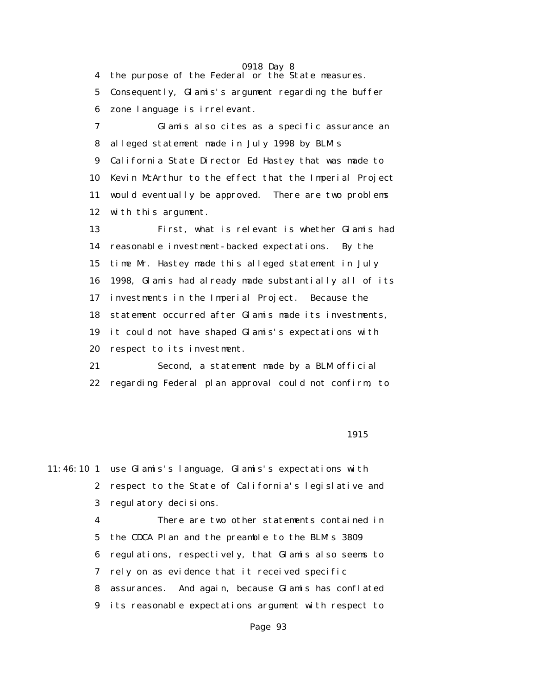0918 Day 8 4 the purpose of the Federal or the State measures. 5 Consequently, Glamis's argument regarding the buffer 6 zone language is irrelevant. 7 Glamis also cites as a specific assurance an 8 alleged statement made in July 1998 by BLM's 9 California State Director Ed Hastey that was made to 10 Kevin McArthur to the effect that the Imperial Project 11 would eventually be approved. There are two problems 12 with this argument. 13 First, what is relevant is whether Glamis had 14 reasonable investment-backed expectations. By the 15 time Mr. Hastey made this alleged statement in July 16 1998, Glamis had already made substantially all of its 17 investments in the Imperial Project. Because the 18 statement occurred after Glamis made its investments, 19 it could not have shaped Glamis's expectations with 20 respect to its investment. 21 Second, a statement made by a BLM official 22 regarding Federal plan approval could not confirm, to

#### 1915

11:46:10 1 use Glamis's language, Glamis's expectations with 2 respect to the State of California's legislative and 3 regulatory decisions.

> 4 There are two other statements contained in 5 the CDCA Plan and the preamble to the BLM's 3809 6 regulations, respectively, that Glamis also seems to 7 rely on as evidence that it received specific 8 assurances. And again, because Glamis has conflated 9 its reasonable expectations argument with respect to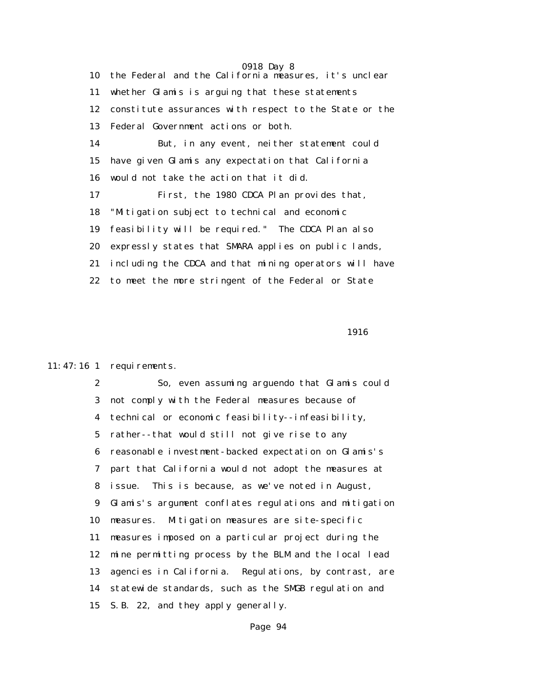0918 Day 8 10 the Federal and the California measures, it's unclear 11 whether Glamis is arguing that these statements 12 constitute assurances with respect to the State or the 13 Federal Government actions or both. 14 But, in any event, neither statement could 15 have given Glamis any expectation that California 16 would not take the action that it did. 17 First, the 1980 CDCA Plan provides that, 18 "Mitigation subject to technical and economic 19 feasibility will be required." The CDCA Plan also 20 expressly states that SMARA applies on public lands, 21 including the CDCA and that mining operators will have 22 to meet the more stringent of the Federal or State

1916

#### 11:47:16 1 requirements.

 2 So, even assuming arguendo that Glamis could 3 not comply with the Federal measures because of 4 technical or economic feasibility--infeasibility, 5 rather--that would still not give rise to any 6 reasonable investment-backed expectation on Glamis's 7 part that California would not adopt the measures at 8 issue. This is because, as we've noted in August, 9 Glamis's argument conflates regulations and mitigation 10 measures. Mitigation measures are site-specific 11 measures imposed on a particular project during the 12 mine permitting process by the BLM and the local lead 13 agencies in California. Regulations, by contrast, are 14 statewide standards, such as the SMGB regulation and 15 S.B. 22, and they apply generally.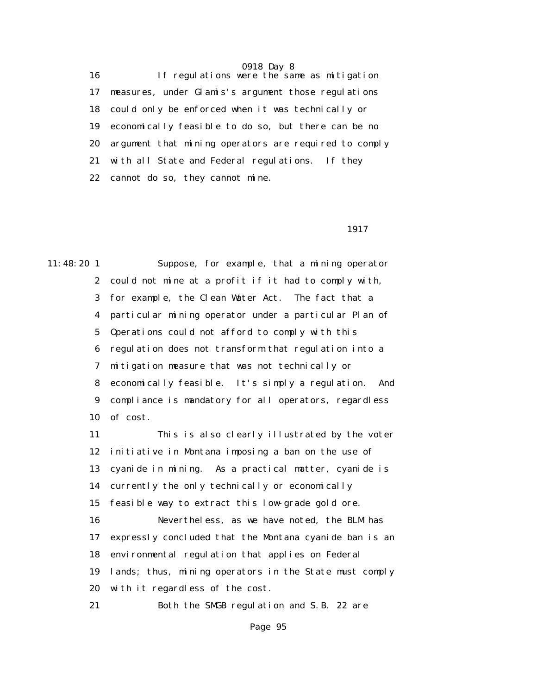16 If regulations were the same as mitigation 17 measures, under Glamis's argument those regulations 18 could only be enforced when it was technically or 19 economically feasible to do so, but there can be no 20 argument that mining operators are required to comply 21 with all State and Federal regulations. If they 22 cannot do so, they cannot mine.

1917

11:48:20 1 Suppose, for example, that a mining operator 2 could not mine at a profit if it had to comply with, 3 for example, the Clean Water Act. The fact that a 4 particular mining operator under a particular Plan of 5 Operations could not afford to comply with this 6 regulation does not transform that regulation into a 7 mitigation measure that was not technically or 8 economically feasible. It's simply a regulation. And 9 compliance is mandatory for all operators, regardless 10 of cost.

> 11 This is also clearly illustrated by the voter 12 initiative in Montana imposing a ban on the use of 13 cyanide in mining. As a practical matter, cyanide is 14 currently the only technically or economically 15 feasible way to extract this low-grade gold ore. 16 Nevertheless, as we have noted, the BLM has 17 expressly concluded that the Montana cyanide ban is an 18 environmental regulation that applies on Federal 19 lands; thus, mining operators in the State must comply 20 with it regardless of the cost. 21 Both the SMGB regulation and S.B. 22 are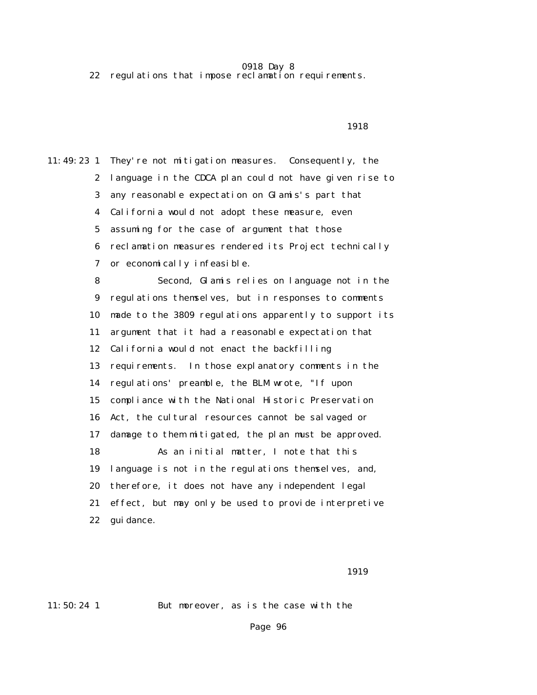22 regulations that impose reclamation requirements.

#### 1918

11:49:23 1 They're not mitigation measures. Consequently, the 2 language in the CDCA plan could not have given rise to 3 any reasonable expectation on Glamis's part that 4 California would not adopt these measure, even 5 assuming for the case of argument that those 6 reclamation measures rendered its Project technically 7 or economically infeasible. 8 Second, Glamis relies on language not in the 9 regulations themselves, but in responses to comments 10 made to the 3809 regulations apparently to support its 11 argument that it had a reasonable expectation that 12 California would not enact the backfilling 13 requirements. In those explanatory comments in the 14 regulations' preamble, the BLM wrote, "If upon 15 compliance with the National Historic Preservation 16 Act, the cultural resources cannot be salvaged or 17 damage to them mitigated, the plan must be approved. 18 As an initial matter, I note that this 19 language is not in the regulations themselves, and, 20 therefore, it does not have any independent legal 21 effect, but may only be used to provide interpretive 22 guidance.

1919

11:50:24 1 But moreover, as is the case with the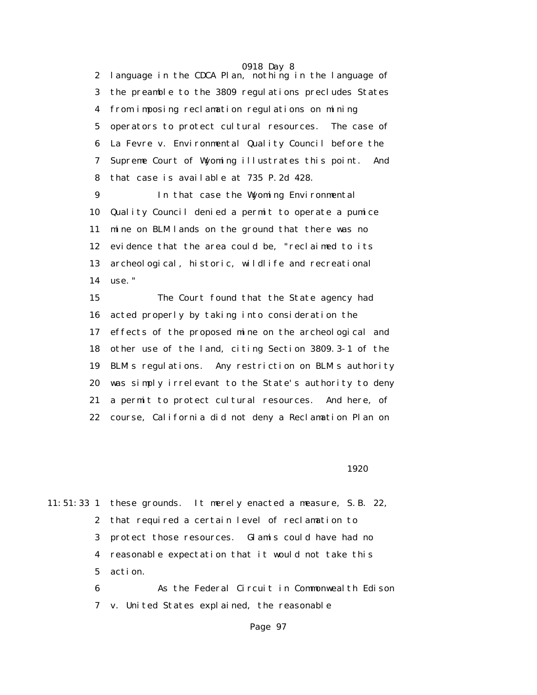0918 Day 8 2 language in the CDCA Plan, nothing in the language of 3 the preamble to the 3809 regulations precludes States 4 from imposing reclamation regulations on mining 5 operators to protect cultural resources. The case of 6 La Fevre v. Environmental Quality Council before the 7 Supreme Court of Wyoming illustrates this point. And 8 that case is available at 735 P.2d 428.

 9 In that case the Wyoming Environmental 10 Quality Council denied a permit to operate a pumice 11 mine on BLM lands on the ground that there was no 12 evidence that the area could be, "reclaimed to its 13 archeological, historic, wildlife and recreational 14 use."

 15 The Court found that the State agency had 16 acted properly by taking into consideration the 17 effects of the proposed mine on the archeological and 18 other use of the land, citing Section 3809.3-1 of the 19 BLM's regulations. Any restriction on BLM's authority 20 was simply irrelevant to the State's authority to deny 21 a permit to protect cultural resources. And here, of 22 course, California did not deny a Reclamation Plan on

1920

11:51:33 1 these grounds. It merely enacted a measure, S.B. 22, 2 that required a certain level of reclamation to 3 protect those resources. Glamis could have had no 4 reasonable expectation that it would not take this 5 action.

> 6 As the Federal Circuit in Commonwealth Edison 7 v. United States explained, the reasonable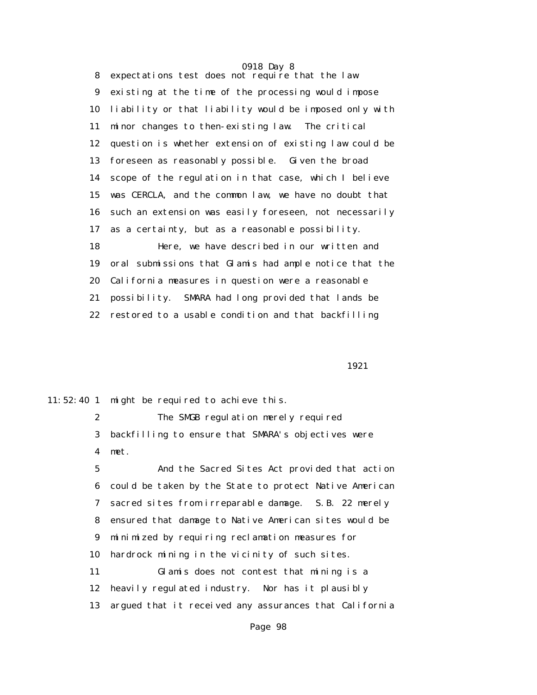0918 Day 8 8 expectations test does not require that the law 9 existing at the time of the processing would impose 10 liability or that liability would be imposed only with 11 minor changes to then-existing law. The critical 12 question is whether extension of existing law could be 13 foreseen as reasonably possible. Given the broad 14 scope of the regulation in that case, which I believe 15 was CERCLA, and the common law, we have no doubt that 16 such an extension was easily foreseen, not necessarily 17 as a certainty, but as a reasonable possibility. 18 Here, we have described in our written and 19 oral submissions that Glamis had ample notice that the 20 California measures in question were a reasonable 21 possibility. SMARA had long provided that lands be 22 restored to a usable condition and that backfilling

1921

11:52:40 1 might be required to achieve this.

 2 The SMGB regulation merely required 3 backfilling to ensure that SMARA's objectives were 4 met.

 5 And the Sacred Sites Act provided that action 6 could be taken by the State to protect Native American 7 sacred sites from irreparable damage. S.B. 22 merely 8 ensured that damage to Native American sites would be 9 minimized by requiring reclamation measures for 10 hardrock mining in the vicinity of such sites. 11 Glamis does not contest that mining is a 12 heavily regulated industry. Nor has it plausibly 13 argued that it received any assurances that California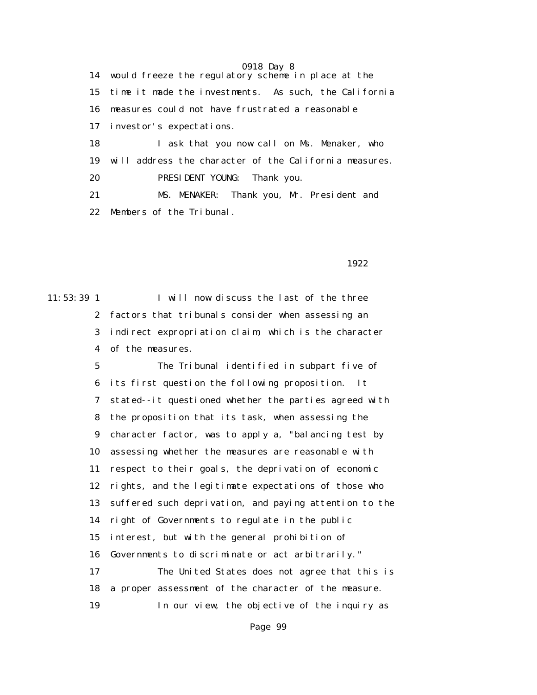0918 Day 8 14 would freeze the regulatory scheme in place at the 15 time it made the investments. As such, the California 16 measures could not have frustrated a reasonable 17 investor's expectations. 18 I ask that you now call on Ms. Menaker, who 19 will address the character of the California measures. 20 PRESIDENT YOUNG: Thank you. 21 MS. MENAKER: Thank you, Mr. President and 22 Members of the Tribunal.

1922

11:53:39 1 I will now discuss the last of the three 2 factors that tribunals consider when assessing an 3 indirect expropriation claim, which is the character 4 of the measures.

> 5 The Tribunal identified in subpart five of 6 its first question the following proposition. It 7 stated--it questioned whether the parties agreed with 8 the proposition that its task, when assessing the 9 character factor, was to apply a, "balancing test by 10 assessing whether the measures are reasonable with 11 respect to their goals, the deprivation of economic 12 rights, and the legitimate expectations of those who 13 suffered such deprivation, and paying attention to the 14 right of Governments to regulate in the public 15 interest, but with the general prohibition of 16 Governments to discriminate or act arbitrarily." 17 The United States does not agree that this is 18 a proper assessment of the character of the measure. 19 In our view, the objective of the inquiry as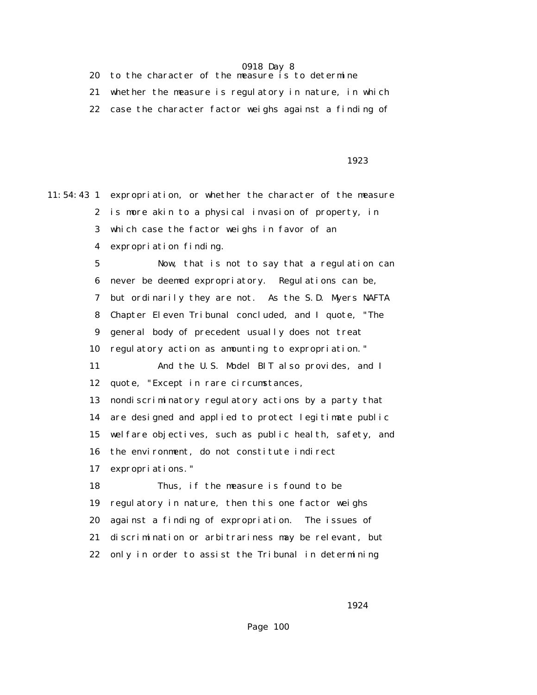| 20 to the character of the measure is to determine    |
|-------------------------------------------------------|
| whether the measure is regulatory in nature, in which |
| case the character factor weighs against a finding of |

#### 1923

11:54:43 1 expropriation, or whether the character of the measure 2 is more akin to a physical invasion of property, in 3 which case the factor weighs in favor of an 4 expropriation finding. 5 Now, that is not to say that a regulation can 6 never be deemed expropriatory. Regulations can be, 7 but ordinarily they are not. As the S.D. Myers NAFTA 8 Chapter Eleven Tribunal concluded, and I quote, "The 9 general body of precedent usually does not treat 10 regulatory action as amounting to expropriation." 11 And the U.S. Model BIT also provides, and I 12 quote, "Except in rare circumstances, 13 nondiscriminatory regulatory actions by a party that 14 are designed and applied to protect legitimate public 15 welfare objectives, such as public health, safety, and 16 the environment, do not constitute indirect 17 expropriations." 18 Thus, if the measure is found to be 19 regulatory in nature, then this one factor weighs 20 against a finding of expropriation. The issues of 21 discrimination or arbitrariness may be relevant, but 22 only in order to assist the Tribunal in determining

1924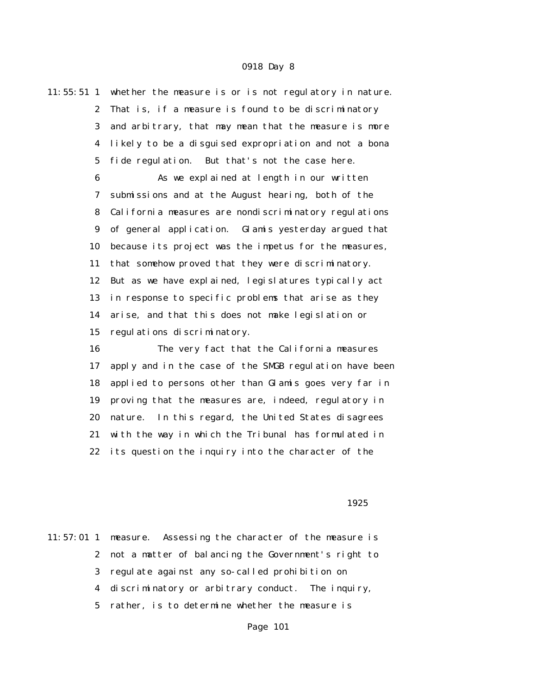11:55:51 1 whether the measure is or is not regulatory in nature. 2 That is, if a measure is found to be discriminatory 3 and arbitrary, that may mean that the measure is more 4 likely to be a disguised expropriation and not a bona 5 fide regulation. But that's not the case here. 6 As we explained at length in our written

 7 submissions and at the August hearing, both of the 8 California measures are nondiscriminatory regulations 9 of general application. Glamis yesterday argued that 10 because its project was the impetus for the measures, 11 that somehow proved that they were discriminatory. 12 But as we have explained, legislatures typically act 13 in response to specific problems that arise as they 14 arise, and that this does not make legislation or 15 regulations discriminatory.

 16 The very fact that the California measures 17 apply and in the case of the SMGB regulation have been 18 applied to persons other than Glamis goes very far in 19 proving that the measures are, indeed, regulatory in 20 nature. In this regard, the United States disagrees 21 with the way in which the Tribunal has formulated in 22 its question the inquiry into the character of the

1925

11:57:01 1 measure. Assessing the character of the measure is 2 not a matter of balancing the Government's right to 3 regulate against any so-called prohibition on 4 discriminatory or arbitrary conduct. The inquiry, 5 rather, is to determine whether the measure is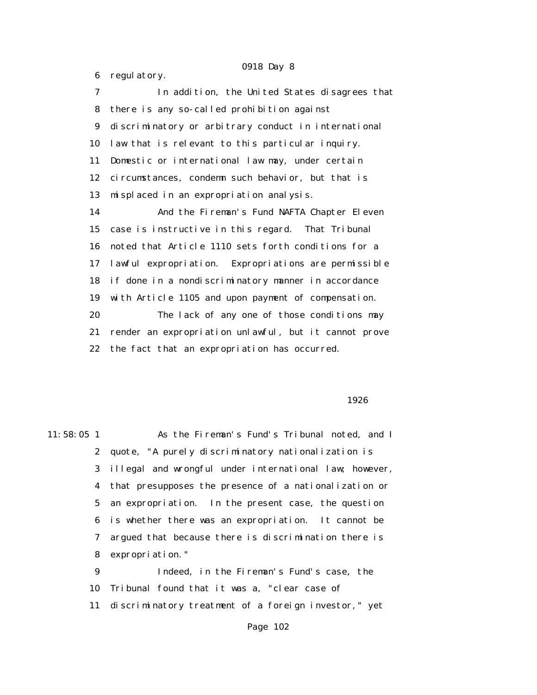6 regulatory. 7 In addition, the United States disagrees that 8 there is any so-called prohibition against 9 discriminatory or arbitrary conduct in international 10 law that is relevant to this particular inquiry. 11 Domestic or international law may, under certain 12 circumstances, condemn such behavior, but that is 13 misplaced in an expropriation analysis. 14 And the Fireman's Fund NAFTA Chapter Eleven 15 case is instructive in this regard. That Tribunal 16 noted that Article 1110 sets forth conditions for a 17 lawful expropriation. Expropriations are permissible 18 if done in a nondiscriminatory manner in accordance 19 with Article 1105 and upon payment of compensation. 20 The lack of any one of those conditions may 21 render an expropriation unlawful, but it cannot prove 22 the fact that an expropriation has occurred.

 $1926$ 

11:58:05 1 As the Fireman's Fund's Tribunal noted, and I 2 quote, "A purely discriminatory nationalization is 3 illegal and wrongful under international law; however, 4 that presupposes the presence of a nationalization or 5 an expropriation. In the present case, the question 6 is whether there was an expropriation. It cannot be 7 argued that because there is discrimination there is 8 expropriation." 9 Indeed, in the Fireman's Fund's case, the

> 10 Tribunal found that it was a, "clear case of 11 discriminatory treatment of a foreign investor," yet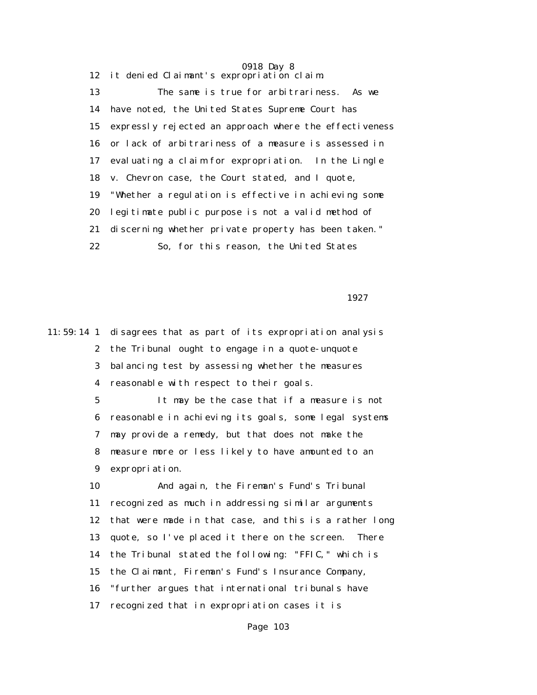0918 Day 8 12 it denied Claimant's expropriation claim. 13 The same is true for arbitrariness. As we 14 have noted, the United States Supreme Court has 15 expressly rejected an approach where the effectiveness 16 or lack of arbitrariness of a measure is assessed in 17 evaluating a claim for expropriation. In the Lingle 18 v. Chevron case, the Court stated, and I quote, 19 "Whether a regulation is effective in achieving some 20 legitimate public purpose is not a valid method of 21 discerning whether private property has been taken." 22 So, for this reason, the United States

1927

11:59:14 1 disagrees that as part of its expropriation analysis 2 the Tribunal ought to engage in a quote-unquote 3 balancing test by assessing whether the measures 4 reasonable with respect to their goals. 5 It may be the case that if a measure is not 6 reasonable in achieving its goals, some legal systems 7 may provide a remedy, but that does not make the 8 measure more or less likely to have amounted to an 9 expropriation. 10 And again, the Fireman's Fund's Tribunal 11 recognized as much in addressing similar arguments 12 that were made in that case, and this is a rather long 13 quote, so I've placed it there on the screen. There 14 the Tribunal stated the following: "FFIC," which is 15 the Claimant, Fireman's Fund's Insurance Company, 16 "further argues that international tribunals have 17 recognized that in expropriation cases it is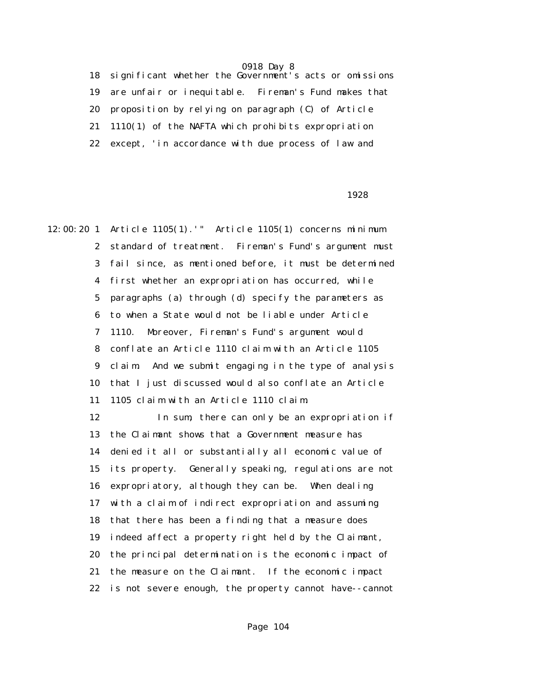18 significant whether the Government's acts or omissions 19 are unfair or inequitable. Fireman's Fund makes that 20 proposition by relying on paragraph (C) of Article 21 1110(1) of the NAFTA which prohibits expropriation 22 except, 'in accordance with due process of law and

#### 1928

12:00:20 1 Article 1105(1).'" Article 1105(1) concerns minimum 2 standard of treatment. Fireman's Fund's argument must 3 fail since, as mentioned before, it must be determined 4 first whether an expropriation has occurred, while 5 paragraphs (a) through (d) specify the parameters as 6 to when a State would not be liable under Article 7 1110. Moreover, Fireman's Fund's argument would 8 conflate an Article 1110 claim with an Article 1105 9 claim. And we submit engaging in the type of analysis 10 that I just discussed would also conflate an Article 11 1105 claim with an Article 1110 claim. 12 In sum, there can only be an expropriation if 13 the Claimant shows that a Government measure has 14 denied it all or substantially all economic value of 15 its property. Generally speaking, regulations are not 16 expropriatory, although they can be. When dealing 17 with a claim of indirect expropriation and assuming 18 that there has been a finding that a measure does 19 indeed affect a property right held by the Claimant, 20 the principal determination is the economic impact of 21 the measure on the Claimant. If the economic impact 22 is not severe enough, the property cannot have--cannot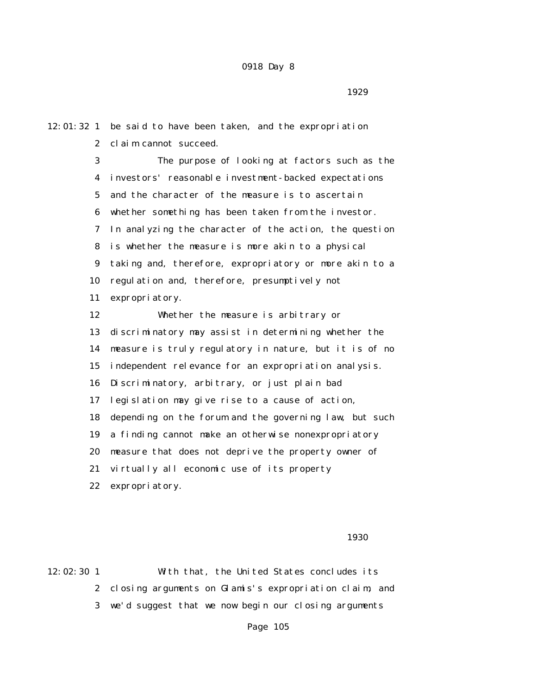12:01:32 1 be said to have been taken, and the expropriation 2 claim cannot succeed. 3 The purpose of looking at factors such as the 4 investors' reasonable investment-backed expectations 5 and the character of the measure is to ascertain 6 whether something has been taken from the investor. 7 In analyzing the character of the action, the question 8 is whether the measure is more akin to a physical 9 taking and, therefore, expropriatory or more akin to a 10 regulation and, therefore, presumptively not 11 expropriatory. 12 Whether the measure is arbitrary or 13 discriminatory may assist in determining whether the 14 measure is truly regulatory in nature, but it is of no 15 independent relevance for an expropriation analysis. 16 Discriminatory, arbitrary, or just plain bad 17 legislation may give rise to a cause of action, 18 depending on the forum and the governing law, but such 19 a finding cannot make an otherwise nonexpropriatory 20 measure that does not deprive the property owner of 21 virtually all economic use of its property

22 expropriatory.

 $1930$ 

12:02:30 1 With that, the United States concludes its 2 closing arguments on Glamis's expropriation claim, and 3 we'd suggest that we now begin our closing arguments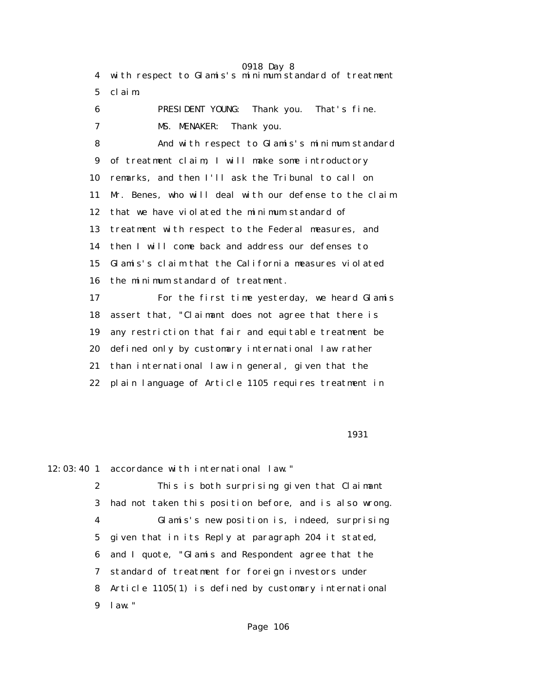0918 Day 8 4 with respect to Glamis's minimum standard of treatment 5 claim. 6 PRESIDENT YOUNG: Thank you. That's fine. 7 MS. MENAKER: Thank you. 8 And with respect to Glamis's minimum standard 9 of treatment claim, I will make some introductory 10 remarks, and then I'll ask the Tribunal to call on 11 Mr. Benes, who will deal with our defense to the claim 12 that we have violated the minimum standard of 13 treatment with respect to the Federal measures, and 14 then I will come back and address our defenses to 15 Glamis's claim that the California measures violated 16 the minimum standard of treatment. 17 For the first time yesterday, we heard Glamis 18 assert that, "Claimant does not agree that there is 19 any restriction that fair and equitable treatment be 20 defined only by customary international law rather 21 than international law in general, given that the 22 plain language of Article 1105 requires treatment in

1931

12:03:40 1 accordance with international law."

 2 This is both surprising given that Claimant 3 had not taken this position before, and is also wrong. 4 Glamis's new position is, indeed, surprising 5 given that in its Reply at paragraph 204 it stated, 6 and I quote, "Glamis and Respondent agree that the 7 standard of treatment for foreign investors under 8 Article 1105(1) is defined by customary international 9 law."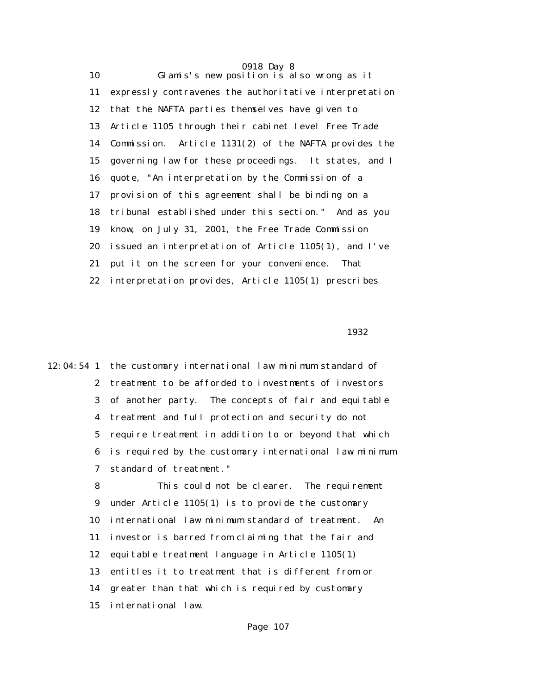0918 Day 8 10 Glamis's new position is also wrong as it 11 expressly contravenes the authoritative interpretation 12 that the NAFTA parties themselves have given to 13 Article 1105 through their cabinet level Free Trade 14 Commission. Article 1131(2) of the NAFTA provides the 15 governing law for these proceedings. It states, and I 16 quote, "An interpretation by the Commission of a 17 provision of this agreement shall be binding on a 18 tribunal established under this section." And as you 19 know, on July 31, 2001, the Free Trade Commission 20 issued an interpretation of Article 1105(1), and I've 21 put it on the screen for your convenience. That 22 interpretation provides, Article 1105(1) prescribes

 $1932$ 

12:04:54 1 the customary international law minimum standard of 2 treatment to be afforded to investments of investors 3 of another party. The concepts of fair and equitable 4 treatment and full protection and security do not 5 require treatment in addition to or beyond that which 6 is required by the customary international law minimum 7 standard of treatment."

> 8 This could not be clearer. The requirement 9 under Article 1105(1) is to provide the customary 10 international law minimum standard of treatment. An 11 investor is barred from claiming that the fair and 12 equitable treatment language in Article 1105(1) 13 entitles it to treatment that is different from or 14 greater than that which is required by customary 15 international law.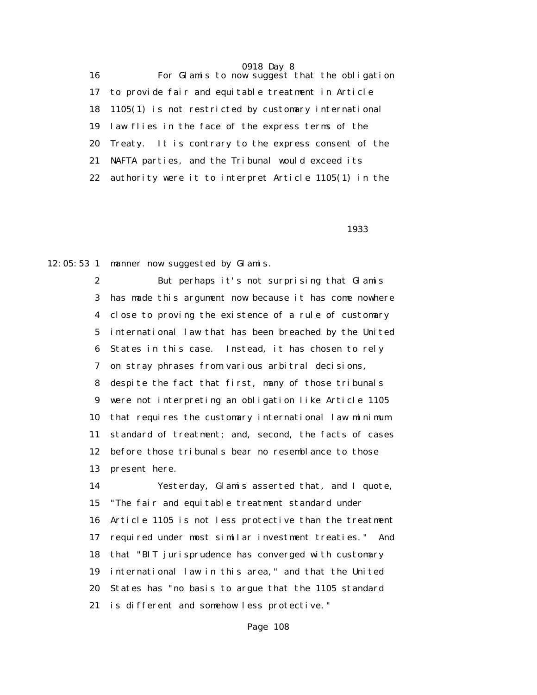16 For Glamis to now suggest that the obligation 17 to provide fair and equitable treatment in Article 18 1105(1) is not restricted by customary international 19 law flies in the face of the express terms of the 20 Treaty. It is contrary to the express consent of the 21 NAFTA parties, and the Tribunal would exceed its 22 authority were it to interpret Article 1105(1) in the

<u>1933 - Johann Stein, amerikan personal (h. 1933).</u><br>1933 - Johann Stein, amerikan personal (h. 1933).

12:05:53 1 manner now suggested by Glamis.

 2 But perhaps it's not surprising that Glamis 3 has made this argument now because it has come nowhere 4 close to proving the existence of a rule of customary 5 international law that has been breached by the United 6 States in this case. Instead, it has chosen to rely 7 on stray phrases from various arbitral decisions, 8 despite the fact that first, many of those tribunals 9 were not interpreting an obligation like Article 1105 10 that requires the customary international law minimum 11 standard of treatment; and, second, the facts of cases 12 before those tribunals bear no resemblance to those 13 present here.

 14 Yesterday, Glamis asserted that, and I quote, 15 "The fair and equitable treatment standard under 16 Article 1105 is not less protective than the treatment 17 required under most similar investment treaties." And 18 that "BIT jurisprudence has converged with customary 19 international law in this area," and that the United 20 States has "no basis to argue that the 1105 standard 21 is different and somehow less protective."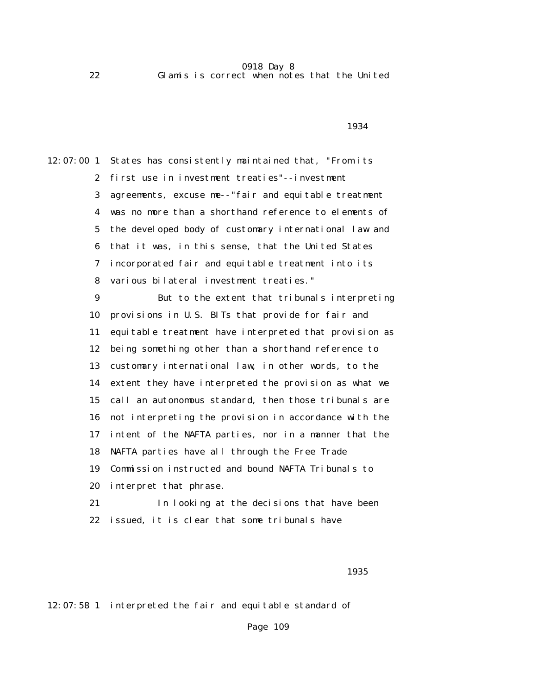1934

12:07:00 1 States has consistently maintained that, "From its 2 first use in investment treaties"--investment 3 agreements, excuse me--"fair and equitable treatment 4 was no more than a shorthand reference to elements of 5 the developed body of customary international law and 6 that it was, in this sense, that the United States 7 incorporated fair and equitable treatment into its 8 various bilateral investment treaties." 9 But to the extent that tribunals interpreting 10 provisions in U.S. BITs that provide for fair and 11 equitable treatment have interpreted that provision as 12 being something other than a shorthand reference to 13 customary international law, in other words, to the 14 extent they have interpreted the provision as what we 15 call an autonomous standard, then those tribunals are 16 not interpreting the provision in accordance with the 17 intent of the NAFTA parties, nor in a manner that the 18 NAFTA parties have all through the Free Trade 19 Commission instructed and bound NAFTA Tribunals to 20 interpret that phrase. 21 In looking at the decisions that have been 22 issued, it is clear that some tribunals have

 $1935$ 

12:07:58 1 interpreted the fair and equitable standard of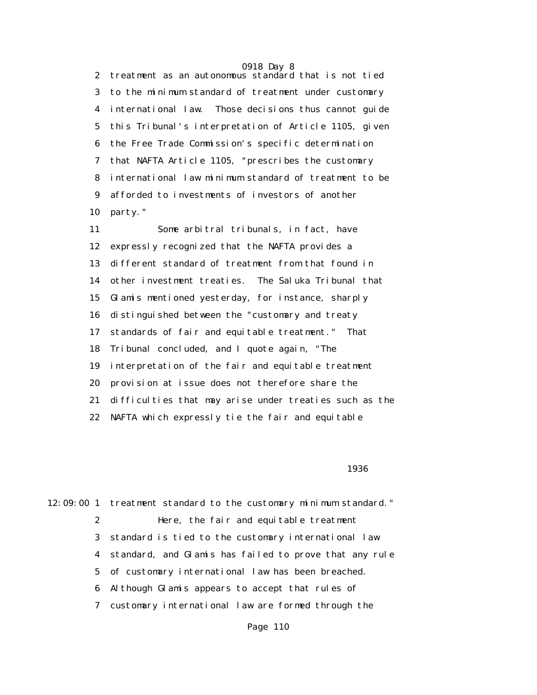2 treatment as an autonomous standard that is not tied 3 to the minimum standard of treatment under customary 4 international law. Those decisions thus cannot guide 5 this Tribunal's interpretation of Article 1105, given 6 the Free Trade Commission's specific determination 7 that NAFTA Article 1105, "prescribes the customary 8 international law minimum standard of treatment to be 9 afforded to investments of investors of another 10 party."

 11 Some arbitral tribunals, in fact, have 12 expressly recognized that the NAFTA provides a 13 different standard of treatment from that found in 14 other investment treaties. The Saluka Tribunal that 15 Glamis mentioned yesterday, for instance, sharply 16 distinguished between the "customary and treaty 17 standards of fair and equitable treatment." That 18 Tribunal concluded, and I quote again, "The 19 interpretation of the fair and equitable treatment 20 provision at issue does not therefore share the 21 difficulties that may arise under treaties such as the 22 NAFTA which expressly tie the fair and equitable

 $1936$ 

12:09:00 1 treatment standard to the customary minimum standard." 2 Here, the fair and equitable treatment 3 standard is tied to the customary international law 4 standard, and Glamis has failed to prove that any rule 5 of customary international law has been breached. 6 Although Glamis appears to accept that rules of 7 customary international law are formed through the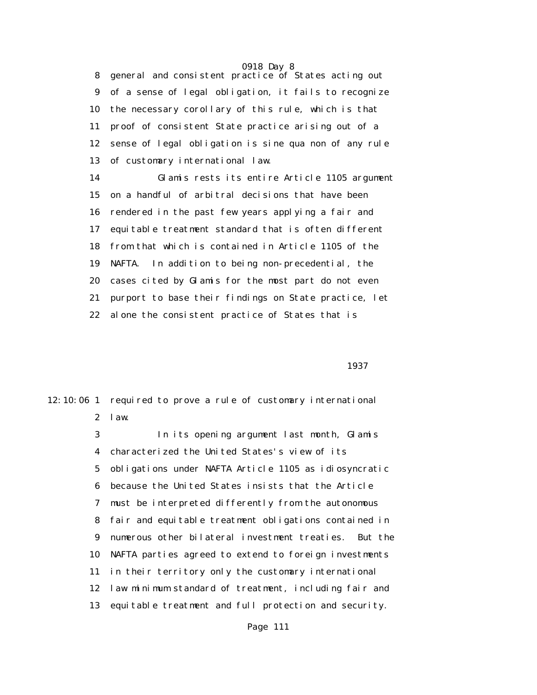8 general and consistent practice of States acting out 9 of a sense of legal obligation, it fails to recognize 10 the necessary corollary of this rule, which is that 11 proof of consistent State practice arising out of a 12 sense of legal obligation is sine qua non of any rule 13 of customary international law.

 14 Glamis rests its entire Article 1105 argument 15 on a handful of arbitral decisions that have been 16 rendered in the past few years applying a fair and 17 equitable treatment standard that is often different 18 from that which is contained in Article 1105 of the 19 NAFTA. In addition to being non-precedential, the 20 cases cited by Glamis for the most part do not even 21 purport to base their findings on State practice, let 22 alone the consistent practice of States that is

последница в област 1937 година в 1937 година в 1937 године в 1937 године в 1937 године в 1937 године в 1937 г<br>Последница в 1937 година в 1937 година в 1937 година в 1937 године в 1937 године в 1937 године в 1937 године в

12:10:06 1 required to prove a rule of customary international 2 law.

> 3 In its opening argument last month, Glamis 4 characterized the United States's view of its 5 obligations under NAFTA Article 1105 as idiosyncratic 6 because the United States insists that the Article 7 must be interpreted differently from the autonomous 8 fair and equitable treatment obligations contained in 9 numerous other bilateral investment treaties. But the 10 NAFTA parties agreed to extend to foreign investments 11 in their territory only the customary international 12 law minimum standard of treatment, including fair and 13 equitable treatment and full protection and security.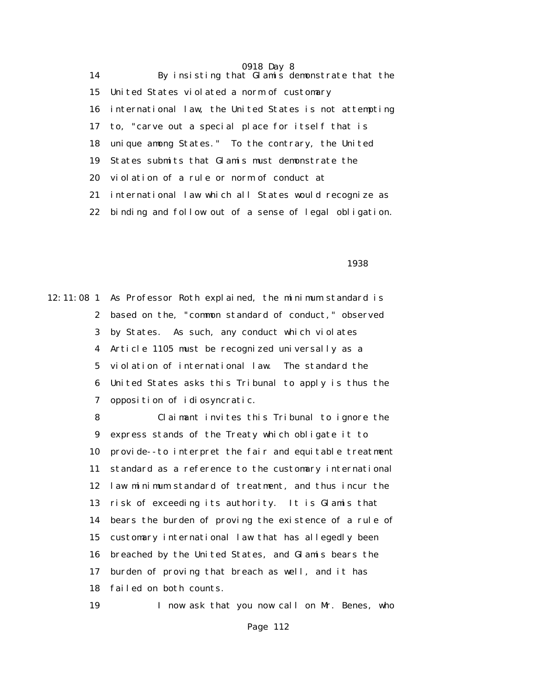14 By insisting that Glamis demonstrate that the 15 United States violated a norm of customary 16 international law, the United States is not attempting 17 to, "carve out a special place for itself that is 18 unique among States." To the contrary, the United 19 States submits that Glamis must demonstrate the 20 violation of a rule or norm of conduct at 21 international law which all States would recognize as 22 binding and follow out of a sense of legal obligation.

 $1938$ 

12:11:08 1 As Professor Roth explained, the minimum standard is 2 based on the, "common standard of conduct," observed 3 by States. As such, any conduct which violates 4 Article 1105 must be recognized universally as a 5 violation of international law. The standard the 6 United States asks this Tribunal to apply is thus the 7 opposition of idiosyncratic.

> 8 Claimant invites this Tribunal to ignore the 9 express stands of the Treaty which obligate it to 10 provide--to interpret the fair and equitable treatment 11 standard as a reference to the customary international 12 law minimum standard of treatment, and thus incur the 13 risk of exceeding its authority. It is Glamis that 14 bears the burden of proving the existence of a rule of 15 customary international law that has allegedly been 16 breached by the United States, and Glamis bears the 17 burden of proving that breach as well, and it has 18 failed on both counts.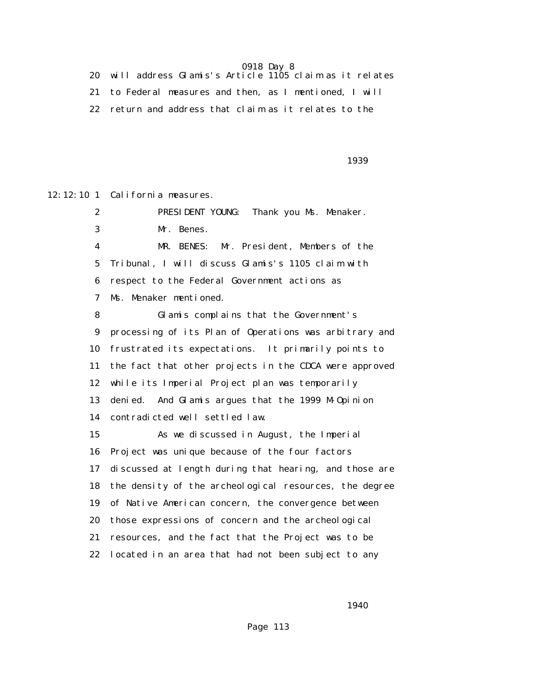20 will address Glamis's Article 1105 claim as it relates 21 to Federal measures and then, as I mentioned, I will 22 return and address that claim as it relates to the

 $1939$ 

12:12:10 1 California measures.

 2 PRESIDENT YOUNG: Thank you Ms. Menaker. 3 Mr. Benes. 4 MR. BENES: Mr. President, Members of the 5 Tribunal, I will discuss Glamis's 1105 claim with 6 respect to the Federal Government actions as 7 Ms. Menaker mentioned. 8 Glamis complains that the Government's 9 processing of its Plan of Operations was arbitrary and 10 frustrated its expectations. It primarily points to 11 the fact that other projects in the CDCA were approved 12 while its Imperial Project plan was temporarily 13 denied. And Glamis argues that the 1999 M-Opinion 14 contradicted well settled law. 15 As we discussed in August, the Imperial 16 Project was unique because of the four factors 17 discussed at length during that hearing, and those are 18 the density of the archeological resources, the degree 19 of Native American concern, the convergence between 20 those expressions of concern and the archeological 21 resources, and the fact that the Project was to be 22 located in an area that had not been subject to any

1940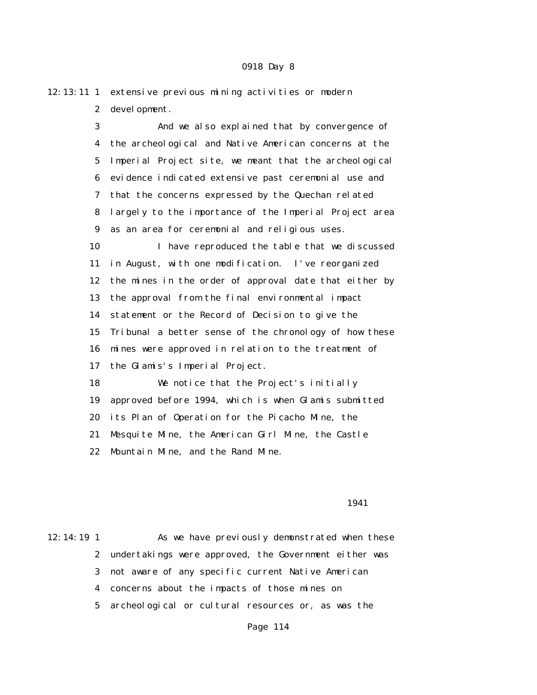| $12:13:11$ 1 | extensive previous mining activities or modern         |
|--------------|--------------------------------------------------------|
| $\mathbf{2}$ | devel opment.                                          |
| 3            | And we also explained that by convergence of           |
| 4            | the archeological and Native American concerns at the  |
| 5            | Imperial Project site, we meant that the archeological |
| 6            | evidence indicated extensive past ceremonial use and   |
| 7            | that the concerns expressed by the Quechan related     |
| 8            | largely to the importance of the Imperial Project area |
| 9            | as an area for ceremonial and religious uses.          |
| 10           | I have reproduced the table that we discussed          |
| 11           | in August, with one modification. I've reorganized     |
| 12           | the mines in the order of approval date that either by |
| 13           | the approval from the final environmental impact       |
| 14           | statement or the Record of Decision to give the        |
| 15           | Tribunal a better sense of the chronology of how these |
| 16           | mines were approved in relation to the treatment of    |
| 17           | the Glamis's Imperial Project.                         |
| 18           | We notice that the Project's initially                 |
| 19           | approved before 1994, which is when Glamis submitted   |
| 20           | its Plan of Operation for the Picacho Mine, the        |
| 21           | Mesquite Mine, the American Girl Mine, the Castle      |
| 22           | Mountain Mine, and the Rand Mine.                      |

#### 1941

12:14:19 1 As we have previously demonstrated when these 2 undertakings were approved, the Government either was 3 not aware of any specific current Native American 4 concerns about the impacts of those mines on 5 archeological or cultural resources or, as was the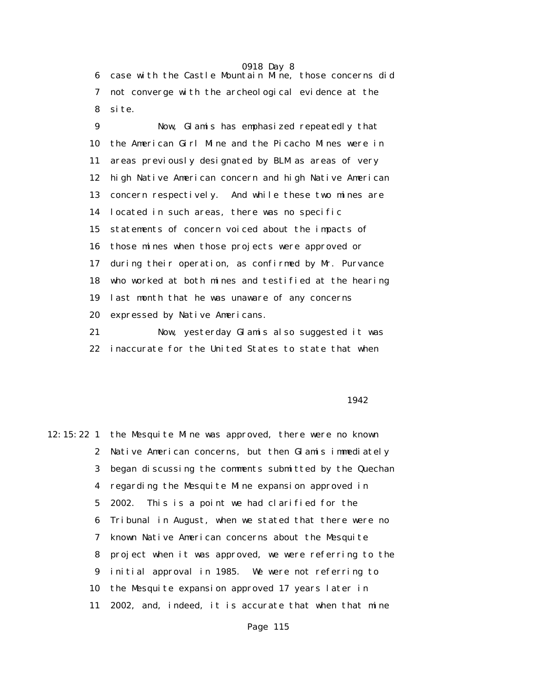6 case with the Castle Mountain Mine, those concerns did 7 not converge with the archeological evidence at the 8 site.

 9 Now, Glamis has emphasized repeatedly that 10 the American Girl Mine and the Picacho Mines were in 11 areas previously designated by BLM as areas of very 12 high Native American concern and high Native American 13 concern respectively. And while these two mines are 14 located in such areas, there was no specific 15 statements of concern voiced about the impacts of 16 those mines when those projects were approved or 17 during their operation, as confirmed by Mr. Purvance 18 who worked at both mines and testified at the hearing 19 last month that he was unaware of any concerns 20 expressed by Native Americans. 21 Now, yesterday Glamis also suggested it was

22 inaccurate for the United States to state that when

## 1942

12:15:22 1 the Mesquite Mine was approved, there were no known 2 Native American concerns, but then Glamis immediately 3 began discussing the comments submitted by the Quechan 4 regarding the Mesquite Mine expansion approved in 5 2002. This is a point we had clarified for the 6 Tribunal in August, when we stated that there were no 7 known Native American concerns about the Mesquite 8 project when it was approved, we were referring to the 9 initial approval in 1985. We were not referring to 10 the Mesquite expansion approved 17 years later in 11 2002, and, indeed, it is accurate that when that mine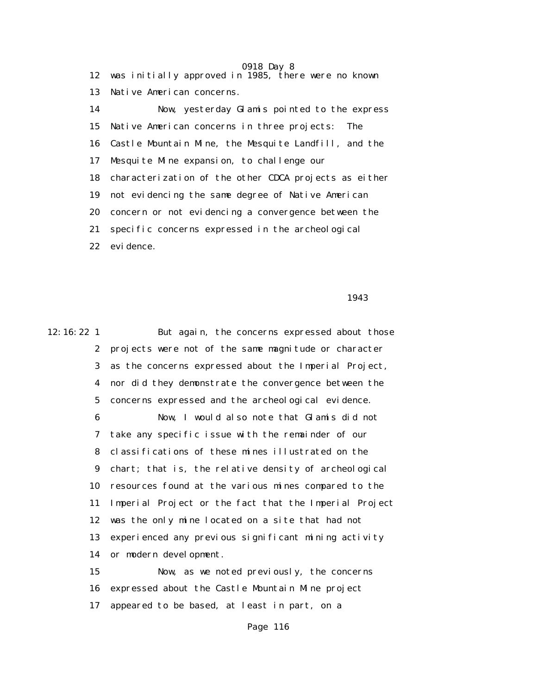0918 Day 8 12 was initially approved in 1985, there were no known 13 Native American concerns. 14 Now, yesterday Glamis pointed to the express 15 Native American concerns in three projects: The 16 Castle Mountain Mine, the Mesquite Landfill, and the 17 Mesquite Mine expansion, to challenge our 18 characterization of the other CDCA projects as either 19 not evidencing the same degree of Native American 20 concern or not evidencing a convergence between the 21 specific concerns expressed in the archeological 22 evidence.

1943

12:16:22 1 But again, the concerns expressed about those 2 projects were not of the same magnitude or character 3 as the concerns expressed about the Imperial Project, 4 nor did they demonstrate the convergence between the 5 concerns expressed and the archeological evidence. 6 Now, I would also note that Glamis did not 7 take any specific issue with the remainder of our 8 classifications of these mines illustrated on the 9 chart; that is, the relative density of archeological 10 resources found at the various mines compared to the 11 Imperial Project or the fact that the Imperial Project 12 was the only mine located on a site that had not 13 experienced any previous significant mining activity 14 or modern development. 15 Now, as we noted previously, the concerns

> 16 expressed about the Castle Mountain Mine project 17 appeared to be based, at least in part, on a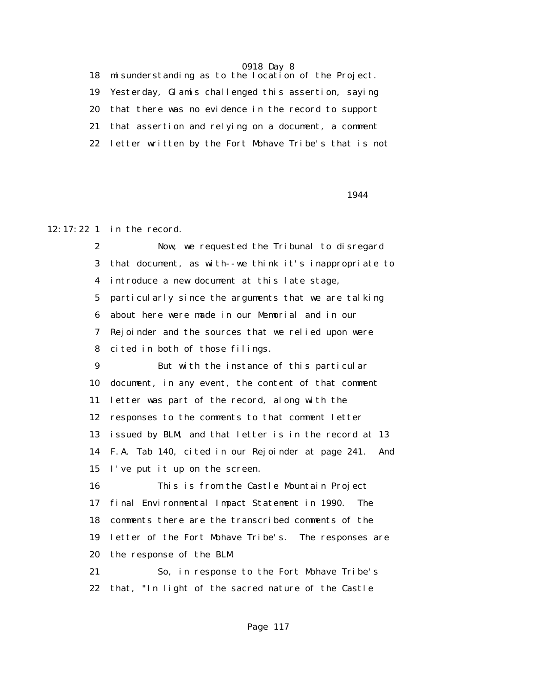18 misunderstanding as to the location of the Project. 19 Yesterday, Glamis challenged this assertion, saying 20 that there was no evidence in the record to support 21 that assertion and relying on a document, a comment 22 letter written by the Fort Mohave Tribe's that is not

1944

## 12:17:22 1 in the record.

 2 Now, we requested the Tribunal to disregard 3 that document, as with--we think it's inappropriate to 4 introduce a new document at this late stage, 5 particularly since the arguments that we are talking 6 about here were made in our Memorial and in our 7 Rejoinder and the sources that we relied upon were 8 cited in both of those filings. 9 But with the instance of this particular 10 document, in any event, the content of that comment 11 letter was part of the record, along with the 12 responses to the comments to that comment letter 13 issued by BLM, and that letter is in the record at 13 14 F.A. Tab 140, cited in our Rejoinder at page 241. And 15 I've put it up on the screen. 16 This is from the Castle Mountain Project 17 final Environmental Impact Statement in 1990. The 18 comments there are the transcribed comments of the 19 letter of the Fort Mohave Tribe's. The responses are

20 the response of the BLM.

 21 So, in response to the Fort Mohave Tribe's 22 that, "In light of the sacred nature of the Castle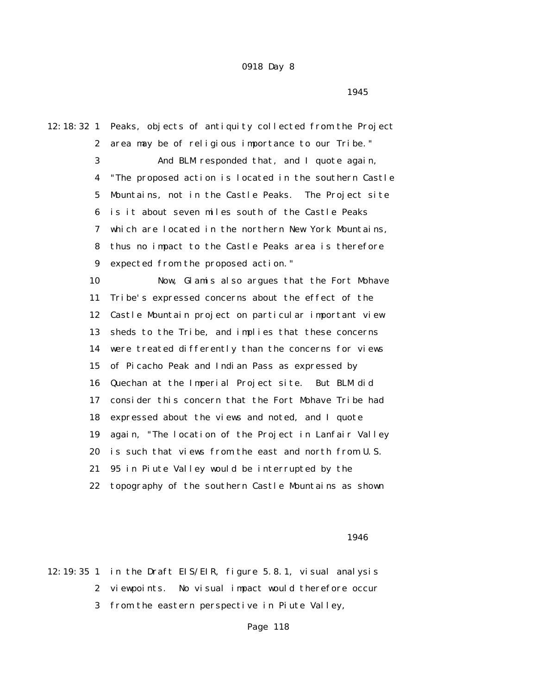1945

12:18:32 1 Peaks, objects of antiquity collected from the Project 2 area may be of religious importance to our Tribe." 3 And BLM responded that, and I quote again, 4 "The proposed action is located in the southern Castle 5 Mountains, not in the Castle Peaks. The Project site 6 is it about seven miles south of the Castle Peaks 7 which are located in the northern New York Mountains, 8 thus no impact to the Castle Peaks area is therefore 9 expected from the proposed action." 10 Now, Glamis also argues that the Fort Mohave 11 Tribe's expressed concerns about the effect of the 12 Castle Mountain project on particular important view 13 sheds to the Tribe, and implies that these concerns 14 were treated differently than the concerns for views 15 of Picacho Peak and Indian Pass as expressed by 16 Quechan at the Imperial Project site. But BLM did 17 consider this concern that the Fort Mohave Tribe had 18 expressed about the views and noted, and I quote 19 again, "The location of the Project in Lanfair Valley 20 is such that views from the east and north from U.S. 21 95 in Piute Valley would be interrupted by the 22 topography of the southern Castle Mountains as shown

 $1946$ 

12:19:35 1 in the Draft EIS/EIR, figure 5.8.1, visual analysis 2 viewpoints. No visual impact would therefore occur 3 from the eastern perspective in Piute Valley,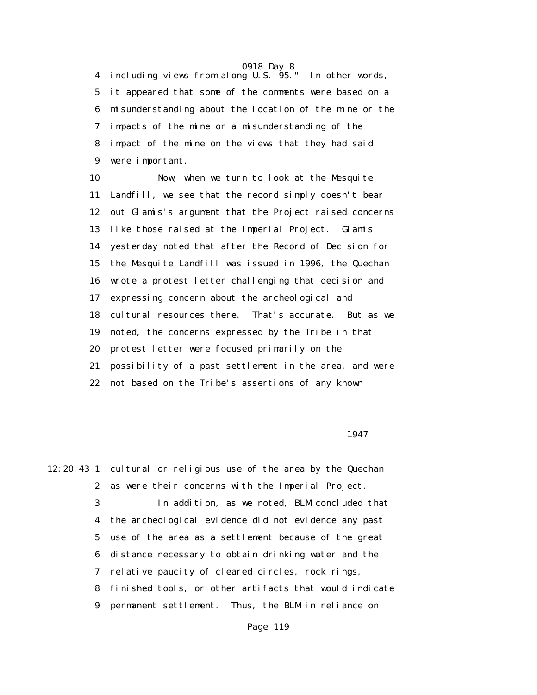4 including views from along U.S. 95." In other words, 5 it appeared that some of the comments were based on a 6 misunderstanding about the location of the mine or the 7 impacts of the mine or a misunderstanding of the 8 impact of the mine on the views that they had said 9 were important.

 10 Now, when we turn to look at the Mesquite 11 Landfill, we see that the record simply doesn't bear 12 out Glamis's argument that the Project raised concerns 13 like those raised at the Imperial Project. Glamis 14 yesterday noted that after the Record of Decision for 15 the Mesquite Landfill was issued in 1996, the Quechan 16 wrote a protest letter challenging that decision and 17 expressing concern about the archeological and 18 cultural resources there. That's accurate. But as we 19 noted, the concerns expressed by the Tribe in that 20 protest letter were focused primarily on the 21 possibility of a past settlement in the area, and were 22 not based on the Tribe's assertions of any known

<u>1947</u>

12:20:43 1 cultural or religious use of the area by the Quechan 2 as were their concerns with the Imperial Project. 3 In addition, as we noted, BLM concluded that 4 the archeological evidence did not evidence any past 5 use of the area as a settlement because of the great 6 distance necessary to obtain drinking water and the 7 relative paucity of cleared circles, rock rings, 8 finished tools, or other artifacts that would indicate 9 permanent settlement. Thus, the BLM in reliance on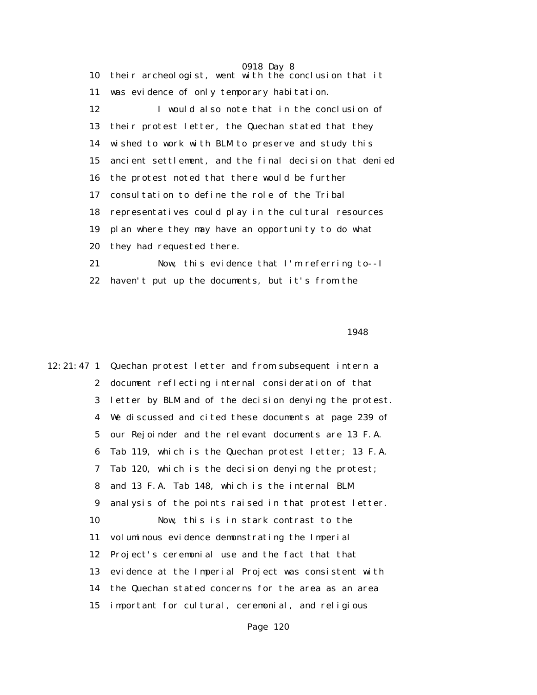0918 Day 8 10 their archeologist, went with the conclusion that it 11 was evidence of only temporary habitation. 12 I would also note that in the conclusion of 13 their protest letter, the Quechan stated that they 14 wished to work with BLM to preserve and study this 15 ancient settlement, and the final decision that denied 16 the protest noted that there would be further 17 consultation to define the role of the Tribal 18 representatives could play in the cultural resources 19 plan where they may have an opportunity to do what 20 they had requested there. 21 Now, this evidence that I'm referring to--I 22 haven't put up the documents, but it's from the

1948

12:21:47 1 Quechan protest letter and from subsequent intern a 2 document reflecting internal consideration of that 3 letter by BLM and of the decision denying the protest. 4 We discussed and cited these documents at page 239 of 5 our Rejoinder and the relevant documents are 13 F.A. 6 Tab 119, which is the Quechan protest letter; 13 F.A. 7 Tab 120, which is the decision denying the protest; 8 and 13 F.A. Tab 148, which is the internal BLM 9 analysis of the points raised in that protest letter. 10 Now, this is in stark contrast to the 11 voluminous evidence demonstrating the Imperial 12 Project's ceremonial use and the fact that that 13 evidence at the Imperial Project was consistent with 14 the Quechan stated concerns for the area as an area 15 important for cultural, ceremonial, and religious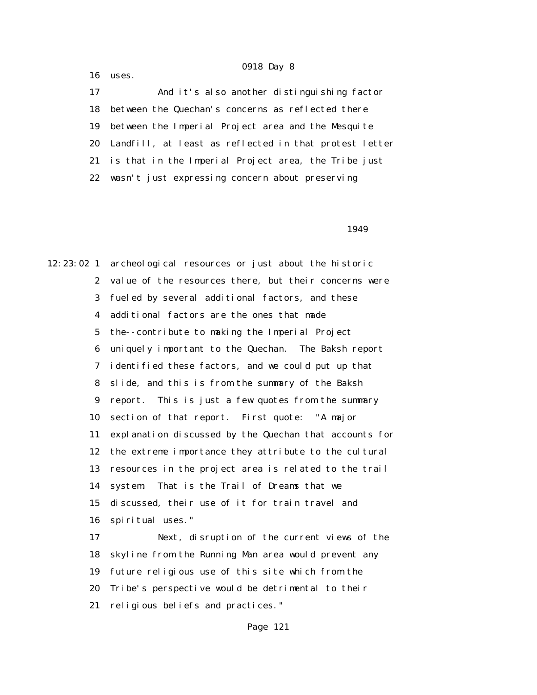16 uses.

 17 And it's also another distinguishing factor 18 between the Quechan's concerns as reflected there 19 between the Imperial Project area and the Mesquite 20 Landfill, at least as reflected in that protest letter 21 is that in the Imperial Project area, the Tribe just 22 wasn't just expressing concern about preserving

1949

12:23:02 1 archeological resources or just about the historic 2 value of the resources there, but their concerns were 3 fueled by several additional factors, and these 4 additional factors are the ones that made 5 the--contribute to making the Imperial Project 6 uniquely important to the Quechan. The Baksh report 7 identified these factors, and we could put up that 8 slide, and this is from the summary of the Baksh 9 report. This is just a few quotes from the summary 10 section of that report. First quote: "A major 11 explanation discussed by the Quechan that accounts for 12 the extreme importance they attribute to the cultural 13 resources in the project area is related to the trail 14 system. That is the Trail of Dreams that we 15 discussed, their use of it for train travel and 16 spiritual uses."

 17 Next, disruption of the current views of the 18 skyline from the Running Man area would prevent any 19 future religious use of this site which from the 20 Tribe's perspective would be detrimental to their 21 religious beliefs and practices."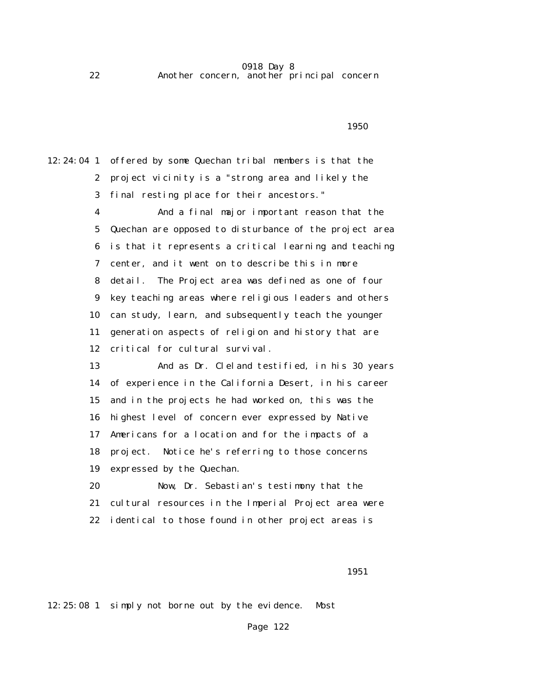0918 Day 8 22 Another concern, another principal concern

12:24:04 1 offered by some Quechan tribal members is that the 2 project vicinity is a "strong area and likely the 3 final resting place for their ancestors." 4 And a final major important reason that the 5 Quechan are opposed to disturbance of the project area 6 is that it represents a critical learning and teaching 7 center, and it went on to describe this in more 8 detail. The Project area was defined as one of four 9 key teaching areas where religious leaders and others 10 can study, learn, and subsequently teach the younger 11 generation aspects of religion and history that are 12 critical for cultural survival. 13 And as Dr. Cleland testified, in his 30 years 14 of experience in the California Desert, in his career 15 and in the projects he had worked on, this was the 16 highest level of concern ever expressed by Native 17 Americans for a location and for the impacts of a 18 project. Notice he's referring to those concerns 19 expressed by the Quechan. 20 Now, Dr. Sebastian's testimony that the 21 cultural resources in the Imperial Project area were 22 identical to those found in other project areas is

 $1950$ 

 $\sim$  1951

12:25:08 1 simply not borne out by the evidence. Most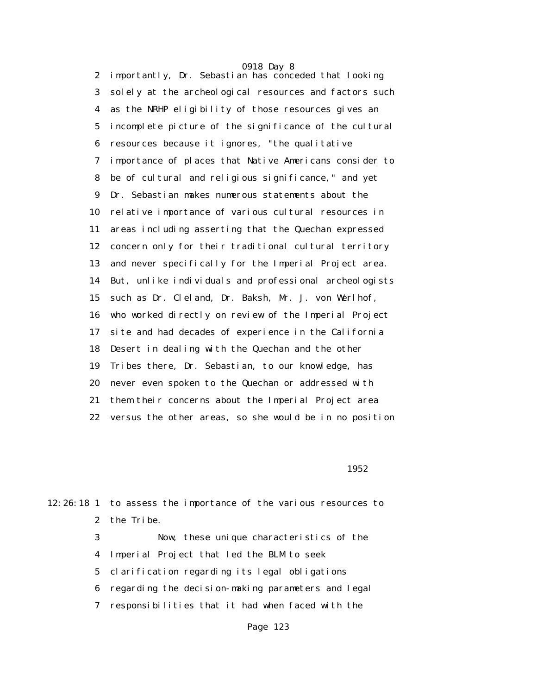0918 Day 8 2 importantly, Dr. Sebastian has conceded that looking 3 solely at the archeological resources and factors such 4 as the NRHP eligibility of those resources gives an 5 incomplete picture of the significance of the cultural 6 resources because it ignores, "the qualitative 7 importance of places that Native Americans consider to 8 be of cultural and religious significance," and yet 9 Dr. Sebastian makes numerous statements about the 10 relative importance of various cultural resources in 11 areas including asserting that the Quechan expressed 12 concern only for their traditional cultural territory 13 and never specifically for the Imperial Project area. 14 But, unlike individuals and professional archeologists 15 such as Dr. Cleland, Dr. Baksh, Mr. J. von Werlhof, 16 who worked directly on review of the Imperial Project 17 site and had decades of experience in the California 18 Desert in dealing with the Quechan and the other 19 Tribes there, Dr. Sebastian, to our knowledge, has 20 never even spoken to the Quechan or addressed with 21 them their concerns about the Imperial Project area 22 versus the other areas, so she would be in no position

 $1952$ 

12:26:18 1 to assess the importance of the various resources to 2 the Tribe. 3 Now, these unique characteristics of the

4 Imperial Project that led the BLM to seek

5 clarification regarding its legal obligations

6 regarding the decision-making parameters and legal

7 responsibilities that it had when faced with the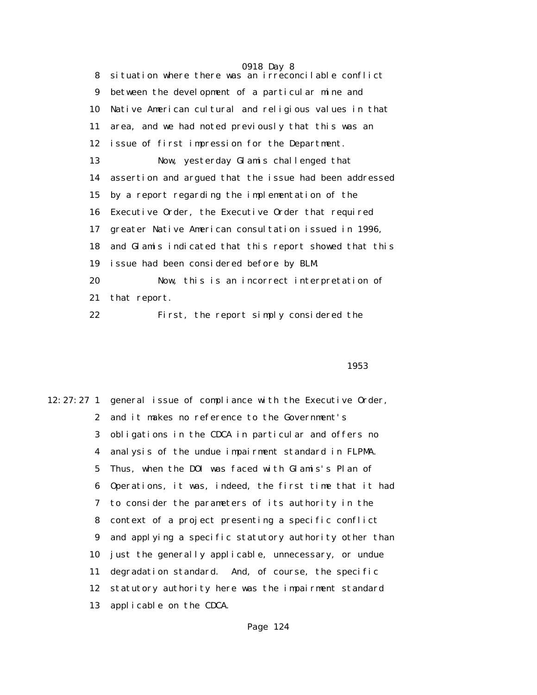|    | 0918 Day 8                                             |
|----|--------------------------------------------------------|
| 8  | situation where there was an irreconcilable conflict   |
| 9  | between the development of a particular mine and       |
| 10 | Native American cultural and religious values in that  |
| 11 | area, and we had noted previously that this was an     |
| 12 | issue of first impression for the Department.          |
| 13 | Now, yesterday Glamis challenged that                  |
| 14 | assertion and argued that the issue had been addressed |
| 15 | by a report regarding the implementation of the        |
| 16 | Executive Order, the Executive Order that required     |
| 17 | greater Native American consultation issued in 1996,   |
| 18 | and Glamis indicated that this report showed that this |
| 19 | issue had been considered before by BLM                |
| 20 | Now, this is an incorrect interpretation of            |
| 21 | that report.                                           |
| 22 | First, the report simply considered the                |

## $1953$

12:27:27 1 general issue of compliance with the Executive Order, 2 and it makes no reference to the Government's 3 obligations in the CDCA in particular and offers no 4 analysis of the undue impairment standard in FLPMA. 5 Thus, when the DOI was faced with Glamis's Plan of 6 Operations, it was, indeed, the first time that it had 7 to consider the parameters of its authority in the 8 context of a project presenting a specific conflict 9 and applying a specific statutory authority other than 10 just the generally applicable, unnecessary, or undue 11 degradation standard. And, of course, the specific 12 statutory authority here was the impairment standard 13 applicable on the CDCA.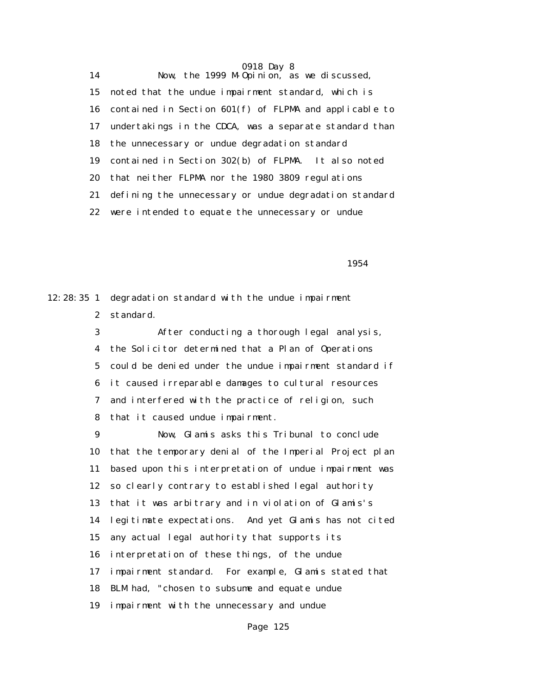14 Now, the 1999 M-Opinion, as we discussed, 15 noted that the undue impairment standard, which is 16 contained in Section 601(f) of FLPMA and applicable to 17 undertakings in the CDCA, was a separate standard than 18 the unnecessary or undue degradation standard 19 contained in Section 302(b) of FLPMA. It also noted 20 that neither FLPMA nor the 1980 3809 regulations 21 defining the unnecessary or undue degradation standard 22 were intended to equate the unnecessary or undue

 $1954$ 

12:28:35 1 degradation standard with the undue impairment 2 standard.

> 3 After conducting a thorough legal analysis, 4 the Solicitor determined that a Plan of Operations 5 could be denied under the undue impairment standard if 6 it caused irreparable damages to cultural resources 7 and interfered with the practice of religion, such 8 that it caused undue impairment.

> 9 Now, Glamis asks this Tribunal to conclude 10 that the temporary denial of the Imperial Project plan 11 based upon this interpretation of undue impairment was 12 so clearly contrary to established legal authority 13 that it was arbitrary and in violation of Glamis's 14 legitimate expectations. And yet Glamis has not cited 15 any actual legal authority that supports its 16 interpretation of these things, of the undue 17 impairment standard. For example, Glamis stated that 18 BLM had, "chosen to subsume and equate undue 19 impairment with the unnecessary and undue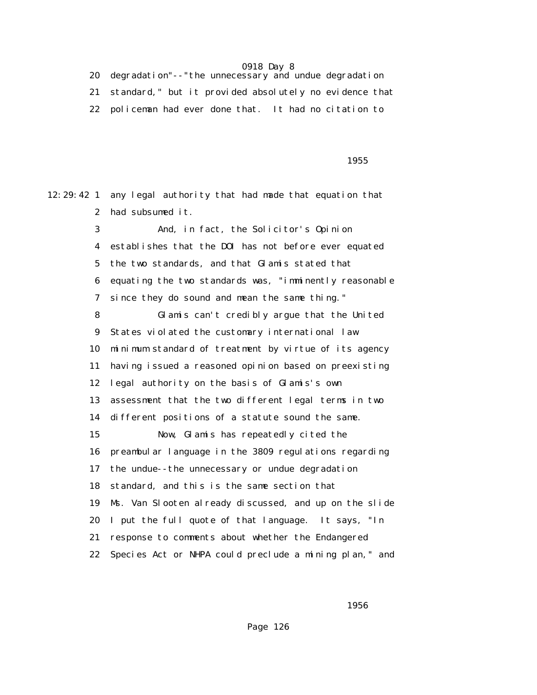20 degradation"--"the unnecessary and undue degradation 21 standard," but it provided absolutely no evidence that 22 policeman had ever done that. It had no citation to

12:29:42 1 any legal authority that had made that equation that

 $1955$ 

 2 had subsumed it. 3 And, in fact, the Solicitor's Opinion 4 establishes that the DOI has not before ever equated 5 the two standards, and that Glamis stated that 6 equating the two standards was, "imminently reasonable 7 since they do sound and mean the same thing." 8 Glamis can't credibly argue that the United 9 States violated the customary international law 10 minimum standard of treatment by virtue of its agency 11 having issued a reasoned opinion based on preexisting 12 legal authority on the basis of Glamis's own 13 assessment that the two different legal terms in two 14 different positions of a statute sound the same. 15 Now, Glamis has repeatedly cited the 16 preambular language in the 3809 regulations regarding 17 the undue--the unnecessary or undue degradation 18 standard, and this is the same section that 19 Ms. Van Slooten already discussed, and up on the slide 20 I put the full quote of that language. It says, "In 21 response to comments about whether the Endangered 22 Species Act or NHPA could preclude a mining plan," and

 $1956$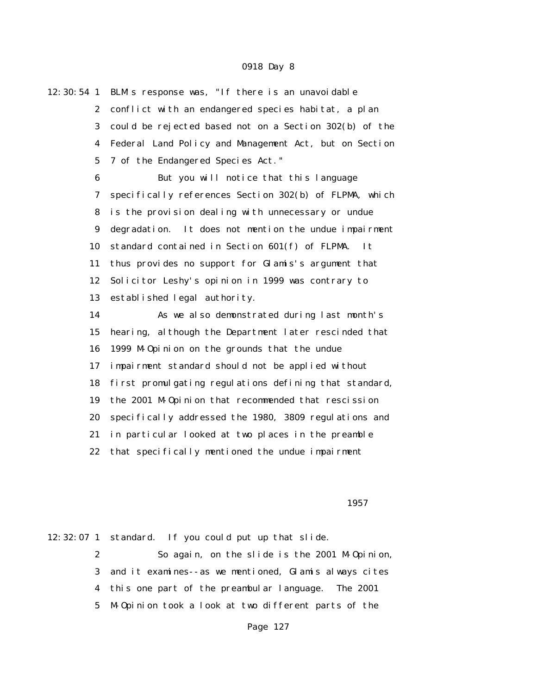12:30:54 1 BLM's response was, "If there is an unavoidable 2 conflict with an endangered species habitat, a plan 3 could be rejected based not on a Section 302(b) of the 4 Federal Land Policy and Management Act, but on Section 5 7 of the Endangered Species Act." 6 But you will notice that this language 7 specifically references Section 302(b) of FLPMA, which 8 is the provision dealing with unnecessary or undue 9 degradation. It does not mention the undue impairment 10 standard contained in Section 601(f) of FLPMA. It 11 thus provides no support for Glamis's argument that 12 Solicitor Leshy's opinion in 1999 was contrary to 13 established legal authority. 14 As we also demonstrated during last month's 15 hearing, although the Department later rescinded that 16 1999 M-Opinion on the grounds that the undue 17 impairment standard should not be applied without 18 first promulgating regulations defining that standard, 19 the 2001 M-Opinion that recommended that rescission 20 specifically addressed the 1980, 3809 regulations and 21 in particular looked at two places in the preamble 22 that specifically mentioned the undue impairment

#### $1957$

12:32:07 1 standard. If you could put up that slide. 2 So again, on the slide is the 2001 M-Opinion, 3 and it examines--as we mentioned, Glamis always cites 4 this one part of the preambular language. The 2001 5 M-Opinion took a look at two different parts of the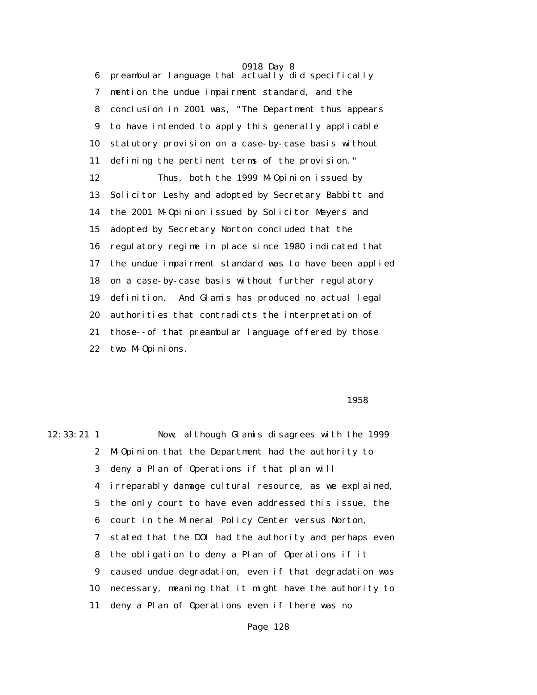0918 Day 8 6 preambular language that actually did specifically 7 mention the undue impairment standard, and the 8 conclusion in 2001 was, "The Department thus appears 9 to have intended to apply this generally applicable 10 statutory provision on a case-by-case basis without 11 defining the pertinent terms of the provision." 12 Thus, both the 1999 M-Opinion issued by 13 Solicitor Leshy and adopted by Secretary Babbitt and 14 the 2001 M-Opinion issued by Solicitor Meyers and 15 adopted by Secretary Norton concluded that the 16 regulatory regime in place since 1980 indicated that 17 the undue impairment standard was to have been applied 18 on a case-by-case basis without further regulatory 19 definition. And Glamis has produced no actual legal 20 authorities that contradicts the interpretation of 21 those--of that preambular language offered by those 22 two M-Opinions.

 $1958$ 

12:33:21 1 Now, although Glamis disagrees with the 1999 2 M-Opinion that the Department had the authority to 3 deny a Plan of Operations if that plan will 4 irreparably damage cultural resource, as we explained, 5 the only court to have even addressed this issue, the 6 court in the Mineral Policy Center versus Norton, 7 stated that the DOI had the authority and perhaps even 8 the obligation to deny a Plan of Operations if it 9 caused undue degradation, even if that degradation was 10 necessary, meaning that it might have the authority to 11 deny a Plan of Operations even if there was no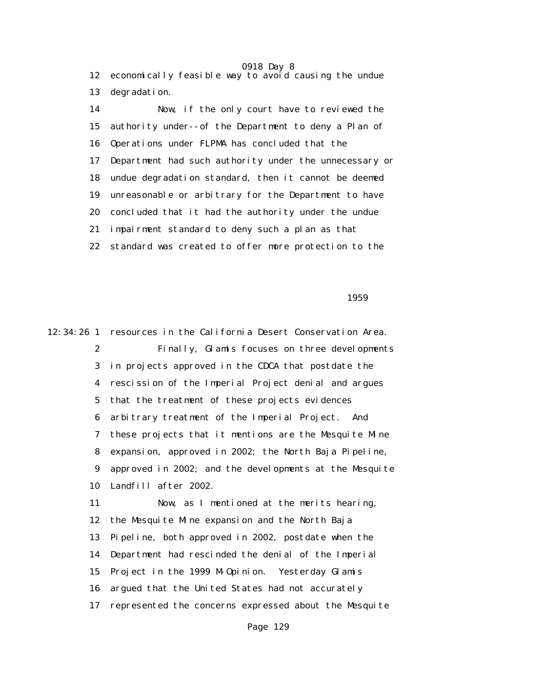0918 Day 8 12 economically feasible way to avoid causing the undue 13 degradation.

 14 Now, if the only court have to reviewed the 15 authority under--of the Department to deny a Plan of 16 Operations under FLPMA has concluded that the 17 Department had such authority under the unnecessary or 18 undue degradation standard, then it cannot be deemed 19 unreasonable or arbitrary for the Department to have 20 concluded that it had the authority under the undue 21 impairment standard to deny such a plan as that 22 standard was created to offer more protection to the

 $1959$ 

12:34:26 1 resources in the California Desert Conservation Area. 2 Finally, Glamis focuses on three developments 3 in projects approved in the CDCA that postdate the 4 rescission of the Imperial Project denial and argues 5 that the treatment of these projects evidences 6 arbitrary treatment of the Imperial Project. And 7 these projects that it mentions are the Mesquite Mine 8 expansion, approved in 2002; the North Baja Pipeline, 9 approved in 2002; and the developments at the Mesquite 10 Landfill after 2002. 11 Now, as I mentioned at the merits hearing, 12 the Mesquite Mine expansion and the North Baja 13 Pipeline, both approved in 2002, postdate when the 14 Department had rescinded the denial of the Imperial 15 Project in the 1999 M-Opinion. Yesterday Glamis 16 argued that the United States had not accurately 17 represented the concerns expressed about the Mesquite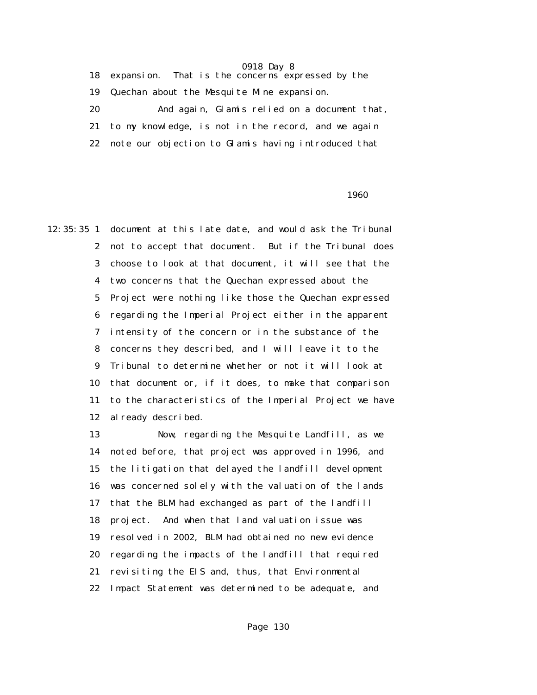18 expansion. That is the concerns expressed by the 19 Quechan about the Mesquite Mine expansion. 20 And again, Glamis relied on a document that, 21 to my knowledge, is not in the record, and we again 22 note our objection to Glamis having introduced that

#### $1960$

12:35:35 1 document at this late date, and would ask the Tribunal 2 not to accept that document. But if the Tribunal does 3 choose to look at that document, it will see that the 4 two concerns that the Quechan expressed about the 5 Project were nothing like those the Quechan expressed 6 regarding the Imperial Project either in the apparent 7 intensity of the concern or in the substance of the 8 concerns they described, and I will leave it to the 9 Tribunal to determine whether or not it will look at 10 that document or, if it does, to make that comparison 11 to the characteristics of the Imperial Project we have 12 already described.

> 13 Now, regarding the Mesquite Landfill, as we 14 noted before, that project was approved in 1996, and 15 the litigation that delayed the landfill development 16 was concerned solely with the valuation of the lands 17 that the BLM had exchanged as part of the landfill 18 project. And when that land valuation issue was 19 resolved in 2002, BLM had obtained no new evidence 20 regarding the impacts of the landfill that required 21 revisiting the EIS and, thus, that Environmental 22 Impact Statement was determined to be adequate, and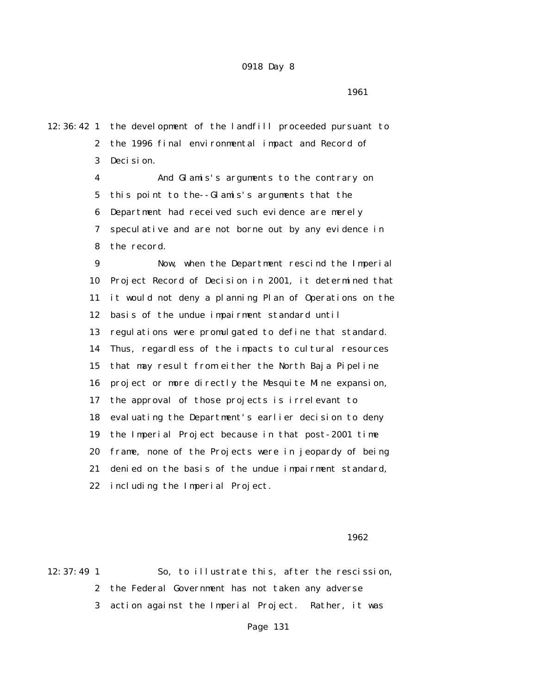1961

12:36:42 1 the development of the landfill proceeded pursuant to 2 the 1996 final environmental impact and Record of 3 Decision. 4 And Glamis's arguments to the contrary on 5 this point to the--Glamis's arguments that the 6 Department had received such evidence are merely 7 speculative and are not borne out by any evidence in 8 the record. 9 Now, when the Department rescind the Imperial 10 Project Record of Decision in 2001, it determined that 11 it would not deny a planning Plan of Operations on the 12 basis of the undue impairment standard until 13 regulations were promulgated to define that standard. 14 Thus, regardless of the impacts to cultural resources 15 that may result from either the North Baja Pipeline 16 project or more directly the Mesquite Mine expansion,

> 18 evaluating the Department's earlier decision to deny 19 the Imperial Project because in that post-2001 time 20 frame, none of the Projects were in jeopardy of being 21 denied on the basis of the undue impairment standard, 22 including the Imperial Project.

17 the approval of those projects is irrelevant to

 $1962$ 

12:37:49 1 So, to illustrate this, after the rescission, 2 the Federal Government has not taken any adverse 3 action against the Imperial Project. Rather, it was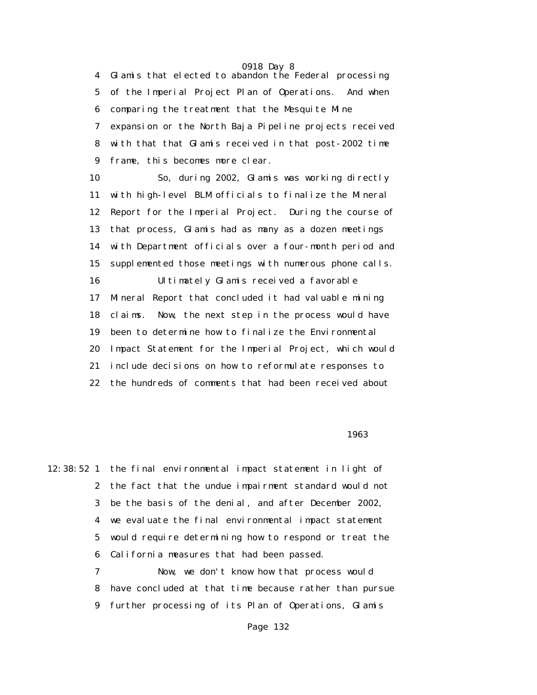4 Glamis that elected to abandon the Federal processing 5 of the Imperial Project Plan of Operations. And when 6 comparing the treatment that the Mesquite Mine 7 expansion or the North Baja Pipeline projects received 8 with that that Glamis received in that post-2002 time 9 frame, this becomes more clear.

 10 So, during 2002, Glamis was working directly 11 with high-level BLM officials to finalize the Mineral 12 Report for the Imperial Project. During the course of 13 that process, Glamis had as many as a dozen meetings 14 with Department officials over a four-month period and 15 supplemented those meetings with numerous phone calls. 16 Ultimately Glamis received a favorable 17 Mineral Report that concluded it had valuable mining 18 claims. Now, the next step in the process would have 19 been to determine how to finalize the Environmental 20 Impact Statement for the Imperial Project, which would 21 include decisions on how to reformulate responses to 22 the hundreds of comments that had been received about

 $1963$ 

12:38:52 1 the final environmental impact statement in light of 2 the fact that the undue impairment standard would not 3 be the basis of the denial, and after December 2002, 4 we evaluate the final environmental impact statement 5 would require determining how to respond or treat the 6 California measures that had been passed.

 7 Now, we don't know how that process would 8 have concluded at that time because rather than pursue 9 further processing of its Plan of Operations, Glamis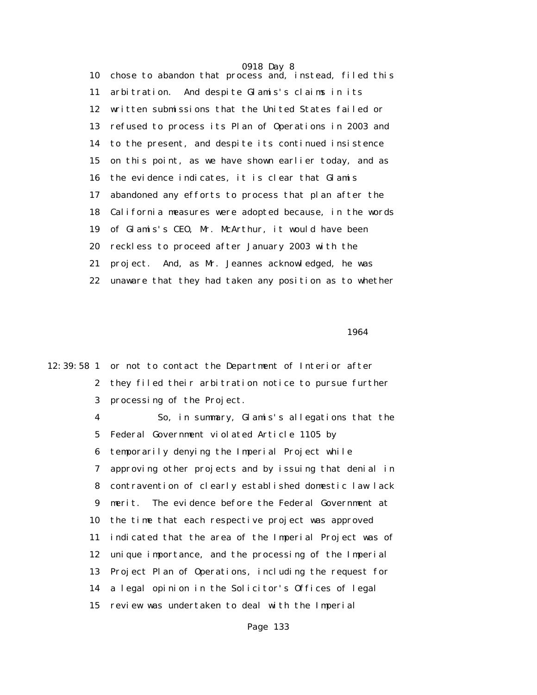0918 Day 8 10 chose to abandon that process and, instead, filed this 11 arbitration. And despite Glamis's claims in its 12 written submissions that the United States failed or 13 refused to process its Plan of Operations in 2003 and 14 to the present, and despite its continued insistence 15 on this point, as we have shown earlier today, and as 16 the evidence indicates, it is clear that Glamis 17 abandoned any efforts to process that plan after the 18 California measures were adopted because, in the words 19 of Glamis's CEO, Mr. McArthur, it would have been 20 reckless to proceed after January 2003 with the 21 project. And, as Mr. Jeannes acknowledged, he was 22 unaware that they had taken any position as to whether

 $1964$ 

12:39:58 1 or not to contact the Department of Interior after 2 they filed their arbitration notice to pursue further 3 processing of the Project.

> 4 So, in summary, Glamis's allegations that the 5 Federal Government violated Article 1105 by 6 temporarily denying the Imperial Project while 7 approving other projects and by issuing that denial in 8 contravention of clearly established domestic law lack 9 merit. The evidence before the Federal Government at 10 the time that each respective project was approved 11 indicated that the area of the Imperial Project was of 12 unique importance, and the processing of the Imperial 13 Project Plan of Operations, including the request for 14 a legal opinion in the Solicitor's Offices of legal 15 review was undertaken to deal with the Imperial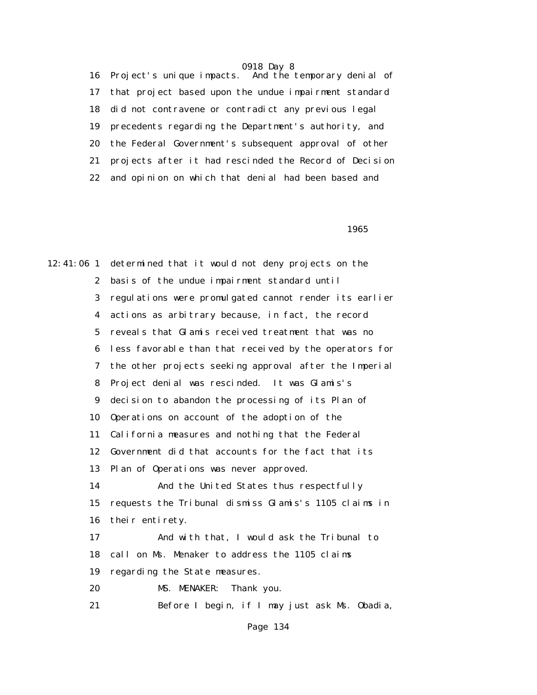16 Project's unique impacts. And the temporary denial of 17 that project based upon the undue impairment standard 18 did not contravene or contradict any previous legal 19 precedents regarding the Department's authority, and 20 the Federal Government's subsequent approval of other 21 projects after it had rescinded the Record of Decision 22 and opinion on which that denial had been based and

 $1965$ 

12:41:06 1 determined that it would not deny projects on the 2 basis of the undue impairment standard until 3 regulations were promulgated cannot render its earlier 4 actions as arbitrary because, in fact, the record 5 reveals that Glamis received treatment that was no 6 less favorable than that received by the operators for 7 the other projects seeking approval after the Imperial 8 Project denial was rescinded. It was Glamis's 9 decision to abandon the processing of its Plan of 10 Operations on account of the adoption of the 11 California measures and nothing that the Federal 12 Government did that accounts for the fact that its 13 Plan of Operations was never approved. 14 And the United States thus respectfully 15 requests the Tribunal dismiss Glamis's 1105 claims in 16 their entirety. 17 And with that, I would ask the Tribunal to 18 call on Ms. Menaker to address the 1105 claims 19 regarding the State measures. 20 MS. MENAKER: Thank you. 21 Before I begin, if I may just ask Ms. Obadia,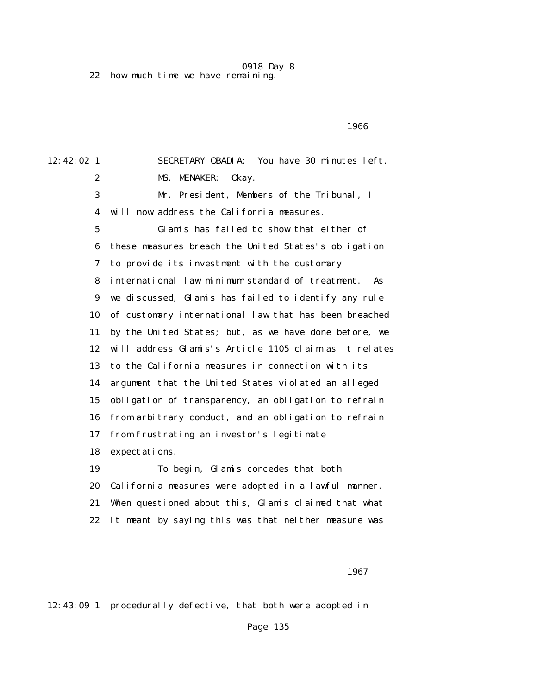0918 Day 8 22 how much time we have remaining.

 $1966$ 

12:42:02 1 SECRETARY OBADIA: You have 30 minutes left. 2 MS. MENAKER: Okay. 3 Mr. President, Members of the Tribunal, I 4 will now address the California measures. 5 Glamis has failed to show that either of 6 these measures breach the United States's obligation 7 to provide its investment with the customary 8 international law minimum standard of treatment. As 9 we discussed, Glamis has failed to identify any rule 10 of customary international law that has been breached 11 by the United States; but, as we have done before, we 12 will address Glamis's Article 1105 claim as it relates 13 to the California measures in connection with its 14 argument that the United States violated an alleged 15 obligation of transparency, an obligation to refrain 16 from arbitrary conduct, and an obligation to refrain 17 from frustrating an investor's legitimate 18 expectations. 19 To begin, Glamis concedes that both 20 California measures were adopted in a lawful manner. 21 When questioned about this, Glamis claimed that what 22 it meant by saying this was that neither measure was

 $1967$ 

12:43:09 1 procedurally defective, that both were adopted in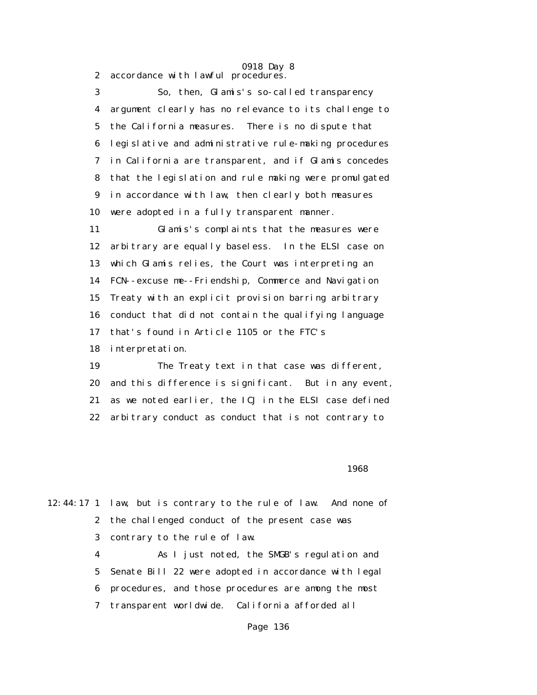2 accordance with lawful procedures.

 3 So, then, Glamis's so-called transparency 4 argument clearly has no relevance to its challenge to 5 the California measures. There is no dispute that 6 legislative and administrative rule-making procedures 7 in California are transparent, and if Glamis concedes 8 that the legislation and rule making were promulgated 9 in accordance with law, then clearly both measures 10 were adopted in a fully transparent manner.

 11 Glamis's complaints that the measures were 12 arbitrary are equally baseless. In the ELSI case on 13 which Glamis relies, the Court was interpreting an 14 FCN--excuse me--Friendship, Commerce and Navigation 15 Treaty with an explicit provision barring arbitrary 16 conduct that did not contain the qualifying language 17 that's found in Article 1105 or the FTC's 18 interpretation.

 19 The Treaty text in that case was different, 20 and this difference is significant. But in any event, 21 as we noted earlier, the ICJ in the ELSI case defined 22 arbitrary conduct as conduct that is not contrary to

 $1968$ 

12:44:17 1 law, but is contrary to the rule of law. And none of 2 the challenged conduct of the present case was 3 contrary to the rule of law. 4 As I just noted, the SMGB's regulation and

 5 Senate Bill 22 were adopted in accordance with legal 6 procedures, and those procedures are among the most 7 transparent worldwide. California afforded all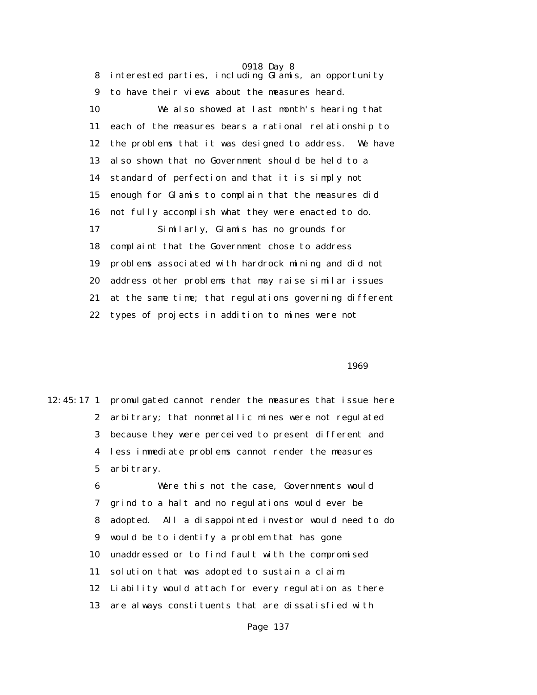0918 Day 8 8 interested parties, including Glamis, an opportunity 9 to have their views about the measures heard. 10 We also showed at last month's hearing that 11 each of the measures bears a rational relationship to 12 the problems that it was designed to address. We have 13 also shown that no Government should be held to a 14 standard of perfection and that it is simply not 15 enough for Glamis to complain that the measures did 16 not fully accomplish what they were enacted to do. 17 Similarly, Glamis has no grounds for 18 complaint that the Government chose to address 19 problems associated with hardrock mining and did not 20 address other problems that may raise similar issues 21 at the same time; that regulations governing different 22 types of projects in addition to mines were not

 $1969$ 

12:45:17 1 promulgated cannot render the measures that issue here 2 arbitrary; that nonmetallic mines were not regulated 3 because they were perceived to present different and 4 less immediate problems cannot render the measures 5 arbitrary.

> 6 Were this not the case, Governments would 7 grind to a halt and no regulations would ever be 8 adopted. All a disappointed investor would need to do 9 would be to identify a problem that has gone 10 unaddressed or to find fault with the compromised 11 solution that was adopted to sustain a claim. 12 Liability would attach for every regulation as there 13 are always constituents that are dissatisfied with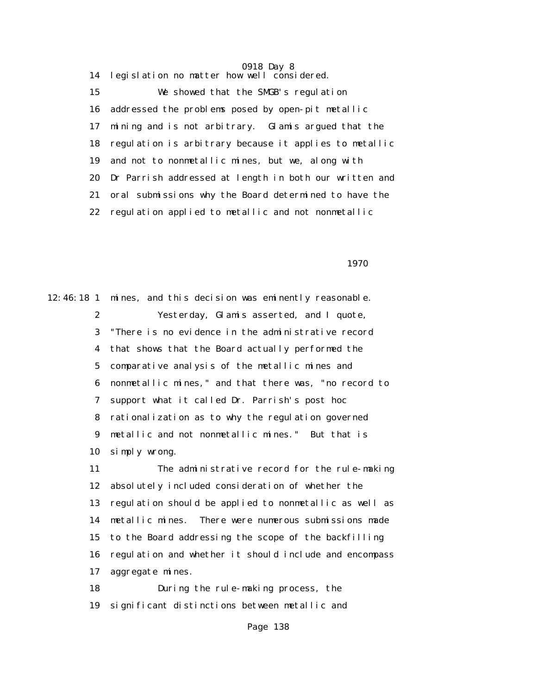14 legislation no matter how well considered. 15 We showed that the SMGB's regulation 16 addressed the problems posed by open-pit metallic 17 mining and is not arbitrary. Glamis argued that the 18 regulation is arbitrary because it applies to metallic 19 and not to nonmetallic mines, but we, along with 20 Dr Parrish addressed at length in both our written and 21 oral submissions why the Board determined to have the 22 regulation applied to metallic and not nonmetallic

1970

12:46:18 1 mines, and this decision was eminently reasonable. 2 Yesterday, Glamis asserted, and I quote, 3 "There is no evidence in the administrative record 4 that shows that the Board actually performed the 5 comparative analysis of the metallic mines and 6 nonmetallic mines," and that there was, "no record to 7 support what it called Dr. Parrish's post hoc 8 rationalization as to why the regulation governed 9 metallic and not nonmetallic mines." But that is 10 simply wrong. 11 The administrative record for the rule-making 12 absolutely included consideration of whether the 13 regulation should be applied to nonmetallic as well as 14 metallic mines. There were numerous submissions made 15 to the Board addressing the scope of the backfilling 16 regulation and whether it should include and encompass 17 aggregate mines.

> 18 During the rule-making process, the 19 significant distinctions between metallic and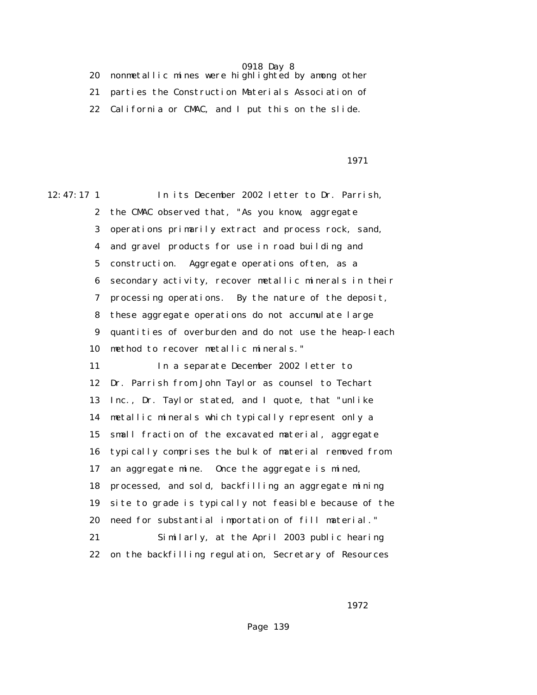20 nonmetallic mines were highlighted by among other 21 parties the Construction Materials Association of 22 California or CMAC, and I put this on the slide.

1971

12:47:17 1 In its December 2002 letter to Dr. Parrish, 2 the CMAC observed that, "As you know, aggregate 3 operations primarily extract and process rock, sand, 4 and gravel products for use in road building and 5 construction. Aggregate operations often, as a 6 secondary activity, recover metallic minerals in their 7 processing operations. By the nature of the deposit, 8 these aggregate operations do not accumulate large 9 quantities of overburden and do not use the heap-leach 10 method to recover metallic minerals." 11 In a separate December 2002 letter to 12 Dr. Parrish from John Taylor as counsel to Techart 13 Inc., Dr. Taylor stated, and I quote, that "unlike 14 metallic minerals which typically represent only a 15 small fraction of the excavated material, aggregate 16 typically comprises the bulk of material removed from 17 an aggregate mine. Once the aggregate is mined, 18 processed, and sold, backfilling an aggregate mining 19 site to grade is typically not feasible because of the 20 need for substantial importation of fill material." 21 Similarly, at the April 2003 public hearing

22 on the backfilling regulation, Secretary of Resources

1972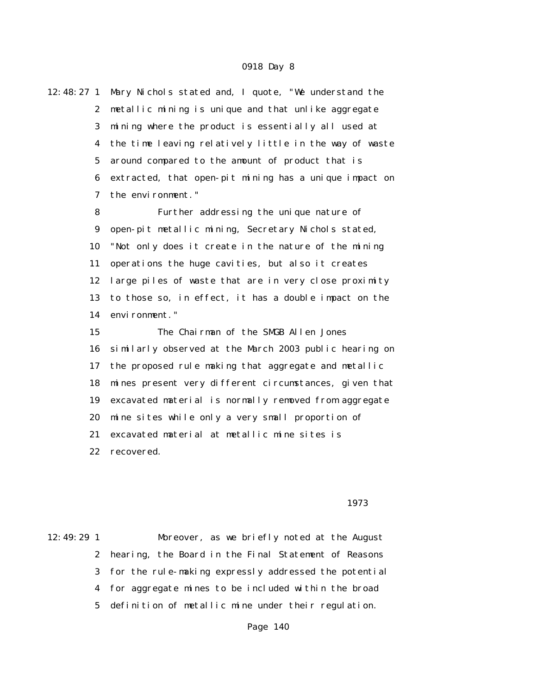12:48:27 1 Mary Nichols stated and, I quote, "We understand the 2 metallic mining is unique and that unlike aggregate 3 mining where the product is essentially all used at 4 the time leaving relatively little in the way of waste 5 around compared to the amount of product that is 6 extracted, that open-pit mining has a unique impact on 7 the environment."

> 8 Further addressing the unique nature of 9 open-pit metallic mining, Secretary Nichols stated, 10 "Not only does it create in the nature of the mining 11 operations the huge cavities, but also it creates 12 large piles of waste that are in very close proximity 13 to those so, in effect, it has a double impact on the 14 environment."

 15 The Chairman of the SMGB Allen Jones 16 similarly observed at the March 2003 public hearing on 17 the proposed rule making that aggregate and metallic 18 mines present very different circumstances, given that 19 excavated material is normally removed from aggregate 20 mine sites while only a very small proportion of 21 excavated material at metallic mine sites is 22 recovered.

1973

12:49:29 1 Moreover, as we briefly noted at the August 2 hearing, the Board in the Final Statement of Reasons 3 for the rule-making expressly addressed the potential 4 for aggregate mines to be included within the broad 5 definition of metallic mine under their regulation.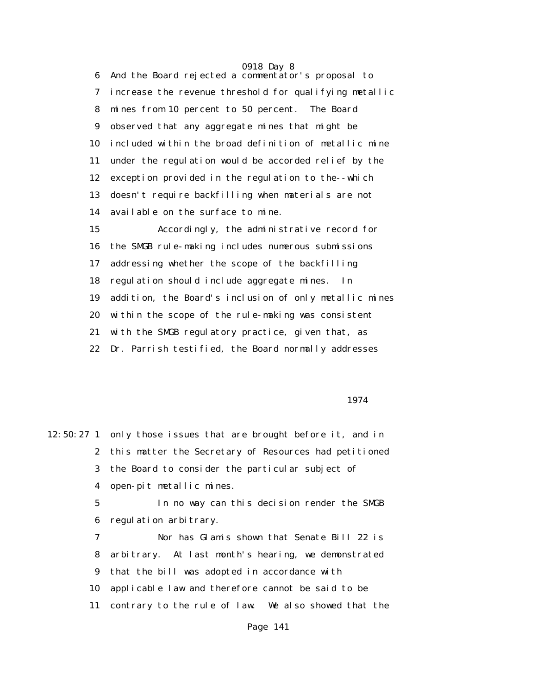0918 Day 8 6 And the Board rejected a commentator's proposal to 7 increase the revenue threshold for qualifying metallic 8 mines from 10 percent to 50 percent. The Board 9 observed that any aggregate mines that might be 10 included within the broad definition of metallic mine 11 under the regulation would be accorded relief by the 12 exception provided in the regulation to the--which 13 doesn't require backfilling when materials are not 14 available on the surface to mine. 15 Accordingly, the administrative record for 16 the SMGB rule-making includes numerous submissions 17 addressing whether the scope of the backfilling

 18 regulation should include aggregate mines. In 19 addition, the Board's inclusion of only metallic mines 20 within the scope of the rule-making was consistent 21 with the SMGB regulatory practice, given that, as

22 Dr. Parrish testified, the Board normally addresses

1974

12:50:27 1 only those issues that are brought before it, and in 2 this matter the Secretary of Resources had petitioned 3 the Board to consider the particular subject of 4 open-pit metallic mines. 5 In no way can this decision render the SMGB 6 regulation arbitrary. 7 Nor has Glamis shown that Senate Bill 22 is 8 arbitrary. At last month's hearing, we demonstrated 9 that the bill was adopted in accordance with 10 applicable law and therefore cannot be said to be 11 contrary to the rule of law. We also showed that the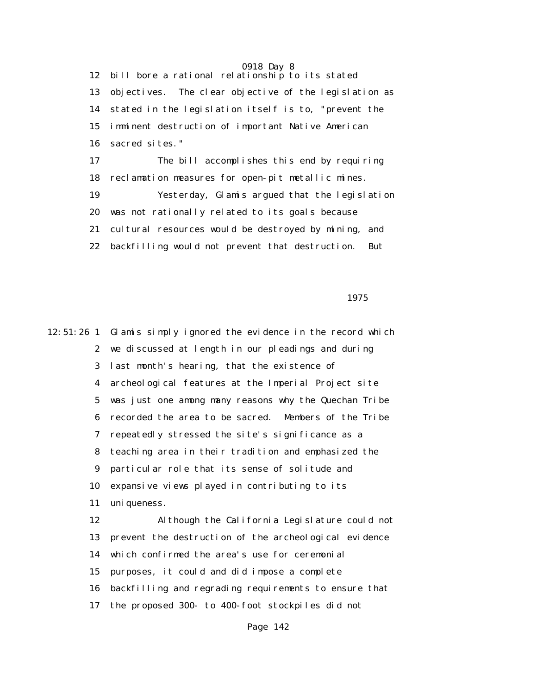0918 Day 8 12 bill bore a rational relationship to its stated 13 objectives. The clear objective of the legislation as 14 stated in the legislation itself is to, "prevent the 15 imminent destruction of important Native American 16 sacred sites." 17 The bill accomplishes this end by requiring 18 reclamation measures for open-pit metallic mines. 19 Yesterday, Glamis argued that the legislation 20 was not rationally related to its goals because 21 cultural resources would be destroyed by mining, and 22 backfilling would not prevent that destruction. But

1975

12:51:26 1 Glamis simply ignored the evidence in the record which 2 we discussed at length in our pleadings and during 3 last month's hearing, that the existence of 4 archeological features at the Imperial Project site 5 was just one among many reasons why the Quechan Tribe 6 recorded the area to be sacred. Members of the Tribe 7 repeatedly stressed the site's significance as a 8 teaching area in their tradition and emphasized the 9 particular role that its sense of solitude and 10 expansive views played in contributing to its 11 uniqueness. 12 Although the California Legislature could not 13 prevent the destruction of the archeological evidence 14 which confirmed the area's use for ceremonial 15 purposes, it could and did impose a complete 16 backfilling and regrading requirements to ensure that 17 the proposed 300- to 400-foot stockpiles did not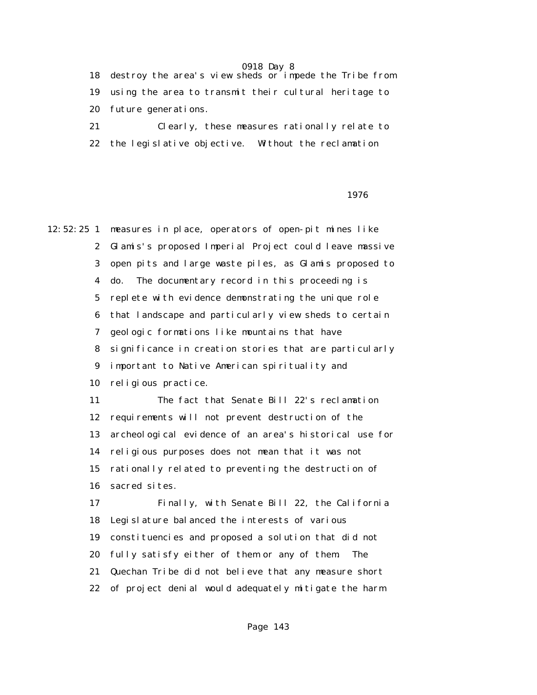18 destroy the area's view sheds or impede the Tribe from 19 using the area to transmit their cultural heritage to 20 future generations.

 21 Clearly, these measures rationally relate to 22 the legislative objective. Without the reclamation

#### 1976

12:52:25 1 measures in place, operators of open-pit mines like 2 Glamis's proposed Imperial Project could leave massive 3 open pits and large waste piles, as Glamis proposed to 4 do. The documentary record in this proceeding is 5 replete with evidence demonstrating the unique role 6 that landscape and particularly view sheds to certain 7 geologic formations like mountains that have 8 significance in creation stories that are particularly 9 important to Native American spirituality and 10 religious practice. 11 The fact that Senate Bill 22's reclamation 12 requirements will not prevent destruction of the 13 archeological evidence of an area's historical use for 14 religious purposes does not mean that it was not 15 rationally related to preventing the destruction of 16 sacred sites. 17 Finally, with Senate Bill 22, the California 18 Legislature balanced the interests of various 19 constituencies and proposed a solution that did not 20 fully satisfy either of them or any of them. The 21 Quechan Tribe did not believe that any measure short

22 of project denial would adequately mitigate the harm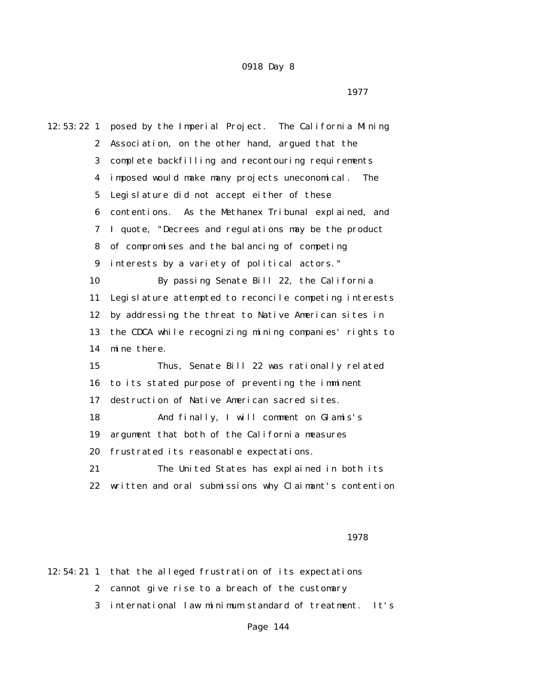12:53:22 1 posed by the Imperial Project. The California Mining 2 Association, on the other hand, argued that the 3 complete backfilling and recontouring requirements 4 imposed would make many projects uneconomical. The 5 Legislature did not accept either of these 6 contentions. As the Methanex Tribunal explained, and 7 I quote, "Decrees and regulations may be the product 8 of compromises and the balancing of competing 9 interests by a variety of political actors." 10 By passing Senate Bill 22, the California 11 Legislature attempted to reconcile competing interests 12 by addressing the threat to Native American sites in 13 the CDCA while recognizing mining companies' rights to 14 mine there. 15 Thus, Senate Bill 22 was rationally related 16 to its stated purpose of preventing the imminent 17 destruction of Native American sacred sites. 18 And finally, I will comment on Glamis's 19 argument that both of the California measures 20 frustrated its reasonable expectations. 21 The United States has explained in both its 22 written and oral submissions why Claimant's contention

1978

12:54:21 1 that the alleged frustration of its expectations 2 cannot give rise to a breach of the customary 3 international law minimum standard of treatment. It's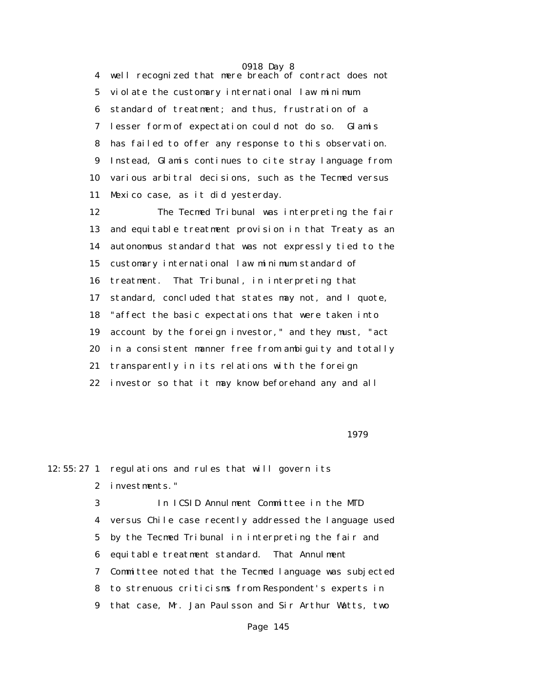0918 Day 8 4 well recognized that mere breach of contract does not 5 violate the customary international law minimum 6 standard of treatment; and thus, frustration of a 7 lesser form of expectation could not do so. Glamis 8 has failed to offer any response to this observation. 9 Instead, Glamis continues to cite stray language from 10 various arbitral decisions, such as the Tecmed versus 11 Mexico case, as it did yesterday.

> 12 The Tecmed Tribunal was interpreting the fair 13 and equitable treatment provision in that Treaty as an 14 autonomous standard that was not expressly tied to the 15 customary international law minimum standard of 16 treatment. That Tribunal, in interpreting that 17 standard, concluded that states may not, and I quote, 18 "affect the basic expectations that were taken into 19 account by the foreign investor," and they must, "act 20 in a consistent manner free from ambiguity and totally 21 transparently in its relations with the foreign 22 investor so that it may know beforehand any and all

1979

12:55:27 1 regulations and rules that will govern its 2 investments."

 3 In ICSID Annulment Committee in the MTD 4 versus Chile case recently addressed the language used 5 by the Tecmed Tribunal in interpreting the fair and 6 equitable treatment standard. That Annulment 7 Committee noted that the Tecmed language was subjected 8 to strenuous criticisms from Respondent's experts in 9 that case, Mr. Jan Paulsson and Sir Arthur Watts, two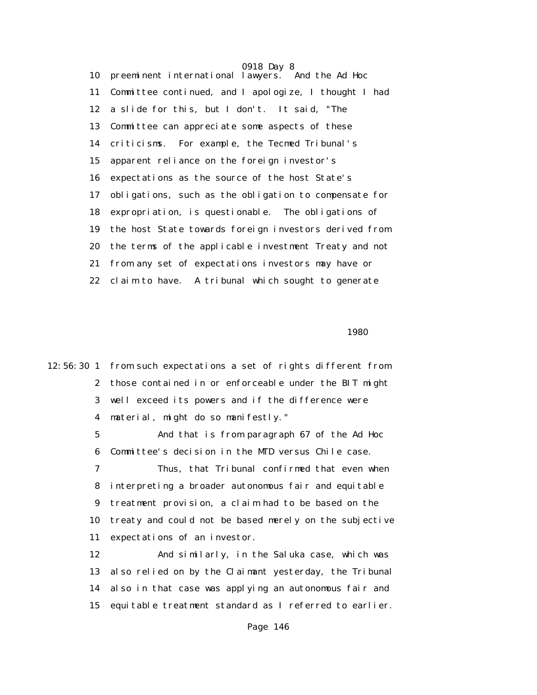0918 Day 8 10 preeminent international lawyers. And the Ad Hoc 11 Committee continued, and I apologize, I thought I had 12 a slide for this, but I don't. It said, "The 13 Committee can appreciate some aspects of these 14 criticisms. For example, the Tecmed Tribunal's 15 apparent reliance on the foreign investor's 16 expectations as the source of the host State's 17 obligations, such as the obligation to compensate for 18 expropriation, is questionable. The obligations of 19 the host State towards foreign investors derived from 20 the terms of the applicable investment Treaty and not 21 from any set of expectations investors may have or 22 claim to have. A tribunal which sought to generate

 $1980$ 

12:56:30 1 from such expectations a set of rights different from 2 those contained in or enforceable under the BIT might 3 well exceed its powers and if the difference were 4 material, might do so manifestly."

> 5 And that is from paragraph 67 of the Ad Hoc 6 Committee's decision in the MTD versus Chile case.

 7 Thus, that Tribunal confirmed that even when 8 interpreting a broader autonomous fair and equitable 9 treatment provision, a claim had to be based on the 10 treaty and could not be based merely on the subjective 11 expectations of an investor.

 12 And similarly, in the Saluka case, which was 13 also relied on by the Claimant yesterday, the Tribunal 14 also in that case was applying an autonomous fair and 15 equitable treatment standard as I referred to earlier.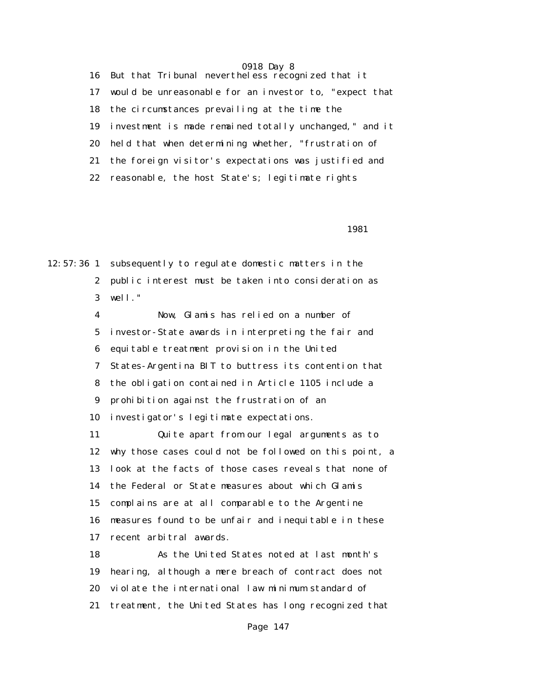16 But that Tribunal nevertheless recognized that it 17 would be unreasonable for an investor to, "expect that 18 the circumstances prevailing at the time the 19 investment is made remained totally unchanged," and it 20 held that when determining whether, "frustration of 21 the foreign visitor's expectations was justified and 22 reasonable, the host State's; legitimate rights

1981

12:57:36 1 subsequently to regulate domestic matters in the 2 public interest must be taken into consideration as 3 well."

> 4 Now, Glamis has relied on a number of 5 investor-State awards in interpreting the fair and 6 equitable treatment provision in the United 7 States-Argentina BIT to buttress its contention that 8 the obligation contained in Article 1105 include a 9 prohibition against the frustration of an 10 investigator's legitimate expectations.

 11 Quite apart from our legal arguments as to 12 why those cases could not be followed on this point, a 13 look at the facts of those cases reveals that none of 14 the Federal or State measures about which Glamis 15 complains are at all comparable to the Argentine 16 measures found to be unfair and inequitable in these 17 recent arbitral awards.

 18 As the United States noted at last month's 19 hearing, although a mere breach of contract does not 20 violate the international law minimum standard of 21 treatment, the United States has long recognized that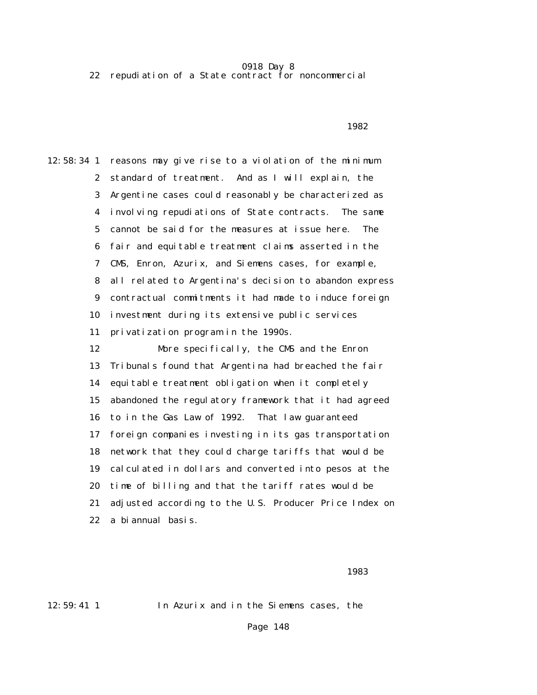0918 Day 8 22 repudiation of a State contract for noncommercial

 $1982$ 

12:58:34 1 reasons may give rise to a violation of the minimum 2 standard of treatment. And as I will explain, the 3 Argentine cases could reasonably be characterized as 4 involving repudiations of State contracts. The same 5 cannot be said for the measures at issue here. The 6 fair and equitable treatment claims asserted in the 7 CMS, Enron, Azurix, and Siemens cases, for example, 8 all related to Argentina's decision to abandon express 9 contractual commitments it had made to induce foreign 10 investment during its extensive public services 11 privatization program in the 1990s. 12 More specifically, the CMS and the Enron 13 Tribunals found that Argentina had breached the fair 14 equitable treatment obligation when it completely 15 abandoned the regulatory framework that it had agreed 16 to in the Gas Law of 1992. That law guaranteed 17 foreign companies investing in its gas transportation 18 network that they could charge tariffs that would be 19 calculated in dollars and converted into pesos at the 20 time of billing and that the tariff rates would be 21 adjusted according to the U.S. Producer Price Index on

22 a biannual basis.

последница в област 1983 година в 1983 година в 1983 година в 1983 година в село в 1983 година в 1983 година<br>В 1983 година в 1983 година в 1983 година в 1983 година в 1983 година в 1983 година в 1983 година в 1983 годин

12:59:41 1 In Azurix and in the Siemens cases, the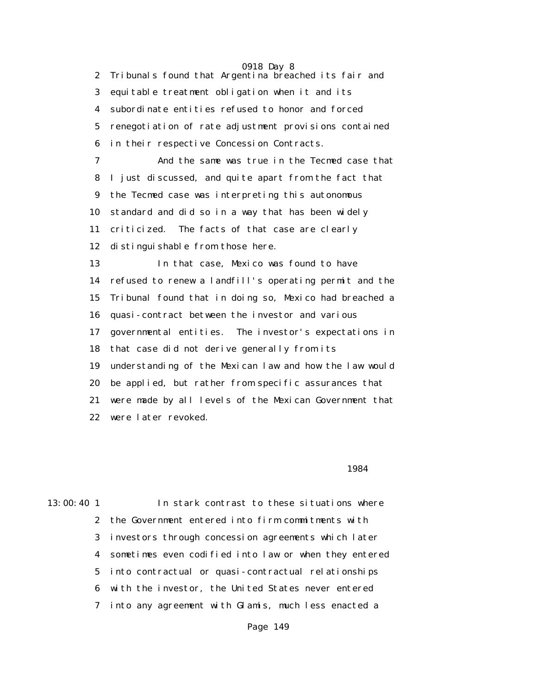0918 Day 8 2 Tribunals found that Argentina breached its fair and 3 equitable treatment obligation when it and its 4 subordinate entities refused to honor and forced 5 renegotiation of rate adjustment provisions contained 6 in their respective Concession Contracts. 7 And the same was true in the Tecmed case that 8 I just discussed, and quite apart from the fact that 9 the Tecmed case was interpreting this autonomous 10 standard and did so in a way that has been widely 11 criticized. The facts of that case are clearly 12 distinguishable from those here. 13 In that case, Mexico was found to have 14 refused to renew a landfill's operating permit and the 15 Tribunal found that in doing so, Mexico had breached a 16 quasi-contract between the investor and various 17 governmental entities. The investor's expectations in 18 that case did not derive generally from its 19 understanding of the Mexican law and how the law would 20 be applied, but rather from specific assurances that 21 were made by all levels of the Mexican Government that 22 were later revoked.

### 1984

# 13:00:40 1 In stark contrast to these situations where 2 the Government entered into firm commitments with 3 investors through concession agreements which later 4 sometimes even codified into law or when they entered 5 into contractual or quasi-contractual relationships 6 with the investor, the United States never entered 7 into any agreement with Glamis, much less enacted a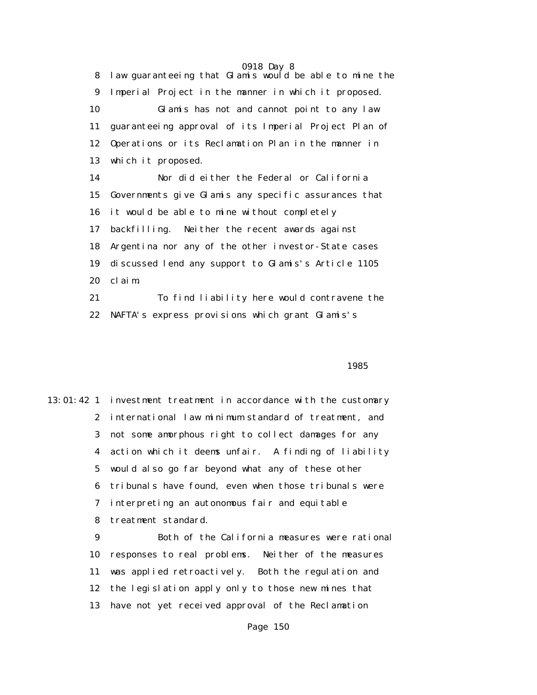8 law guaranteeing that Glamis would be able to mine the 9 Imperial Project in the manner in which it proposed. 10 Glamis has not and cannot point to any law 11 guaranteeing approval of its Imperial Project Plan of 12 Operations or its Reclamation Plan in the manner in 13 which it proposed. 14 Nor did either the Federal or California 15 Governments give Glamis any specific assurances that 16 it would be able to mine without completely 17 backfilling. Neither the recent awards against 18 Argentina nor any of the other investor-State cases 19 discussed lend any support to Glamis's Article 1105 20 claim. 21 To find liability here would contravene the

22 NAFTA's express provisions which grant Glamis's

### $1985$

13:01:42 1 investment treatment in accordance with the customary 2 international law minimum standard of treatment, and 3 not some amorphous right to collect damages for any 4 action which it deems unfair. A finding of liability 5 would also go far beyond what any of these other 6 tribunals have found, even when those tribunals were 7 interpreting an autonomous fair and equitable 8 treatment standard.

> 9 Both of the California measures were rational 10 responses to real problems. Neither of the measures 11 was applied retroactively. Both the regulation and 12 the legislation apply only to those new mines that 13 have not yet received approval of the Reclamation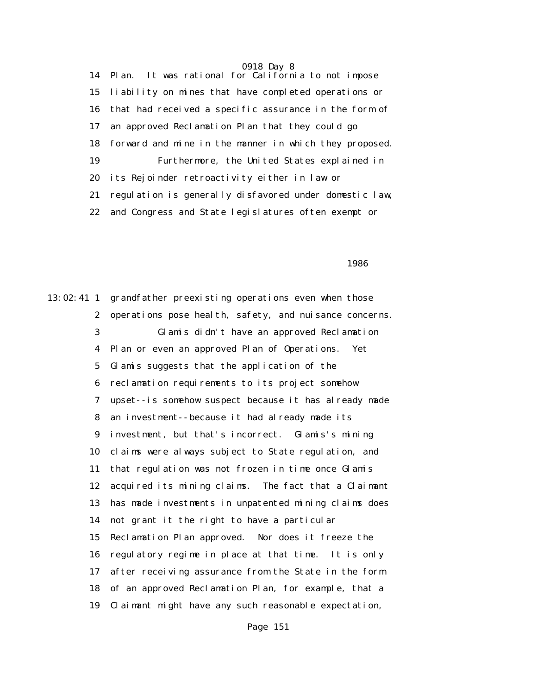14 Plan. It was rational for California to not impose 15 liability on mines that have completed operations or 16 that had received a specific assurance in the form of 17 an approved Reclamation Plan that they could go 18 forward and mine in the manner in which they proposed. 19 Furthermore, the United States explained in 20 its Rejoinder retroactivity either in law or 21 regulation is generally disfavored under domestic law, 22 and Congress and State legislatures often exempt or

 $1986$ 

13:02:41 1 grandfather preexisting operations even when those 2 operations pose health, safety, and nuisance concerns. 3 Glamis didn't have an approved Reclamation 4 Plan or even an approved Plan of Operations. Yet 5 Glamis suggests that the application of the 6 reclamation requirements to its project somehow 7 upset--is somehow suspect because it has already made 8 an investment--because it had already made its 9 investment, but that's incorrect. Glamis's mining 10 claims were always subject to State regulation, and 11 that regulation was not frozen in time once Glamis 12 acquired its mining claims. The fact that a Claimant 13 has made investments in unpatented mining claims does 14 not grant it the right to have a particular 15 Reclamation Plan approved. Nor does it freeze the 16 regulatory regime in place at that time. It is only 17 after receiving assurance from the State in the form 18 of an approved Reclamation Plan, for example, that a 19 Claimant might have any such reasonable expectation,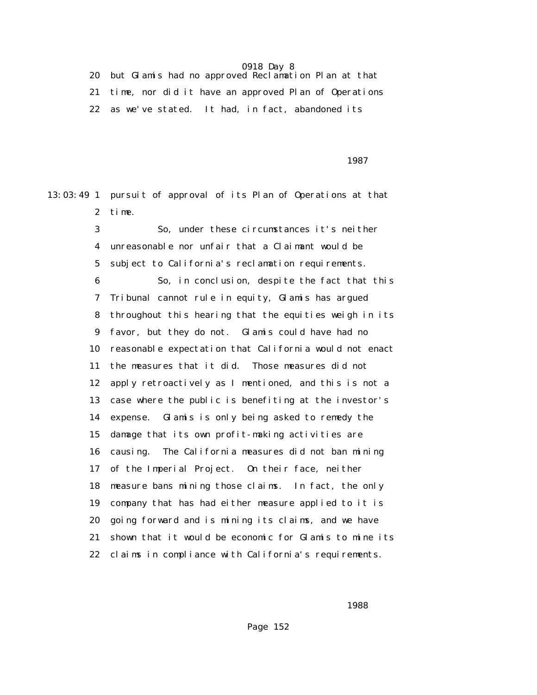20 but Glamis had no approved Reclamation Plan at that 21 time, nor did it have an approved Plan of Operations 22 as we've stated. It had, in fact, abandoned its

проставляются в подворовки в союз в 1987 году в 1987 году в 1987 году в 1987 году в 1987 году в 1987 году в 19

13:03:49 1 pursuit of approval of its Plan of Operations at that 2 time.

 3 So, under these circumstances it's neither 4 unreasonable nor unfair that a Claimant would be 5 subject to California's reclamation requirements. 6 So, in conclusion, despite the fact that this 7 Tribunal cannot rule in equity, Glamis has argued 8 throughout this hearing that the equities weigh in its 9 favor, but they do not. Glamis could have had no 10 reasonable expectation that California would not enact 11 the measures that it did. Those measures did not 12 apply retroactively as I mentioned, and this is not a 13 case where the public is benefiting at the investor's 14 expense. Glamis is only being asked to remedy the 15 damage that its own profit-making activities are 16 causing. The California measures did not ban mining 17 of the Imperial Project. On their face, neither 18 measure bans mining those claims. In fact, the only 19 company that has had either measure applied to it is 20 going forward and is mining its claims, and we have 21 shown that it would be economic for Glamis to mine its 22 claims in compliance with California's requirements.

 $1988$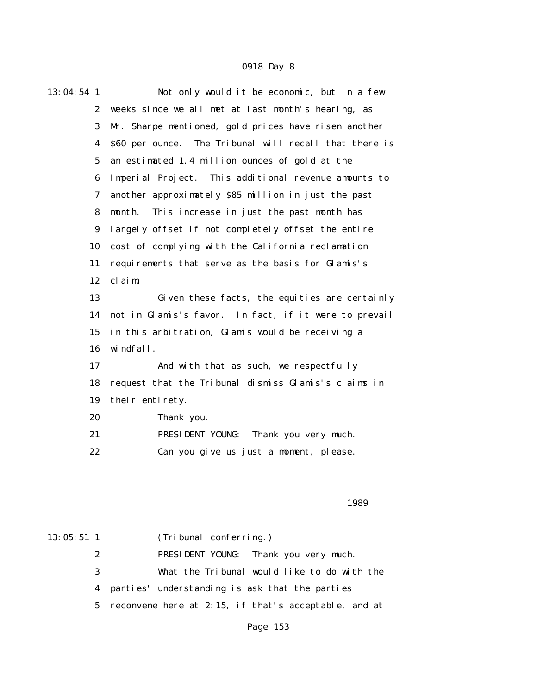| 13:04:54 1       | Not only would it be economic, but in a few            |
|------------------|--------------------------------------------------------|
| $\mathbf{2}$     | weeks since we all met at last month's hearing, as     |
| 3                | Mr. Sharpe mentioned, gold prices have risen another   |
| 4                | \$60 per ounce. The Tribunal will recall that there is |
| $\mathbf{5}$     | an estimated 1.4 million ounces of gold at the         |
| 6                | Imperial Project. This additional revenue amounts to   |
| 7                | another approximately \$85 million in just the past    |
| 8                | This increase in just the past month has<br>month.     |
| $\boldsymbol{9}$ | largely offset if not completely offset the entire     |
| 10               | cost of complying with the California reclamation      |
| 11               | requirements that serve as the basis for Glamis's      |
| 12               | claim.                                                 |
| 13               | Given these facts, the equities are certainly          |
| 14               | not in Glamis's favor. In fact, if it were to prevail  |
| 15               | in this arbitration, Glamis would be receiving a       |
| 16               | windfall.                                              |
| 17               | And with that as such, we respectfully                 |
| 18               | request that the Tribunal dismiss Glamis's claims in   |
| 19               | their entirety.                                        |
| 20               | Thank you.                                             |
| 21               | PRESIDENT YOUNG:<br>Thank you very much.               |
| 22               | Can you give us just a moment, please.                 |

### $1989$

| $13:05:51$ 1 |   | (Tribunal conferring.)                                 |
|--------------|---|--------------------------------------------------------|
|              | 2 | PRESIDENT YOUNG: Thank you very much.                  |
|              | 3 | What the Tribunal would like to do with the            |
|              |   | 4 parties' understanding is ask that the parties       |
|              |   | 5 reconvene here at 2:15, if that's acceptable, and at |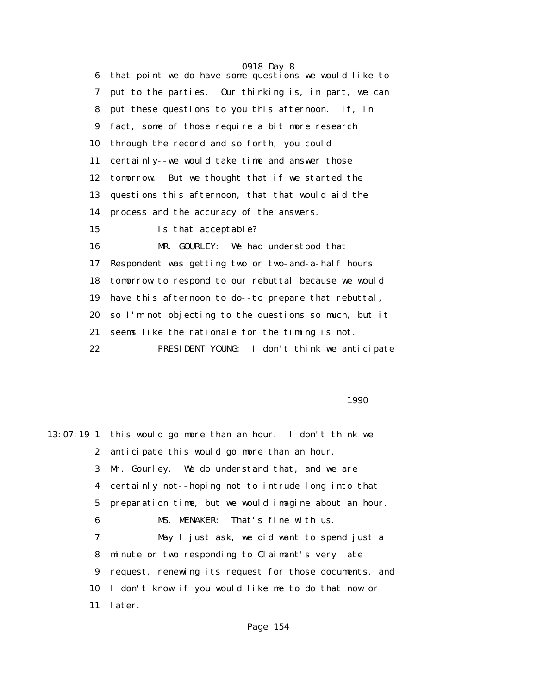0918 Day 8 6 that point we do have some questions we would like to 7 put to the parties. Our thinking is, in part, we can 8 put these questions to you this afternoon. If, in 9 fact, some of those require a bit more research 10 through the record and so forth, you could 11 certainly--we would take time and answer those 12 tomorrow. But we thought that if we started the 13 questions this afternoon, that that would aid the 14 process and the accuracy of the answers. 15 Is that acceptable? 16 MR. GOURLEY: We had understood that 17 Respondent was getting two or two-and-a-half hours 18 tomorrow to respond to our rebuttal because we would 19 have this afternoon to do--to prepare that rebuttal, 20 so I'm not objecting to the questions so much, but it 21 seems like the rationale for the timing is not. 22 PRESIDENT YOUNG: I don't think we anticipate

### $1990$

13:07:19 1 this would go more than an hour. I don't think we 2 anticipate this would go more than an hour, 3 Mr. Gourley. We do understand that, and we are 4 certainly not--hoping not to intrude long into that 5 preparation time, but we would imagine about an hour. 6 MS. MENAKER: That's fine with us. 7 May I just ask, we did want to spend just a 8 minute or two responding to Claimant's very late 9 request, renewing its request for those documents, and 10 I don't know if you would like me to do that now or 11 later.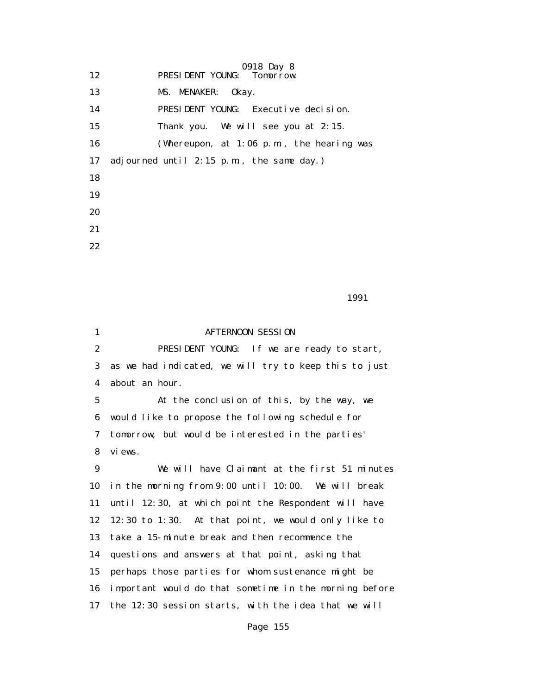0918 Day 8<br>Tomorrow. 12 **PRESIDENT YOUNG:** 

13 MS. MENAKER: Okay.

14 PRESIDENT YOUNG: Executive decision.

15 Thank you. We will see you at 2:15.

16 (Whereupon, at 1:06 p.m., the hearing was

17 adjourned until 2:15 p.m., the same day.)

18

19

20

21

22

1991

1 **AFTERNOON SESSION**  2 PRESIDENT YOUNG: If we are ready to start, 3 as we had indicated, we will try to keep this to just 4 about an hour. 5 At the conclusion of this, by the way, we 6 would like to propose the following schedule for 7 tomorrow, but would be interested in the parties' 8 views. 9 We will have Claimant at the first 51 minutes 10 in the morning from 9:00 until 10:00. We will break 11 until 12:30, at which point the Respondent will have 12 12:30 to 1:30. At that point, we would only like to 13 take a 15-minute break and then recommence the 14 questions and answers at that point, asking that 15 perhaps those parties for whom sustenance might be 16 important would do that sometime in the morning before 17 the 12:30 session starts, with the idea that we will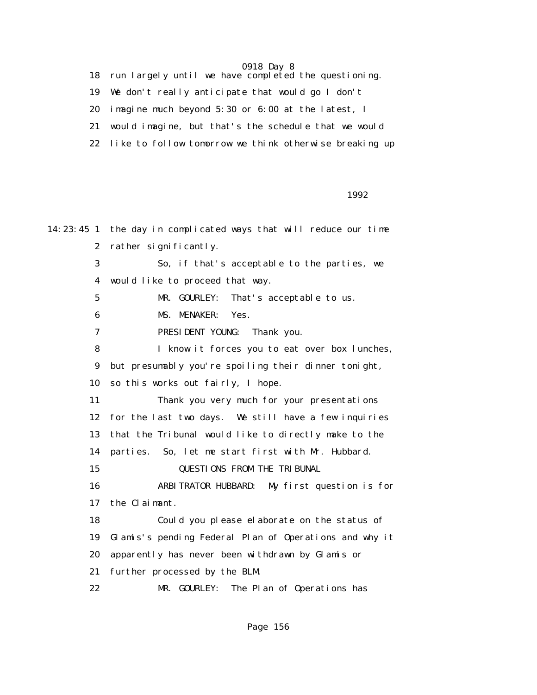18 run largely until we have completed the questioning.

19 We don't really anticipate that would go I don't

20 imagine much beyond 5:30 or 6:00 at the latest, I

21 would imagine, but that's the schedule that we would

22 like to follow tomorrow we think otherwise breaking up

 $1992$ 

14:23:45 1 the day in complicated ways that will reduce our time 2 rather significantly. 3 So, if that's acceptable to the parties, we 4 would like to proceed that way. 5 MR. GOURLEY: That's acceptable to us. 6 MS. MENAKER: Yes. 7 PRESIDENT YOUNG: Thank you. 8 I know it forces you to eat over box lunches, 9 but presumably you're spoiling their dinner tonight, 10 so this works out fairly, I hope. 11 Thank you very much for your presentations 12 for the last two days. We still have a few inquiries 13 that the Tribunal would like to directly make to the 14 parties. So, let me start first with Mr. Hubbard. 15 QUESTIONS FROM THE TRIBUNAL 16 ARBITRATOR HUBBARD: My first question is for 17 the Claimant. 18 Could you please elaborate on the status of 19 Glamis's pending Federal Plan of Operations and why it 20 apparently has never been withdrawn by Glamis or 21 further processed by the BLM. 22 MR. GOURLEY: The Plan of Operations has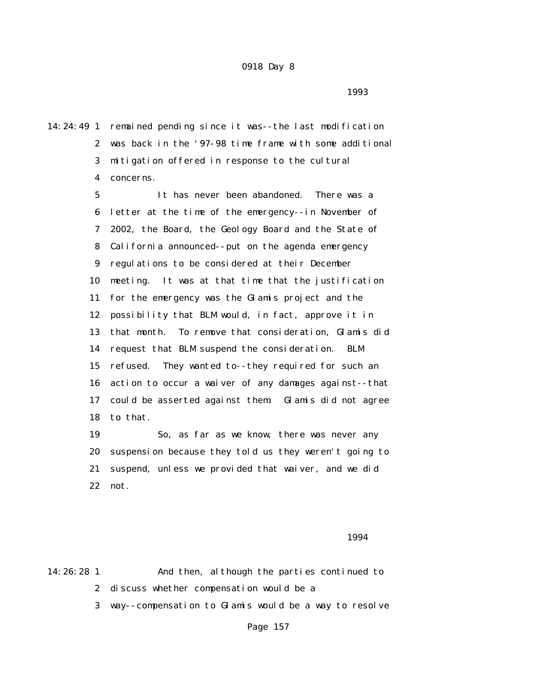$1993$ 

14:24:49 1 remained pending since it was--the last modification 2 was back in the '97-98 time frame with some additional 3 mitigation offered in response to the cultural 4 concerns.

> 5 It has never been abandoned. There was a 6 letter at the time of the emergency--in November of 7 2002, the Board, the Geology Board and the State of 8 California announced--put on the agenda emergency 9 regulations to be considered at their December 10 meeting. It was at that time that the justification 11 for the emergency was the Glamis project and the 12 possibility that BLM would, in fact, approve it in 13 that month. To remove that consideration, Glamis did 14 request that BLM suspend the consideration. BLM 15 refused. They wanted to--they required for such an 16 action to occur a waiver of any damages against--that 17 could be asserted against them. Glamis did not agree 18 to that.

> 19 So, as far as we know, there was never any 20 suspension because they told us they weren't going to 21 suspend, unless we provided that waiver, and we did 22 not.

1994

14:26:28 1 And then, although the parties continued to 2 discuss whether compensation would be a

3 way--compensation to Glamis would be a way to resolve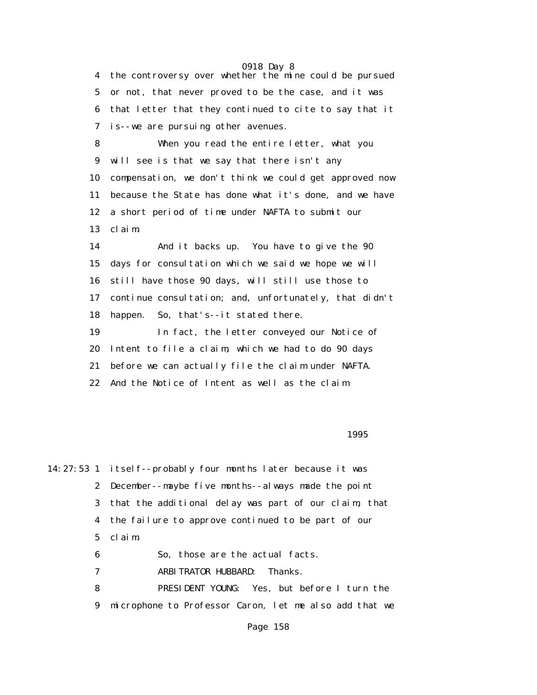0918 Day 8 4 the controversy over whether the mine could be pursued 5 or not, that never proved to be the case, and it was 6 that letter that they continued to cite to say that it 7 is--we are pursuing other avenues. 8 When you read the entire letter, what you 9 will see is that we say that there isn't any 10 compensation, we don't think we could get approved now 11 because the State has done what it's done, and we have 12 a short period of time under NAFTA to submit our 13 claim. 14 And it backs up. You have to give the 90 15 days for consultation which we said we hope we will 16 still have those 90 days, will still use those to 17 continue consultation; and, unfortunately, that didn't 18 happen. So, that's--it stated there. 19 In fact, the letter conveyed our Notice of 20 Intent to file a claim, which we had to do 90 days 21 before we can actually file the claim under NAFTA. 22 And the Notice of Intent as well as the claim

### $1995$

14:27:53 1 itself--probably four months later because it was 2 December--maybe five months--always made the point 3 that the additional delay was part of our claim, that 4 the failure to approve continued to be part of our 5 claim. 6 So, those are the actual facts. 7 ARBITRATOR HUBBARD: Thanks. 8 PRESIDENT YOUNG: Yes, but before I turn the

9 microphone to Professor Caron, let me also add that we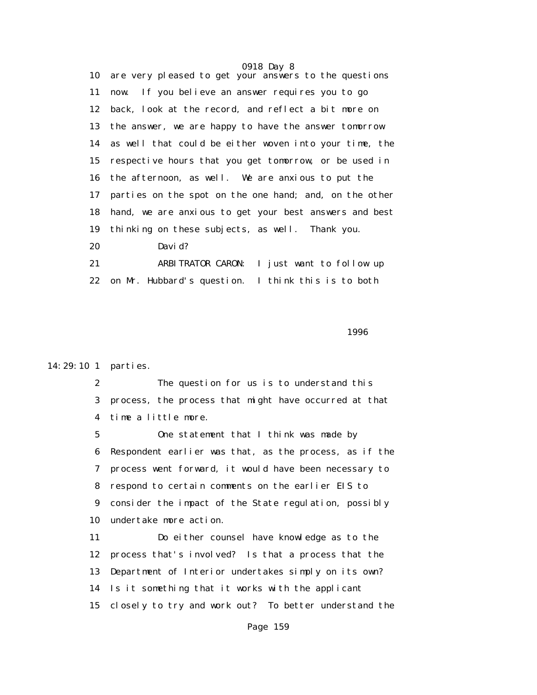0918 Day 8 10 are very pleased to get your answers to the questions 11 now. If you believe an answer requires you to go 12 back, look at the record, and reflect a bit more on 13 the answer, we are happy to have the answer tomorrow 14 as well that could be either woven into your time, the 15 respective hours that you get tomorrow, or be used in 16 the afternoon, as well. We are anxious to put the 17 parties on the spot on the one hand; and, on the other 18 hand, we are anxious to get your best answers and best 19 thinking on these subjects, as well. Thank you. 20 David? 21 ARBITRATOR CARON: I just want to follow up 22 on Mr. Hubbard's question. I think this is to both

 $1996$ 

### 14:29:10 1 parties.

 2 The question for us is to understand this 3 process, the process that might have occurred at that 4 time a little more.

 5 One statement that I think was made by 6 Respondent earlier was that, as the process, as if the 7 process went forward, it would have been necessary to 8 respond to certain comments on the earlier EIS to 9 consider the impact of the State regulation, possibly 10 undertake more action.

 11 Do either counsel have knowledge as to the 12 process that's involved? Is that a process that the 13 Department of Interior undertakes simply on its own? 14 Is it something that it works with the applicant 15 closely to try and work out? To better understand the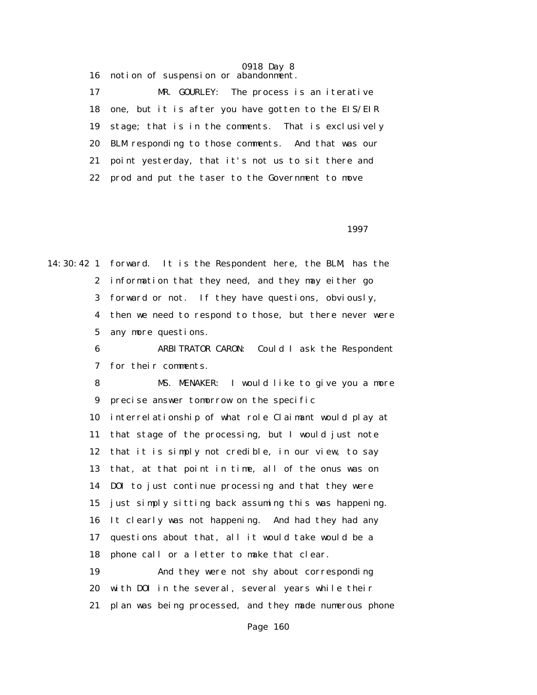16 notion of suspension or abandonment.

 17 MR. GOURLEY: The process is an iterative 18 one, but it is after you have gotten to the EIS/EIR 19 stage; that is in the comments. That is exclusively 20 BLM responding to those comments. And that was our 21 point yesterday, that it's not us to sit there and 22 prod and put the taser to the Government to move

 $1997$ 

14:30:42 1 forward. It is the Respondent here, the BLM, has the 2 information that they need, and they may either go 3 forward or not. If they have questions, obviously, 4 then we need to respond to those, but there never were 5 any more questions.

> 6 ARBITRATOR CARON: Could I ask the Respondent 7 for their comments.

> 8 MS. MENAKER: I would like to give you a more 9 precise answer tomorrow on the specific

 10 interrelationship of what role Claimant would play at 11 that stage of the processing, but I would just note 12 that it is simply not credible, in our view, to say 13 that, at that point in time, all of the onus was on 14 DOI to just continue processing and that they were 15 just simply sitting back assuming this was happening. 16 It clearly was not happening. And had they had any 17 questions about that, all it would take would be a 18 phone call or a letter to make that clear.

 19 And they were not shy about corresponding 20 with DOI in the several, several years while their 21 plan was being processed, and they made numerous phone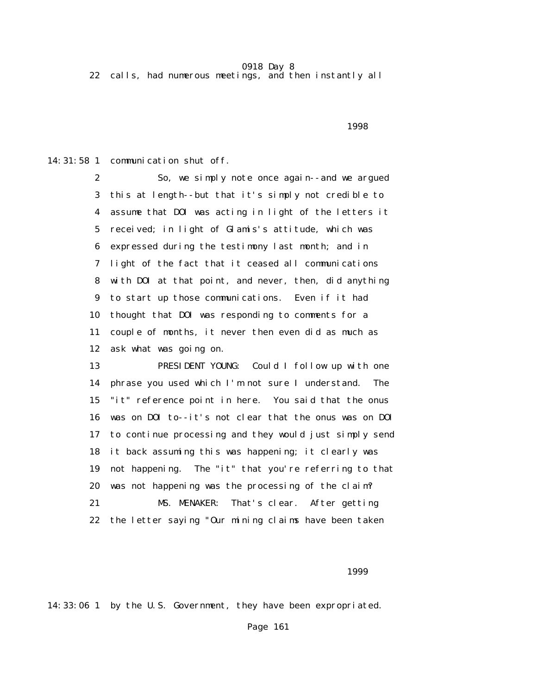22 calls, had numerous meetings, and then instantly all

 $1998$ 

14:31:58 1 communication shut off.

 2 So, we simply note once again--and we argued 3 this at length--but that it's simply not credible to 4 assume that DOI was acting in light of the letters it 5 received; in light of Glamis's attitude, which was 6 expressed during the testimony last month; and in 7 light of the fact that it ceased all communications 8 with DOI at that point, and never, then, did anything 9 to start up those communications. Even if it had 10 thought that DOI was responding to comments for a 11 couple of months, it never then even did as much as 12 ask what was going on.

 13 PRESIDENT YOUNG: Could I follow up with one 14 phrase you used which I'm not sure I understand. The 15 "it" reference point in here. You said that the onus 16 was on DOI to--it's not clear that the onus was on DOI 17 to continue processing and they would just simply send 18 it back assuming this was happening; it clearly was 19 not happening. The "it" that you're referring to that 20 was not happening was the processing of the claim? 21 MS. MENAKER: That's clear. After getting 22 the letter saying "Our mining claims have been taken

1999

14:33:06 1 by the U.S. Government, they have been expropriated.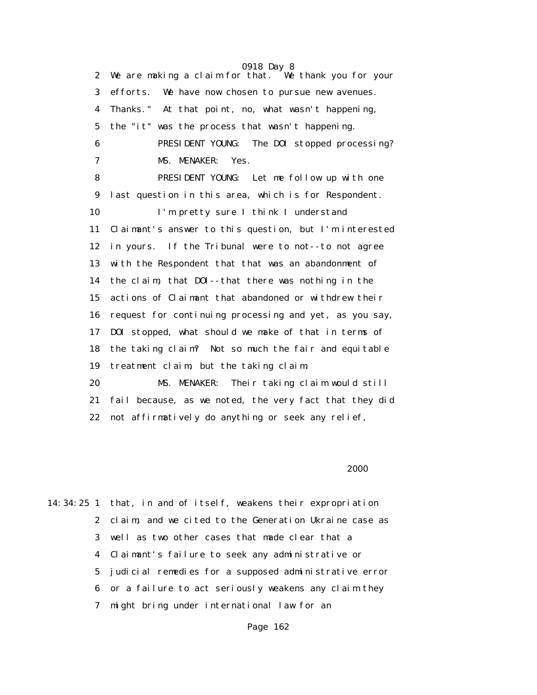0918 Day 8 2 We are making a claim for that. We thank you for your 3 efforts. We have now chosen to pursue new avenues. 4 Thanks." At that point, no, what wasn't happening, 5 the "it" was the process that wasn't happening. 6 PRESIDENT YOUNG: The DOI stopped processing? 7 MS. MENAKER: Yes. 8 PRESIDENT YOUNG: Let me follow up with one 9 last question in this area, which is for Respondent. 10 I'm pretty sure I think I understand 11 Claimant's answer to this question, but I'm interested 12 in yours. If the Tribunal were to not--to not agree 13 with the Respondent that that was an abandonment of 14 the claim, that DOI--that there was nothing in the 15 actions of Claimant that abandoned or withdrew their 16 request for continuing processing and yet, as you say, 17 DOI stopped, what should we make of that in terms of 18 the taking claim? Not so much the fair and equitable 19 treatment claim, but the taking claim. 20 MS. MENAKER: Their taking claim would still 21 fail because, as we noted, the very fact that they did

22 not affirmatively do anything or seek any relief,

 $2000$ 

14:34:25 1 that, in and of itself, weakens their expropriation 2 claim, and we cited to the Generation Ukraine case as 3 well as two other cases that made clear that a 4 Claimant's failure to seek any administrative or 5 judicial remedies for a supposed administrative error 6 or a failure to act seriously weakens any claim they 7 might bring under international law for an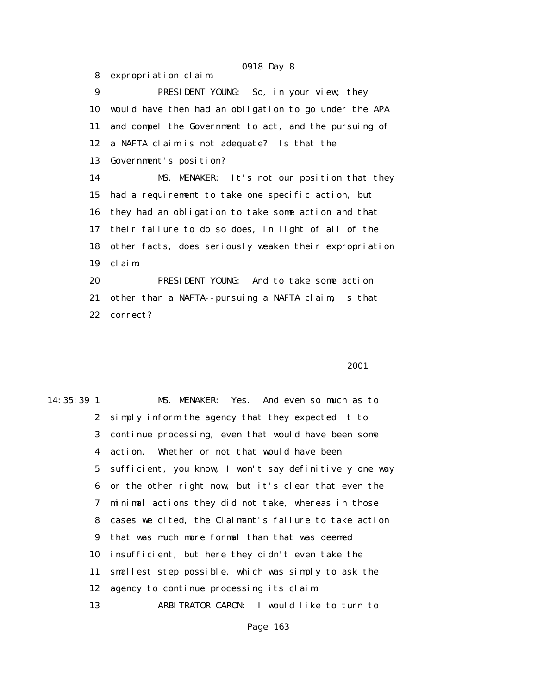8 expropriation claim.

 9 PRESIDENT YOUNG: So, in your view, they 10 would have then had an obligation to go under the APA 11 and compel the Government to act, and the pursuing of 12 a NAFTA claim is not adequate? Is that the 13 Government's position? 14 MS. MENAKER: It's not our position that they 15 had a requirement to take one specific action, but 16 they had an obligation to take some action and that 17 their failure to do so does, in light of all of the 18 other facts, does seriously weaken their expropriation 19 claim. 20 PRESIDENT YOUNG: And to take some action 21 other than a NAFTA--pursuing a NAFTA claim; is that

22 correct?

### 2001 **2001**

14:35:39 1 MS. MENAKER: Yes. And even so much as to 2 simply inform the agency that they expected it to 3 continue processing, even that would have been some 4 action. Whether or not that would have been 5 sufficient, you know, I won't say definitively one way 6 or the other right now, but it's clear that even the 7 minimal actions they did not take, whereas in those 8 cases we cited, the Claimant's failure to take action 9 that was much more formal than that was deemed 10 insufficient, but here they didn't even take the 11 smallest step possible, which was simply to ask the 12 agency to continue processing its claim. 13 ARBITRATOR CARON: I would like to turn to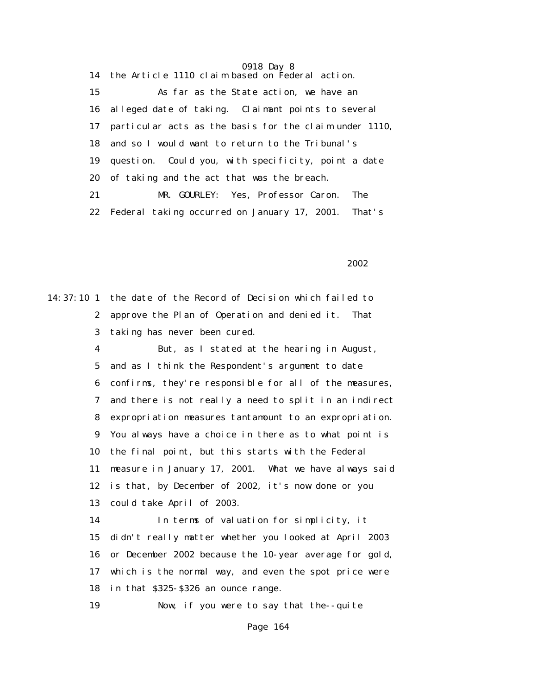14 the Article 1110 claim based on Federal action. 15 As far as the State action, we have an 16 alleged date of taking. Claimant points to several 17 particular acts as the basis for the claim under 1110, 18 and so I would want to return to the Tribunal's 19 question. Could you, with specificity, point a date 20 of taking and the act that was the breach. 21 MR. GOURLEY: Yes, Professor Caron. The 22 Federal taking occurred on January 17, 2001. That's

2002 and 2002 and 2002 and 2002 and 2002 and 2002

14:37:10 1 the date of the Record of Decision which failed to 2 approve the Plan of Operation and denied it. That 3 taking has never been cured.

> 4 But, as I stated at the hearing in August, 5 and as I think the Respondent's argument to date 6 confirms, they're responsible for all of the measures, 7 and there is not really a need to split in an indirect 8 expropriation measures tantamount to an expropriation. 9 You always have a choice in there as to what point is 10 the final point, but this starts with the Federal 11 measure in January 17, 2001. What we have always said 12 is that, by December of 2002, it's now done or you 13 could take April of 2003.

 14 In terms of valuation for simplicity, it 15 didn't really matter whether you looked at April 2003 16 or December 2002 because the 10-year average for gold, 17 which is the normal way, and even the spot price were 18 in that \$325-\$326 an ounce range.

19 Now, if you were to say that the--quite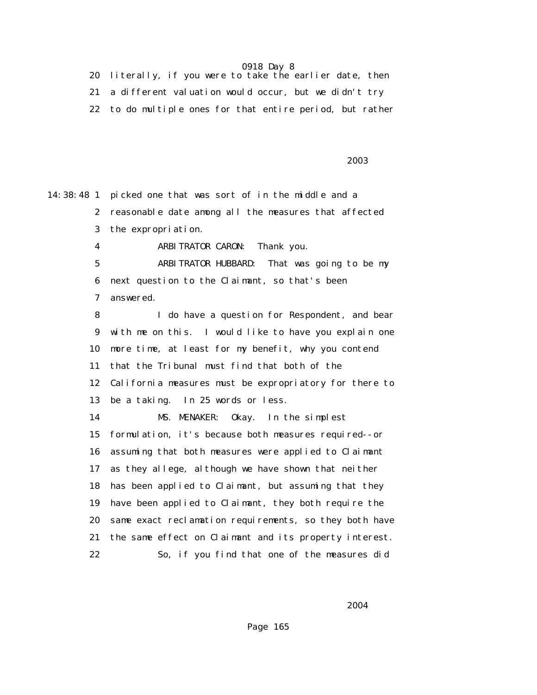|  | 20 literally, if you were to take the earlier date, then  |
|--|-----------------------------------------------------------|
|  | 21 a different valuation would occur, but we didn't try   |
|  | 22 to do multiple ones for that entire period, but rather |

2003 - 2003 - 2003 - 2003 - 2003 - 2003 - 2003 - 2003 - 2004 - 2004 - 2003 - 2004 - 2004 - 2004 - 200

14:38:48 1 picked one that was sort of in the middle and a 2 reasonable date among all the measures that affected 3 the expropriation. 4 ARBITRATOR CARON: Thank you. 5 ARBITRATOR HUBBARD: That was going to be my 6 next question to the Claimant, so that's been 7 answered. 8 I do have a question for Respondent, and bear 9 with me on this. I would like to have you explain one 10 more time, at least for my benefit, why you contend 11 that the Tribunal must find that both of the 12 California measures must be expropriatory for there to 13 be a taking. In 25 words or less. 14 MS. MENAKER: Okay. In the simplest 15 formulation, it's because both measures required--or 16 assuming that both measures were applied to Claimant 17 as they allege, although we have shown that neither 18 has been applied to Claimant, but assuming that they 19 have been applied to Claimant, they both require the 20 same exact reclamation requirements, so they both have 21 the same effect on Claimant and its property interest. 22 So, if you find that one of the measures did

2004 **2004**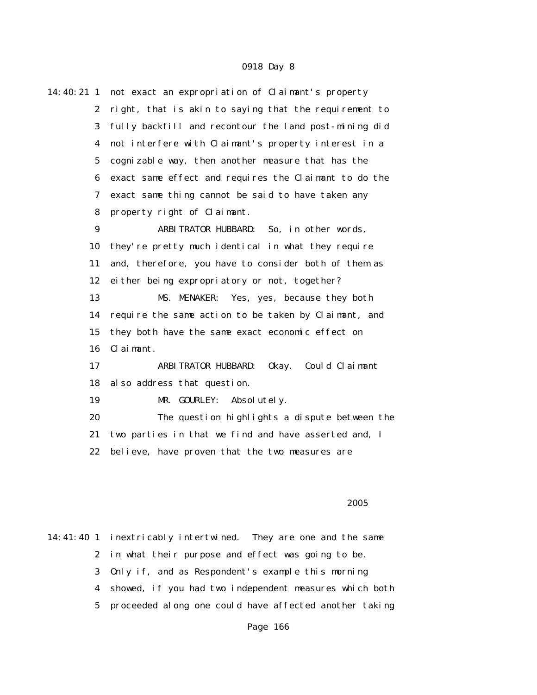| 14:40:21 1       | not exact an expropriation of Claimant's property     |
|------------------|-------------------------------------------------------|
| $\boldsymbol{2}$ | right, that is akin to saying that the requirement to |
| 3                | fully backfill and recontour the land post-mining did |
| $\boldsymbol{4}$ | not interfere with Claimant's property interest in a  |
| $\mathbf 5$      | cognizable way, then another measure that has the     |
| 6                | exact same effect and requires the Claimant to do the |
| 7                | exact same thing cannot be said to have taken any     |
| 8                | property right of Claimant.                           |
| 9                | ARBITRATOR HUBBARD: So, in other words,               |
| 10               | they're pretty much identical in what they require    |
| 11               | and, therefore, you have to consider both of them as  |
| 12               | either being expropriatory or not, together?          |
| 13               | MS. MENAKER:<br>Yes, yes, because they both           |
| 14               | require the same action to be taken by Claimant, and  |
| 15               | they both have the same exact economic effect on      |
| 16               | Claimant.                                             |
| 17               | ARBITRATOR HUBBARD:<br>0kay.<br>Could Claimant        |
| 18               | also address that question.                           |
| 19               | Absolutely.<br>MR. GOURLEY:                           |
| 20               | The question highlights a dispute between the         |
| 21               | two parties in that we find and have asserted and, I  |
| 22               | believe, have proven that the two measures are        |
|                  |                                                       |

### $2005$

14:41:40 1 inextricably intertwined. They are one and the same 2 in what their purpose and effect was going to be. 3 Only if, and as Respondent's example this morning 4 showed, if you had two independent measures which both 5 proceeded along one could have affected another taking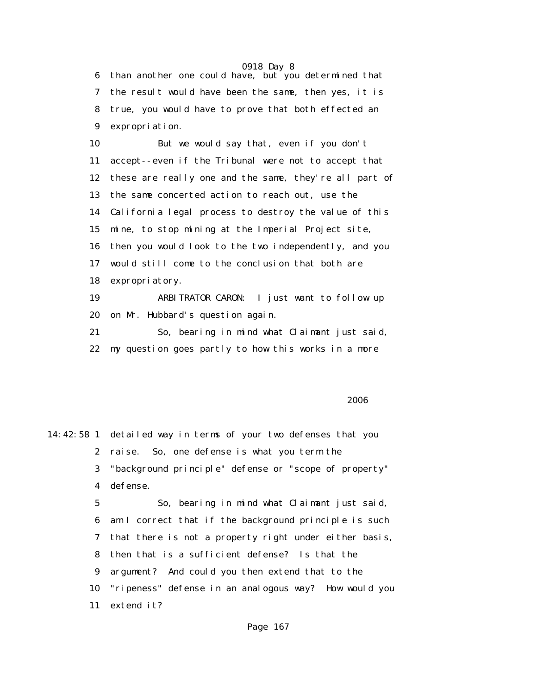6 than another one could have, but you determined that 7 the result would have been the same, then yes, it is 8 true, you would have to prove that both effected an 9 expropriation.

 10 But we would say that, even if you don't 11 accept--even if the Tribunal were not to accept that 12 these are really one and the same, they're all part of 13 the same concerted action to reach out, use the 14 California legal process to destroy the value of this 15 mine, to stop mining at the Imperial Project site, 16 then you would look to the two independently, and you 17 would still come to the conclusion that both are 18 expropriatory. 19 ARBITRATOR CARON: I just want to follow up

20 on Mr. Hubbard's question again.

 21 So, bearing in mind what Claimant just said, 22 my question goes partly to how this works in a more

 $2006$ 

14:42:58 1 detailed way in terms of your two defenses that you 2 raise. So, one defense is what you term the 3 "background principle" defense or "scope of property" 4 defense. 5 So, bearing in mind what Claimant just said,

 6 am I correct that if the background principle is such 7 that there is not a property right under either basis, 8 then that is a sufficient defense? Is that the 9 argument? And could you then extend that to the 10 "ripeness" defense in an analogous way? How would you 11 extend it?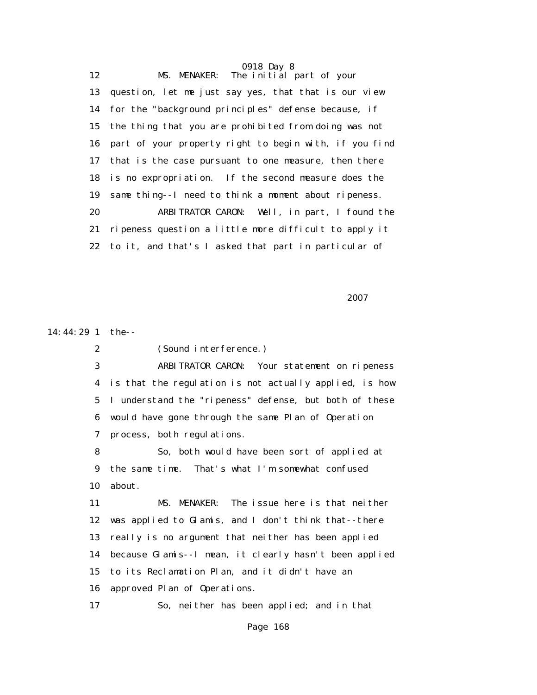0918 Day 8 12 MS. MENAKER: The initial part of your 13 question, let me just say yes, that that is our view 14 for the "background principles" defense because, if 15 the thing that you are prohibited from doing was not 16 part of your property right to begin with, if you find 17 that is the case pursuant to one measure, then there 18 is no expropriation. If the second measure does the 19 same thing--I need to think a moment about ripeness. 20 ARBITRATOR CARON: Well, in part, I found the 21 ripeness question a little more difficult to apply it 22 to it, and that's I asked that part in particular of

2007 **2007** 

14:44:29 1 the--

2 (Sound interference.)

 3 ARBITRATOR CARON: Your statement on ripeness 4 is that the regulation is not actually applied, is how 5 I understand the "ripeness" defense, but both of these 6 would have gone through the same Plan of Operation 7 process, both regulations.

 8 So, both would have been sort of applied at 9 the same time. That's what I'm somewhat confused 10 about.

 11 MS. MENAKER: The issue here is that neither 12 was applied to Glamis, and I don't think that--there 13 really is no argument that neither has been applied 14 because Glamis--I mean, it clearly hasn't been applied 15 to its Reclamation Plan, and it didn't have an 16 approved Plan of Operations.

17 So, neither has been applied; and in that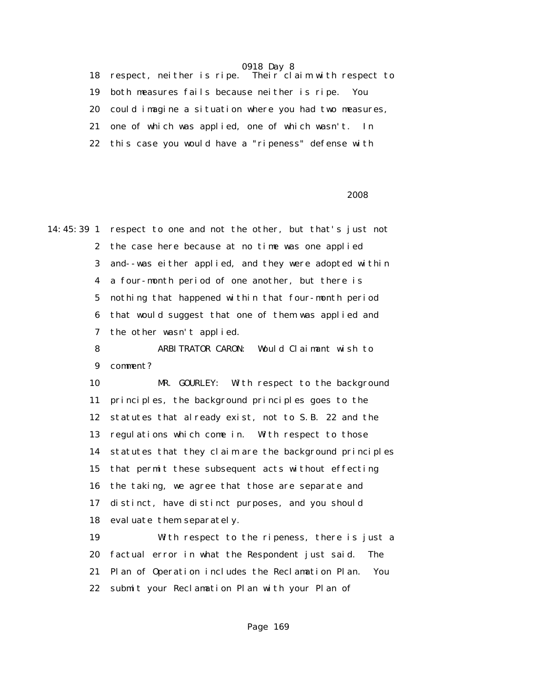18 respect, neither is ripe. Their claim with respect to 19 both measures fails because neither is ripe. You 20 could imagine a situation where you had two measures, 21 one of which was applied, one of which wasn't. In 22 this case you would have a "ripeness" defense with

### 2008 - 2008 - 2008 - 2008 - 2008 - 2008 - 2008 - 2008 - 2008 - 2008 - 2008 - 2008 - 2008 - 2008 - 2008 - 2008

14:45:39 1 respect to one and not the other, but that's just not 2 the case here because at no time was one applied 3 and--was either applied, and they were adopted within 4 a four-month period of one another, but there is 5 nothing that happened within that four-month period 6 that would suggest that one of them was applied and 7 the other wasn't applied. 8 ARBITRATOR CARON: Would Claimant wish to 9 comment? 10 MR. GOURLEY: With respect to the background 11 principles, the background principles goes to the 12 statutes that already exist, not to S.B. 22 and the 13 regulations which come in. With respect to those 14 statutes that they claim are the background principles 15 that permit these subsequent acts without effecting 16 the taking, we agree that those are separate and 17 distinct, have distinct purposes, and you should 18 evaluate them separately. 19 With respect to the ripeness, there is just a 20 factual error in what the Respondent just said. The 21 Plan of Operation includes the Reclamation Plan. You

22 submit your Reclamation Plan with your Plan of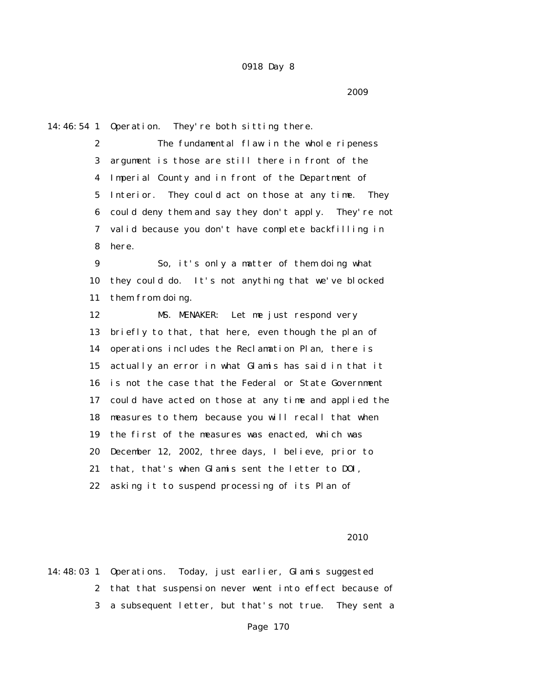14:46:54 1 Operation. They're both sitting there.

 2 The fundamental flaw in the whole ripeness 3 argument is those are still there in front of the 4 Imperial County and in front of the Department of 5 Interior. They could act on those at any time. They 6 could deny them and say they don't apply. They're not 7 valid because you don't have complete backfilling in 8 here.

 9 So, it's only a matter of them doing what 10 they could do. It's not anything that we've blocked 11 them from doing.

 12 MS. MENAKER: Let me just respond very 13 briefly to that, that here, even though the plan of 14 operations includes the Reclamation Plan, there is 15 actually an error in what Glamis has said in that it 16 is not the case that the Federal or State Government 17 could have acted on those at any time and applied the 18 measures to them, because you will recall that when 19 the first of the measures was enacted, which was 20 December 12, 2002, three days, I believe, prior to 21 that, that's when Glamis sent the letter to DOI, 22 asking it to suspend processing of its Plan of

<u>2010</u>

14:48:03 1 Operations. Today, just earlier, Glamis suggested 2 that that suspension never went into effect because of 3 a subsequent letter, but that's not true. They sent a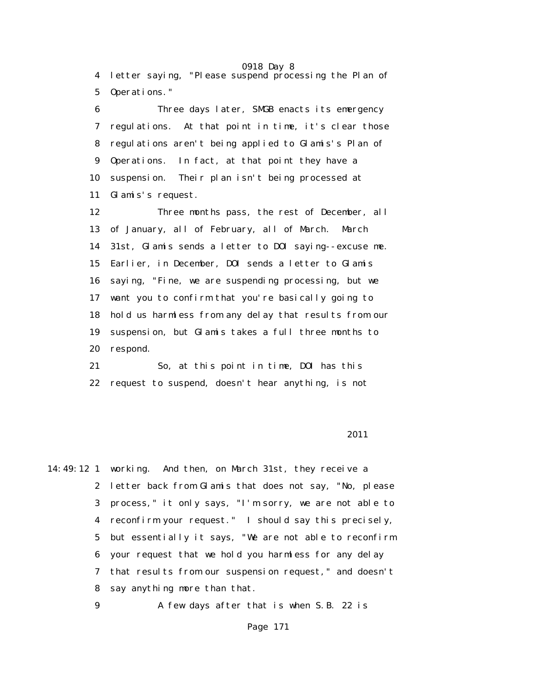0918 Day 8 4 letter saying, "Please suspend processing the Plan of 5 Operations."

 6 Three days later, SMGB enacts its emergency 7 regulations. At that point in time, it's clear those 8 regulations aren't being applied to Glamis's Plan of 9 Operations. In fact, at that point they have a 10 suspension. Their plan isn't being processed at 11 Glamis's request.

 12 Three months pass, the rest of December, all 13 of January, all of February, all of March. March 14 31st, Glamis sends a letter to DOI saying--excuse me. 15 Earlier, in December, DOI sends a letter to Glamis 16 saying, "Fine, we are suspending processing, but we 17 want you to confirm that you're basically going to 18 hold us harmless from any delay that results from our 19 suspension, but Glamis takes a full three months to 20 respond.

 21 So, at this point in time, DOI has this 22 request to suspend, doesn't hear anything, is not

### 2011

14:49:12 1 working. And then, on March 31st, they receive a 2 letter back from Glamis that does not say, "No, please 3 process," it only says, "I'm sorry, we are not able to 4 reconfirm your request." I should say this precisely, 5 but essentially it says, "We are not able to reconfirm 6 your request that we hold you harmless for any delay 7 that results from our suspension request," and doesn't 8 say anything more than that.

9 A few days after that is when S.B. 22 is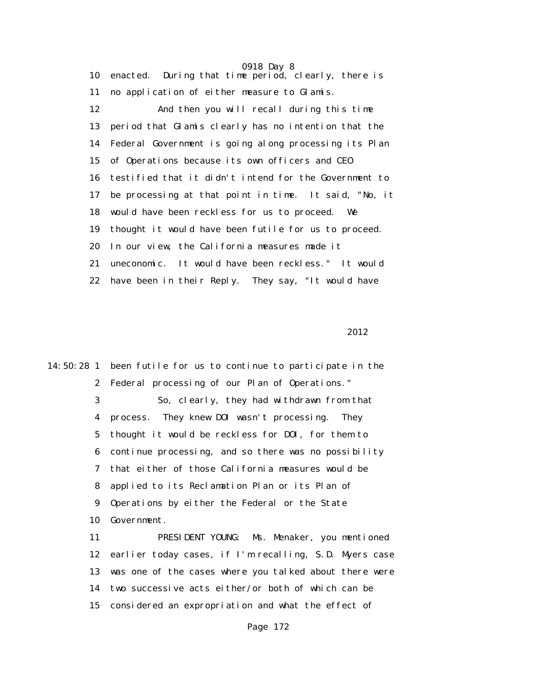0918 Day 8 10 enacted. During that time period, clearly, there is 11 no application of either measure to Glamis. 12 And then you will recall during this time 13 period that Glamis clearly has no intention that the 14 Federal Government is going along processing its Plan 15 of Operations because its own officers and CEO 16 testified that it didn't intend for the Government to 17 be processing at that point in time. It said, "No, it 18 would have been reckless for us to proceed. We 19 thought it would have been futile for us to proceed. 20 In our view, the California measures made it 21 uneconomic. It would have been reckless." It would 22 have been in their Reply. They say, "It would have

2012 **2012** 

14:50:28 1 been futile for us to continue to participate in the 2 Federal processing of our Plan of Operations." 3 So, clearly, they had withdrawn from that 4 process. They knew DOI wasn't processing. They 5 thought it would be reckless for DOI, for them to 6 continue processing, and so there was no possibility 7 that either of those California measures would be 8 applied to its Reclamation Plan or its Plan of 9 Operations by either the Federal or the State 10 Government. 11 PRESIDENT YOUNG: Ms. Menaker, you mentioned 12 earlier today cases, if I'm recalling, S.D. Myers case 13 was one of the cases where you talked about there were

14 two successive acts either/or both of which can be

15 considered an expropriation and what the effect of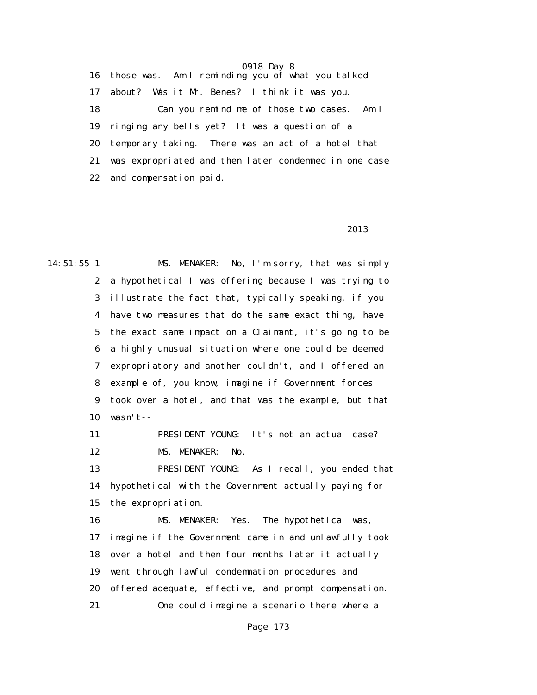16 those was. Am I reminding you of what you talked 17 about? Was it Mr. Benes? I think it was you. 18 Can you remind me of those two cases. Am I 19 ringing any bells yet? It was a question of a 20 temporary taking. There was an act of a hotel that 21 was expropriated and then later condemned in one case 22 and compensation paid.

### <u>2013</u>

14:51:55 1 MS. MENAKER: No, I'm sorry, that was simply 2 a hypothetical I was offering because I was trying to 3 illustrate the fact that, typically speaking, if you 4 have two measures that do the same exact thing, have 5 the exact same impact on a Claimant, it's going to be 6 a highly unusual situation where one could be deemed 7 expropriatory and another couldn't, and I offered an 8 example of, you know, imagine if Government forces 9 took over a hotel, and that was the example, but that 10 wasn't-- 11 PRESIDENT YOUNG: It's not an actual case? 12 MS. MENAKER: No. 13 PRESIDENT YOUNG: As I recall, you ended that 14 hypothetical with the Government actually paying for 15 the expropriation. 16 MS. MENAKER: Yes. The hypothetical was, 17 imagine if the Government came in and unlawfully took 18 over a hotel and then four months later it actually 19 went through lawful condemnation procedures and 20 offered adequate, effective, and prompt compensation. 21 One could imagine a scenario there where a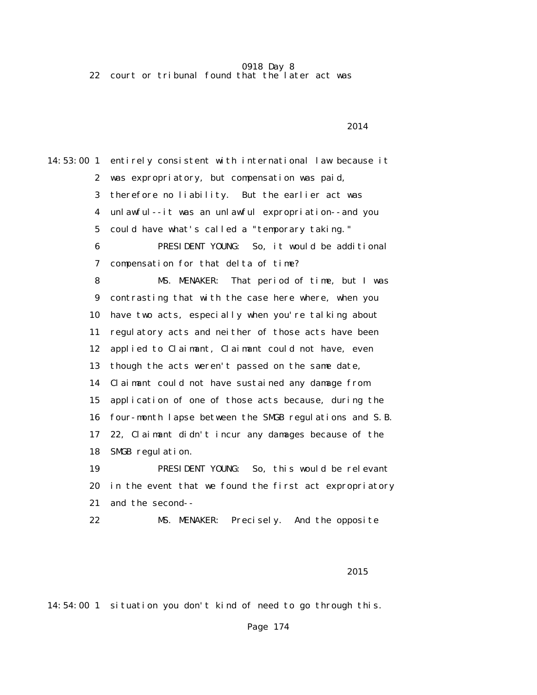22 court or tribunal found that the later act was

14:53:00 1 entirely consistent with international law because it 2 was expropriatory, but compensation was paid, 3 therefore no liability. But the earlier act was 4 unlawful--it was an unlawful expropriation--and you 5 could have what's called a "temporary taking." 6 PRESIDENT YOUNG: So, it would be additional 7 compensation for that delta of time? 8 MS. MENAKER: That period of time, but I was 9 contrasting that with the case here where, when you 10 have two acts, especially when you're talking about 11 regulatory acts and neither of those acts have been 12 applied to Claimant, Claimant could not have, even 13 though the acts weren't passed on the same date, 14 Claimant could not have sustained any damage from 15 application of one of those acts because, during the 16 four-month lapse between the SMGB regulations and S.B. 17 22, Claimant didn't incur any damages because of the 18 SMGB regulation. 19 PRESIDENT YOUNG: So, this would be relevant 20 in the event that we found the first act expropriatory 21 and the second-- 22 MS. MENAKER: Precisely. And the opposite

### 2014 **2014**

### <u>2015</u>

14:54:00 1 situation you don't kind of need to go through this.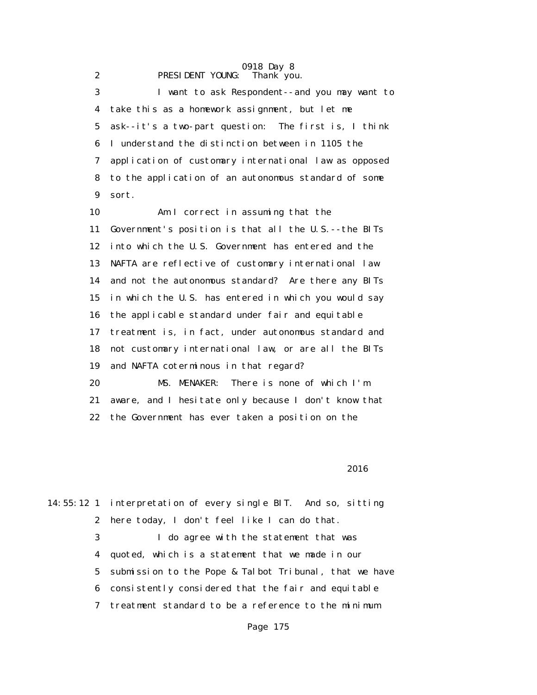#### 0918 Day 8 2 **PRESIDENT YOUNG:** Thank you.

 3 I want to ask Respondent--and you may want to 4 take this as a homework assignment, but let me 5 ask--it's a two-part question: The first is, I think 6 I understand the distinction between in 1105 the 7 application of customary international law as opposed 8 to the application of an autonomous standard of some 9 sort. 10 Am I correct in assuming that the

 11 Government's position is that all the U.S.--the BITs 12 into which the U.S. Government has entered and the 13 NAFTA are reflective of customary international law 14 and not the autonomous standard? Are there any BITs 15 in which the U.S. has entered in which you would say 16 the applicable standard under fair and equitable 17 treatment is, in fact, under autonomous standard and 18 not customary international law, or are all the BITs 19 and NAFTA coterminous in that regard? 20 MS. MENAKER: There is none of which I'm 21 aware, and I hesitate only because I don't know that

22 the Government has ever taken a position on the

 $2016$ 

14:55:12 1 interpretation of every single BIT. And so, sitting 2 here today, I don't feel like I can do that. 3 I do agree with the statement that was 4 quoted, which is a statement that we made in our 5 submission to the Pope & Talbot Tribunal, that we have 6 consistently considered that the fair and equitable 7 treatment standard to be a reference to the minimum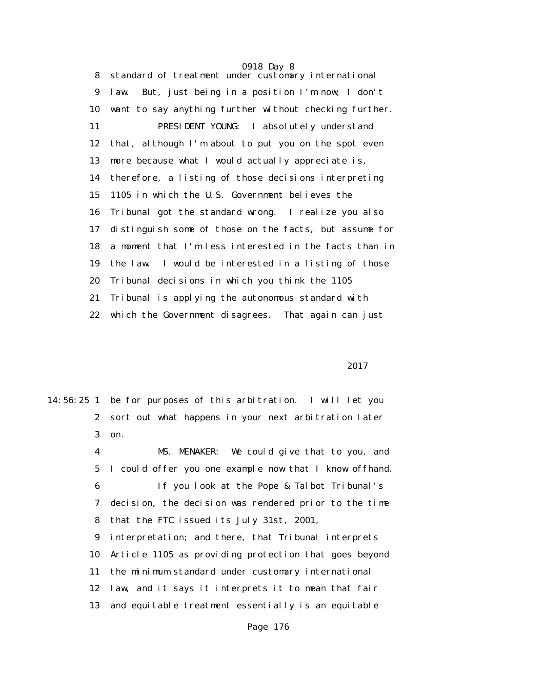0918 Day 8 8 standard of treatment under customary international 9 law. But, just being in a position I'm now, I don't 10 want to say anything further without checking further. 11 PRESIDENT YOUNG: I absolutely understand 12 that, although I'm about to put you on the spot even 13 more because what I would actually appreciate is, 14 therefore, a listing of those decisions interpreting 15 1105 in which the U.S. Government believes the 16 Tribunal got the standard wrong. I realize you also 17 distinguish some of those on the facts, but assume for 18 a moment that I'm less interested in the facts than in 19 the law. I would be interested in a listing of those 20 Tribunal decisions in which you think the 1105 21 Tribunal is applying the autonomous standard with 22 which the Government disagrees. That again can just

### 2017 **2017**

14:56:25 1 be for purposes of this arbitration. I will let you 2 sort out what happens in your next arbitration later 3 on. 4 MS. MENAKER: We could give that to you, and 5 I could offer you one example now that I know offhand. 6 If you look at the Pope & Talbot Tribunal's

> 7 decision, the decision was rendered prior to the time 8 that the FTC issued its July 31st, 2001,

> 9 interpretation; and there, that Tribunal interprets 10 Article 1105 as providing protection that goes beyond 11 the minimum standard under customary international 12 law, and it says it interprets it to mean that fair 13 and equitable treatment essentially is an equitable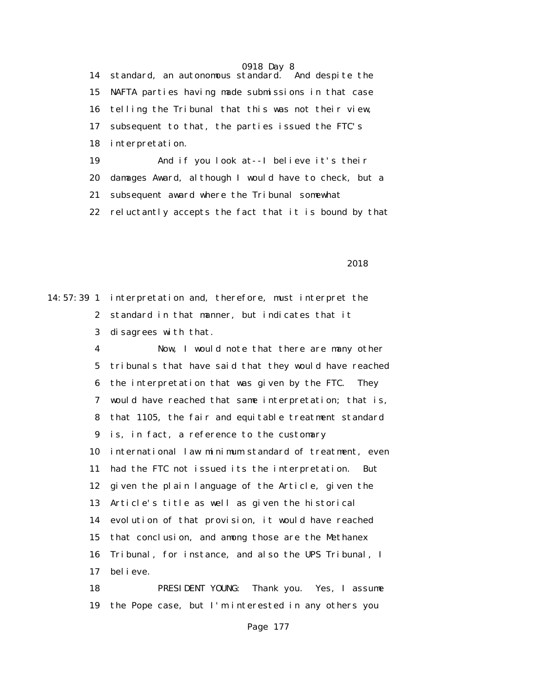0918 Day 8 14 standard, an autonomous standard. And despite the 15 NAFTA parties having made submissions in that case 16 telling the Tribunal that this was not their view, 17 subsequent to that, the parties issued the FTC's 18 interpretation. 19 And if you look at--I believe it's their 20 damages Award, although I would have to check, but a 21 subsequent award where the Tribunal somewhat 22 reluctantly accepts the fact that it is bound by that

2018

14:57:39 1 interpretation and, therefore, must interpret the 2 standard in that manner, but indicates that it 3 disagrees with that.

> 4 Now, I would note that there are many other 5 tribunals that have said that they would have reached 6 the interpretation that was given by the FTC. They 7 would have reached that same interpretation; that is, 8 that 1105, the fair and equitable treatment standard 9 is, in fact, a reference to the customary 10 international law minimum standard of treatment, even 11 had the FTC not issued its the interpretation. But 12 given the plain language of the Article, given the 13 Article's title as well as given the historical 14 evolution of that provision, it would have reached 15 that conclusion, and among those are the Methanex 16 Tribunal, for instance, and also the UPS Tribunal, I 17 believe.

 18 PRESIDENT YOUNG: Thank you. Yes, I assume 19 the Pope case, but I'm interested in any others you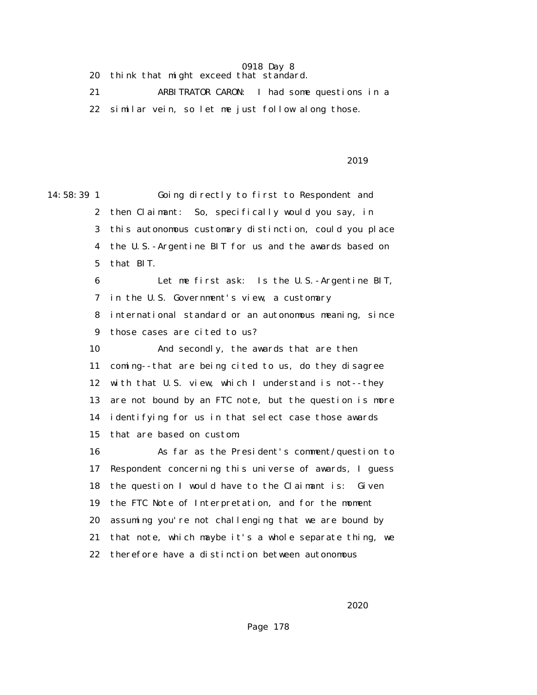20 think that might exceed that standard.

 21 ARBITRATOR CARON: I had some questions in a 22 similar vein, so let me just follow along those.

### <u>2019</u>

14:58:39 1 Going directly to first to Respondent and 2 then Claimant: So, specifically would you say, in 3 this autonomous customary distinction, could you place 4 the U.S.-Argentine BIT for us and the awards based on 5 that BIT. 6 Let me first ask: Is the U.S.-Argentine BIT, 7 in the U.S. Government's view, a customary 8 international standard or an autonomous meaning, since 9 those cases are cited to us? 10 And secondly, the awards that are then 11 coming--that are being cited to us, do they disagree 12 with that U.S. view, which I understand is not--they 13 are not bound by an FTC note, but the question is more 14 identifying for us in that select case those awards 15 that are based on custom. 16 As far as the President's comment/question to 17 Respondent concerning this universe of awards, I guess 18 the question I would have to the Claimant is: Given 19 the FTC Note of Interpretation, and for the moment 20 assuming you're not challenging that we are bound by 21 that note, which maybe it's a whole separate thing, we 22 therefore have a distinction between autonomous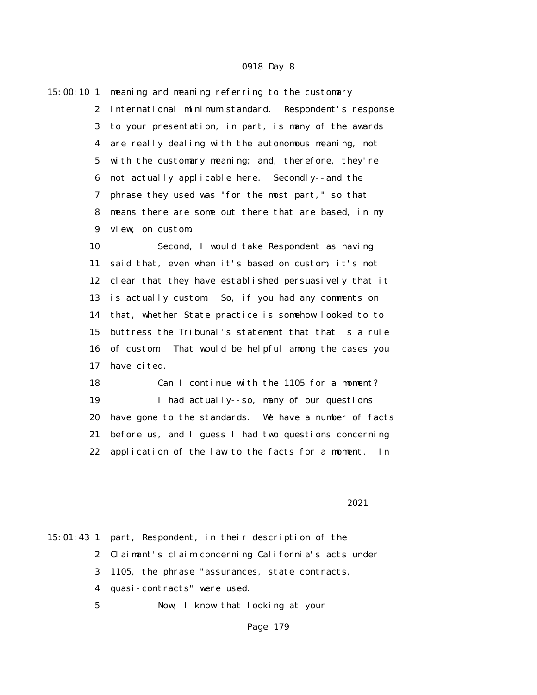|    | 15:00:10 1 meaning and meaning referring to the customary |
|----|-----------------------------------------------------------|
|    | 2 international minimum standard. Respondent's response   |
|    | 3 to your presentation, in part, is many of the awards    |
|    | 4 are really dealing with the autonomous meaning, not     |
|    | 5 with the customary meaning; and, therefore, they're     |
|    | 6 not actually applicable here. Secondly--and the         |
| 7  | phrase they used was "for the most part," so that         |
| 8. | means there are some out there that are based, in my      |
| 9  | view, on custom.                                          |
| 10 | Second, I would take Respondent as having                 |
| 11 | said that, even when it's based on custom, it's not       |
|    | 12 clear that they have established persuasively that it  |
|    | 13 is actually custom. So, if you had any comments on     |

 14 that, whether State practice is somehow looked to to 15 buttress the Tribunal's statement that that is a rule 16 of custom. That would be helpful among the cases you 17 have cited.

 18 Can I continue with the 1105 for a moment? 19 I had actually--so, many of our questions 20 have gone to the standards. We have a number of facts 21 before us, and I guess I had two questions concerning 22 application of the law to the facts for a moment. In

2021

15:01:43 1 part, Respondent, in their description of the 2 Claimant's claim concerning California's acts under 3 1105, the phrase "assurances, state contracts, 4 quasi-contracts" were used. 5 Now, I know that looking at your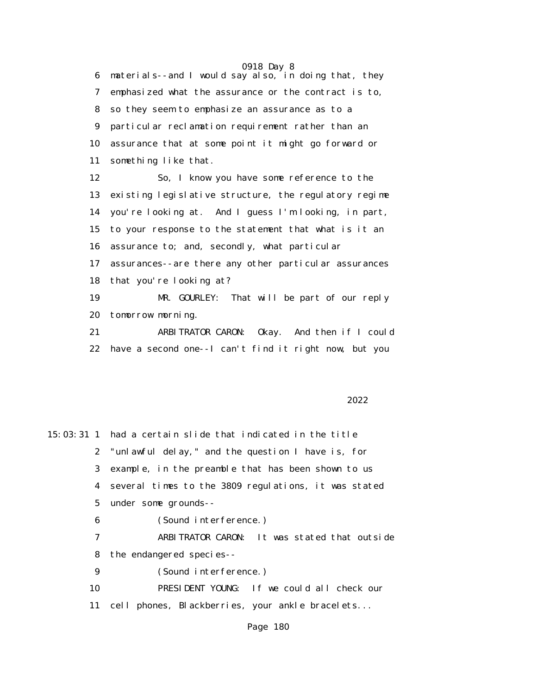0918 Day 8 6 materials--and I would say also, in doing that, they 7 emphasized what the assurance or the contract is to, 8 so they seem to emphasize an assurance as to a 9 particular reclamation requirement rather than an 10 assurance that at some point it might go forward or 11 something like that.

 12 So, I know you have some reference to the 13 existing legislative structure, the regulatory regime 14 you're looking at. And I guess I'm looking, in part, 15 to your response to the statement that what is it an 16 assurance to; and, secondly, what particular 17 assurances--are there any other particular assurances 18 that you're looking at? 19 MR. GOURLEY: That will be part of our reply 20 tomorrow morning. 21 ARBITRATOR CARON: Okay. And then if I could

22 have a second one--I can't find it right now, but you

<u>2022</u> and 2022

15:03:31 1 had a certain slide that indicated in the title 2 "unlawful delay," and the question I have is, for 3 example, in the preamble that has been shown to us 4 several times to the 3809 regulations, it was stated 5 under some grounds-- 6 (Sound interference.) 7 ARBITRATOR CARON: It was stated that outside 8 the endangered species-- 9 (Sound interference.) 10 PRESIDENT YOUNG: If we could all check our 11 cell phones, Blackberries, your ankle bracelets...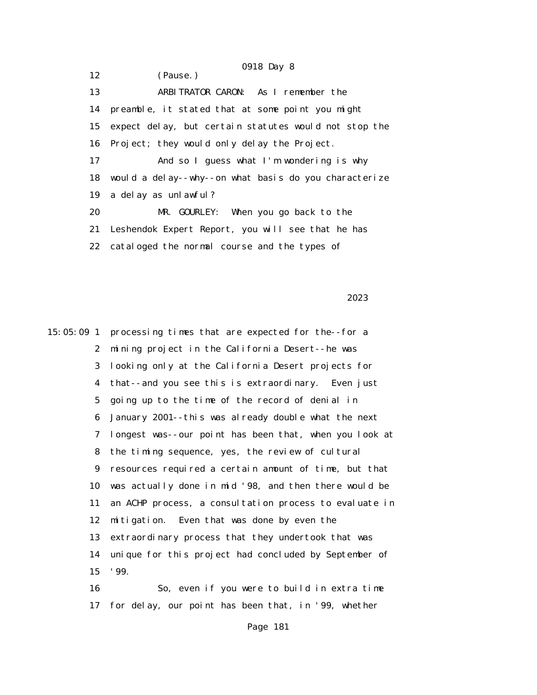0918 Day 8 12 (Pause.) 13 ARBITRATOR CARON: As I remember the 14 preamble, it stated that at some point you might 15 expect delay, but certain statutes would not stop the 16 Project; they would only delay the Project. 17 And so I guess what I'm wondering is why 18 would a delay--why--on what basis do you characterize 19 a delay as unlawful? 20 MR. GOURLEY: When you go back to the 21 Leshendok Expert Report, you will see that he has 22 cataloged the normal course and the types of

<u>2023</u> and 2023

15:05:09 1 processing times that are expected for the--for a 2 mining project in the California Desert--he was 3 looking only at the California Desert projects for 4 that--and you see this is extraordinary. Even just 5 going up to the time of the record of denial in 6 January 2001--this was already double what the next 7 longest was--our point has been that, when you look at 8 the timing sequence, yes, the review of cultural 9 resources required a certain amount of time, but that 10 was actually done in mid '98, and then there would be 11 an ACHP process, a consultation process to evaluate in 12 mitigation. Even that was done by even the 13 extraordinary process that they undertook that was 14 unique for this project had concluded by September of 15 '99.

 16 So, even if you were to build in extra time 17 for delay, our point has been that, in '99, whether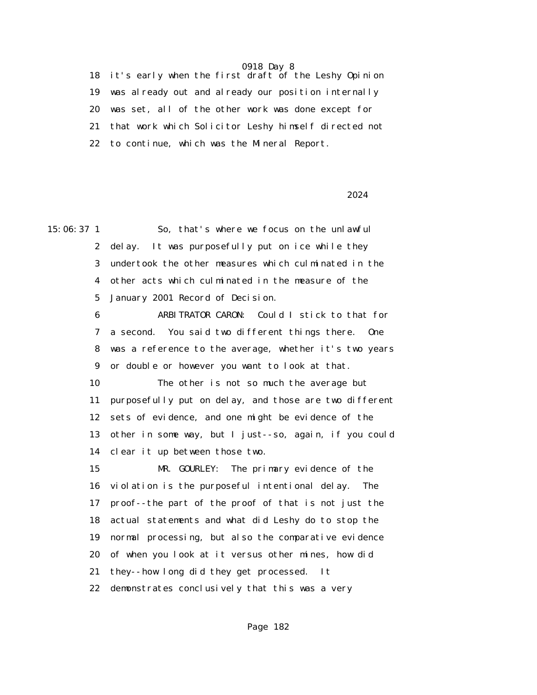18 it's early when the first draft of the Leshy Opinion 19 was already out and already our position internally 20 was set, all of the other work was done except for 21 that work which Solicitor Leshy himself directed not 22 to continue, which was the Mineral Report.

2024 and 2024

15:06:37 1 So, that's where we focus on the unlawful 2 delay. It was purposefully put on ice while they 3 undertook the other measures which culminated in the 4 other acts which culminated in the measure of the 5 January 2001 Record of Decision. 6 ARBITRATOR CARON: Could I stick to that for 7 a second. You said two different things there. One 8 was a reference to the average, whether it's two years 9 or double or however you want to look at that. 10 The other is not so much the average but 11 purposefully put on delay, and those are two different 12 sets of evidence, and one might be evidence of the 13 other in some way, but I just--so, again, if you could 14 clear it up between those two. 15 MR. GOURLEY: The primary evidence of the 16 violation is the purposeful intentional delay. The 17 proof--the part of the proof of that is not just the 18 actual statements and what did Leshy do to stop the 19 normal processing, but also the comparative evidence 20 of when you look at it versus other mines, how did 21 they--how long did they get processed. It 22 demonstrates conclusively that this was a very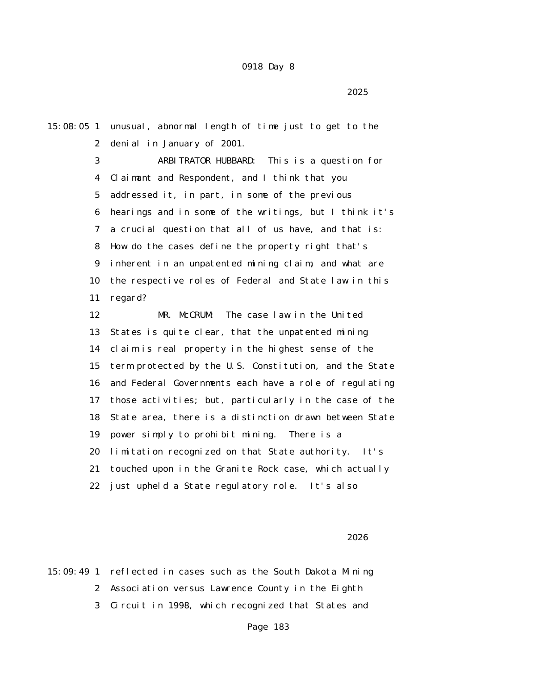$2025$ 

 2 denial in January of 2001. 3 ARBITRATOR HUBBARD: This is a question for 4 Claimant and Respondent, and I think that you 5 addressed it, in part, in some of the previous 6 hearings and in some of the writings, but I think it's 7 a crucial question that all of us have, and that is: 8 How do the cases define the property right that's 9 inherent in an unpatented mining claim, and what are 10 the respective roles of Federal and State law in this 11 regard? 12 MR. McCRUM: The case law in the United

15:08:05 1 unusual, abnormal length of time just to get to the

 13 States is quite clear, that the unpatented mining 14 claim is real property in the highest sense of the 15 term protected by the U.S. Constitution, and the State 16 and Federal Governments each have a role of regulating 17 those activities; but, particularly in the case of the 18 State area, there is a distinction drawn between State 19 power simply to prohibit mining. There is a 20 limitation recognized on that State authority. It's 21 touched upon in the Granite Rock case, which actually 22 just upheld a State regulatory role. It's also

 $2026$ 

15:09:49 1 reflected in cases such as the South Dakota Mining 2 Association versus Lawrence County in the Eighth 3 Circuit in 1998, which recognized that States and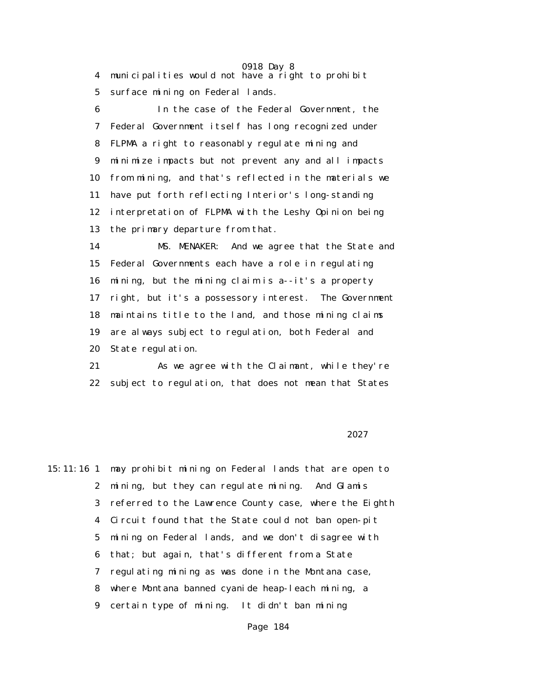0918 Day 8 4 municipalities would not have a right to prohibit 5 surface mining on Federal lands. 6 In the case of the Federal Government, the 7 Federal Government itself has long recognized under 8 FLPMA a right to reasonably regulate mining and 9 minimize impacts but not prevent any and all impacts 10 from mining, and that's reflected in the materials we 11 have put forth reflecting Interior's long-standing 12 interpretation of FLPMA with the Leshy Opinion being 13 the primary departure from that. 14 MS. MENAKER: And we agree that the State and 15 Federal Governments each have a role in regulating 16 mining, but the mining claim is a--it's a property 17 right, but it's a possessory interest. The Government 18 maintains title to the land, and those mining claims 19 are always subject to regulation, both Federal and

20 State regulation.

 21 As we agree with the Claimant, while they're 22 subject to regulation, that does not mean that States

#### <u>2027</u> and 2027

15:11:16 1 may prohibit mining on Federal lands that are open to 2 mining, but they can regulate mining. And Glamis 3 referred to the Lawrence County case, where the Eighth 4 Circuit found that the State could not ban open-pit 5 mining on Federal lands, and we don't disagree with 6 that; but again, that's different from a State 7 regulating mining as was done in the Montana case, 8 where Montana banned cyanide heap-leach mining, a 9 certain type of mining. It didn't ban mining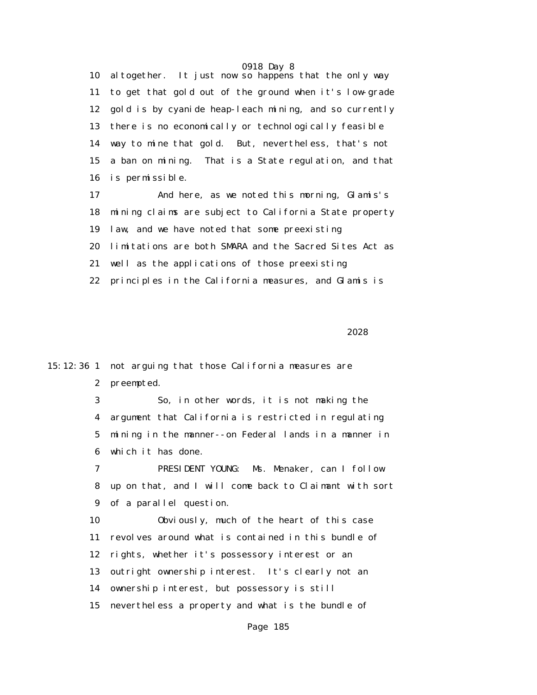0918 Day 8 10 altogether. It just now so happens that the only way 11 to get that gold out of the ground when it's low-grade 12 gold is by cyanide heap-leach mining, and so currently 13 there is no economically or technologically feasible 14 way to mine that gold. But, nevertheless, that's not 15 a ban on mining. That is a State regulation, and that 16 is permissible.

 17 And here, as we noted this morning, Glamis's 18 mining claims are subject to California State property 19 law, and we have noted that some preexisting 20 limitations are both SMARA and the Sacred Sites Act as 21 well as the applications of those preexisting 22 principles in the California measures, and Glamis is

<u>2028</u> and 2028

15:12:36 1 not arguing that those California measures are 2 preempted.

> 3 So, in other words, it is not making the 4 argument that California is restricted in regulating 5 mining in the manner--on Federal lands in a manner in 6 which it has done.

 7 PRESIDENT YOUNG: Ms. Menaker, can I follow 8 up on that, and I will come back to Claimant with sort 9 of a parallel question.

 10 Obviously, much of the heart of this case 11 revolves around what is contained in this bundle of 12 rights, whether it's possessory interest or an 13 outright ownership interest. It's clearly not an 14 ownership interest, but possessory is still 15 nevertheless a property and what is the bundle of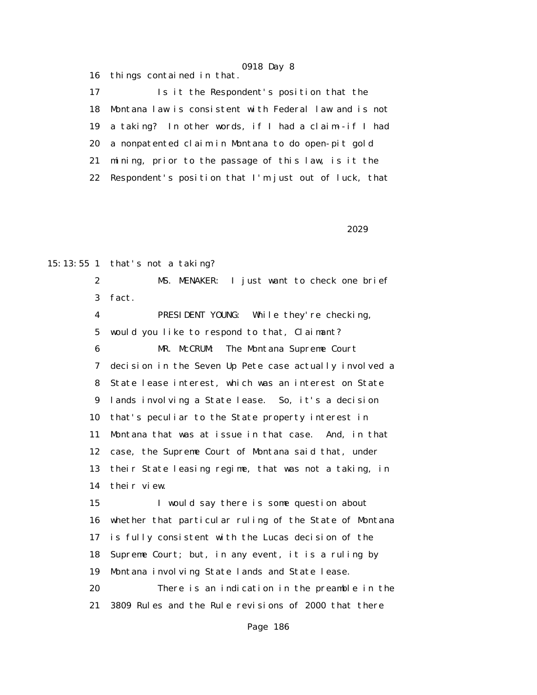16 things contained in that.

 17 Is it the Respondent's position that the 18 Montana law is consistent with Federal law and is not 19 a taking? In other words, if I had a claim--if I had 20 a nonpatented claim in Montana to do open-pit gold 21 mining, prior to the passage of this law, is it the 22 Respondent's position that I'm just out of luck, that

<u>2029</u> and 2029

15:13:55 1 that's not a taking?

 2 MS. MENAKER: I just want to check one brief 3 fact.

 4 PRESIDENT YOUNG: While they're checking, 5 would you like to respond to that, Claimant? 6 MR. McCRUM: The Montana Supreme Court 7 decision in the Seven Up Pete case actually involved a 8 State lease interest, which was an interest on State 9 lands involving a State lease. So, it's a decision 10 that's peculiar to the State property interest in 11 Montana that was at issue in that case. And, in that 12 case, the Supreme Court of Montana said that, under 13 their State leasing regime, that was not a taking, in 14 their view. 15 I would say there is some question about

 16 whether that particular ruling of the State of Montana 17 is fully consistent with the Lucas decision of the 18 Supreme Court; but, in any event, it is a ruling by 19 Montana involving State lands and State lease. 20 There is an indication in the preamble in the 21 3809 Rules and the Rule revisions of 2000 that there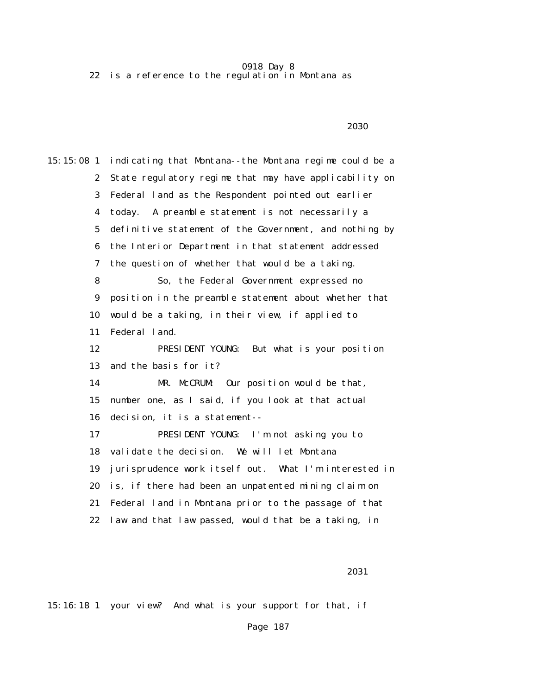0918 Day 8 22 is a reference to the regulation in Montana as

 $2030$ 

15:15:08 1 indicating that Montana--the Montana regime could be a 2 State regulatory regime that may have applicability on 3 Federal land as the Respondent pointed out earlier 4 today. A preamble statement is not necessarily a 5 definitive statement of the Government, and nothing by 6 the Interior Department in that statement addressed 7 the question of whether that would be a taking. 8 So, the Federal Government expressed no 9 position in the preamble statement about whether that 10 would be a taking, in their view, if applied to 11 Federal land. 12 PRESIDENT YOUNG: But what is your position 13 and the basis for it? 14 MR. McCRUM: Our position would be that, 15 number one, as I said, if you look at that actual 16 decision, it is a statement-- 17 PRESIDENT YOUNG: I'm not asking you to 18 validate the decision. We will let Montana 19 jurisprudence work itself out. What I'm interested in 20 is, if there had been an unpatented mining claim on 21 Federal land in Montana prior to the passage of that 22 law and that law passed, would that be a taking, in

2031

15:16:18 1 your view? And what is your support for that, if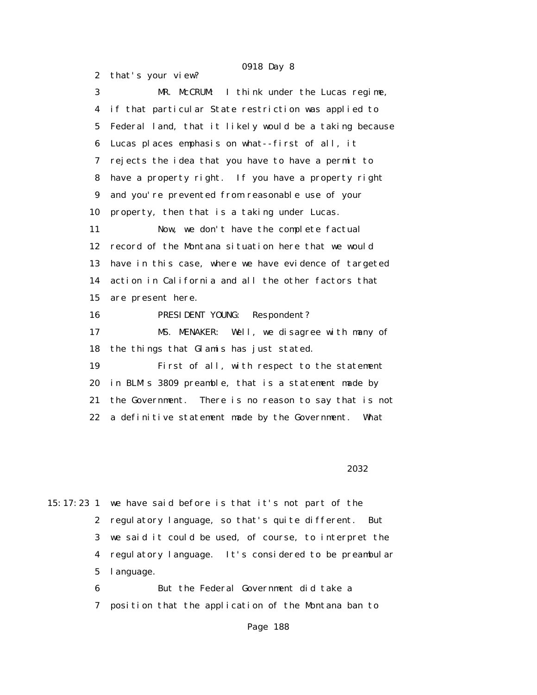2 that's your view? 3 MR. McCRUM: I think under the Lucas regime, 4 if that particular State restriction was applied to 5 Federal land, that it likely would be a taking because 6 Lucas places emphasis on what--first of all, it 7 rejects the idea that you have to have a permit to 8 have a property right. If you have a property right 9 and you're prevented from reasonable use of your 10 property, then that is a taking under Lucas. 11 Now, we don't have the complete factual 12 record of the Montana situation here that we would 13 have in this case, where we have evidence of targeted 14 action in California and all the other factors that 15 are present here. 16 PRESIDENT YOUNG: Respondent? 17 MS. MENAKER: Well, we disagree with many of 18 the things that Glamis has just stated. 19 First of all, with respect to the statement 20 in BLM's 3809 preamble, that is a statement made by 21 the Government. There is no reason to say that is not 22 a definitive statement made by the Government. What

2032

15:17:23 1 we have said before is that it's not part of the 2 regulatory language, so that's quite different. But 3 we said it could be used, of course, to interpret the 4 regulatory language. It's considered to be preambular 5 language.

> 6 But the Federal Government did take a 7 position that the application of the Montana ban to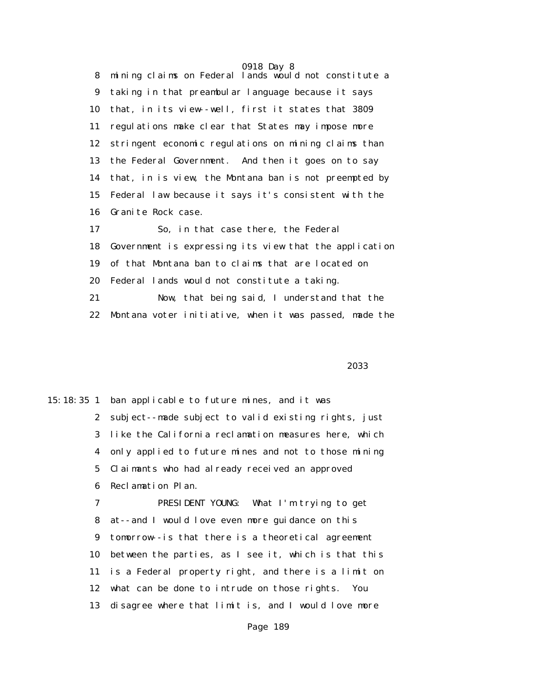0918 Day 8 8 mining claims on Federal lands would not constitute a 9 taking in that preambular language because it says 10 that, in its view--well, first it states that 3809 11 regulations make clear that States may impose more 12 stringent economic regulations on mining claims than 13 the Federal Government. And then it goes on to say 14 that, in is view, the Montana ban is not preempted by 15 Federal law because it says it's consistent with the 16 Granite Rock case. 17 So, in that case there, the Federal

 18 Government is expressing its view that the application 19 of that Montana ban to claims that are located on 20 Federal lands would not constitute a taking. 21 Now, that being said, I understand that the 22 Montana voter initiative, when it was passed, made the

 $2033$ 

15:18:35 1 ban applicable to future mines, and it was 2 subject--made subject to valid existing rights, just 3 like the California reclamation measures here, which 4 only applied to future mines and not to those mining 5 Claimants who had already received an approved 6 Reclamation Plan. 7 PRESIDENT YOUNG: What I'm trying to get 8 at--and I would love even more guidance on this 9 tomorrow--is that there is a theoretical agreement 10 between the parties, as I see it, which is that this 11 is a Federal property right, and there is a limit on 12 what can be done to intrude on those rights. You 13 disagree where that limit is, and I would love more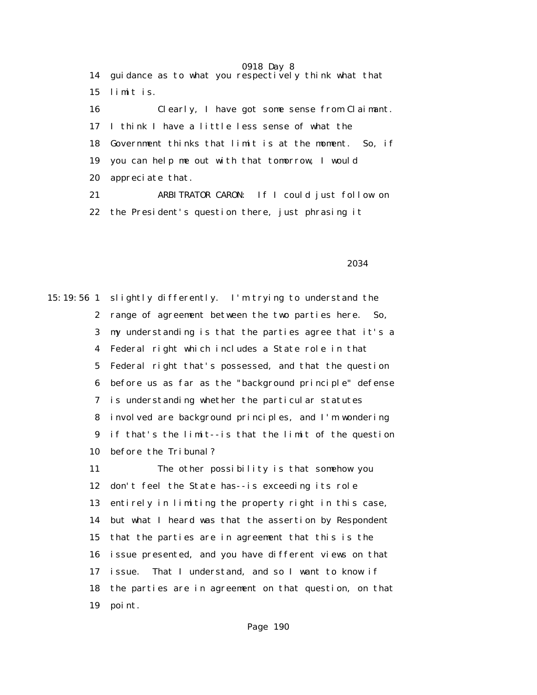0918 Day 8 14 guidance as to what you respectively think what that 15 limit is. 16 Clearly, I have got some sense from Claimant. 17 I think I have a little less sense of what the 18 Government thinks that limit is at the moment. So, if 19 you can help me out with that tomorrow, I would 20 appreciate that. 21 ARBITRATOR CARON: If I could just follow on

22 the President's question there, just phrasing it

2034 **2034** 

15:19:56 1 slightly differently. I'm trying to understand the 2 range of agreement between the two parties here. So, 3 my understanding is that the parties agree that it's a 4 Federal right which includes a State role in that 5 Federal right that's possessed, and that the question 6 before us as far as the "background principle" defense 7 is understanding whether the particular statutes 8 involved are background principles, and I'm wondering 9 if that's the limit--is that the limit of the question 10 before the Tribunal? 11 The other possibility is that somehow you

 12 don't feel the State has--is exceeding its role 13 entirely in limiting the property right in this case, 14 but what I heard was that the assertion by Respondent 15 that the parties are in agreement that this is the 16 issue presented, and you have different views on that 17 issue. That I understand, and so I want to know if 18 the parties are in agreement on that question, on that 19 point.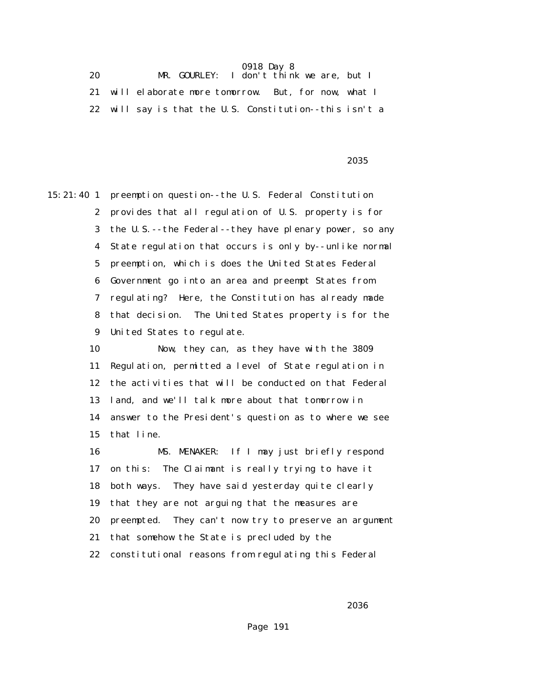| 20 |                                                         | MR. GOURLEY: I don't think we are, but I |  |  |
|----|---------------------------------------------------------|------------------------------------------|--|--|
|    | will elaborate more tomorrow. But, for now, what I      |                                          |  |  |
|    | 22 will say is that the U.S. Constitution--this isn't a |                                          |  |  |

 $2035$ 

15:21:40 1 preemption question--the U.S. Federal Constitution 2 provides that all regulation of U.S. property is for 3 the U.S.--the Federal--they have plenary power, so any 4 State regulation that occurs is only by--unlike normal 5 preemption, which is does the United States Federal 6 Government go into an area and preempt States from 7 regulating? Here, the Constitution has already made 8 that decision. The United States property is for the 9 United States to regulate.

> 10 Now, they can, as they have with the 3809 11 Regulation, permitted a level of State regulation in 12 the activities that will be conducted on that Federal 13 land, and we'll talk more about that tomorrow in 14 answer to the President's question as to where we see 15 that line.

 16 MS. MENAKER: If I may just briefly respond 17 on this: The Claimant is really trying to have it 18 both ways. They have said yesterday quite clearly 19 that they are not arguing that the measures are 20 preempted. They can't now try to preserve an argument 21 that somehow the State is precluded by the 22 constitutional reasons from regulating this Federal

 $2036$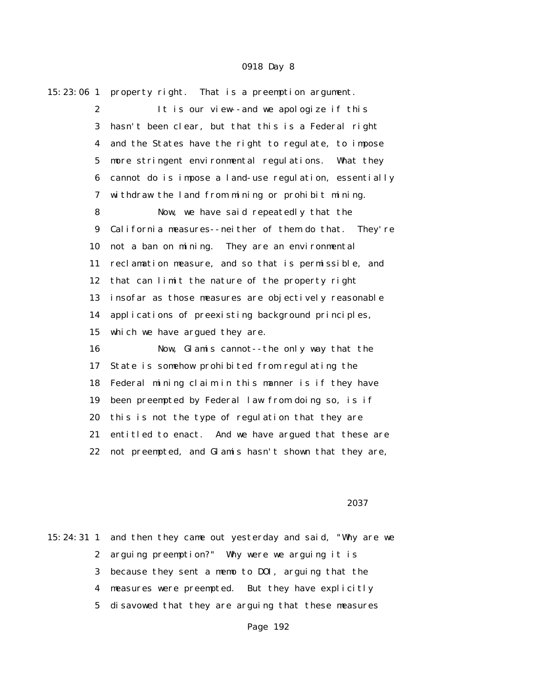| 15:23:06 1       | property right. That is a preemption argument.         |  |  |  |  |  |
|------------------|--------------------------------------------------------|--|--|--|--|--|
| $\boldsymbol{2}$ | It is our view--and we apologize if this               |  |  |  |  |  |
| 3                | hasn't been clear, but that this is a Federal right    |  |  |  |  |  |
| 4                | and the States have the right to regulate, to impose   |  |  |  |  |  |
| $\mathbf{5}$     | more stringent environmental regulations. What they    |  |  |  |  |  |
| 6                | cannot do is impose a land-use regulation, essentially |  |  |  |  |  |
| 7                | withdraw the land from mining or prohibit mining.      |  |  |  |  |  |
| 8                | Now, we have said repeatedly that the                  |  |  |  |  |  |
| $\boldsymbol{9}$ | California measures--neither of them do that. They're  |  |  |  |  |  |
| 10               | not a ban on mining. They are an environmental         |  |  |  |  |  |
| 11               | reclamation measure, and so that is permissible, and   |  |  |  |  |  |
| 12               | that can limit the nature of the property right        |  |  |  |  |  |
| 13               | insofar as those measures are objectively reasonable   |  |  |  |  |  |
| 14               | applications of preexisting background principles,     |  |  |  |  |  |
| 15               | which we have argued they are.                         |  |  |  |  |  |
| 16               | Now, Glamis cannot--the only way that the              |  |  |  |  |  |
| 17               | State is somehow prohibited from regulating the        |  |  |  |  |  |
| 18               | Federal mining claim in this manner is if they have    |  |  |  |  |  |
| 19               | been preempted by Federal law from doing so, is if     |  |  |  |  |  |
| 20               | this is not the type of regulation that they are       |  |  |  |  |  |
| 21               | entitled to enact. And we have argued that these are   |  |  |  |  |  |
| 22               | not preempted, and Glamis hasn't shown that they are,  |  |  |  |  |  |
|                  |                                                        |  |  |  |  |  |

#### $2037$

15:24:31 1 and then they came out yesterday and said, "Why are we 2 arguing preemption?" Why were we arguing it is 3 because they sent a memo to DOI, arguing that the 4 measures were preempted. But they have explicitly 5 disavowed that they are arguing that these measures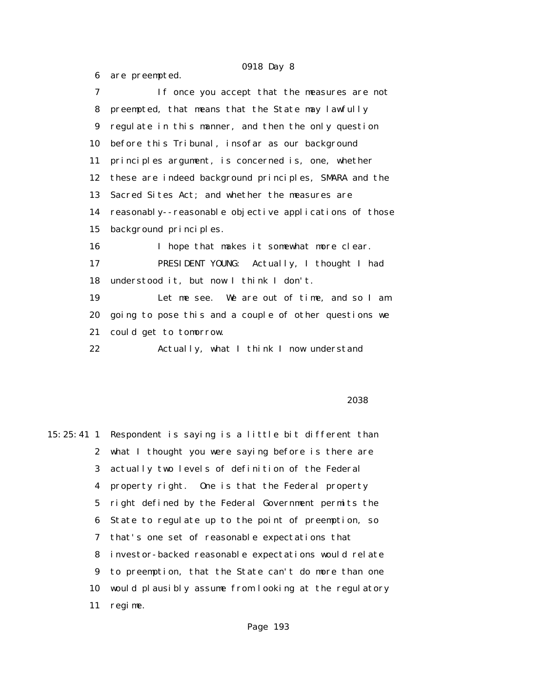6 are preempted. 7 If once you accept that the measures are not 8 preempted, that means that the State may lawfully 9 regulate in this manner, and then the only question 10 before this Tribunal, insofar as our background 11 principles argument, is concerned is, one, whether 12 these are indeed background principles, SMARA and the 13 Sacred Sites Act; and whether the measures are 14 reasonably--reasonable objective applications of those 15 background principles. 16 I hope that makes it somewhat more clear. 17 PRESIDENT YOUNG: Actually, I thought I had 18 understood it, but now I think I don't. 19 Let me see. We are out of time, and so I am 20 going to pose this and a couple of other questions we 21 could get to tomorrow. 22 Actually, what I think I now understand

 $2038$ 

15:25:41 1 Respondent is saying is a little bit different than 2 what I thought you were saying before is there are 3 actually two levels of definition of the Federal 4 property right. One is that the Federal property 5 right defined by the Federal Government permits the 6 State to regulate up to the point of preemption, so 7 that's one set of reasonable expectations that 8 investor-backed reasonable expectations would relate 9 to preemption, that the State can't do more than one 10 would plausibly assume from looking at the regulatory 11 regime.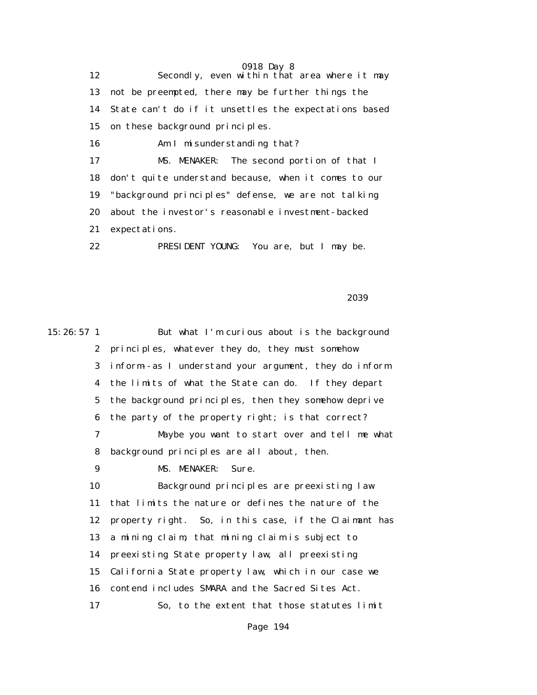0918 Day 8 12 Secondly, even within that area where it may 13 not be preempted, there may be further things the 14 State can't do if it unsettles the expectations based 15 on these background principles. 16 Am I misunderstanding that? 17 MS. MENAKER: The second portion of that I 18 don't quite understand because, when it comes to our 19 "background principles" defense, we are not talking 20 about the investor's reasonable investment-backed 21 expectations. 22 PRESIDENT YOUNG: You are, but I may be.

 $2039$ 

15:26:57 1 But what I'm curious about is the background 2 principles, whatever they do, they must somehow 3 inform--as I understand your argument, they do inform 4 the limits of what the State can do. If they depart 5 the background principles, then they somehow deprive 6 the party of the property right; is that correct? 7 Maybe you want to start over and tell me what 8 background principles are all about, then. 9 MS. MENAKER: Sure. 10 Background principles are preexisting law 11 that limits the nature or defines the nature of the 12 property right. So, in this case, if the Claimant has 13 a mining claim, that mining claim is subject to 14 preexisting State property law, all preexisting 15 California State property law, which in our case we 16 contend includes SMARA and the Sacred Sites Act. 17 So, to the extent that those statutes limit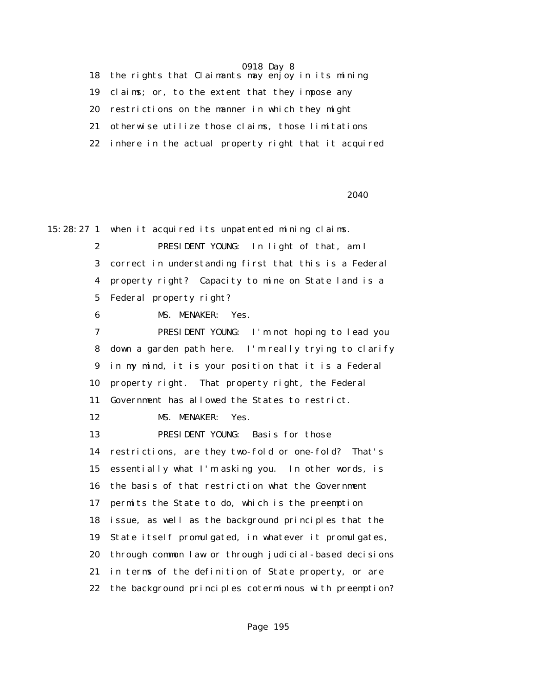18 the rights that Claimants may enjoy in its mining 19 claims; or, to the extent that they impose any 20 restrictions on the manner in which they might 21 otherwise utilize those claims, those limitations 22 inhere in the actual property right that it acquired

<u>2040</u> and 2010 and 2010 and 2010 and 2010 and 2010 and 2010 and 2010 and 2010 and 2010 and 2010 and 2010 and 20

15:28:27 1 when it acquired its unpatented mining claims.

 2 PRESIDENT YOUNG: In light of that, am I 3 correct in understanding first that this is a Federal 4 property right? Capacity to mine on State land is a 5 Federal property right?

6 MS. MENAKER: Yes.

 7 PRESIDENT YOUNG: I'm not hoping to lead you 8 down a garden path here. I'm really trying to clarify 9 in my mind, it is your position that it is a Federal 10 property right. That property right, the Federal 11 Government has allowed the States to restrict.

12 MS. MENAKER: Yes.

 13 PRESIDENT YOUNG: Basis for those 14 restrictions, are they two-fold or one-fold? That's 15 essentially what I'm asking you. In other words, is 16 the basis of that restriction what the Government 17 permits the State to do, which is the preemption 18 issue, as well as the background principles that the 19 State itself promulgated, in whatever it promulgates, 20 through common law or through judicial-based decisions 21 in terms of the definition of State property, or are 22 the background principles coterminous with preemption?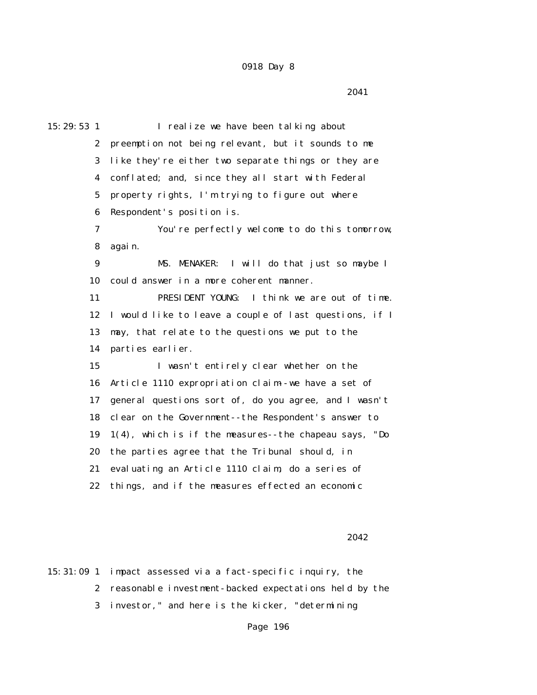2041

15:29:53 1 I realize we have been talking about 2 preemption not being relevant, but it sounds to me 3 like they're either two separate things or they are 4 conflated; and, since they all start with Federal 5 property rights, I'm trying to figure out where 6 Respondent's position is. 7 You're perfectly welcome to do this tomorrow, 8 again. 9 MS. MENAKER: I will do that just so maybe I 10 could answer in a more coherent manner. 11 PRESIDENT YOUNG: I think we are out of time. 12 I would like to leave a couple of last questions, if I 13 may, that relate to the questions we put to the 14 parties earlier. 15 I wasn't entirely clear whether on the 16 Article 1110 expropriation claim--we have a set of 17 general questions sort of, do you agree, and I wasn't 18 clear on the Government--the Respondent's answer to 19 1(4), which is if the measures--the chapeau says, "Do 20 the parties agree that the Tribunal should, in 21 evaluating an Article 1110 claim, do a series of 22 things, and if the measures effected an economic

<u>2042</u>

15:31:09 1 impact assessed via a fact-specific inquiry, the 2 reasonable investment-backed expectations held by the 3 investor," and here is the kicker, "determining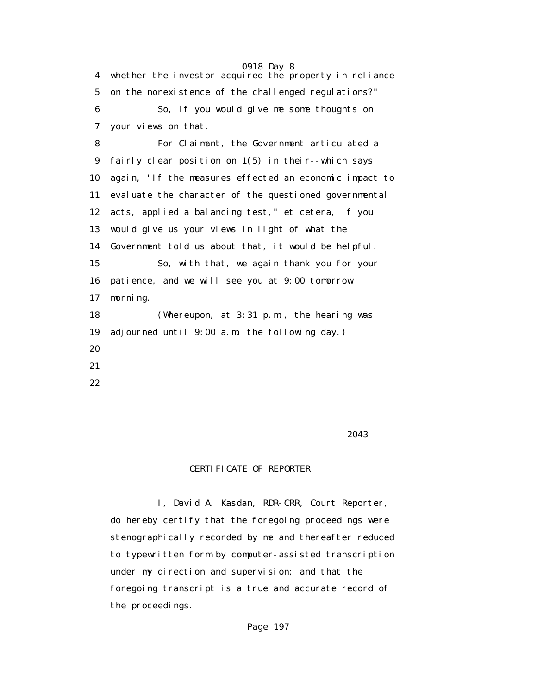4 whether the investor acquired the property in reliance 5 on the nonexistence of the challenged regulations?" 6 So, if you would give me some thoughts on 7 your views on that. 8 For Claimant, the Government articulated a 9 fairly clear position on 1(5) in their--which says 10 again, "If the measures effected an economic impact to 11 evaluate the character of the questioned governmental 12 acts, applied a balancing test," et cetera, if you 13 would give us your views in light of what the 14 Government told us about that, it would be helpful. 15 So, with that, we again thank you for your 16 patience, and we will see you at 9:00 tomorrow 17 morning. 18 (Whereupon, at 3:31 p.m., the hearing was 19 adjourned until 9:00 a.m. the following day.) 20 21 22

<u>2043</u> and the set of the set of the set of the set of the set of the set of the set of the set of the set of the set of the set of the set of the set of the set of the set of the set of the set of the set of the set of th

## CERTIFICATE OF REPORTER

 I, David A. Kasdan, RDR-CRR, Court Reporter, do hereby certify that the foregoing proceedings were stenographically recorded by me and thereafter reduced to typewritten form by computer-assisted transcription under my direction and supervision; and that the foregoing transcript is a true and accurate record of the proceedings.